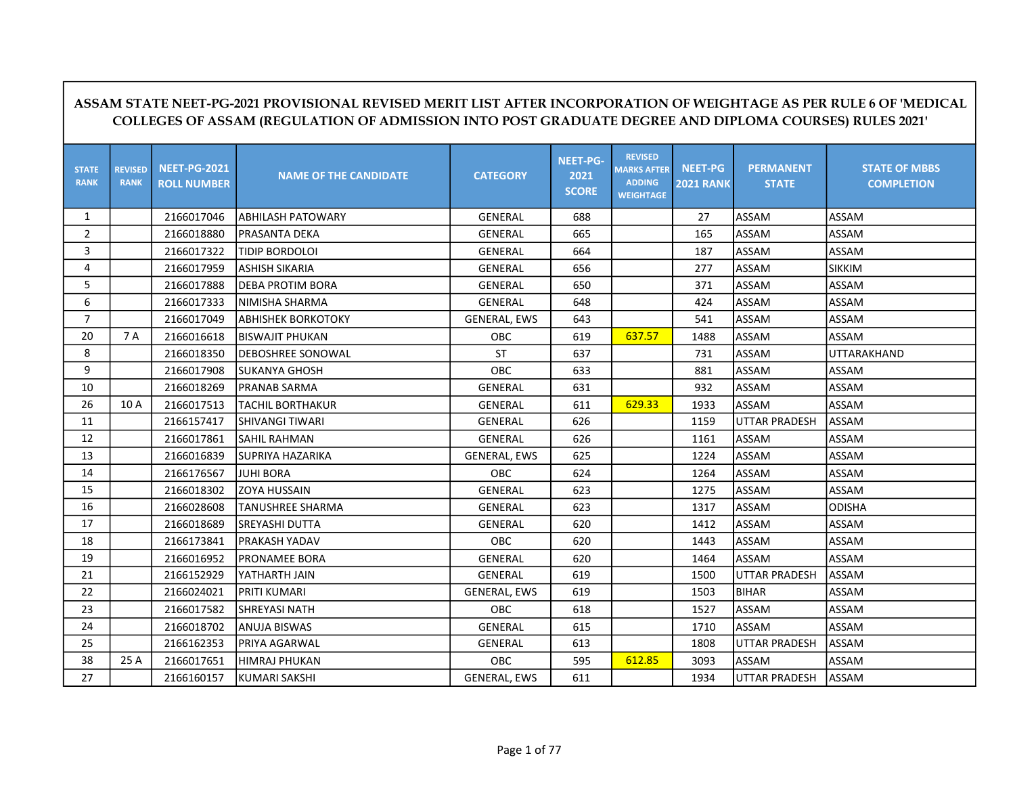|                             | L'ALLI-I O-4041 I NO VIGIOIVAL NEVIGLE MENIT LIGT AITEN INCONFONATION OF WEIGHTAGE AGT EN NOLL 0 OF MEDICAL<br>COLLEGES OF ASSAM (REGULATION OF ADMISSION INTO POST GRADUATE DEGREE AND DIPLOMA COURSES) RULES 2021' |                                           |                              |                     |                                  |                                                                           |                                    |                                  |                                           |  |  |
|-----------------------------|----------------------------------------------------------------------------------------------------------------------------------------------------------------------------------------------------------------------|-------------------------------------------|------------------------------|---------------------|----------------------------------|---------------------------------------------------------------------------|------------------------------------|----------------------------------|-------------------------------------------|--|--|
| <b>STATE</b><br><b>RANK</b> | <b>REVISED</b><br><b>RANK</b>                                                                                                                                                                                        | <b>NEET-PG-2021</b><br><b>ROLL NUMBER</b> | <b>NAME OF THE CANDIDATE</b> | <b>CATEGORY</b>     | NEET-PG-<br>2021<br><b>SCORE</b> | <b>REVISED</b><br><b>MARKS AFTER</b><br><b>ADDING</b><br><b>WEIGHTAGE</b> | <b>NEET-PG</b><br><b>2021 RANK</b> | <b>PERMANENT</b><br><b>STATE</b> | <b>STATE OF MBBS</b><br><b>COMPLETION</b> |  |  |
| $\mathbf{1}$                |                                                                                                                                                                                                                      | 2166017046                                | ABHILASH PATOWARY            | <b>GENERAL</b>      | 688                              |                                                                           | 27                                 | ASSAM                            | ASSAM                                     |  |  |
| $\overline{2}$              |                                                                                                                                                                                                                      | 2166018880                                | PRASANTA DEKA                | <b>GENERAL</b>      | 665                              |                                                                           | 165                                | <b>ASSAM</b>                     | <b>ASSAM</b>                              |  |  |
| 3                           |                                                                                                                                                                                                                      | 2166017322                                | TIDIP BORDOLOI               | <b>GENERAL</b>      | 664                              |                                                                           | 187                                | <b>ASSAM</b>                     | ASSAM                                     |  |  |
| 4                           |                                                                                                                                                                                                                      | 2166017959                                | <b>ASHISH SIKARIA</b>        | <b>GENERAL</b>      | 656                              |                                                                           | 277                                | <b>ASSAM</b>                     | <b>SIKKIM</b>                             |  |  |
| 5                           |                                                                                                                                                                                                                      | 2166017888                                | <b>DEBA PROTIM BORA</b>      | <b>GENERAL</b>      | 650                              |                                                                           | 371                                | ASSAM                            | ASSAM                                     |  |  |
| 6                           |                                                                                                                                                                                                                      | 2166017333                                | NIMISHA SHARMA               | GENERAL             | 648                              |                                                                           | 424                                | ASSAM                            | ASSAM                                     |  |  |
| $\overline{7}$              |                                                                                                                                                                                                                      | 2166017049                                | <b>ABHISHEK BORKOTOKY</b>    | <b>GENERAL, EWS</b> | 643                              |                                                                           | 541                                | <b>ASSAM</b>                     | ASSAM                                     |  |  |
| 20                          | 7 A                                                                                                                                                                                                                  | 2166016618                                | <b>BISWAJIT PHUKAN</b>       | <b>OBC</b>          | 619                              | 637.57                                                                    | 1488                               | ASSAM                            | <b>ASSAM</b>                              |  |  |
| 8                           |                                                                                                                                                                                                                      | 2166018350                                | <b>DEBOSHREE SONOWAL</b>     | <b>ST</b>           | 637                              |                                                                           | 731                                | <b>ASSAM</b>                     | UTTARAKHAND                               |  |  |
| 9                           |                                                                                                                                                                                                                      | 2166017908                                | <b>SUKANYA GHOSH</b>         | OBC                 | 633                              |                                                                           | 881                                | <b>ASSAM</b>                     | ASSAM                                     |  |  |
| 10                          |                                                                                                                                                                                                                      | 2166018269                                | PRANAB SARMA                 | GENERAL             | 631                              |                                                                           | 932                                | ASSAM                            | ASSAM                                     |  |  |
| 26                          | 10 A                                                                                                                                                                                                                 | 2166017513                                | <b>TACHIL BORTHAKUR</b>      | <b>GENERAL</b>      | 611                              | 629.33                                                                    | 1933                               | <b>ASSAM</b>                     | ASSAM                                     |  |  |
| 11                          |                                                                                                                                                                                                                      | 2166157417                                | <b>SHIVANGI TIWARI</b>       | <b>GENERAL</b>      | 626                              |                                                                           | 1159                               | <b>UTTAR PRADESH</b>             | ASSAM                                     |  |  |
| 12                          |                                                                                                                                                                                                                      | 2166017861                                | <b>SAHIL RAHMAN</b>          | <b>GENERAL</b>      | 626                              |                                                                           | 1161                               | <b>ASSAM</b>                     | ASSAM                                     |  |  |
| 13                          |                                                                                                                                                                                                                      | 2166016839                                | <b>SUPRIYA HAZARIKA</b>      | <b>GENERAL, EWS</b> | 625                              |                                                                           | 1224                               | <b>ASSAM</b>                     | ASSAM                                     |  |  |
| 14                          |                                                                                                                                                                                                                      | 2166176567                                | <b>JUHI BORA</b>             | OBC.                | 624                              |                                                                           | 1264                               | ASSAM                            | ASSAM                                     |  |  |
| 15                          |                                                                                                                                                                                                                      | 2166018302                                | ZOYA HUSSAIN                 | GENERAL             | 623                              |                                                                           | 1275                               | <b>ASSAM</b>                     | ASSAM                                     |  |  |
| 16                          |                                                                                                                                                                                                                      | 2166028608                                | TANUSHREE SHARMA             | <b>GENERAL</b>      | 623                              |                                                                           | 1317                               | <b>ASSAM</b>                     | <b>ODISHA</b>                             |  |  |
| 17                          |                                                                                                                                                                                                                      | 2166018689                                | SREYASHI DUTTA               | <b>GENERAL</b>      | 620                              |                                                                           | 1412                               | ASSAM                            | ASSAM                                     |  |  |
| 18                          |                                                                                                                                                                                                                      | 2166173841                                | PRAKASH YADAV                | OBC                 | 620                              |                                                                           | 1443                               | ASSAM                            | ASSAM                                     |  |  |
| 19                          |                                                                                                                                                                                                                      | 2166016952                                | PRONAMEE BORA                | GENERAL             | 620                              |                                                                           | 1464                               | <b>ASSAM</b>                     | ASSAM                                     |  |  |
| 21                          |                                                                                                                                                                                                                      | 2166152929                                | YATHARTH JAIN                | <b>GENERAL</b>      | 619                              |                                                                           | 1500                               | <b>UTTAR PRADESH</b>             | <b>ASSAM</b>                              |  |  |
| 22                          |                                                                                                                                                                                                                      | 2166024021                                | PRITI KUMARI                 | <b>GENERAL, EWS</b> | 619                              |                                                                           | 1503                               | <b>BIHAR</b>                     | ASSAM                                     |  |  |
| 23                          |                                                                                                                                                                                                                      | 2166017582                                | <b>SHREYASI NATH</b>         | <b>OBC</b>          | 618                              |                                                                           | 1527                               | ASSAM                            | ASSAM                                     |  |  |
| 24                          |                                                                                                                                                                                                                      | 2166018702                                | <b>ANUJA BISWAS</b>          | <b>GENERAL</b>      | 615                              |                                                                           | 1710                               | <b>ASSAM</b>                     | ASSAM                                     |  |  |
| 25                          |                                                                                                                                                                                                                      | 2166162353                                | PRIYA AGARWAL                | GENERAL             | 613                              |                                                                           | 1808                               | UTTAR PRADESH                    | ASSAM                                     |  |  |
| 38                          | 25 A                                                                                                                                                                                                                 | 2166017651                                | HIMRAJ PHUKAN                | OBC                 | 595                              | 612.85                                                                    | 3093                               | <b>ASSAM</b>                     | ASSAM                                     |  |  |
| 27                          |                                                                                                                                                                                                                      | 2166160157                                | <b>KUMARI SAKSHI</b>         | <b>GENERAL, EWS</b> | 611                              |                                                                           | 1934                               | <b>UTTAR PRADESH</b>             | <b>ASSAM</b>                              |  |  |

## ASSAM STATE NEET-PG-2021 PROVISIONAL REVISED MERIT LIST AFTER INCORPORATION OF WEIGHTAGE AS PER RULE 6 OF 'MEDICAL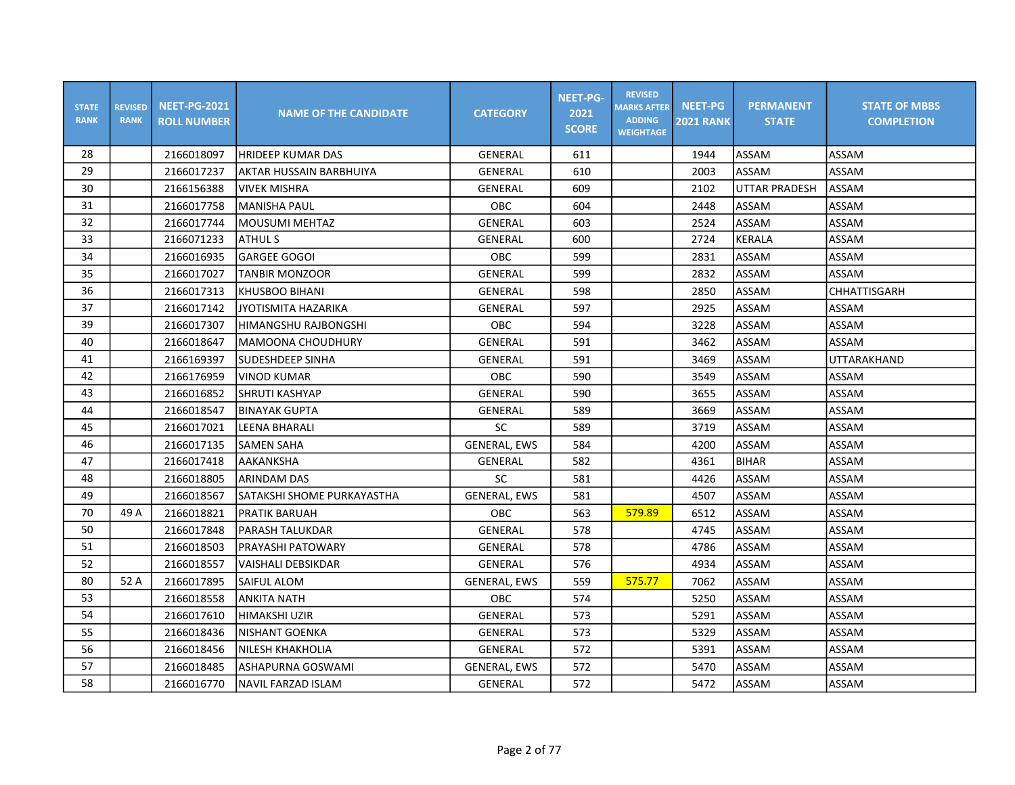| <b>STATE</b><br><b>RANK</b> | <b>REVISED</b><br><b>RANK</b> | <b>NEET-PG-2021</b><br><b>ROLL NUMBER</b> | <b>NAME OF THE CANDIDATE</b> | <b>CATEGORY</b>     | <b>NEET-PG-</b><br>2021<br><b>SCORE</b> | <b>REVISED</b><br><b>MARKS AFTER</b><br><b>ADDING</b><br><b>WEIGHTAGE</b> | <b>NEET-PG</b><br><b>2021 RANK</b> | <b>PERMANENT</b><br><b>STATE</b> | <b>STATE OF MBBS</b><br><b>COMPLETION</b> |
|-----------------------------|-------------------------------|-------------------------------------------|------------------------------|---------------------|-----------------------------------------|---------------------------------------------------------------------------|------------------------------------|----------------------------------|-------------------------------------------|
| 28                          |                               | 2166018097                                | <b>HRIDEEP KUMAR DAS</b>     | GENERAL             | 611                                     |                                                                           | 1944                               | ASSAM                            | ASSAM                                     |
| 29                          |                               | 2166017237                                | AKTAR HUSSAIN BARBHUIYA      | GENERAL             | 610                                     |                                                                           | 2003                               | ASSAM                            | ASSAM                                     |
| 30                          |                               | 2166156388                                | <b>VIVEK MISHRA</b>          | GENERAL             | 609                                     |                                                                           | 2102                               | UTTAR PRADESH                    | ASSAM                                     |
| 31                          |                               | 2166017758                                | <b>MANISHA PAUL</b>          | <b>OBC</b>          | 604                                     |                                                                           | 2448                               | ASSAM                            | ASSAM                                     |
| 32                          |                               | 2166017744                                | lMOUSUMI MEHTAZ              | GENERAL             | 603                                     |                                                                           | 2524                               | ASSAM                            | ASSAM                                     |
| 33                          |                               | 2166071233                                | <b>ATHULS</b>                | <b>GENERAL</b>      | 600                                     |                                                                           | 2724                               | KERALA                           | ASSAM                                     |
| 34                          |                               | 2166016935                                | <b>GARGEE GOGOI</b>          | OBC                 | 599                                     |                                                                           | 2831                               | ASSAM                            | ASSAM                                     |
| 35                          |                               | 2166017027                                | <b>TANBIR MONZOOR</b>        | GENERAL             | 599                                     |                                                                           | 2832                               | ASSAM                            | ASSAM                                     |
| 36                          |                               | 2166017313                                | İKHUSBOO BIHANI              | GENERAL             | 598                                     |                                                                           | 2850                               | ASSAM                            | CHHATTISGARH                              |
| 37                          |                               | 2166017142                                | JYOTISMITA HAZARIKA          | GENERAL             | 597                                     |                                                                           | 2925                               | ASSAM                            | ASSAM                                     |
| 39                          |                               | 2166017307                                | HIMANGSHU RAJBONGSHI         | OBC                 | 594                                     |                                                                           | 3228                               | ASSAM                            | ASSAM                                     |
| 40                          |                               | 2166018647                                | MAMOONA CHOUDHURY            | GENERAL             | 591                                     |                                                                           | 3462                               | ASSAM                            | ASSAM                                     |
| 41                          |                               | 2166169397                                | SUDESHDEEP SINHA             | GENERAL             | 591                                     |                                                                           | 3469                               | ASSAM                            | UTTARAKHAND                               |
| 42                          |                               | 2166176959                                | <b>VINOD KUMAR</b>           | <b>OBC</b>          | 590                                     |                                                                           | 3549                               | ASSAM                            | ASSAM                                     |
| 43                          |                               | 2166016852                                | SHRUTI KASHYAP               | <b>GENERAL</b>      | 590                                     |                                                                           | 3655                               | ASSAM                            | ASSAM                                     |
| 44                          |                               | 2166018547                                | <b>BINAYAK GUPTA</b>         | GENERAL             | 589                                     |                                                                           | 3669                               | ASSAM                            | ASSAM                                     |
| 45                          |                               | 2166017021                                | <b>LEENA BHARALI</b>         | SC                  | 589                                     |                                                                           | 3719                               | ASSAM                            | ASSAM                                     |
| 46                          |                               | 2166017135                                | <b>SAMEN SAHA</b>            | GENERAL, EWS        | 584                                     |                                                                           | 4200                               | <b>ASSAM</b>                     | ASSAM                                     |
| 47                          |                               | 2166017418                                | AAKANKSHA                    | GENERAL             | 582                                     |                                                                           | 4361                               | <b>BIHAR</b>                     | ASSAM                                     |
| 48                          |                               | 2166018805                                | IARINDAM DAS                 | SC                  | 581                                     |                                                                           | 4426                               | ASSAM                            | ASSAM                                     |
| 49                          |                               | 2166018567                                | SATAKSHI SHOME PURKAYASTHA   | <b>GENERAL, EWS</b> | 581                                     |                                                                           | 4507                               | ASSAM                            | ASSAM                                     |
| 70                          | 49 A                          | 2166018821                                | <b>PRATIK BARUAH</b>         | <b>OBC</b>          | 563                                     | 579.89                                                                    | 6512                               | ASSAM                            | ASSAM                                     |
| 50                          |                               | 2166017848                                | <b>PARASH TALUKDAR</b>       | GENERAL             | 578                                     |                                                                           | 4745                               | ASSAM                            | ASSAM                                     |
| 51                          |                               | 2166018503                                | IPRAYASHI PATOWARY           | GENERAL             | 578                                     |                                                                           | 4786                               | ASSAM                            | ASSAM                                     |
| 52                          |                               | 2166018557                                | <b>VAISHALI DEBSIKDAR</b>    | <b>GENERAL</b>      | 576                                     |                                                                           | 4934                               | ASSAM                            | ASSAM                                     |
| 80                          | 52 A                          | 2166017895                                | SAIFUL ALOM                  | <b>GENERAL, EWS</b> | 559                                     | 575.77                                                                    | 7062                               | ASSAM                            | ASSAM                                     |
| 53                          |                               | 2166018558                                | <b>ANKITA NATH</b>           | <b>OBC</b>          | 574                                     |                                                                           | 5250                               | ASSAM                            | ASSAM                                     |
| 54                          |                               | 2166017610                                | HIMAKSHI UZIR                | GENERAL             | 573                                     |                                                                           | 5291                               | ASSAM                            | ASSAM                                     |
| 55                          |                               | 2166018436                                | NISHANT GOENKA               | GENERAL             | 573                                     |                                                                           | 5329                               | ASSAM                            | ASSAM                                     |
| 56                          |                               | 2166018456                                | <b>INILESH KHAKHOLIA</b>     | GENERAL             | 572                                     |                                                                           | 5391                               | ASSAM                            | ASSAM                                     |
| 57                          |                               | 2166018485                                | ASHAPURNA GOSWAMI            | <b>GENERAL, EWS</b> | 572                                     |                                                                           | 5470                               | ASSAM                            | ASSAM                                     |
| 58                          |                               | 2166016770                                | NAVIL FARZAD ISLAM           | GENERAL             | 572                                     |                                                                           | 5472                               | ASSAM                            | ASSAM                                     |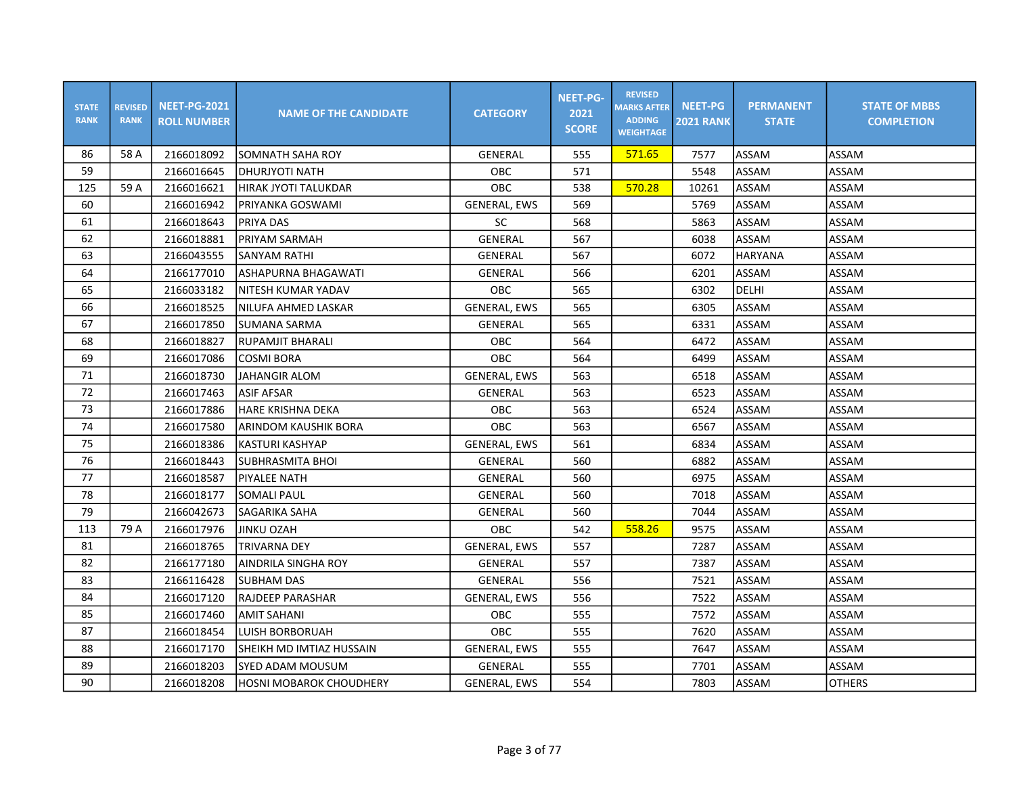| <b>STATE</b><br><b>RANK</b> | <b>REVISED</b><br><b>RANK</b> | <b>NEET-PG-2021</b><br><b>ROLL NUMBER</b> | <b>NAME OF THE CANDIDATE</b>   | <b>CATEGORY</b>     | <b>NEET-PG-</b><br>2021<br><b>SCORE</b> | <b>REVISED</b><br><b>MARKS AFTER</b><br><b>ADDING</b><br><b>WEIGHTAGE</b> | <b>NEET-PG</b><br><b>2021 RANK</b> | <b>PERMANENT</b><br><b>STATE</b> | <b>STATE OF MBBS</b><br><b>COMPLETION</b> |
|-----------------------------|-------------------------------|-------------------------------------------|--------------------------------|---------------------|-----------------------------------------|---------------------------------------------------------------------------|------------------------------------|----------------------------------|-------------------------------------------|
| 86                          | 58 A                          | 2166018092                                | SOMNATH SAHA ROY               | GENERAL             | 555                                     | 571.65                                                                    | 7577                               | ASSAM                            | ASSAM                                     |
| 59                          |                               | 2166016645                                | <b>DHURJYOTI NATH</b>          | <b>OBC</b>          | 571                                     |                                                                           | 5548                               | ASSAM                            | ASSAM                                     |
| 125                         | 59 A                          | 2166016621                                | <b>HIRAK JYOTI TALUKDAR</b>    | OBC.                | 538                                     | 570.28                                                                    | 10261                              | ASSAM                            | ASSAM                                     |
| 60                          |                               | 2166016942                                | PRIYANKA GOSWAMI               | <b>GENERAL, EWS</b> | 569                                     |                                                                           | 5769                               | ASSAM                            | ASSAM                                     |
| 61                          |                               | 2166018643                                | PRIYA DAS                      | <b>SC</b>           | 568                                     |                                                                           | 5863                               | ASSAM                            | ASSAM                                     |
| 62                          |                               | 2166018881                                | PRIYAM SARMAH                  | GENERAL             | 567                                     |                                                                           | 6038                               | ASSAM                            | ASSAM                                     |
| 63                          |                               | 2166043555                                | <b>SANYAM RATHI</b>            | GENERAL             | 567                                     |                                                                           | 6072                               | <b>HARYANA</b>                   | ASSAM                                     |
| 64                          |                               | 2166177010                                | ASHAPURNA BHAGAWATI            | GENERAL             | 566                                     |                                                                           | 6201                               | ASSAM                            | ASSAM                                     |
| 65                          |                               | 2166033182                                | NITESH KUMAR YADAV             | OBC                 | 565                                     |                                                                           | 6302                               | DELHI                            | ASSAM                                     |
| 66                          |                               | 2166018525                                | NILUFA AHMED LASKAR            | <b>GENERAL, EWS</b> | 565                                     |                                                                           | 6305                               | ASSAM                            | ASSAM                                     |
| 67                          |                               | 2166017850                                | SUMANA SARMA                   | <b>GENERAL</b>      | 565                                     |                                                                           | 6331                               | ASSAM                            | ASSAM                                     |
| 68                          |                               | 2166018827                                | <b>RUPAMJIT BHARALI</b>        | <b>OBC</b>          | 564                                     |                                                                           | 6472                               | ASSAM                            | ASSAM                                     |
| 69                          |                               | 2166017086                                | <b>COSMI BORA</b>              | <b>OBC</b>          | 564                                     |                                                                           | 6499                               | ASSAM                            | ASSAM                                     |
| 71                          |                               | 2166018730                                | JAHANGIR ALOM                  | <b>GENERAL, EWS</b> | 563                                     |                                                                           | 6518                               | ASSAM                            | ASSAM                                     |
| 72                          |                               | 2166017463                                | <b>ASIF AFSAR</b>              | <b>GENERAL</b>      | 563                                     |                                                                           | 6523                               | ASSAM                            | ASSAM                                     |
| 73                          |                               | 2166017886                                | HARE KRISHNA DEKA              | <b>OBC</b>          | 563                                     |                                                                           | 6524                               | ASSAM                            | ASSAM                                     |
| 74                          |                               | 2166017580                                | ARINDOM KAUSHIK BORA           | OBC                 | 563                                     |                                                                           | 6567                               | ASSAM                            | ASSAM                                     |
| 75                          |                               | 2166018386                                | KASTURI KASHYAP                | <b>GENERAL, EWS</b> | 561                                     |                                                                           | 6834                               | ASSAM                            | ASSAM                                     |
| 76                          |                               | 2166018443                                | <b>SUBHRASMITA BHOI</b>        | GENERAL             | 560                                     |                                                                           | 6882                               | ASSAM                            | ASSAM                                     |
| 77                          |                               | 2166018587                                | PIYALEE NATH                   | <b>GENERAL</b>      | 560                                     |                                                                           | 6975                               | ASSAM                            | ASSAM                                     |
| 78                          |                               | 2166018177                                | <b>SOMALI PAUL</b>             | <b>GENERAL</b>      | 560                                     |                                                                           | 7018                               | ASSAM                            | ASSAM                                     |
| 79                          |                               | 2166042673                                | SAGARIKA SAHA                  | GENERAL             | 560                                     |                                                                           | 7044                               | ASSAM                            | ASSAM                                     |
| 113                         | 79 A                          | 2166017976                                | <b>JINKU OZAH</b>              | <b>OBC</b>          | 542                                     | 558.26                                                                    | 9575                               | ASSAM                            | ASSAM                                     |
| 81                          |                               | 2166018765                                | <b>TRIVARNA DEY</b>            | <b>GENERAL, EWS</b> | 557                                     |                                                                           | 7287                               | ASSAM                            | ASSAM                                     |
| 82                          |                               | 2166177180                                | AINDRILA SINGHA ROY            | GENERAL             | 557                                     |                                                                           | 7387                               | ASSAM                            | ASSAM                                     |
| 83                          |                               | 2166116428                                | <b>SUBHAM DAS</b>              | GENERAL             | 556                                     |                                                                           | 7521                               | ASSAM                            | ASSAM                                     |
| 84                          |                               | 2166017120                                | RAJDEEP PARASHAR               | <b>GENERAL, EWS</b> | 556                                     |                                                                           | 7522                               | ASSAM                            | ASSAM                                     |
| 85                          |                               | 2166017460                                | <b>AMIT SAHANI</b>             | <b>OBC</b>          | 555                                     |                                                                           | 7572                               | ASSAM                            | ASSAM                                     |
| 87                          |                               | 2166018454                                | <b>LUISH BORBORUAH</b>         | <b>OBC</b>          | 555                                     |                                                                           | 7620                               | ASSAM                            | ASSAM                                     |
| 88                          |                               | 2166017170                                | SHEIKH MD IMTIAZ HUSSAIN       | <b>GENERAL, EWS</b> | 555                                     |                                                                           | 7647                               | ASSAM                            | ASSAM                                     |
| 89                          |                               | 2166018203                                | SYED ADAM MOUSUM               | <b>GENERAL</b>      | 555                                     |                                                                           | 7701                               | ASSAM                            | ASSAM                                     |
| 90                          |                               | 2166018208                                | <b>HOSNI MOBAROK CHOUDHERY</b> | <b>GENERAL, EWS</b> | 554                                     |                                                                           | 7803                               | ASSAM                            | <b>OTHERS</b>                             |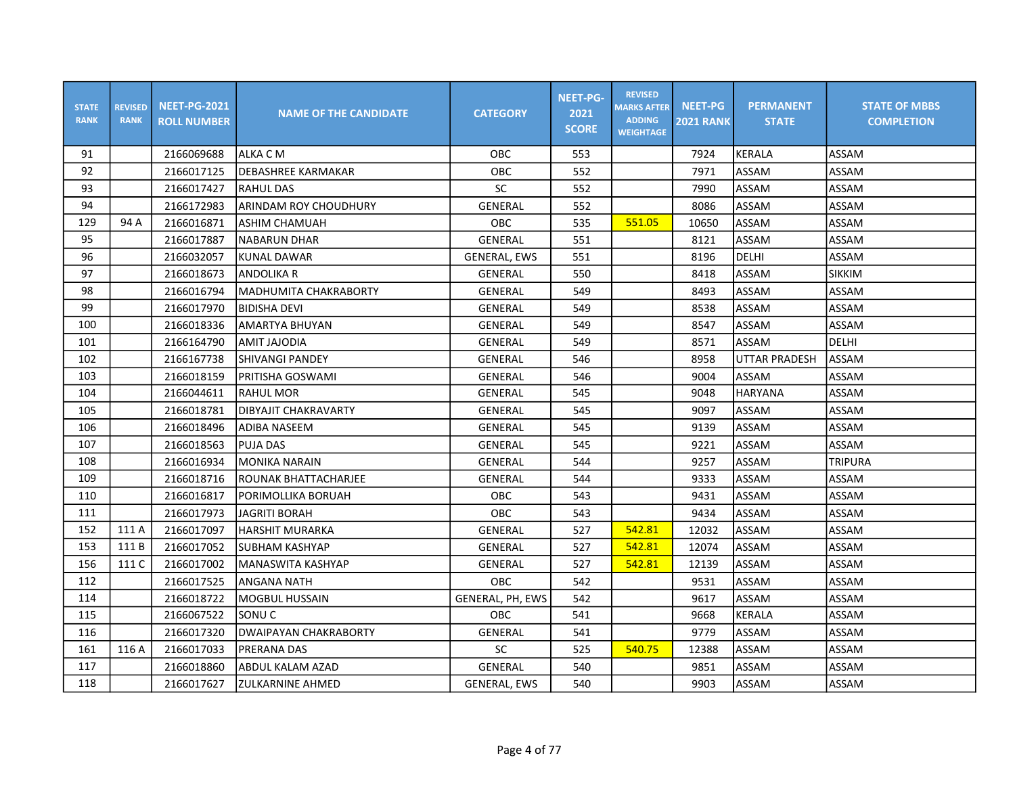| <b>STATE</b><br><b>RANK</b> | <b>REVISED</b><br><b>RANK</b> | <b>NEET-PG-2021</b><br><b>ROLL NUMBER</b> | <b>NAME OF THE CANDIDATE</b> | <b>CATEGORY</b>     | <b>NEET-PG-</b><br>2021<br><b>SCORE</b> | <b>REVISED</b><br><b>MARKS AFTER</b><br><b>ADDING</b><br><b>WEIGHTAGE</b> | <b>NEET-PG</b><br><b>2021 RANK</b> | <b>PERMANENT</b><br><b>STATE</b> | <b>STATE OF MBBS</b><br><b>COMPLETION</b> |
|-----------------------------|-------------------------------|-------------------------------------------|------------------------------|---------------------|-----------------------------------------|---------------------------------------------------------------------------|------------------------------------|----------------------------------|-------------------------------------------|
| 91                          |                               | 2166069688                                | ALKA C M                     | <b>OBC</b>          | 553                                     |                                                                           | 7924                               | <b>KERALA</b>                    | ASSAM                                     |
| 92                          |                               | 2166017125                                | <b>DEBASHREE KARMAKAR</b>    | OBC                 | 552                                     |                                                                           | 7971                               | ASSAM                            | ASSAM                                     |
| 93                          |                               | 2166017427                                | <b>RAHUL DAS</b>             | SC                  | 552                                     |                                                                           | 7990                               | <b>ASSAM</b>                     | ASSAM                                     |
| 94                          |                               | 2166172983                                | ARINDAM ROY CHOUDHURY        | <b>GENERAL</b>      | 552                                     |                                                                           | 8086                               | <b>ASSAM</b>                     | ASSAM                                     |
| 129                         | 94 A                          | 2166016871                                | <b>ASHIM CHAMUAH</b>         | OBC                 | 535                                     | 551.05                                                                    | 10650                              | ASSAM                            | ASSAM                                     |
| 95                          |                               | 2166017887                                | <b>NABARUN DHAR</b>          | <b>GENERAL</b>      | 551                                     |                                                                           | 8121                               | <b>ASSAM</b>                     | ASSAM                                     |
| 96                          |                               | 2166032057                                | <b>KUNAL DAWAR</b>           | <b>GENERAL, EWS</b> | 551                                     |                                                                           | 8196                               | DELHI                            | ASSAM                                     |
| 97                          |                               | 2166018673                                | ANDOLIKA R                   | GENERAL             | 550                                     |                                                                           | 8418                               | ASSAM                            | <b>SIKKIM</b>                             |
| 98                          |                               | 2166016794                                | lMADHUMITA CHAKRABORTY       | GENERAL             | 549                                     |                                                                           | 8493                               | <b>ASSAM</b>                     | <b>ASSAM</b>                              |
| 99                          |                               | 2166017970                                | <b>BIDISHA DEVI</b>          | GENERAL             | 549                                     |                                                                           | 8538                               | ASSAM                            | ASSAM                                     |
| 100                         |                               | 2166018336                                | <b>AMARTYA BHUYAN</b>        | GENERAL             | 549                                     |                                                                           | 8547                               | <b>ASSAM</b>                     | ASSAM                                     |
| 101                         |                               | 2166164790                                | AMIT JAJODIA                 | GENERAL             | 549                                     |                                                                           | 8571                               | ASSAM                            | DELHI                                     |
| 102                         |                               | 2166167738                                | <b>SHIVANGI PANDEY</b>       | GENERAL             | 546                                     |                                                                           | 8958                               | <b>UTTAR PRADESH</b>             | ASSAM                                     |
| 103                         |                               | 2166018159                                | PRITISHA GOSWAMI             | <b>GENERAL</b>      | 546                                     |                                                                           | 9004                               | ASSAM                            | ASSAM                                     |
| 104                         |                               | 2166044611                                | <b>RAHUL MOR</b>             | GENERAL             | 545                                     |                                                                           | 9048                               | HARYANA                          | ASSAM                                     |
| 105                         |                               | 2166018781                                | DIBYAJIT CHAKRAVARTY         | GENERAL             | 545                                     |                                                                           | 9097                               | <b>ASSAM</b>                     | ASSAM                                     |
| 106                         |                               | 2166018496                                | ADIBA NASEEM                 | GENERAL             | 545                                     |                                                                           | 9139                               | <b>ASSAM</b>                     | ASSAM                                     |
| 107                         |                               | 2166018563                                | <b>PUJA DAS</b>              | <b>GENERAL</b>      | 545                                     |                                                                           | 9221                               | ASSAM                            | ASSAM                                     |
| 108                         |                               | 2166016934                                | <b>MONIKA NARAIN</b>         | GENERAL             | 544                                     |                                                                           | 9257                               | <b>ASSAM</b>                     | <b>TRIPURA</b>                            |
| 109                         |                               | 2166018716                                | ROUNAK BHATTACHARJEE         | GENERAL             | 544                                     |                                                                           | 9333                               | ASSAM                            | ASSAM                                     |
| 110                         |                               | 2166016817                                | PORIMOLLIKA BORUAH           | <b>OBC</b>          | 543                                     |                                                                           | 9431                               | ASSAM                            | ASSAM                                     |
| 111                         |                               | 2166017973                                | <b>JAGRITI BORAH</b>         | OBC                 | 543                                     |                                                                           | 9434                               | ASSAM                            | ASSAM                                     |
| 152                         | 111 A                         | 2166017097                                | <b>HARSHIT MURARKA</b>       | <b>GENERAL</b>      | 527                                     | 542.81                                                                    | 12032                              | ASSAM                            | ASSAM                                     |
| 153                         | 111B                          | 2166017052                                | <b>SUBHAM KASHYAP</b>        | GENERAL             | 527                                     | 542.81                                                                    | 12074                              | <b>ASSAM</b>                     | ASSAM                                     |
| 156                         | 111 C                         | 2166017002                                | <b>MANASWITA KASHYAP</b>     | GENERAL             | 527                                     | 542.81                                                                    | 12139                              | <b>ASSAM</b>                     | ASSAM                                     |
| 112                         |                               | 2166017525                                | <b>ANGANA NATH</b>           | <b>OBC</b>          | 542                                     |                                                                           | 9531                               | <b>ASSAM</b>                     | ASSAM                                     |
| 114                         |                               | 2166018722                                | MOGBUL HUSSAIN               | GENERAL, PH, EWS    | 542                                     |                                                                           | 9617                               | ASSAM                            | ASSAM                                     |
| 115                         |                               | 2166067522                                | SONU C                       | <b>OBC</b>          | 541                                     |                                                                           | 9668                               | <b>KERALA</b>                    | ASSAM                                     |
| 116                         |                               | 2166017320                                | DWAIPAYAN CHAKRABORTY        | GENERAL             | 541                                     |                                                                           | 9779                               | <b>ASSAM</b>                     | ASSAM                                     |
| 161                         | 116 A                         | 2166017033                                | <b>PRERANA DAS</b>           | SC                  | 525                                     | 540.75                                                                    | 12388                              | <b>ASSAM</b>                     | ASSAM                                     |
| 117                         |                               | 2166018860                                | ABDUL KALAM AZAD             | GENERAL             | 540                                     |                                                                           | 9851                               | <b>ASSAM</b>                     | ASSAM                                     |
| 118                         |                               | 2166017627                                | ZULKARNINE AHMED             | <b>GENERAL, EWS</b> | 540                                     |                                                                           | 9903                               | <b>ASSAM</b>                     | ASSAM                                     |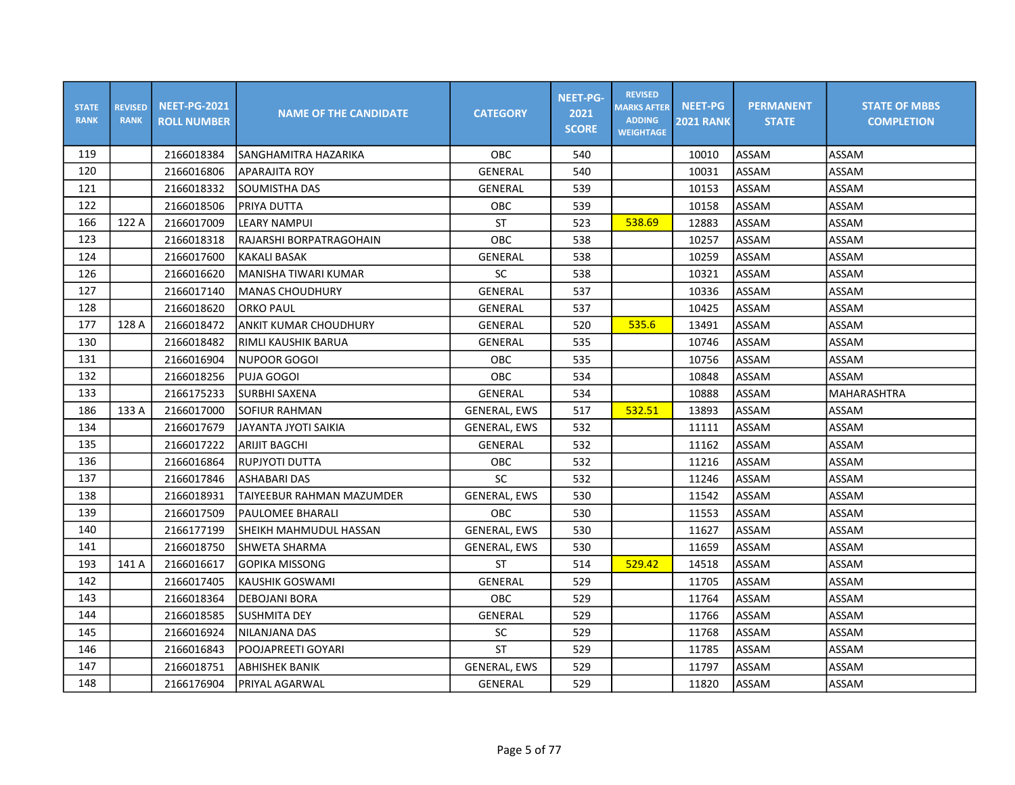| <b>STATE</b><br><b>RANK</b> | <b>REVISED</b><br><b>RANK</b> | <b>NEET-PG-2021</b><br><b>ROLL NUMBER</b> | <b>NAME OF THE CANDIDATE</b> | <b>CATEGORY</b>     | <b>NEET-PG-</b><br>2021<br><b>SCORE</b> | <b>REVISED</b><br><b>MARKS AFTER</b><br><b>ADDING</b><br><b>WEIGHTAGE</b> | <b>NEET-PG</b><br><b>2021 RANK</b> | <b>PERMANENT</b><br><b>STATE</b> | <b>STATE OF MBBS</b><br><b>COMPLETION</b> |
|-----------------------------|-------------------------------|-------------------------------------------|------------------------------|---------------------|-----------------------------------------|---------------------------------------------------------------------------|------------------------------------|----------------------------------|-------------------------------------------|
| 119                         |                               | 2166018384                                | SANGHAMITRA HAZARIKA         | OBC                 | 540                                     |                                                                           | 10010                              | <b>ASSAM</b>                     | ASSAM                                     |
| 120                         |                               | 2166016806                                | <b>APARAJITA ROY</b>         | GENERAL             | 540                                     |                                                                           | 10031                              | ASSAM                            | ASSAM                                     |
| 121                         |                               | 2166018332                                | SOUMISTHA DAS                | <b>GENERAL</b>      | 539                                     |                                                                           | 10153                              | <b>ASSAM</b>                     | ASSAM                                     |
| 122                         |                               | 2166018506                                | PRIYA DUTTA                  | <b>OBC</b>          | 539                                     |                                                                           | 10158                              | ASSAM                            | ASSAM                                     |
| 166                         | 122 A                         | 2166017009                                | <b>LEARY NAMPUI</b>          | ST                  | 523                                     | 538.69                                                                    | 12883                              | <b>ASSAM</b>                     | ASSAM                                     |
| 123                         |                               | 2166018318                                | RAJARSHI BORPATRAGOHAIN      | OBC                 | 538                                     |                                                                           | 10257                              | <b>ASSAM</b>                     | ASSAM                                     |
| 124                         |                               | 2166017600                                | KAKALI BASAK                 | <b>GENERAL</b>      | 538                                     |                                                                           | 10259                              | ASSAM                            | ASSAM                                     |
| 126                         |                               | 2166016620                                | MANISHA TIWARI KUMAR         | SC                  | 538                                     |                                                                           | 10321                              | <b>ASSAM</b>                     | ASSAM                                     |
| 127                         |                               | 2166017140                                | IMANAS CHOUDHURY             | GENERAL             | 537                                     |                                                                           | 10336                              | <b>ASSAM</b>                     | <b>ASSAM</b>                              |
| 128                         |                               | 2166018620                                | <b>ORKO PAUL</b>             | GENERAL             | 537                                     |                                                                           | 10425                              | <b>ASSAM</b>                     | ASSAM                                     |
| 177                         | 128 A                         | 2166018472                                | <b>ANKIT KUMAR CHOUDHURY</b> | GENERAL             | 520                                     | 535.6                                                                     | 13491                              | <b>ASSAM</b>                     | ASSAM                                     |
| 130                         |                               | 2166018482                                | RIMLI KAUSHIK BARUA          | GENERAL             | 535                                     |                                                                           | 10746                              | <b>ASSAM</b>                     | ASSAM                                     |
| 131                         |                               | 2166016904                                | <b>NUPOOR GOGOI</b>          | OBC                 | 535                                     |                                                                           | 10756                              | <b>ASSAM</b>                     | ASSAM                                     |
| 132                         |                               | 2166018256                                | <b>PUJA GOGOI</b>            | <b>OBC</b>          | 534                                     |                                                                           | 10848                              | <b>ASSAM</b>                     | ASSAM                                     |
| 133                         |                               | 2166175233                                | SURBHI SAXENA                | GENERAL             | 534                                     |                                                                           | 10888                              | <b>ASSAM</b>                     | MAHARASHTRA                               |
| 186                         | 133 A                         | 2166017000                                | SOFIUR RAHMAN                | <b>GENERAL, EWS</b> | 517                                     | 532.51                                                                    | 13893                              | <b>ASSAM</b>                     | ASSAM                                     |
| 134                         |                               | 2166017679                                | <b>JAYANTA JYOTI SAIKIA</b>  | <b>GENERAL, EWS</b> | 532                                     |                                                                           | 11111                              | <b>ASSAM</b>                     | ASSAM                                     |
| 135                         |                               | 2166017222                                | <b>ARIJIT BAGCHI</b>         | <b>GENERAL</b>      | 532                                     |                                                                           | 11162                              | ASSAM                            | ASSAM                                     |
| 136                         |                               | 2166016864                                | RUPJYOTI DUTTA               | OBC                 | 532                                     |                                                                           | 11216                              | <b>ASSAM</b>                     | ASSAM                                     |
| 137                         |                               | 2166017846                                | <b>ASHABARI DAS</b>          | SC                  | 532                                     |                                                                           | 11246                              | ASSAM                            | ASSAM                                     |
| 138                         |                               | 2166018931                                | TAIYEEBUR RAHMAN MAZUMDER    | <b>GENERAL, EWS</b> | 530                                     |                                                                           | 11542                              | ASSAM                            | ASSAM                                     |
| 139                         |                               | 2166017509                                | lpaulomee BHARALI            | <b>OBC</b>          | 530                                     |                                                                           | 11553                              | <b>ASSAM</b>                     | ASSAM                                     |
| 140                         |                               | 2166177199                                | SHEIKH MAHMUDUL HASSAN       | <b>GENERAL, EWS</b> | 530                                     |                                                                           | 11627                              | <b>ASSAM</b>                     | ASSAM                                     |
| 141                         |                               | 2166018750                                | <b>SHWETA SHARMA</b>         | <b>GENERAL, EWS</b> | 530                                     |                                                                           | 11659                              | <b>ASSAM</b>                     | ASSAM                                     |
| 193                         | 141 A                         | 2166016617                                | <b>GOPIKA MISSONG</b>        | <b>ST</b>           | 514                                     | 529.42                                                                    | 14518                              | <b>ASSAM</b>                     | ASSAM                                     |
| 142                         |                               | 2166017405                                | KAUSHIK GOSWAMI              | <b>GENERAL</b>      | 529                                     |                                                                           | 11705                              | <b>ASSAM</b>                     | ASSAM                                     |
| 143                         |                               | 2166018364                                | DEBOJANI BORA                | <b>OBC</b>          | 529                                     |                                                                           | 11764                              | ASSAM                            | ASSAM                                     |
| 144                         |                               | 2166018585                                | <b>SUSHMITA DEY</b>          | GENERAL             | 529                                     |                                                                           | 11766                              | ASSAM                            | ASSAM                                     |
| 145                         |                               | 2166016924                                | NILANJANA DAS                | SC                  | 529                                     |                                                                           | 11768                              | ASSAM                            | ASSAM                                     |
| 146                         |                               | 2166016843                                | POOJAPREETI GOYARI           | <b>ST</b>           | 529                                     |                                                                           | 11785                              | ASSAM                            | ASSAM                                     |
| 147                         |                               | 2166018751                                | <b>ABHISHEK BANIK</b>        | <b>GENERAL, EWS</b> | 529                                     |                                                                           | 11797                              | <b>ASSAM</b>                     | ASSAM                                     |
| 148                         |                               | 2166176904                                | PRIYAL AGARWAL               | GENERAL             | 529                                     |                                                                           | 11820                              | ASSAM                            | ASSAM                                     |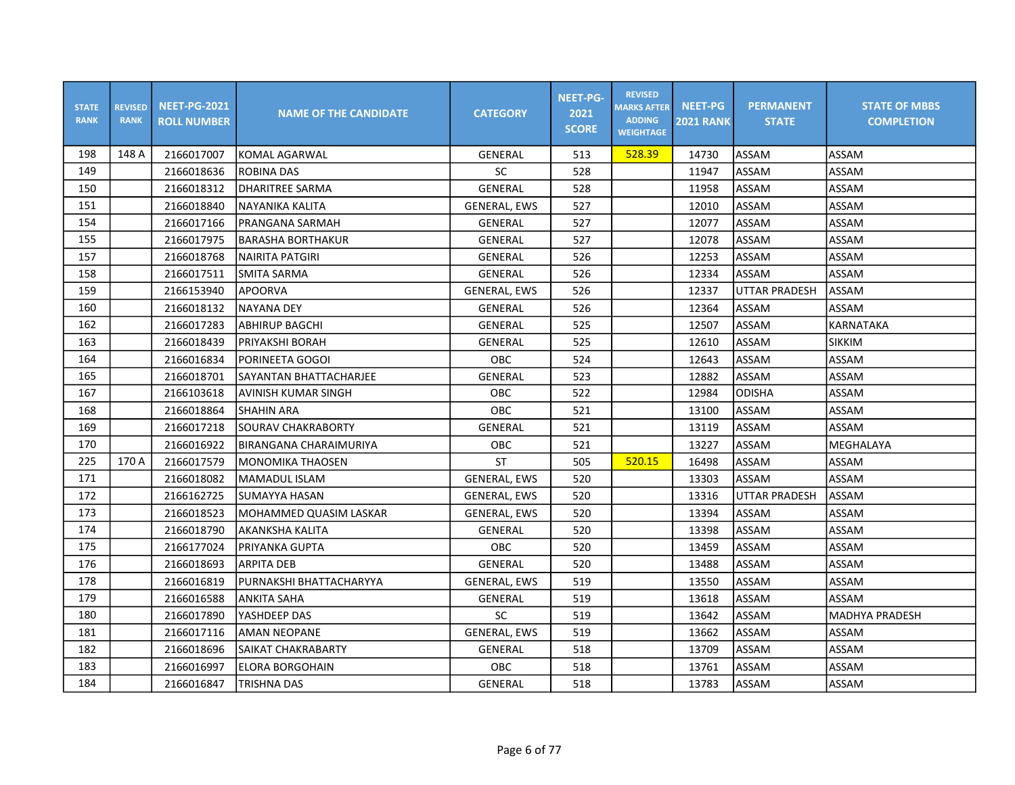| <b>STATE</b><br><b>RANK</b> | <b>REVISED</b><br><b>RANK</b> | <b>NEET-PG-2021</b><br><b>ROLL NUMBER</b> | <b>NAME OF THE CANDIDATE</b> | <b>CATEGORY</b>     | <b>NEET-PG-</b><br>2021<br><b>SCORE</b> | <b>REVISED</b><br><b>MARKS AFTER</b><br><b>ADDING</b><br><b>WEIGHTAGE</b> | <b>NEET-PG</b><br><b>2021 RANK</b> | <b>PERMANENT</b><br><b>STATE</b> | <b>STATE OF MBBS</b><br><b>COMPLETION</b> |
|-----------------------------|-------------------------------|-------------------------------------------|------------------------------|---------------------|-----------------------------------------|---------------------------------------------------------------------------|------------------------------------|----------------------------------|-------------------------------------------|
| 198                         | 148 A                         | 2166017007                                | <b>KOMAL AGARWAL</b>         | GENERAL             | 513                                     | 528.39                                                                    | 14730                              | ASSAM                            | ASSAM                                     |
| 149                         |                               | 2166018636                                | <b>ROBINA DAS</b>            | <b>SC</b>           | 528                                     |                                                                           | 11947                              | ASSAM                            | ASSAM                                     |
| 150                         |                               | 2166018312                                | DHARITREE SARMA              | <b>GENERAL</b>      | 528                                     |                                                                           | 11958                              | ASSAM                            | ASSAM                                     |
| 151                         |                               | 2166018840                                | NAYANIKA KALITA              | <b>GENERAL, EWS</b> | 527                                     |                                                                           | 12010                              | ASSAM                            | ASSAM                                     |
| 154                         |                               | 2166017166                                | <b>PRANGANA SARMAH</b>       | <b>GENERAL</b>      | 527                                     |                                                                           | 12077                              | ASSAM                            | ASSAM                                     |
| 155                         |                               | 2166017975                                | <b>BARASHA BORTHAKUR</b>     | GENERAL             | 527                                     |                                                                           | 12078                              | ASSAM                            | ASSAM                                     |
| 157                         |                               | 2166018768                                | NAIRITA PATGIRI              | GENERAL             | 526                                     |                                                                           | 12253                              | ASSAM                            | ASSAM                                     |
| 158                         |                               | 2166017511                                | <b>SMITA SARMA</b>           | GENERAL             | 526                                     |                                                                           | 12334                              | ASSAM                            | ASSAM                                     |
| 159                         |                               | 2166153940                                | <b>APOORVA</b>               | <b>GENERAL, EWS</b> | 526                                     |                                                                           | 12337                              | UTTAR PRADESH                    | ASSAM                                     |
| 160                         |                               | 2166018132                                | <b>NAYANA DEY</b>            | GENERAL             | 526                                     |                                                                           | 12364                              | ASSAM                            | ASSAM                                     |
| 162                         |                               | 2166017283                                | ABHIRUP BAGCHI               | GENERAL             | 525                                     |                                                                           | 12507                              | ASSAM                            | KARNATAKA                                 |
| 163                         |                               | 2166018439                                | PRIYAKSHI BORAH              | <b>GENERAL</b>      | 525                                     |                                                                           | 12610                              | ASSAM                            | <b>SIKKIM</b>                             |
| 164                         |                               | 2166016834                                | PORINEETA GOGOI              | OBC                 | 524                                     |                                                                           | 12643                              | ASSAM                            | ASSAM                                     |
| 165                         |                               | 2166018701                                | SAYANTAN BHATTACHARJEE       | GENERAL             | 523                                     |                                                                           | 12882                              | ASSAM                            | ASSAM                                     |
| 167                         |                               | 2166103618                                | AVINISH KUMAR SINGH          | OBC                 | 522                                     |                                                                           | 12984                              | <b>ODISHA</b>                    | ASSAM                                     |
| 168                         |                               | 2166018864                                | <b>SHAHIN ARA</b>            | <b>OBC</b>          | 521                                     |                                                                           | 13100                              | ASSAM                            | ASSAM                                     |
| 169                         |                               | 2166017218                                | <b>SOURAV CHAKRABORTY</b>    | <b>GENERAL</b>      | 521                                     |                                                                           | 13119                              | ASSAM                            | ASSAM                                     |
| 170                         |                               | 2166016922                                | BIRANGANA CHARAIMURIYA       | OBC                 | 521                                     |                                                                           | 13227                              | ASSAM                            | MEGHALAYA                                 |
| 225                         | 170 A                         | 2166017579                                | MONOMIKA THAOSEN             | <b>ST</b>           | 505                                     | 520.15                                                                    | 16498                              | ASSAM                            | ASSAM                                     |
| 171                         |                               | 2166018082                                | MAMADUL ISLAM                | <b>GENERAL, EWS</b> | 520                                     |                                                                           | 13303                              | ASSAM                            | ASSAM                                     |
| 172                         |                               | 2166162725                                | SUMAYYA HASAN                | GENERAL, EWS        | 520                                     |                                                                           | 13316                              | UTTAR PRADESH                    | ASSAM                                     |
| 173                         |                               | 2166018523                                | MOHAMMED QUASIM LASKAR       | <b>GENERAL, EWS</b> | 520                                     |                                                                           | 13394                              | ASSAM                            | ASSAM                                     |
| 174                         |                               | 2166018790                                | <b>AKANKSHA KALITA</b>       | <b>GENERAL</b>      | 520                                     |                                                                           | 13398                              | ASSAM                            | ASSAM                                     |
| 175                         |                               | 2166177024                                | <b>PRIYANKA GUPTA</b>        | OBC                 | 520                                     |                                                                           | 13459                              | ASSAM                            | ASSAM                                     |
| 176                         |                               | 2166018693                                | <b>ARPITA DEB</b>            | <b>GENERAL</b>      | 520                                     |                                                                           | 13488                              | ASSAM                            | ASSAM                                     |
| 178                         |                               | 2166016819                                | PURNAKSHI BHATTACHARYYA      | <b>GENERAL, EWS</b> | 519                                     |                                                                           | 13550                              | ASSAM                            | ASSAM                                     |
| 179                         |                               | 2166016588                                | ANKITA SAHA                  | GENERAL             | 519                                     |                                                                           | 13618                              | ASSAM                            | ASSAM                                     |
| 180                         |                               | 2166017890                                | YASHDEEP DAS                 | SC                  | 519                                     |                                                                           | 13642                              | ASSAM                            | MADHYA PRADESH                            |
| 181                         |                               | 2166017116                                | <b>AMAN NEOPANE</b>          | <b>GENERAL, EWS</b> | 519                                     |                                                                           | 13662                              | ASSAM                            | ASSAM                                     |
| 182                         |                               | 2166018696                                | SAIKAT CHAKRABARTY           | GENERAL             | 518                                     |                                                                           | 13709                              | ASSAM                            | ASSAM                                     |
| 183                         |                               | 2166016997                                | <b>ELORA BORGOHAIN</b>       | OBC                 | 518                                     |                                                                           | 13761                              | ASSAM                            | ASSAM                                     |
| 184                         |                               | 2166016847                                | <b>TRISHNA DAS</b>           | <b>GENERAL</b>      | 518                                     |                                                                           | 13783                              | ASSAM                            | ASSAM                                     |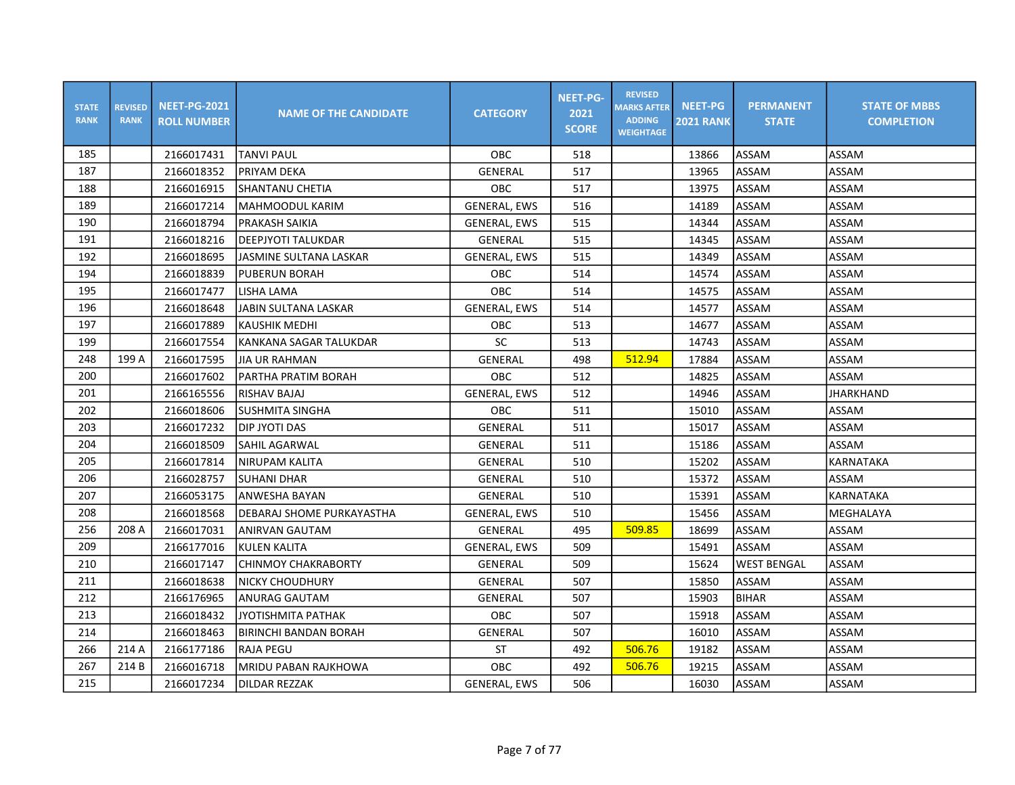| <b>STATE</b><br><b>RANK</b> | <b>REVISED</b><br><b>RANK</b> | <b>NEET-PG-2021</b><br><b>ROLL NUMBER</b> | <b>NAME OF THE CANDIDATE</b> | <b>CATEGORY</b>     | <b>NEET-PG-</b><br>2021<br><b>SCORE</b> | <b>REVISED</b><br><b>MARKS AFTER</b><br><b>ADDING</b><br><b>WEIGHTAGE</b> | <b>NEET-PG</b><br><b>2021 RANK</b> | <b>PERMANENT</b><br><b>STATE</b> | <b>STATE OF MBBS</b><br><b>COMPLETION</b> |
|-----------------------------|-------------------------------|-------------------------------------------|------------------------------|---------------------|-----------------------------------------|---------------------------------------------------------------------------|------------------------------------|----------------------------------|-------------------------------------------|
| 185                         |                               | 2166017431                                | <b>TANVI PAUL</b>            | OBC                 | 518                                     |                                                                           | 13866                              | ASSAM                            | ASSAM                                     |
| 187                         |                               | 2166018352                                | PRIYAM DEKA                  | GENERAL             | 517                                     |                                                                           | 13965                              | ASSAM                            | ASSAM                                     |
| 188                         |                               | 2166016915                                | SHANTANU CHETIA              | OBC                 | 517                                     |                                                                           | 13975                              | ASSAM                            | ASSAM                                     |
| 189                         |                               | 2166017214                                | <b>MAHMOODUL KARIM</b>       | <b>GENERAL, EWS</b> | 516                                     |                                                                           | 14189                              | <b>ASSAM</b>                     | ASSAM                                     |
| 190                         |                               | 2166018794                                | <b>PRAKASH SAIKIA</b>        | <b>GENERAL, EWS</b> | 515                                     |                                                                           | 14344                              | ASSAM                            | ASSAM                                     |
| 191                         |                               | 2166018216                                | <b>DEEPJYOTI TALUKDAR</b>    | GENERAL             | 515                                     |                                                                           | 14345                              | <b>ASSAM</b>                     | ASSAM                                     |
| 192                         |                               | 2166018695                                | JASMINE SULTANA LASKAR       | <b>GENERAL, EWS</b> | 515                                     |                                                                           | 14349                              | ASSAM                            | ASSAM                                     |
| 194                         |                               | 2166018839                                | <b>PUBERUN BORAH</b>         | OBC                 | 514                                     |                                                                           | 14574                              | ASSAM                            | ASSAM                                     |
| 195                         |                               | 2166017477                                | LISHA LAMA                   | <b>OBC</b>          | 514                                     |                                                                           | 14575                              | <b>ASSAM</b>                     | ASSAM                                     |
| 196                         |                               | 2166018648                                | <b>JABIN SULTANA LASKAR</b>  | <b>GENERAL, EWS</b> | 514                                     |                                                                           | 14577                              | <b>ASSAM</b>                     | ASSAM                                     |
| 197                         |                               | 2166017889                                | <b>KAUSHIK MEDHI</b>         | OBC                 | 513                                     |                                                                           | 14677                              | <b>ASSAM</b>                     | ASSAM                                     |
| 199                         |                               | 2166017554                                | KANKANA SAGAR TALUKDAR       | SC                  | 513                                     |                                                                           | 14743                              | <b>ASSAM</b>                     | ASSAM                                     |
| 248                         | 199 A                         | 2166017595                                | <b>JIA UR RAHMAN</b>         | GENERAL             | 498                                     | 512.94                                                                    | 17884                              | ASSAM                            | ASSAM                                     |
| 200                         |                               | 2166017602                                | PARTHA PRATIM BORAH          | <b>OBC</b>          | 512                                     |                                                                           | 14825                              | ASSAM                            | ASSAM                                     |
| 201                         |                               | 2166165556                                | <b>RISHAV BAJAJ</b>          | <b>GENERAL, EWS</b> | 512                                     |                                                                           | 14946                              | ASSAM                            | <b>JHARKHAND</b>                          |
| 202                         |                               | 2166018606                                | <b>SUSHMITA SINGHA</b>       | <b>OBC</b>          | 511                                     |                                                                           | 15010                              | <b>ASSAM</b>                     | ASSAM                                     |
| 203                         |                               | 2166017232                                | <b>DIP JYOTI DAS</b>         | GENERAL             | 511                                     |                                                                           | 15017                              | <b>ASSAM</b>                     | ASSAM                                     |
| 204                         |                               | 2166018509                                | <b>SAHIL AGARWAL</b>         | GENERAL             | 511                                     |                                                                           | 15186                              | <b>ASSAM</b>                     | ASSAM                                     |
| 205                         |                               | 2166017814                                | NIRUPAM KALITA               | <b>GENERAL</b>      | 510                                     |                                                                           | 15202                              | ASSAM                            | KARNATAKA                                 |
| 206                         |                               | 2166028757                                | <b>SUHANI DHAR</b>           | GENERAL             | 510                                     |                                                                           | 15372                              | ASSAM                            | ASSAM                                     |
| 207                         |                               | 2166053175                                | <b>ANWESHA BAYAN</b>         | GENERAL             | 510                                     |                                                                           | 15391                              | ASSAM                            | KARNATAKA                                 |
| 208                         |                               | 2166018568                                | IDEBARAJ SHOME PURKAYASTHA   | <b>GENERAL, EWS</b> | 510                                     |                                                                           | 15456                              | ASSAM                            | MEGHALAYA                                 |
| 256                         | 208 A                         | 2166017031                                | ANIRVAN GAUTAM               | GENERAL             | 495                                     | 509.85                                                                    | 18699                              | ASSAM                            | ASSAM                                     |
| 209                         |                               | 2166177016                                | <b>KULEN KALITA</b>          | <b>GENERAL, EWS</b> | 509                                     |                                                                           | 15491                              | ASSAM                            | ASSAM                                     |
| 210                         |                               | 2166017147                                | <b>CHINMOY CHAKRABORTY</b>   | GENERAL             | 509                                     |                                                                           | 15624                              | <b>WEST BENGAL</b>               | ASSAM                                     |
| 211                         |                               | 2166018638                                | NICKY CHOUDHURY              | GENERAL             | 507                                     |                                                                           | 15850                              | ASSAM                            | ASSAM                                     |
| 212                         |                               | 2166176965                                | <b>ANURAG GAUTAM</b>         | GENERAL             | 507                                     |                                                                           | 15903                              | <b>BIHAR</b>                     | ASSAM                                     |
| 213                         |                               | 2166018432                                | <b>JYOTISHMITA PATHAK</b>    | OBC                 | 507                                     |                                                                           | 15918                              | ASSAM                            | ASSAM                                     |
| 214                         |                               | 2166018463                                | <b>BIRINCHI BANDAN BORAH</b> | GENERAL             | 507                                     |                                                                           | 16010                              | ASSAM                            | ASSAM                                     |
| 266                         | 214 A                         | 2166177186                                | <b>RAJA PEGU</b>             | <b>ST</b>           | 492                                     | 506.76                                                                    | 19182                              | ASSAM                            | ASSAM                                     |
| 267                         | 214 B                         | 2166016718                                | <b>MRIDU PABAN RAJKHOWA</b>  | OBC                 | 492                                     | 506.76                                                                    | 19215                              | <b>ASSAM</b>                     | ASSAM                                     |
| 215                         |                               | 2166017234                                | <b>DILDAR REZZAK</b>         | <b>GENERAL, EWS</b> | 506                                     |                                                                           | 16030                              | <b>ASSAM</b>                     | ASSAM                                     |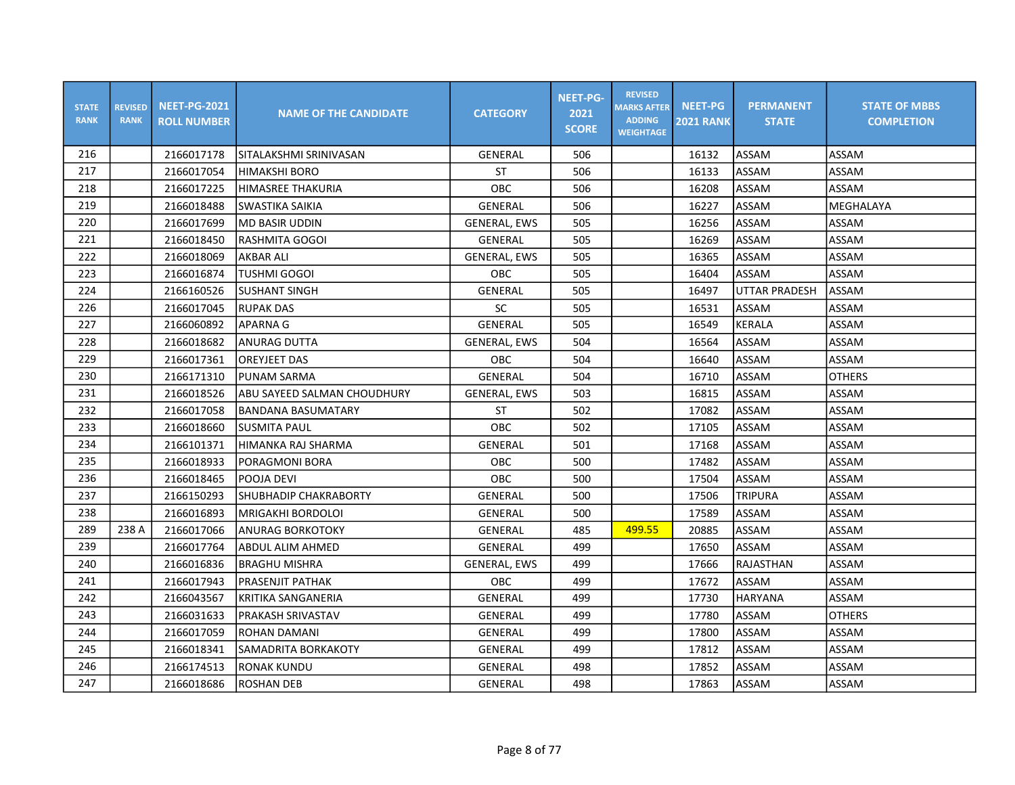| <b>STATE</b><br><b>RANK</b> | <b>REVISED</b><br><b>RANK</b> | <b>NEET-PG-2021</b><br><b>ROLL NUMBER</b> | <b>NAME OF THE CANDIDATE</b> | <b>CATEGORY</b>     | <b>NEET-PG-</b><br>2021<br><b>SCORE</b> | <b>REVISED</b><br><b>MARKS AFTER</b><br><b>ADDING</b><br><b>WEIGHTAGE</b> | <b>NEET-PG</b><br><b>2021 RANK</b> | <b>PERMANENT</b><br><b>STATE</b> | <b>STATE OF MBBS</b><br><b>COMPLETION</b> |
|-----------------------------|-------------------------------|-------------------------------------------|------------------------------|---------------------|-----------------------------------------|---------------------------------------------------------------------------|------------------------------------|----------------------------------|-------------------------------------------|
| 216                         |                               | 2166017178                                | SITALAKSHMI SRINIVASAN       | <b>GENERAL</b>      | 506                                     |                                                                           | 16132                              | ASSAM                            | ASSAM                                     |
| 217                         |                               | 2166017054                                | <b>HIMAKSHI BORO</b>         | <b>ST</b>           | 506                                     |                                                                           | 16133                              | <b>ASSAM</b>                     | ASSAM                                     |
| 218                         |                               | 2166017225                                | HIMASREE THAKURIA            | OBC                 | 506                                     |                                                                           | 16208                              | <b>ASSAM</b>                     | ASSAM                                     |
| 219                         |                               | 2166018488                                | SWASTIKA SAIKIA              | <b>GENERAL</b>      | 506                                     |                                                                           | 16227                              | <b>ASSAM</b>                     | MEGHALAYA                                 |
| 220                         |                               | 2166017699                                | <b>MD BASIR UDDIN</b>        | <b>GENERAL, EWS</b> | 505                                     |                                                                           | 16256                              | ASSAM                            | ASSAM                                     |
| 221                         |                               | 2166018450                                | <b>RASHMITA GOGOI</b>        | <b>GENERAL</b>      | 505                                     |                                                                           | 16269                              | <b>ASSAM</b>                     | ASSAM                                     |
| 222                         |                               | 2166018069                                | <b>AKBAR ALI</b>             | <b>GENERAL, EWS</b> | 505                                     |                                                                           | 16365                              | ASSAM                            | ASSAM                                     |
| 223                         |                               | 2166016874                                | TUSHMI GOGOI                 | <b>OBC</b>          | 505                                     |                                                                           | 16404                              | ASSAM                            | ASSAM                                     |
| 224                         |                               | 2166160526                                | <b>SUSHANT SINGH</b>         | GENERAL             | 505                                     |                                                                           | 16497                              | <b>UTTAR PRADESH</b>             | <b>ASSAM</b>                              |
| 226                         |                               | 2166017045                                | <b>RUPAK DAS</b>             | SC                  | 505                                     |                                                                           | 16531                              | ASSAM                            | ASSAM                                     |
| 227                         |                               | 2166060892                                | <b>APARNA G</b>              | GENERAL             | 505                                     |                                                                           | 16549                              | <b>KERALA</b>                    | ASSAM                                     |
| 228                         |                               | 2166018682                                | <b>ANURAG DUTTA</b>          | <b>GENERAL, EWS</b> | 504                                     |                                                                           | 16564                              | <b>ASSAM</b>                     | ASSAM                                     |
| 229                         |                               | 2166017361                                | <b>OREYJEET DAS</b>          | OBC                 | 504                                     |                                                                           | 16640                              | <b>ASSAM</b>                     | ASSAM                                     |
| 230                         |                               | 2166171310                                | PUNAM SARMA                  | GENERAL             | 504                                     |                                                                           | 16710                              | ASSAM                            | <b>OTHERS</b>                             |
| 231                         |                               | 2166018526                                | ABU SAYEED SALMAN CHOUDHURY  | <b>GENERAL, EWS</b> | 503                                     |                                                                           | 16815                              | ASSAM                            | ASSAM                                     |
| 232                         |                               | 2166017058                                | <b>BANDANA BASUMATARY</b>    | <b>ST</b>           | 502                                     |                                                                           | 17082                              | <b>ASSAM</b>                     | ASSAM                                     |
| 233                         |                               | 2166018660                                | <b>SUSMITA PAUL</b>          | OBC                 | 502                                     |                                                                           | 17105                              | ASSAM                            | ASSAM                                     |
| 234                         |                               | 2166101371                                | HIMANKA RAJ SHARMA           | GENERAL             | 501                                     |                                                                           | 17168                              | ASSAM                            | ASSAM                                     |
| 235                         |                               | 2166018933                                | <b>PORAGMONI BORA</b>        | OBC                 | 500                                     |                                                                           | 17482                              | <b>ASSAM</b>                     | ASSAM                                     |
| 236                         |                               | 2166018465                                | POOJA DEVI                   | OBC                 | 500                                     |                                                                           | 17504                              | <b>ASSAM</b>                     | ASSAM                                     |
| 237                         |                               | 2166150293                                | SHUBHADIP CHAKRABORTY        | GENERAL             | 500                                     |                                                                           | 17506                              | <b>TRIPURA</b>                   | ASSAM                                     |
| 238                         |                               | 2166016893                                | İMRIGAKHI BORDOLOI           | GENERAL             | 500                                     |                                                                           | 17589                              | ASSAM                            | ASSAM                                     |
| 289                         | 238 A                         | 2166017066                                | <b>ANURAG BORKOTOKY</b>      | GENERAL             | 485                                     | 499.55                                                                    | 20885                              | ASSAM                            | ASSAM                                     |
| 239                         |                               | 2166017764                                | <b>ABDUL ALIM AHMED</b>      | GENERAL             | 499                                     |                                                                           | 17650                              | ASSAM                            | ASSAM                                     |
| 240                         |                               | 2166016836                                | <b>BRAGHU MISHRA</b>         | <b>GENERAL, EWS</b> | 499                                     |                                                                           | 17666                              | RAJASTHAN                        | ASSAM                                     |
| 241                         |                               | 2166017943                                | <b>PRASENJIT PATHAK</b>      | OBC                 | 499                                     |                                                                           | 17672                              | <b>ASSAM</b>                     | ASSAM                                     |
| 242                         |                               | 2166043567                                | KRITIKA SANGANERIA           | GENERAL             | 499                                     |                                                                           | 17730                              | HARYANA                          | ASSAM                                     |
| 243                         |                               | 2166031633                                | PRAKASH SRIVASTAV            | <b>GENERAL</b>      | 499                                     |                                                                           | 17780                              | <b>ASSAM</b>                     | <b>OTHERS</b>                             |
| 244                         |                               | 2166017059                                | <b>ROHAN DAMANI</b>          | GENERAL             | 499                                     |                                                                           | 17800                              | ASSAM                            | ASSAM                                     |
| 245                         |                               | 2166018341                                | SAMADRITA BORKAKOTY          | GENERAL             | 499                                     |                                                                           | 17812                              | ASSAM                            | ASSAM                                     |
| 246                         |                               | 2166174513                                | <b>RONAK KUNDU</b>           | <b>GENERAL</b>      | 498                                     |                                                                           | 17852                              | <b>ASSAM</b>                     | ASSAM                                     |
| 247                         |                               | 2166018686                                | <b>ROSHAN DEB</b>            | GENERAL             | 498                                     |                                                                           | 17863                              | ASSAM                            | ASSAM                                     |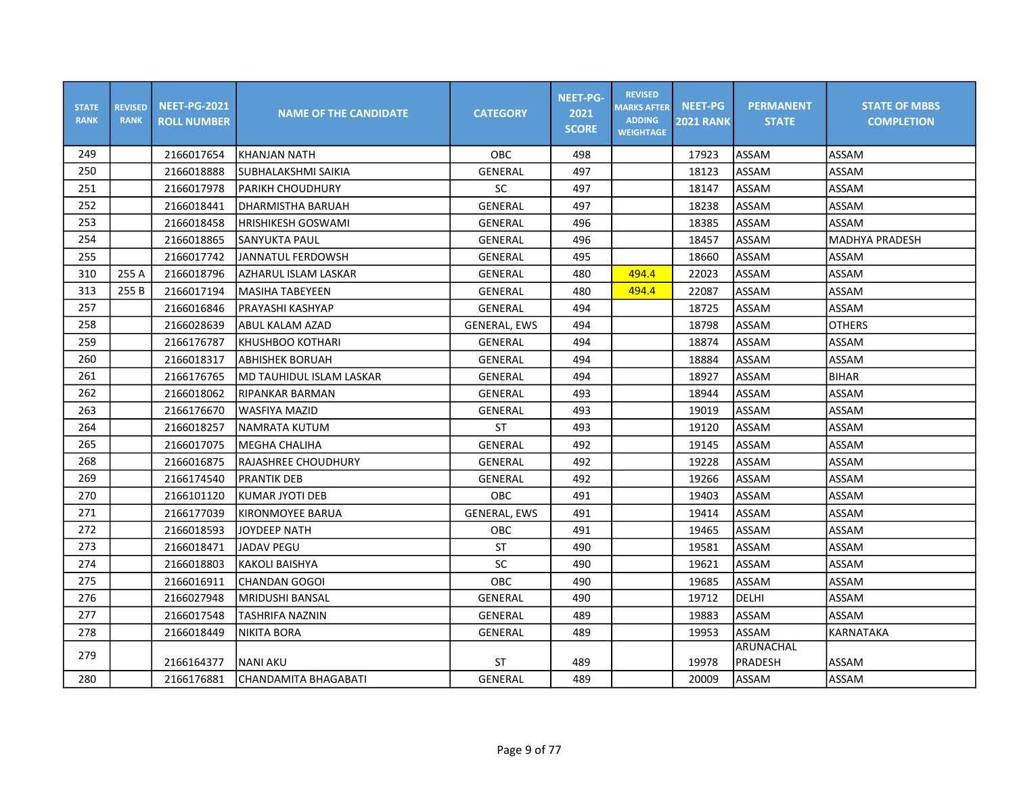| <b>STATE</b><br><b>RANK</b> | <b>REVISED</b><br><b>RANK</b> | <b>NEET-PG-2021</b><br><b>ROLL NUMBER</b> | <b>NAME OF THE CANDIDATE</b> | <b>CATEGORY</b>     | <b>NEET-PG-</b><br>2021<br><b>SCORE</b> | <b>REVISED</b><br><b>MARKS AFTER</b><br><b>ADDING</b><br><b>WEIGHTAGE</b> | <b>NEET-PG</b><br><b>2021 RANK</b> | <b>PERMANENT</b><br><b>STATE</b> | <b>STATE OF MBBS</b><br><b>COMPLETION</b> |
|-----------------------------|-------------------------------|-------------------------------------------|------------------------------|---------------------|-----------------------------------------|---------------------------------------------------------------------------|------------------------------------|----------------------------------|-------------------------------------------|
| 249                         |                               | 2166017654                                | KHANJAN NATH                 | <b>OBC</b>          | 498                                     |                                                                           | 17923                              | <b>ASSAM</b>                     | ASSAM                                     |
| 250                         |                               | 2166018888                                | SUBHALAKSHMI SAIKIA          | GENERAL             | 497                                     |                                                                           | 18123                              | ASSAM                            | ASSAM                                     |
| 251                         |                               | 2166017978                                | <b>PARIKH CHOUDHURY</b>      | SC                  | 497                                     |                                                                           | 18147                              | ASSAM                            | ASSAM                                     |
| 252                         |                               | 2166018441                                | DHARMISTHA BARUAH            | <b>GENERAL</b>      | 497                                     |                                                                           | 18238                              | ASSAM                            | ASSAM                                     |
| 253                         |                               | 2166018458                                | <b>HRISHIKESH GOSWAMI</b>    | <b>GENERAL</b>      | 496                                     |                                                                           | 18385                              | ASSAM                            | ASSAM                                     |
| 254                         |                               | 2166018865                                | SANYUKTA PAUL                | GENERAL             | 496                                     |                                                                           | 18457                              | ASSAM                            | <b>MADHYA PRADESH</b>                     |
| 255                         |                               | 2166017742                                | JANNATUL FERDOWSH            | GENERAL             | 495                                     |                                                                           | 18660                              | ASSAM                            | ASSAM                                     |
| 310                         | 255 A                         | 2166018796                                | AZHARUL ISLAM LASKAR         | GENERAL             | 480                                     | 494.4                                                                     | 22023                              | ASSAM                            | ASSAM                                     |
| 313                         | 255 B                         | 2166017194                                | MASIHA TABEYEEN              | GENERAL             | 480                                     | 494.4                                                                     | 22087                              | ASSAM                            | ASSAM                                     |
| 257                         |                               | 2166016846                                | PRAYASHI KASHYAP             | GENERAL             | 494                                     |                                                                           | 18725                              | ASSAM                            | ASSAM                                     |
| 258                         |                               | 2166028639                                | ABUL KALAM AZAD              | <b>GENERAL, EWS</b> | 494                                     |                                                                           | 18798                              | ASSAM                            | <b>OTHERS</b>                             |
| 259                         |                               | 2166176787                                | KHUSHBOO KOTHARI             | GENERAL             | 494                                     |                                                                           | 18874                              | ASSAM                            | ASSAM                                     |
| 260                         |                               | 2166018317                                | ABHISHEK BORUAH              | GENERAL             | 494                                     |                                                                           | 18884                              | ASSAM                            | ASSAM                                     |
| 261                         |                               | 2166176765                                | IMD TAUHIDUL ISLAM LASKAR    | GENERAL             | 494                                     |                                                                           | 18927                              | ASSAM                            | <b>BIHAR</b>                              |
| 262                         |                               | 2166018062                                | RIPANKAR BARMAN              | GENERAL             | 493                                     |                                                                           | 18944                              | ASSAM                            | ASSAM                                     |
| 263                         |                               | 2166176670                                | WASFIYA MAZID                | GENERAL             | 493                                     |                                                                           | 19019                              | ASSAM                            | ASSAM                                     |
| 264                         |                               | 2166018257                                | NAMRATA KUTUM                | ST                  | 493                                     |                                                                           | 19120                              | ASSAM                            | ASSAM                                     |
| 265                         |                               | 2166017075                                | MEGHA CHALIHA                | GENERAL             | 492                                     |                                                                           | 19145                              | ASSAM                            | ASSAM                                     |
| 268                         |                               | 2166016875                                | RAJASHREE CHOUDHURY          | GENERAL             | 492                                     |                                                                           | 19228                              | ASSAM                            | ASSAM                                     |
| 269                         |                               | 2166174540                                | <b>PRANTIK DEB</b>           | GENERAL             | 492                                     |                                                                           | 19266                              | ASSAM                            | ASSAM                                     |
| 270                         |                               | 2166101120                                | KUMAR JYOTI DEB              | OBC                 | 491                                     |                                                                           | 19403                              | ASSAM                            | ASSAM                                     |
| 271                         |                               | 2166177039                                | KIRONMOYEE BARUA             | <b>GENERAL, EWS</b> | 491                                     |                                                                           | 19414                              | ASSAM                            | ASSAM                                     |
| 272                         |                               | 2166018593                                | <b>JOYDEEP NATH</b>          | OBC                 | 491                                     |                                                                           | 19465                              | ASSAM                            | ASSAM                                     |
| 273                         |                               | 2166018471                                | <b>JADAV PEGU</b>            | ST                  | 490                                     |                                                                           | 19581                              | ASSAM                            | ASSAM                                     |
| 274                         |                               | 2166018803                                | <b>KAKOLI BAISHYA</b>        | SC                  | 490                                     |                                                                           | 19621                              | ASSAM                            | <b>ASSAM</b>                              |
| 275                         |                               | 2166016911                                | <b>CHANDAN GOGOI</b>         | OBC                 | 490                                     |                                                                           | 19685                              | ASSAM                            | ASSAM                                     |
| 276                         |                               | 2166027948                                | MRIDUSHI BANSAL              | GENERAL             | 490                                     |                                                                           | 19712                              | <b>DELHI</b>                     | ASSAM                                     |
| 277                         |                               | 2166017548                                | TASHRIFA NAZNIN              | GENERAL             | 489                                     |                                                                           | 19883                              | ASSAM                            | ASSAM                                     |
| 278                         |                               | 2166018449                                | <b>NIKITA BORA</b>           | GENERAL             | 489                                     |                                                                           | 19953                              | <b>ASSAM</b>                     | <b>KARNATAKA</b>                          |
| 279                         |                               | 2166164377                                | <b>NANI AKU</b>              | ST                  | 489                                     |                                                                           | 19978                              | ARUNACHAL<br>PRADESH             | ASSAM                                     |
| 280                         |                               | 2166176881                                | CHANDAMITA BHAGABATI         | GENERAL             | 489                                     |                                                                           | 20009                              | ASSAM                            | ASSAM                                     |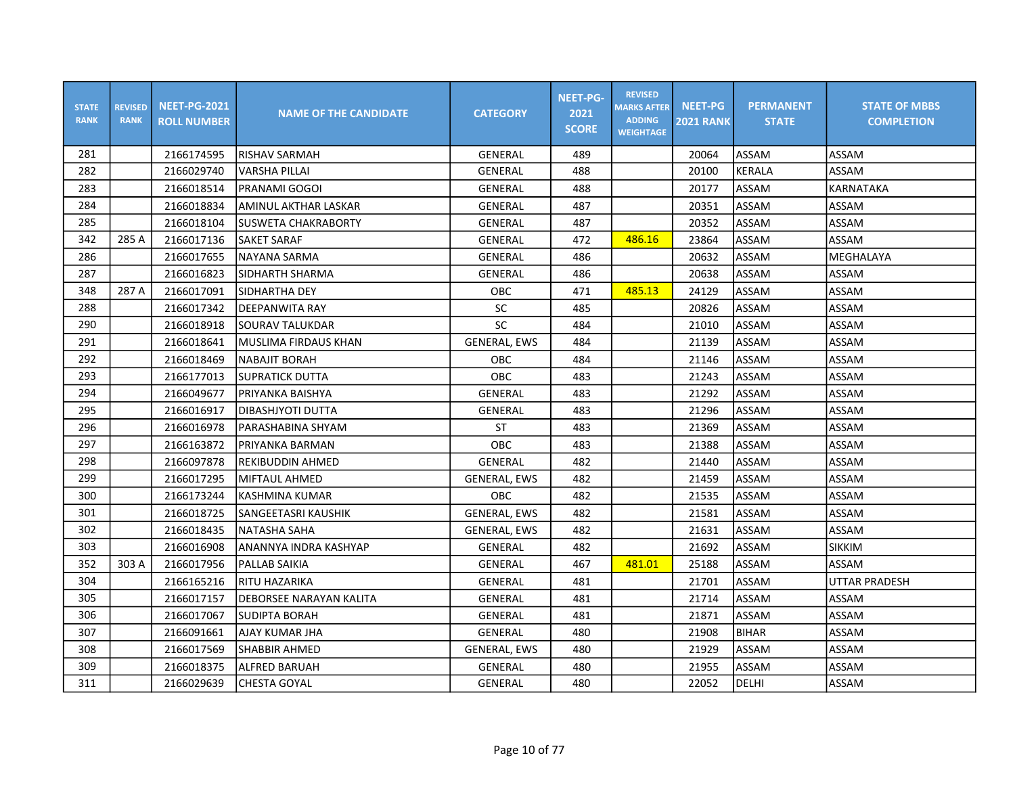| <b>STATE</b><br><b>RANK</b> | <b>REVISED</b><br><b>RANK</b> | <b>NEET-PG-2021</b><br><b>ROLL NUMBER</b> | <b>NAME OF THE CANDIDATE</b>   | <b>CATEGORY</b>     | <b>NEET-PG-</b><br>2021<br><b>SCORE</b> | <b>REVISED</b><br><b>MARKS AFTER</b><br><b>ADDING</b><br><b>WEIGHTAGE</b> | <b>NEET-PG</b><br><b>2021 RANK</b> | <b>PERMANENT</b><br><b>STATE</b> | <b>STATE OF MBBS</b><br><b>COMPLETION</b> |
|-----------------------------|-------------------------------|-------------------------------------------|--------------------------------|---------------------|-----------------------------------------|---------------------------------------------------------------------------|------------------------------------|----------------------------------|-------------------------------------------|
| 281                         |                               | 2166174595                                | RISHAV SARMAH                  | GENERAL             | 489                                     |                                                                           | 20064                              | ASSAM                            | ASSAM                                     |
| 282                         |                               | 2166029740                                | VARSHA PILLAI                  | GENERAL             | 488                                     |                                                                           | 20100                              | KERALA                           | ASSAM                                     |
| 283                         |                               | 2166018514                                | PRANAMI GOGOI                  | <b>GENERAL</b>      | 488                                     |                                                                           | 20177                              | ASSAM                            | <b>KARNATAKA</b>                          |
| 284                         |                               | 2166018834                                | AMINUL AKTHAR LASKAR           | GENERAL             | 487                                     |                                                                           | 20351                              | ASSAM                            | ASSAM                                     |
| 285                         |                               | 2166018104                                | <b>SUSWETA CHAKRABORTY</b>     | GENERAL             | 487                                     |                                                                           | 20352                              | ASSAM                            | ASSAM                                     |
| 342                         | 285 A                         | 2166017136                                | <b>SAKET SARAF</b>             | <b>GENERAL</b>      | 472                                     | 486.16                                                                    | 23864                              | ASSAM                            | ASSAM                                     |
| 286                         |                               | 2166017655                                | NAYANA SARMA                   | <b>GENERAL</b>      | 486                                     |                                                                           | 20632                              | ASSAM                            | MEGHALAYA                                 |
| 287                         |                               | 2166016823                                | ISIDHARTH SHARMA               | GENERAL             | 486                                     |                                                                           | 20638                              | ASSAM                            | ASSAM                                     |
| 348                         | 287 A                         | 2166017091                                | SIDHARTHA DEY                  | OBC                 | 471                                     | 485.13                                                                    | 24129                              | ASSAM                            | ASSAM                                     |
| 288                         |                               | 2166017342                                | DEEPANWITA RAY                 | SC                  | 485                                     |                                                                           | 20826                              | ASSAM                            | ASSAM                                     |
| 290                         |                               | 2166018918                                | SOURAV TALUKDAR                | SC                  | 484                                     |                                                                           | 21010                              | ASSAM                            | ASSAM                                     |
| 291                         |                               | 2166018641                                | MUSLIMA FIRDAUS KHAN           | <b>GENERAL, EWS</b> | 484                                     |                                                                           | 21139                              | ASSAM                            | ASSAM                                     |
| 292                         |                               | 2166018469                                | <b>NABAJIT BORAH</b>           | OBC                 | 484                                     |                                                                           | 21146                              | ASSAM                            | ASSAM                                     |
| 293                         |                               | 2166177013                                | SUPRATICK DUTTA                | OBC                 | 483                                     |                                                                           | 21243                              | ASSAM                            | ASSAM                                     |
| 294                         |                               | 2166049677                                | PRIYANKA BAISHYA               | GENERAL             | 483                                     |                                                                           | 21292                              | ASSAM                            | ASSAM                                     |
| 295                         |                               | 2166016917                                | DIBASHJYOTI DUTTA              | GENERAL             | 483                                     |                                                                           | 21296                              | ASSAM                            | ASSAM                                     |
| 296                         |                               | 2166016978                                | PARASHABINA SHYAM              | <b>ST</b>           | 483                                     |                                                                           | 21369                              | ASSAM                            | ASSAM                                     |
| 297                         |                               | 2166163872                                | PRIYANKA BARMAN                | <b>OBC</b>          | 483                                     |                                                                           | 21388                              | ASSAM                            | ASSAM                                     |
| 298                         |                               | 2166097878                                | REKIBUDDIN AHMED               | <b>GENERAL</b>      | 482                                     |                                                                           | 21440                              | ASSAM                            | ASSAM                                     |
| 299                         |                               | 2166017295                                | lMIFTAUL AHMED                 | <b>GENERAL, EWS</b> | 482                                     |                                                                           | 21459                              | ASSAM                            | ASSAM                                     |
| 300                         |                               | 2166173244                                | İKASHMINA KUMAR                | <b>OBC</b>          | 482                                     |                                                                           | 21535                              | ASSAM                            | ASSAM                                     |
| 301                         |                               | 2166018725                                | SANGEETASRI KAUSHIK            | <b>GENERAL, EWS</b> | 482                                     |                                                                           | 21581                              | ASSAM                            | ASSAM                                     |
| 302                         |                               | 2166018435                                | NATASHA SAHA                   | <b>GENERAL, EWS</b> | 482                                     |                                                                           | 21631                              | ASSAM                            | ASSAM                                     |
| 303                         |                               | 2166016908                                | ANANNYA INDRA KASHYAP          | GENERAL             | 482                                     |                                                                           | 21692                              | ASSAM                            | <b>SIKKIM</b>                             |
| 352                         | 303 A                         | 2166017956                                | PALLAB SAIKIA                  | <b>GENERAL</b>      | 467                                     | 481.01                                                                    | 25188                              | ASSAM                            | ASSAM                                     |
| 304                         |                               | 2166165216                                | RITU HAZARIKA                  | GENERAL             | 481                                     |                                                                           | 21701                              | ASSAM                            | UTTAR PRADESH                             |
| 305                         |                               | 2166017157                                | <b>DEBORSEE NARAYAN KALITA</b> | GENERAL             | 481                                     |                                                                           | 21714                              | ASSAM                            | ASSAM                                     |
| 306                         |                               | 2166017067                                | <b>SUDIPTA BORAH</b>           | GENERAL             | 481                                     |                                                                           | 21871                              | ASSAM                            | ASSAM                                     |
| 307                         |                               | 2166091661                                | AJAY KUMAR JHA                 | GENERAL             | 480                                     |                                                                           | 21908                              | <b>BIHAR</b>                     | ASSAM                                     |
| 308                         |                               | 2166017569                                | <b>SHABBIR AHMED</b>           | <b>GENERAL, EWS</b> | 480                                     |                                                                           | 21929                              | ASSAM                            | ASSAM                                     |
| 309                         |                               | 2166018375                                | ALFRED BARUAH                  | GENERAL             | 480                                     |                                                                           | 21955                              | ASSAM                            | ASSAM                                     |
| 311                         |                               | 2166029639                                | <b>CHESTA GOYAL</b>            | GENERAL             | 480                                     |                                                                           | 22052                              | DELHI                            | ASSAM                                     |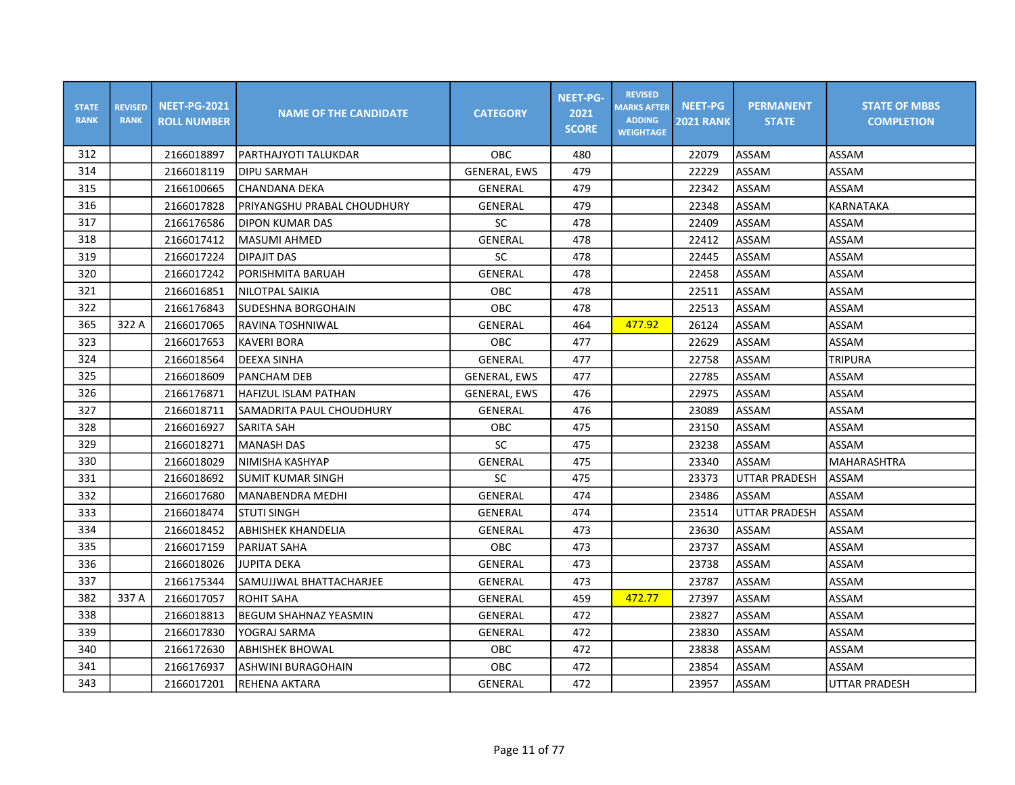| <b>STATE</b><br><b>RANK</b> | <b>REVISED</b><br><b>RANK</b> | <b>NEET-PG-2021</b><br><b>ROLL NUMBER</b> | <b>NAME OF THE CANDIDATE</b> | <b>CATEGORY</b>     | <b>NEET-PG-</b><br>2021<br><b>SCORE</b> | <b>REVISED</b><br><b>MARKS AFTER</b><br><b>ADDING</b><br><b>WEIGHTAGE</b> | <b>NEET-PG</b><br><b>2021 RANK</b> | <b>PERMANENT</b><br><b>STATE</b> | <b>STATE OF MBBS</b><br><b>COMPLETION</b> |
|-----------------------------|-------------------------------|-------------------------------------------|------------------------------|---------------------|-----------------------------------------|---------------------------------------------------------------------------|------------------------------------|----------------------------------|-------------------------------------------|
| 312                         |                               | 2166018897                                | PARTHAJYOTI TALUKDAR         | OBC                 | 480                                     |                                                                           | 22079                              | ASSAM                            | ASSAM                                     |
| 314                         |                               | 2166018119                                | <b>DIPU SARMAH</b>           | <b>GENERAL, EWS</b> | 479                                     |                                                                           | 22229                              | ASSAM                            | ASSAM                                     |
| 315                         |                               | 2166100665                                | CHANDANA DEKA                | GENERAL             | 479                                     |                                                                           | 22342                              | ASSAM                            | ASSAM                                     |
| 316                         |                               | 2166017828                                | PRIYANGSHU PRABAL CHOUDHURY  | GENERAL             | 479                                     |                                                                           | 22348                              | ASSAM                            | KARNATAKA                                 |
| 317                         |                               | 2166176586                                | <b>DIPON KUMAR DAS</b>       | SC                  | 478                                     |                                                                           | 22409                              | ASSAM                            | ASSAM                                     |
| 318                         |                               | 2166017412                                | <b>MASUMI AHMED</b>          | <b>GENERAL</b>      | 478                                     |                                                                           | 22412                              | ASSAM                            | ASSAM                                     |
| 319                         |                               | 2166017224                                | <b>DIPAJIT DAS</b>           | SC                  | 478                                     |                                                                           | 22445                              | ASSAM                            | ASSAM                                     |
| 320                         |                               | 2166017242                                | PORISHMITA BARUAH            | GENERAL             | 478                                     |                                                                           | 22458                              | ASSAM                            | ASSAM                                     |
| 321                         |                               | 2166016851                                | NILOTPAL SAIKIA              | <b>OBC</b>          | 478                                     |                                                                           | 22511                              | ASSAM                            | ASSAM                                     |
| 322                         |                               | 2166176843                                | ISUDESHNA BORGOHAIN          | OBC                 | 478                                     |                                                                           | 22513                              | ASSAM                            | ASSAM                                     |
| 365                         | 322 A                         | 2166017065                                | RAVINA TOSHNIWAL             | <b>GENERAL</b>      | 464                                     | 477.92                                                                    | 26124                              | ASSAM                            | ASSAM                                     |
| 323                         |                               | 2166017653                                | <b>KAVERI BORA</b>           | <b>OBC</b>          | 477                                     |                                                                           | 22629                              | ASSAM                            | ASSAM                                     |
| 324                         |                               | 2166018564                                | DEEXA SINHA                  | <b>GENERAL</b>      | 477                                     |                                                                           | 22758                              | ASSAM                            | <b>TRIPURA</b>                            |
| 325                         |                               | 2166018609                                | PANCHAM DEB                  | <b>GENERAL, EWS</b> | 477                                     |                                                                           | 22785                              | ASSAM                            | ASSAM                                     |
| 326                         |                               | 2166176871                                | HAFIZUL ISLAM PATHAN         | <b>GENERAL, EWS</b> | 476                                     |                                                                           | 22975                              | ASSAM                            | ASSAM                                     |
| 327                         |                               | 2166018711                                | SAMADRITA PAUL CHOUDHURY     | GENERAL             | 476                                     |                                                                           | 23089                              | ASSAM                            | ASSAM                                     |
| 328                         |                               | 2166016927                                | <b>SARITA SAH</b>            | OBC                 | 475                                     |                                                                           | 23150                              | ASSAM                            | ASSAM                                     |
| 329                         |                               | 2166018271                                | <b>MANASH DAS</b>            | SC                  | 475                                     |                                                                           | 23238                              | <b>ASSAM</b>                     | ASSAM                                     |
| 330                         |                               | 2166018029                                | NIMISHA KASHYAP              | GENERAL             | 475                                     |                                                                           | 23340                              | ASSAM                            | <b>MAHARASHTRA</b>                        |
| 331                         |                               | 2166018692                                | <b>SUMIT KUMAR SINGH</b>     | SC                  | 475                                     |                                                                           | 23373                              | <b>UTTAR PRADESH</b>             | ASSAM                                     |
| 332                         |                               | 2166017680                                | MANABENDRA MEDHI             | <b>GENERAL</b>      | 474                                     |                                                                           | 23486                              | <b>ASSAM</b>                     | ASSAM                                     |
| 333                         |                               | 2166018474                                | lstuti singh                 | GENERAL             | 474                                     |                                                                           | 23514                              | UTTAR PRADESH                    | ASSAM                                     |
| 334                         |                               | 2166018452                                | <b>ABHISHEK KHANDELIA</b>    | GENERAL             | 473                                     |                                                                           | 23630                              | ASSAM                            | ASSAM                                     |
| 335                         |                               | 2166017159                                | <b>PARIJAT SAHA</b>          | OBC                 | 473                                     |                                                                           | 23737                              | ASSAM                            | ASSAM                                     |
| 336                         |                               | 2166018026                                | <b>JUPITA DEKA</b>           | <b>GENERAL</b>      | 473                                     |                                                                           | 23738                              | ASSAM                            | ASSAM                                     |
| 337                         |                               | 2166175344                                | SAMUJJWAL BHATTACHARJEE      | <b>GENERAL</b>      | 473                                     |                                                                           | 23787                              | ASSAM                            | ASSAM                                     |
| 382                         | 337 A                         | 2166017057                                | <b>ROHIT SAHA</b>            | GENERAL             | 459                                     | 472.77                                                                    | 27397                              | ASSAM                            | ASSAM                                     |
| 338                         |                               | 2166018813                                | <b>BEGUM SHAHNAZ YEASMIN</b> | GENERAL             | 472                                     |                                                                           | 23827                              | ASSAM                            | ASSAM                                     |
| 339                         |                               | 2166017830                                | YOGRAJ SARMA                 | GENERAL             | 472                                     |                                                                           | 23830                              | ASSAM                            | ASSAM                                     |
| 340                         |                               | 2166172630                                | ABHISHEK BHOWAL              | OBC                 | 472                                     |                                                                           | 23838                              | ASSAM                            | ASSAM                                     |
| 341                         |                               | 2166176937                                | ASHWINI BURAGOHAIN           | OBC                 | 472                                     |                                                                           | 23854                              | ASSAM                            | ASSAM                                     |
| 343                         |                               | 2166017201                                | <b>REHENA AKTARA</b>         | GENERAL             | 472                                     |                                                                           | 23957                              | ASSAM                            | <b>UTTAR PRADESH</b>                      |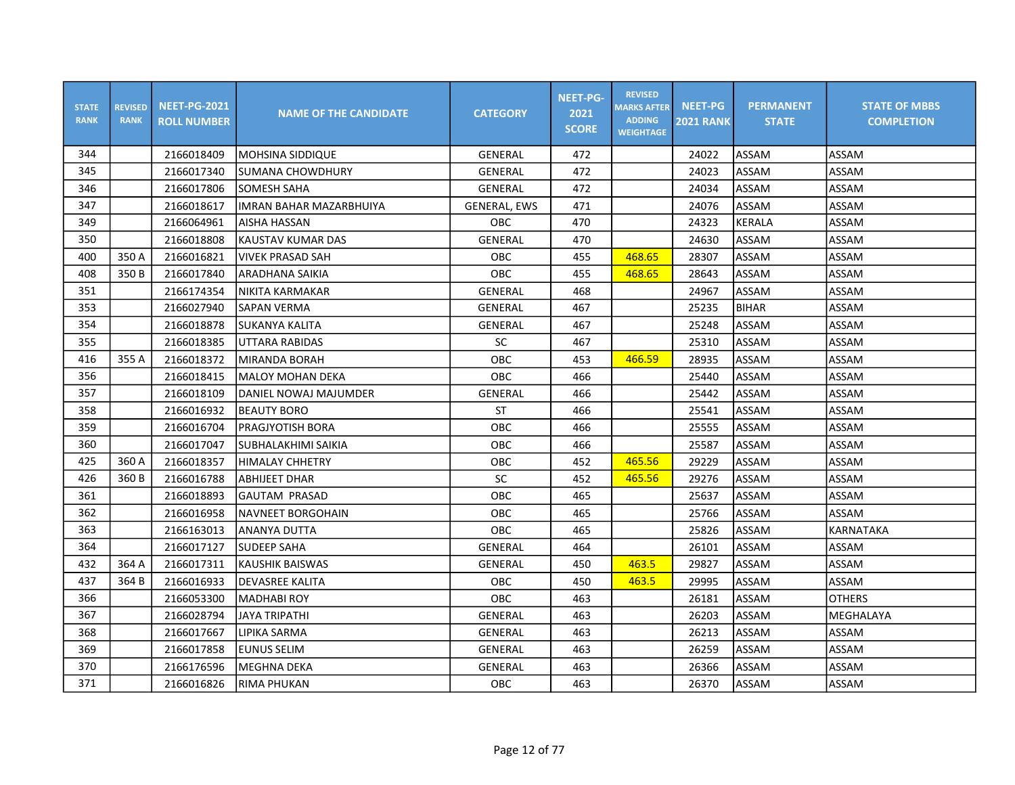| <b>STATE</b><br><b>RANK</b> | <b>REVISED</b><br><b>RANK</b> | <b>NEET-PG-2021</b><br><b>ROLL NUMBER</b> | <b>NAME OF THE CANDIDATE</b>   | <b>CATEGORY</b>     | <b>NEET-PG-</b><br>2021<br><b>SCORE</b> | <b>REVISED</b><br><b>MARKS AFTER</b><br><b>ADDING</b><br><b>WEIGHTAGE</b> | <b>NEET-PG</b><br><b>2021 RANK</b> | <b>PERMANENT</b><br><b>STATE</b> | <b>STATE OF MBBS</b><br><b>COMPLETION</b> |
|-----------------------------|-------------------------------|-------------------------------------------|--------------------------------|---------------------|-----------------------------------------|---------------------------------------------------------------------------|------------------------------------|----------------------------------|-------------------------------------------|
| 344                         |                               | 2166018409                                | IMOHSINA SIDDIQUE              | GENERAL             | 472                                     |                                                                           | 24022                              | ASSAM                            | ASSAM                                     |
| 345                         |                               | 2166017340                                | SUMANA CHOWDHURY               | GENERAL             | 472                                     |                                                                           | 24023                              | ASSAM                            | ASSAM                                     |
| 346                         |                               | 2166017806                                | <b>SOMESH SAHA</b>             | <b>GENERAL</b>      | 472                                     |                                                                           | 24034                              | ASSAM                            | ASSAM                                     |
| 347                         |                               | 2166018617                                | <b>IMRAN BAHAR MAZARBHUIYA</b> | <b>GENERAL, EWS</b> | 471                                     |                                                                           | 24076                              | ASSAM                            | ASSAM                                     |
| 349                         |                               | 2166064961                                | AISHA HASSAN                   | <b>OBC</b>          | 470                                     |                                                                           | 24323                              | <b>KERALA</b>                    | ASSAM                                     |
| 350                         |                               | 2166018808                                | KAUSTAV KUMAR DAS              | <b>GENERAL</b>      | 470                                     |                                                                           | 24630                              | ASSAM                            | ASSAM                                     |
| 400                         | 350 A                         | 2166016821                                | <b>VIVEK PRASAD SAH</b>        | OBC                 | 455                                     | 468.65                                                                    | 28307                              | ASSAM                            | <b>ASSAM</b>                              |
| 408                         | 350 B                         | 2166017840                                | ARADHANA SAIKIA                | OBC                 | 455                                     | 468.65                                                                    | 28643                              | ASSAM                            | ASSAM                                     |
| 351                         |                               | 2166174354                                | NIKITA KARMAKAR                | GENERAL             | 468                                     |                                                                           | 24967                              | ASSAM                            | ASSAM                                     |
| 353                         |                               | 2166027940                                | <b>SAPAN VERMA</b>             | GENERAL             | 467                                     |                                                                           | 25235                              | <b>BIHAR</b>                     | ASSAM                                     |
| 354                         |                               | 2166018878                                | <b>SUKANYA KALITA</b>          | GENERAL             | 467                                     |                                                                           | 25248                              | ASSAM                            | ASSAM                                     |
| 355                         |                               | 2166018385                                | UTTARA RABIDAS                 | SC                  | 467                                     |                                                                           | 25310                              | ASSAM                            | ASSAM                                     |
| 416                         | 355 A                         | 2166018372                                | MIRANDA BORAH                  | OBC                 | 453                                     | 466.59                                                                    | 28935                              | ASSAM                            | ASSAM                                     |
| 356                         |                               | 2166018415                                | <b>MALOY MOHAN DEKA</b>        | OBC                 | 466                                     |                                                                           | 25440                              | ASSAM                            | ASSAM                                     |
| 357                         |                               | 2166018109                                | DANIEL NOWAJ MAJUMDER          | GENERAL             | 466                                     |                                                                           | 25442                              | ASSAM                            | ASSAM                                     |
| 358                         |                               | 2166016932                                | <b>BEAUTY BORO</b>             | ST                  | 466                                     |                                                                           | 25541                              | ASSAM                            | ASSAM                                     |
| 359                         |                               | 2166016704                                | PRAGJYOTISH BORA               | OBC                 | 466                                     |                                                                           | 25555                              | ASSAM                            | ASSAM                                     |
| 360                         |                               | 2166017047                                | İSUBHALAKHIMI SAIKIA           | OBC                 | 466                                     |                                                                           | 25587                              | ASSAM                            | ASSAM                                     |
| 425                         | 360 A                         | 2166018357                                | <b>HIMALAY CHHETRY</b>         | OBC                 | 452                                     | 465.56                                                                    | 29229                              | ASSAM                            | ASSAM                                     |
| 426                         | 360 B                         | 2166016788                                | ABHIJEET DHAR                  | SC                  | 452                                     | 465.56                                                                    | 29276                              | ASSAM                            | ASSAM                                     |
| 361                         |                               | 2166018893                                | IGAUTAM PRASAD                 | <b>OBC</b>          | 465                                     |                                                                           | 25637                              | ASSAM                            | ASSAM                                     |
| 362                         |                               | 2166016958                                | INAVNEET BORGOHAIN             | OBC                 | 465                                     |                                                                           | 25766                              | ASSAM                            | ASSAM                                     |
| 363                         |                               | 2166163013                                | <b>ANANYA DUTTA</b>            | OBC                 | 465                                     |                                                                           | 25826                              | ASSAM                            | <b>KARNATAKA</b>                          |
| 364                         |                               | 2166017127                                | <b>SUDEEP SAHA</b>             | GENERAL             | 464                                     |                                                                           | 26101                              | ASSAM                            | ASSAM                                     |
| 432                         | 364 A                         | 2166017311                                | <b>KAUSHIK BAISWAS</b>         | GENERAL             | 450                                     | 463.5                                                                     | 29827                              | ASSAM                            | ASSAM                                     |
| 437                         | 364 B                         | 2166016933                                | <b>DEVASREE KALITA</b>         | <b>OBC</b>          | 450                                     | 463.5                                                                     | 29995                              | ASSAM                            | ASSAM                                     |
| 366                         |                               | 2166053300                                | <b>MADHABI ROY</b>             | <b>OBC</b>          | 463                                     |                                                                           | 26181                              | ASSAM                            | <b>OTHERS</b>                             |
| 367                         |                               | 2166028794                                | JAYA TRIPATHI                  | GENERAL             | 463                                     |                                                                           | 26203                              | ASSAM                            | MEGHALAYA                                 |
| 368                         |                               | 2166017667                                | LIPIKA SARMA                   | GENERAL             | 463                                     |                                                                           | 26213                              | ASSAM                            | ASSAM                                     |
| 369                         |                               | 2166017858                                | <b>EUNUS SELIM</b>             | GENERAL             | 463                                     |                                                                           | 26259                              | ASSAM                            | ASSAM                                     |
| 370                         |                               | 2166176596                                | <b>MEGHNA DEKA</b>             | GENERAL             | 463                                     |                                                                           | 26366                              | ASSAM                            | ASSAM                                     |
| 371                         |                               | 2166016826                                | RIMA PHUKAN                    | OBC                 | 463                                     |                                                                           | 26370                              | ASSAM                            | ASSAM                                     |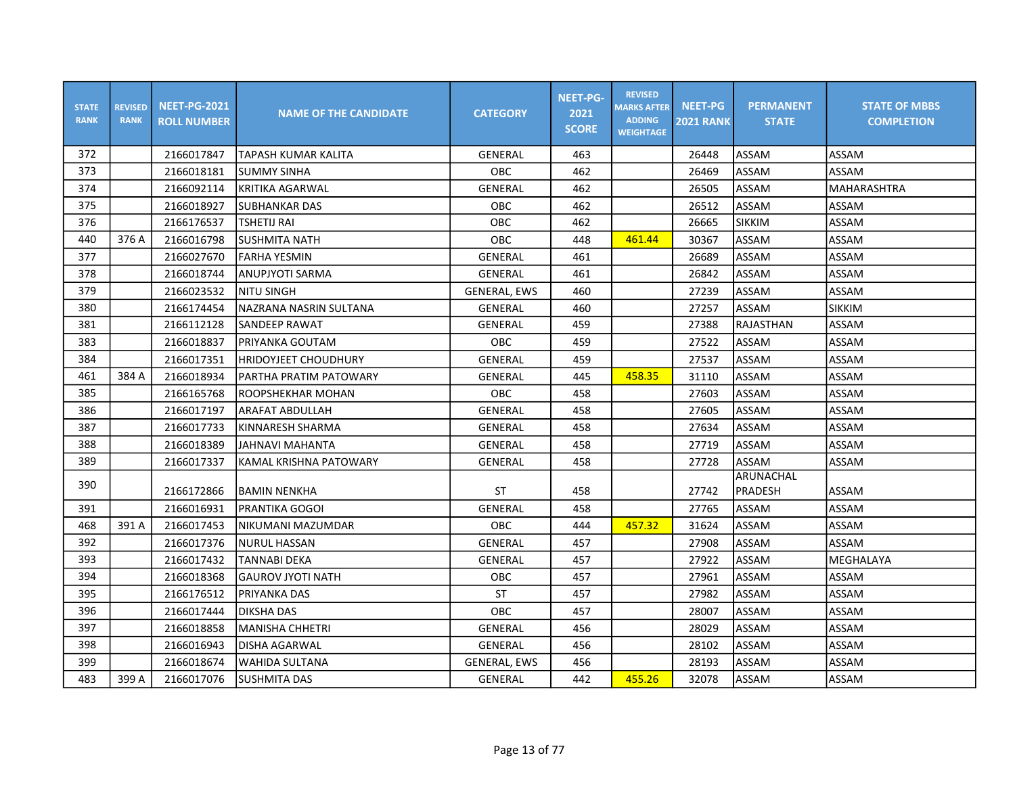| <b>STATE</b><br><b>RANK</b> | <b>REVISED</b><br><b>RANK</b> | <b>NEET-PG-2021</b><br><b>ROLL NUMBER</b> | <b>NAME OF THE CANDIDATE</b> | <b>CATEGORY</b>     | <b>NEET-PG-</b><br>2021<br><b>SCORE</b> | <b>REVISED</b><br><b>MARKS AFTER</b><br><b>ADDING</b><br><b>WEIGHTAGE</b> | <b>NEET-PG</b><br><b>2021 RANK</b> | <b>PERMANENT</b><br><b>STATE</b> | <b>STATE OF MBBS</b><br><b>COMPLETION</b> |
|-----------------------------|-------------------------------|-------------------------------------------|------------------------------|---------------------|-----------------------------------------|---------------------------------------------------------------------------|------------------------------------|----------------------------------|-------------------------------------------|
| 372                         |                               | 2166017847                                | <b>TAPASH KUMAR KALITA</b>   | GENERAL             | 463                                     |                                                                           | 26448                              | ASSAM                            | ASSAM                                     |
| 373                         |                               | 2166018181                                | <b>SUMMY SINHA</b>           | <b>OBC</b>          | 462                                     |                                                                           | 26469                              | ASSAM                            | ASSAM                                     |
| 374                         |                               | 2166092114                                | <b>KRITIKA AGARWAL</b>       | <b>GENERAL</b>      | 462                                     |                                                                           | 26505                              | ASSAM                            | <b>MAHARASHTRA</b>                        |
| 375                         |                               | 2166018927                                | <b>SUBHANKAR DAS</b>         | <b>OBC</b>          | 462                                     |                                                                           | 26512                              | ASSAM                            | ASSAM                                     |
| 376                         |                               | 2166176537                                | TSHETIJ RAI                  | OBC                 | 462                                     |                                                                           | 26665                              | <b>SIKKIM</b>                    | ASSAM                                     |
| 440                         | 376 A                         | 2166016798                                | <b>SUSHMITA NATH</b>         | OBC                 | 448                                     | 461.44                                                                    | 30367                              | ASSAM                            | ASSAM                                     |
| 377                         |                               | 2166027670                                | <b>FARHA YESMIN</b>          | GENERAL             | 461                                     |                                                                           | 26689                              | ASSAM                            | ASSAM                                     |
| 378                         |                               | 2166018744                                | ANUPJYOTI SARMA              | GENERAL             | 461                                     |                                                                           | 26842                              | ASSAM                            | ASSAM                                     |
| 379                         |                               | 2166023532                                | NITU SINGH                   | <b>GENERAL, EWS</b> | 460                                     |                                                                           | 27239                              | ASSAM                            | ASSAM                                     |
| 380                         |                               | 2166174454                                | NAZRANA NASRIN SULTANA       | GENERAL             | 460                                     |                                                                           | 27257                              | ASSAM                            | <b>SIKKIM</b>                             |
| 381                         |                               | 2166112128                                | SANDEEP RAWAT                | GENERAL             | 459                                     |                                                                           | 27388                              | RAJASTHAN                        | ASSAM                                     |
| 383                         |                               | 2166018837                                | PRIYANKA GOUTAM              | OBC                 | 459                                     |                                                                           | 27522                              | ASSAM                            | ASSAM                                     |
| 384                         |                               | 2166017351                                | <b>HRIDOYJEET CHOUDHURY</b>  | GENERAL             | 459                                     |                                                                           | 27537                              | ASSAM                            | ASSAM                                     |
| 461                         | 384 A                         | 2166018934                                | PARTHA PRATIM PATOWARY       | GENERAL             | 445                                     | 458.35                                                                    | 31110                              | ASSAM                            | ASSAM                                     |
| 385                         |                               | 2166165768                                | ROOPSHEKHAR MOHAN            | OBC                 | 458                                     |                                                                           | 27603                              | ASSAM                            | ASSAM                                     |
| 386                         |                               | 2166017197                                | ARAFAT ABDULLAH              | GENERAL             | 458                                     |                                                                           | 27605                              | ASSAM                            | ASSAM                                     |
| 387                         |                               | 2166017733                                | KINNARESH SHARMA             | GENERAL             | 458                                     |                                                                           | 27634                              | ASSAM                            | ASSAM                                     |
| 388                         |                               | 2166018389                                | JAHNAVI MAHANTA              | <b>GENERAL</b>      | 458                                     |                                                                           | 27719                              | ASSAM                            | ASSAM                                     |
| 389                         |                               | 2166017337                                | KAMAL KRISHNA PATOWARY       | GENERAL             | 458                                     |                                                                           | 27728                              | ASSAM                            | ASSAM                                     |
| 390                         |                               |                                           |                              |                     |                                         |                                                                           |                                    | <b>ARUNACHAL</b>                 |                                           |
|                             |                               | 2166172866                                | <b>BAMIN NENKHA</b>          | ST                  | 458                                     |                                                                           | 27742                              | <b>PRADESH</b>                   | ASSAM                                     |
| 391                         |                               | 2166016931                                | PRANTIKA GOGOI               | <b>GENERAL</b>      | 458                                     |                                                                           | 27765                              | ASSAM                            | ASSAM                                     |
| 468                         | 391 A                         | 2166017453                                | İNIKUMANI MAZUMDAR           | OBC                 | 444                                     | 457.32                                                                    | 31624                              | ASSAM                            | ASSAM                                     |
| 392                         |                               | 2166017376                                | <b>NURUL HASSAN</b>          | <b>GENERAL</b>      | 457                                     |                                                                           | 27908                              | ASSAM                            | ASSAM                                     |
| 393                         |                               | 2166017432                                | <b>TANNABI DEKA</b>          | <b>GENERAL</b>      | 457                                     |                                                                           | 27922                              | ASSAM                            | MEGHALAYA                                 |
| 394                         |                               | 2166018368                                | <b>GAUROV JYOTI NATH</b>     | OBC                 | 457                                     |                                                                           | 27961                              | ASSAM                            | ASSAM                                     |
| 395                         |                               | 2166176512                                | PRIYANKA DAS                 | <b>ST</b>           | 457                                     |                                                                           | 27982                              | ASSAM                            | ASSAM                                     |
| 396                         |                               | 2166017444                                | <b>DIKSHA DAS</b>            | <b>OBC</b>          | 457                                     |                                                                           | 28007                              | ASSAM                            | ASSAM                                     |
| 397                         |                               | 2166018858                                | <b>MANISHA CHHETRI</b>       | <b>GENERAL</b>      | 456                                     |                                                                           | 28029                              | ASSAM                            | ASSAM                                     |
| 398                         |                               | 2166016943                                | <b>DISHA AGARWAL</b>         | GENERAL             | 456                                     |                                                                           | 28102                              | ASSAM                            | ASSAM                                     |
| 399                         |                               | 2166018674                                | WAHIDA SULTANA               | <b>GENERAL, EWS</b> | 456                                     |                                                                           | 28193                              | ASSAM                            | ASSAM                                     |
| 483                         | 399 A                         | 2166017076                                | <b>SUSHMITA DAS</b>          | GENERAL             | 442                                     | 455.26                                                                    | 32078                              | ASSAM                            | ASSAM                                     |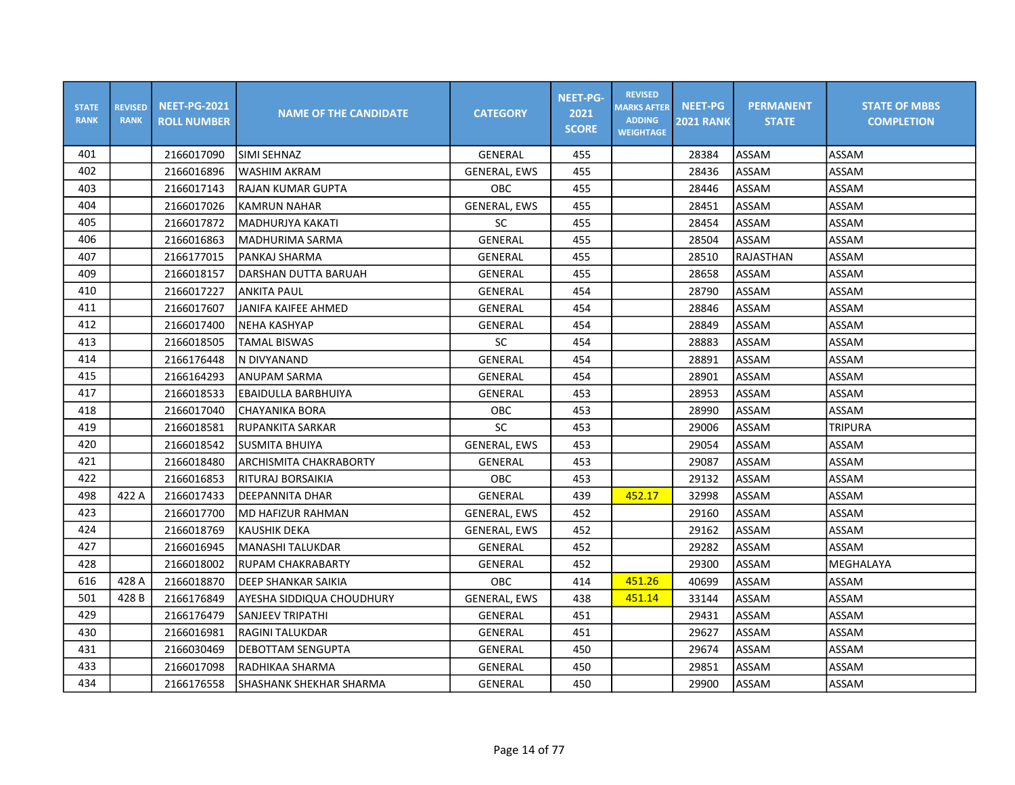| <b>STATE</b><br><b>RANK</b> | <b>REVISED</b><br><b>RANK</b> | <b>NEET-PG-2021</b><br><b>ROLL NUMBER</b> | <b>NAME OF THE CANDIDATE</b> | <b>CATEGORY</b>     | <b>NEET-PG-</b><br>2021<br><b>SCORE</b> | <b>REVISED</b><br><b>MARKS AFTER</b><br><b>ADDING</b><br><b>WEIGHTAGE</b> | <b>NEET-PG</b><br><b>2021 RANK</b> | <b>PERMANENT</b><br><b>STATE</b> | <b>STATE OF MBBS</b><br><b>COMPLETION</b> |
|-----------------------------|-------------------------------|-------------------------------------------|------------------------------|---------------------|-----------------------------------------|---------------------------------------------------------------------------|------------------------------------|----------------------------------|-------------------------------------------|
| 401                         |                               | 2166017090                                | <b>SIMI SEHNAZ</b>           | GENERAL             | 455                                     |                                                                           | 28384                              | ASSAM                            | ASSAM                                     |
| 402                         |                               | 2166016896                                | <b>WASHIM AKRAM</b>          | <b>GENERAL, EWS</b> | 455                                     |                                                                           | 28436                              | ASSAM                            | ASSAM                                     |
| 403                         |                               | 2166017143                                | <b>RAJAN KUMAR GUPTA</b>     | OBC                 | 455                                     |                                                                           | 28446                              | ASSAM                            | ASSAM                                     |
| 404                         |                               | 2166017026                                | <b>KAMRUN NAHAR</b>          | <b>GENERAL, EWS</b> | 455                                     |                                                                           | 28451                              | ASSAM                            | ASSAM                                     |
| 405                         |                               | 2166017872                                | <b>MADHURJYA KAKATI</b>      | SC                  | 455                                     |                                                                           | 28454                              | ASSAM                            | ASSAM                                     |
| 406                         |                               | 2166016863                                | <b>MADHURIMA SARMA</b>       | <b>GENERAL</b>      | 455                                     |                                                                           | 28504                              | ASSAM                            | ASSAM                                     |
| 407                         |                               | 2166177015                                | PANKAJ SHARMA                | GENERAL             | 455                                     |                                                                           | 28510                              | RAJASTHAN                        | ASSAM                                     |
| 409                         |                               | 2166018157                                | DARSHAN DUTTA BARUAH         | GENERAL             | 455                                     |                                                                           | 28658                              | ASSAM                            | ASSAM                                     |
| 410                         |                               | 2166017227                                | <b>ANKITA PAUL</b>           | <b>GENERAL</b>      | 454                                     |                                                                           | 28790                              | ASSAM                            | ASSAM                                     |
| 411                         |                               | 2166017607                                | <b>JANIFA KAIFEE AHMED</b>   | GENERAL             | 454                                     |                                                                           | 28846                              | ASSAM                            | ASSAM                                     |
| 412                         |                               | 2166017400                                | <b>NEHA KASHYAP</b>          | GENERAL             | 454                                     |                                                                           | 28849                              | ASSAM                            | ASSAM                                     |
| 413                         |                               | 2166018505                                | <b>TAMAL BISWAS</b>          | SC                  | 454                                     |                                                                           | 28883                              | ASSAM                            | ASSAM                                     |
| 414                         |                               | 2166176448                                | N DIVYANAND                  | <b>GENERAL</b>      | 454                                     |                                                                           | 28891                              | ASSAM                            | ASSAM                                     |
| 415                         |                               | 2166164293                                | <b>ANUPAM SARMA</b>          | GENERAL             | 454                                     |                                                                           | 28901                              | ASSAM                            | ASSAM                                     |
| 417                         |                               | 2166018533                                | EBAIDULLA BARBHUIYA          | GENERAL             | 453                                     |                                                                           | 28953                              | ASSAM                            | ASSAM                                     |
| 418                         |                               | 2166017040                                | <b>CHAYANIKA BORA</b>        | OBC                 | 453                                     |                                                                           | 28990                              | ASSAM                            | ASSAM                                     |
| 419                         |                               | 2166018581                                | RUPANKITA SARKAR             | SC                  | 453                                     |                                                                           | 29006                              | ASSAM                            | <b>TRIPURA</b>                            |
| 420                         |                               | 2166018542                                | <b>SUSMITA BHUIYA</b>        | <b>GENERAL, EWS</b> | 453                                     |                                                                           | 29054                              | ASSAM                            | ASSAM                                     |
| 421                         |                               | 2166018480                                | ARCHISMITA CHAKRABORTY       | GENERAL             | 453                                     |                                                                           | 29087                              | ASSAM                            | ASSAM                                     |
| 422                         |                               | 2166016853                                | RITURAJ BORSAIKIA            | OBC                 | 453                                     |                                                                           | 29132                              | ASSAM                            | ASSAM                                     |
| 498                         | 422 A                         | 2166017433                                | IDEEPANNITA DHAR             | GENERAL             | 439                                     | 452.17                                                                    | 32998                              | ASSAM                            | ASSAM                                     |
| 423                         |                               | 2166017700                                | MD HAFIZUR RAHMAN            | <b>GENERAL, EWS</b> | 452                                     |                                                                           | 29160                              | ASSAM                            | ASSAM                                     |
| 424                         |                               | 2166018769                                | <b>KAUSHIK DEKA</b>          | <b>GENERAL, EWS</b> | 452                                     |                                                                           | 29162                              | ASSAM                            | ASSAM                                     |
| 427                         |                               | 2166016945                                | MANASHI TALUKDAR             | GENERAL             | 452                                     |                                                                           | 29282                              | ASSAM                            | ASSAM                                     |
| 428                         |                               | 2166018002                                | <b>RUPAM CHAKRABARTY</b>     | <b>GENERAL</b>      | 452                                     |                                                                           | 29300                              | ASSAM                            | MEGHALAYA                                 |
| 616                         | 428 A                         | 2166018870                                | DEEP SHANKAR SAIKIA          | OBC                 | 414                                     | 451.26                                                                    | 40699                              | ASSAM                            | ASSAM                                     |
| 501                         | 428B                          | 2166176849                                | AYESHA SIDDIQUA CHOUDHURY    | <b>GENERAL, EWS</b> | 438                                     | 451.14                                                                    | 33144                              | ASSAM                            | ASSAM                                     |
| 429                         |                               | 2166176479                                | SANJEEV TRIPATHI             | <b>GENERAL</b>      | 451                                     |                                                                           | 29431                              | ASSAM                            | ASSAM                                     |
| 430                         |                               | 2166016981                                | RAGINI TALUKDAR              | <b>GENERAL</b>      | 451                                     |                                                                           | 29627                              | ASSAM                            | ASSAM                                     |
| 431                         |                               | 2166030469                                | <b>DEBOTTAM SENGUPTA</b>     | GENERAL             | 450                                     |                                                                           | 29674                              | ASSAM                            | ASSAM                                     |
| 433                         |                               | 2166017098                                | RADHIKAA SHARMA              | GENERAL             | 450                                     |                                                                           | 29851                              | ASSAM                            | ASSAM                                     |
| 434                         |                               | 2166176558                                | SHASHANK SHEKHAR SHARMA      | GENERAL             | 450                                     |                                                                           | 29900                              | ASSAM                            | ASSAM                                     |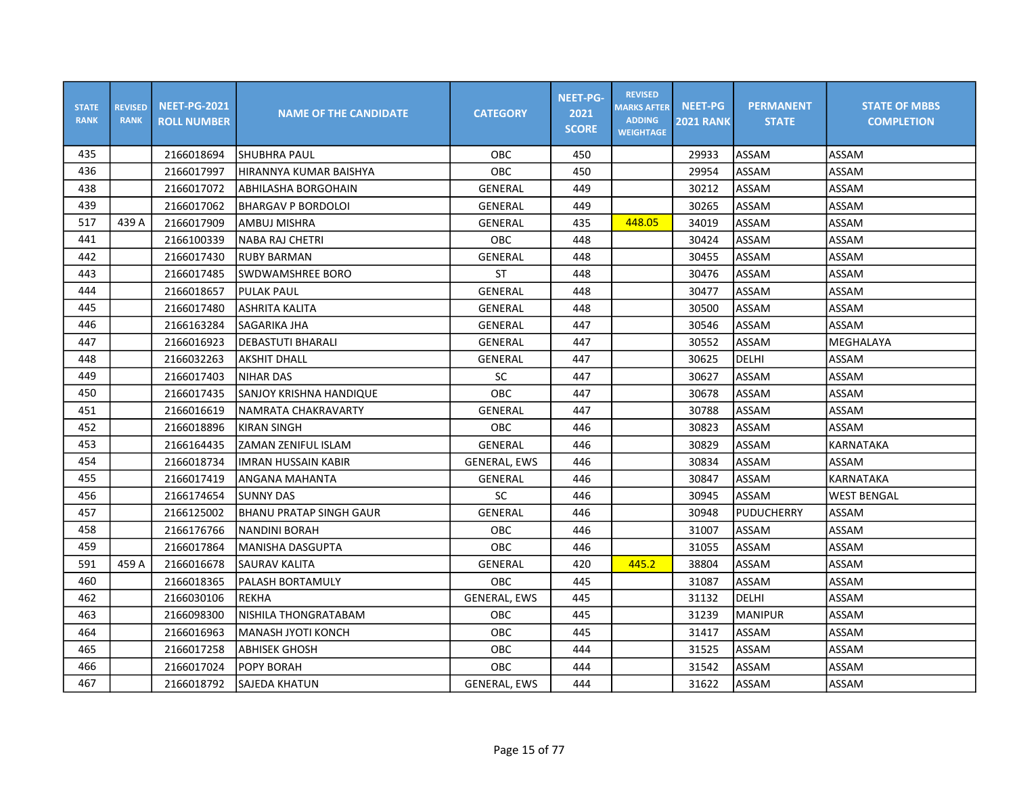| <b>STATE</b><br><b>RANK</b> | <b>REVISED</b><br><b>RANK</b> | <b>NEET-PG-2021</b><br><b>ROLL NUMBER</b> | <b>NAME OF THE CANDIDATE</b> | <b>CATEGORY</b>     | <b>NEET-PG-</b><br>2021<br><b>SCORE</b> | <b>REVISED</b><br><b>MARKS AFTER</b><br><b>ADDING</b><br><b>WEIGHTAGE</b> | <b>NEET-PG</b><br><b>2021 RANK</b> | <b>PERMANENT</b><br><b>STATE</b> | <b>STATE OF MBBS</b><br><b>COMPLETION</b> |
|-----------------------------|-------------------------------|-------------------------------------------|------------------------------|---------------------|-----------------------------------------|---------------------------------------------------------------------------|------------------------------------|----------------------------------|-------------------------------------------|
| 435                         |                               | 2166018694                                | ISHUBHRA PAUL                | OBC                 | 450                                     |                                                                           | 29933                              | ASSAM                            | ASSAM                                     |
| 436                         |                               | 2166017997                                | HIRANNYA KUMAR BAISHYA       | <b>OBC</b>          | 450                                     |                                                                           | 29954                              | ASSAM                            | ASSAM                                     |
| 438                         |                               | 2166017072                                | <b>ABHILASHA BORGOHAIN</b>   | GENERAL             | 449                                     |                                                                           | 30212                              | ASSAM                            | ASSAM                                     |
| 439                         |                               | 2166017062                                | <b>BHARGAV P BORDOLOI</b>    | <b>GENERAL</b>      | 449                                     |                                                                           | 30265                              | ASSAM                            | ASSAM                                     |
| 517                         | 439 A                         | 2166017909                                | AMBUJ MISHRA                 | GENERAL             | 435                                     | 448.05                                                                    | 34019                              | ASSAM                            | ASSAM                                     |
| 441                         |                               | 2166100339                                | <b>NABA RAJ CHETRI</b>       | OBC                 | 448                                     |                                                                           | 30424                              | ASSAM                            | ASSAM                                     |
| 442                         |                               | 2166017430                                | <b>RUBY BARMAN</b>           | GENERAL             | 448                                     |                                                                           | 30455                              | ASSAM                            | ASSAM                                     |
| 443                         |                               | 2166017485                                | ISWDWAMSHREE BORO            | ST                  | 448                                     |                                                                           | 30476                              | ASSAM                            | ASSAM                                     |
| 444                         |                               | 2166018657                                | <b>PULAK PAUL</b>            | <b>GENERAL</b>      | 448                                     |                                                                           | 30477                              | ASSAM                            | ASSAM                                     |
| 445                         |                               | 2166017480                                | ASHRITA KALITA               | <b>GENERAL</b>      | 448                                     |                                                                           | 30500                              | ASSAM                            | ASSAM                                     |
| 446                         |                               | 2166163284                                | <b>SAGARIKA JHA</b>          | <b>GENERAL</b>      | 447                                     |                                                                           | 30546                              | ASSAM                            | ASSAM                                     |
| 447                         |                               | 2166016923                                | <b>DEBASTUTI BHARALI</b>     | <b>GENERAL</b>      | 447                                     |                                                                           | 30552                              | ASSAM                            | MEGHALAYA                                 |
| 448                         |                               | 2166032263                                | <b>AKSHIT DHALL</b>          | GENERAL             | 447                                     |                                                                           | 30625                              | DELHI                            | ASSAM                                     |
| 449                         |                               | 2166017403                                | <b>NIHAR DAS</b>             | <b>SC</b>           | 447                                     |                                                                           | 30627                              | ASSAM                            | ASSAM                                     |
| 450                         |                               | 2166017435                                | SANJOY KRISHNA HANDIQUE      | OBC                 | 447                                     |                                                                           | 30678                              | ASSAM                            | ASSAM                                     |
| 451                         |                               | 2166016619                                | NAMRATA CHAKRAVARTY          | <b>GENERAL</b>      | 447                                     |                                                                           | 30788                              | ASSAM                            | ASSAM                                     |
| 452                         |                               | 2166018896                                | <b>KIRAN SINGH</b>           | OBC                 | 446                                     |                                                                           | 30823                              | ASSAM                            | ASSAM                                     |
| 453                         |                               | 2166164435                                | <b>ZAMAN ZENIFUL ISLAM</b>   | <b>GENERAL</b>      | 446                                     |                                                                           | 30829                              | ASSAM                            | <b>KARNATAKA</b>                          |
| 454                         |                               | 2166018734                                | <b>IMRAN HUSSAIN KABIR</b>   | <b>GENERAL, EWS</b> | 446                                     |                                                                           | 30834                              | ASSAM                            | ASSAM                                     |
| 455                         |                               | 2166017419                                | ANGANA MAHANTA               | GENERAL             | 446                                     |                                                                           | 30847                              | ASSAM                            | <b>KARNATAKA</b>                          |
| 456                         |                               | 2166174654                                | <b>SUNNY DAS</b>             | <b>SC</b>           | 446                                     |                                                                           | 30945                              | <b>ASSAM</b>                     | <b>WEST BENGAL</b>                        |
| 457                         |                               | 2166125002                                | BHANU PRATAP SINGH GAUR      | GENERAL             | 446                                     |                                                                           | 30948                              | PUDUCHERRY                       | ASSAM                                     |
| 458                         |                               | 2166176766                                | <b>NANDINI BORAH</b>         | OBC                 | 446                                     |                                                                           | 31007                              | ASSAM                            | ASSAM                                     |
| 459                         |                               | 2166017864                                | MANISHA DASGUPTA             | OBC                 | 446                                     |                                                                           | 31055                              | ASSAM                            | ASSAM                                     |
| 591                         | 459 A                         | 2166016678                                | <b>SAURAV KALITA</b>         | <b>GENERAL</b>      | 420                                     | 445.2                                                                     | 38804                              | ASSAM                            | ASSAM                                     |
| 460                         |                               | 2166018365                                | PALASH BORTAMULY             | OBC                 | 445                                     |                                                                           | 31087                              | ASSAM                            | ASSAM                                     |
| 462                         |                               | 2166030106                                | <b>REKHA</b>                 | GENERAL, EWS        | 445                                     |                                                                           | 31132                              | <b>DELHI</b>                     | ASSAM                                     |
| 463                         |                               | 2166098300                                | NISHILA THONGRATABAM         | <b>OBC</b>          | 445                                     |                                                                           | 31239                              | <b>MANIPUR</b>                   | ASSAM                                     |
| 464                         |                               | 2166016963                                | MANASH JYOTI KONCH           | OBC                 | 445                                     |                                                                           | 31417                              | ASSAM                            | ASSAM                                     |
| 465                         |                               | 2166017258                                | <b>ABHISEK GHOSH</b>         | OBC                 | 444                                     |                                                                           | 31525                              | ASSAM                            | ASSAM                                     |
| 466                         |                               | 2166017024                                | POPY BORAH                   | OBC                 | 444                                     |                                                                           | 31542                              | ASSAM                            | ASSAM                                     |
| 467                         |                               | 2166018792                                | SAJEDA KHATUN                | <b>GENERAL, EWS</b> | 444                                     |                                                                           | 31622                              | ASSAM                            | ASSAM                                     |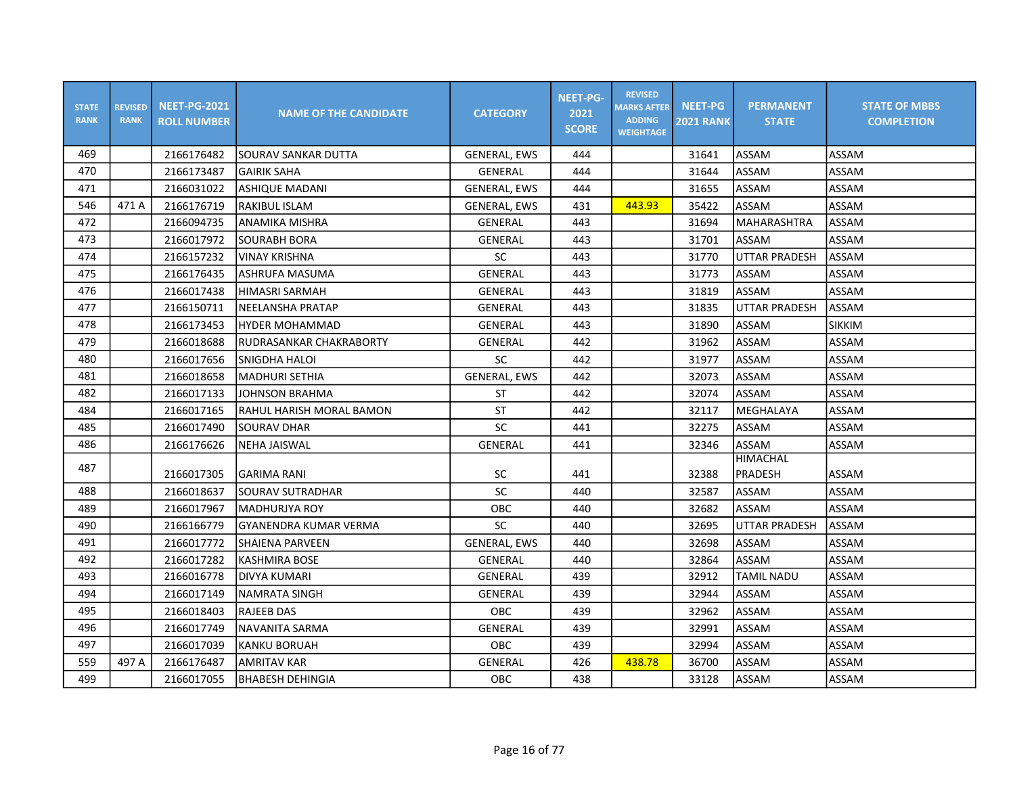| <b>STATE</b><br><b>RANK</b> | <b>REVISED</b><br><b>RANK</b> | <b>NEET-PG-2021</b><br><b>ROLL NUMBER</b> | <b>NAME OF THE CANDIDATE</b> | <b>CATEGORY</b>     | <b>NEET-PG-</b><br>2021<br><b>SCORE</b> | <b>REVISED</b><br><b>MARKS AFTER</b><br><b>ADDING</b><br><b>WEIGHTAGE</b> | <b>NEET-PG</b><br><b>2021 RANK</b> | <b>PERMANENT</b><br><b>STATE</b> | <b>STATE OF MBBS</b><br><b>COMPLETION</b> |
|-----------------------------|-------------------------------|-------------------------------------------|------------------------------|---------------------|-----------------------------------------|---------------------------------------------------------------------------|------------------------------------|----------------------------------|-------------------------------------------|
| 469                         |                               | 2166176482                                | ISOURAV SANKAR DUTTA         | <b>GENERAL, EWS</b> | 444                                     |                                                                           | 31641                              | ASSAM                            | ASSAM                                     |
| 470                         |                               | 2166173487                                | <b>GAIRIK SAHA</b>           | GENERAL             | 444                                     |                                                                           | 31644                              | ASSAM                            | ASSAM                                     |
| 471                         |                               | 2166031022                                | ASHIQUE MADANI               | <b>GENERAL, EWS</b> | 444                                     |                                                                           | 31655                              | ASSAM                            | ASSAM                                     |
| 546                         | 471 A                         | 2166176719                                | <b>RAKIBUL ISLAM</b>         | <b>GENERAL, EWS</b> | 431                                     | 443.93                                                                    | 35422                              | ASSAM                            | ASSAM                                     |
| 472                         |                               | 2166094735                                | ANAMIKA MISHRA               | GENERAL             | 443                                     |                                                                           | 31694                              | MAHARASHTRA                      | ASSAM                                     |
| 473                         |                               | 2166017972                                | <b>SOURABH BORA</b>          | GENERAL             | 443                                     |                                                                           | 31701                              | ASSAM                            | ASSAM                                     |
| 474                         |                               | 2166157232                                | <b>VINAY KRISHNA</b>         | SC                  | 443                                     |                                                                           | 31770                              | <b>UTTAR PRADESH</b>             | ASSAM                                     |
| 475                         |                               | 2166176435                                | ASHRUFA MASUMA               | GENERAL             | 443                                     |                                                                           | 31773                              | ASSAM                            | ASSAM                                     |
| 476                         |                               | 2166017438                                | HIMASRI SARMAH               | GENERAL             | 443                                     |                                                                           | 31819                              | ASSAM                            | ASSAM                                     |
| 477                         |                               | 2166150711                                | NEELANSHA PRATAP             | GENERAL             | 443                                     |                                                                           | 31835                              | <b>UTTAR PRADESH</b>             | ASSAM                                     |
| 478                         |                               | 2166173453                                | <b>HYDER MOHAMMAD</b>        | GENERAL             | 443                                     |                                                                           | 31890                              | ASSAM                            | <b>SIKKIM</b>                             |
| 479                         |                               | 2166018688                                | RUDRASANKAR CHAKRABORTY      | GENERAL             | 442                                     |                                                                           | 31962                              | ASSAM                            | ASSAM                                     |
| 480                         |                               | 2166017656                                | <b>SNIGDHA HALOI</b>         | <b>SC</b>           | 442                                     |                                                                           | 31977                              | ASSAM                            | ASSAM                                     |
| 481                         |                               | 2166018658                                | İMADHURI SETHIA              | <b>GENERAL, EWS</b> | 442                                     |                                                                           | 32073                              | ASSAM                            | ASSAM                                     |
| 482                         |                               | 2166017133                                | <b>JOHNSON BRAHMA</b>        | <b>ST</b>           | 442                                     |                                                                           | 32074                              | ASSAM                            | ASSAM                                     |
| 484                         |                               | 2166017165                                | RAHUL HARISH MORAL BAMON     | <b>ST</b>           | 442                                     |                                                                           | 32117                              | MEGHALAYA                        | ASSAM                                     |
| 485                         |                               | 2166017490                                | <b>SOURAV DHAR</b>           | SC                  | 441                                     |                                                                           | 32275                              | ASSAM                            | ASSAM                                     |
| 486                         |                               | 2166176626                                | <b>NEHA JAISWAL</b>          | GENERAL             | 441                                     |                                                                           | 32346                              | ASSAM                            | ASSAM                                     |
| 487                         |                               | 2166017305                                | <b>GARIMA RANI</b>           | <b>SC</b>           | 441                                     |                                                                           | 32388                              | <b>HIMACHAL</b><br>PRADESH       | ASSAM                                     |
| 488                         |                               | 2166018637                                | <b>SOURAV SUTRADHAR</b>      | SC                  | 440                                     |                                                                           | 32587                              | ASSAM                            | ASSAM                                     |
| 489                         |                               | 2166017967                                | IMADHURJYA ROY               | OBC                 | 440                                     |                                                                           | 32682                              | ASSAM                            | ASSAM                                     |
| 490                         |                               | 2166166779                                | GYANENDRA KUMAR VERMA        | SC                  | 440                                     |                                                                           | 32695                              | UTTAR PRADESH                    | ASSAM                                     |
| 491                         |                               | 2166017772                                | <b>SHAIENA PARVEEN</b>       | <b>GENERAL, EWS</b> | 440                                     |                                                                           | 32698                              | ASSAM                            | ASSAM                                     |
| 492                         |                               | 2166017282                                | KASHMIRA BOSE                | <b>GENERAL</b>      | 440                                     |                                                                           | 32864                              | ASSAM                            | ASSAM                                     |
| 493                         |                               | 2166016778                                | DIVYA KUMARI                 | GENERAL             | 439                                     |                                                                           | 32912                              | <b>TAMIL NADU</b>                | ASSAM                                     |
| 494                         |                               | 2166017149                                | NAMRATA SINGH                | GENERAL             | 439                                     |                                                                           | 32944                              | ASSAM                            | ASSAM                                     |
| 495                         |                               | 2166018403                                | <b>RAJEEB DAS</b>            | <b>OBC</b>          | 439                                     |                                                                           | 32962                              | ASSAM                            | ASSAM                                     |
| 496                         |                               | 2166017749                                | NAVANITA SARMA               | GENERAL             | 439                                     |                                                                           | 32991                              | ASSAM                            | ASSAM                                     |
| 497                         |                               | 2166017039                                | <b>KANKU BORUAH</b>          | OBC                 | 439                                     |                                                                           | 32994                              | ASSAM                            | ASSAM                                     |
| 559                         | 497 A                         | 2166176487                                | <b>AMRITAV KAR</b>           | <b>GENERAL</b>      | 426                                     | 438.78                                                                    | 36700                              | ASSAM                            | ASSAM                                     |
| 499                         |                               | 2166017055                                | BHABESH DEHINGIA             | OBC                 | 438                                     |                                                                           | 33128                              | <b>ASSAM</b>                     | ASSAM                                     |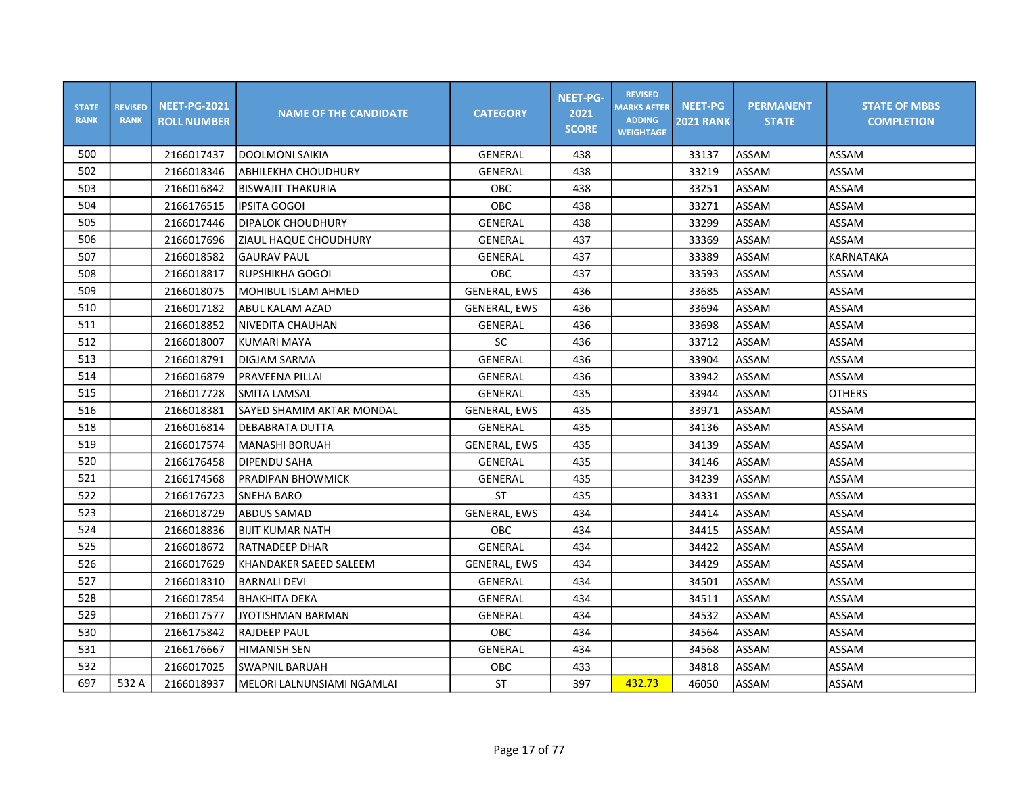| <b>STATE</b><br><b>RANK</b> | <b>REVISED</b><br><b>RANK</b> | <b>NEET-PG-2021</b><br><b>ROLL NUMBER</b> | <b>NAME OF THE CANDIDATE</b> | <b>CATEGORY</b>     | <b>NEET-PG-</b><br>2021<br><b>SCORE</b> | <b>REVISED</b><br><b>MARKS AFTER</b><br><b>ADDING</b><br><b>WEIGHTAGE</b> | <b>NEET-PG</b><br><b>2021 RANK</b> | <b>PERMANENT</b><br><b>STATE</b> | <b>STATE OF MBBS</b><br><b>COMPLETION</b> |
|-----------------------------|-------------------------------|-------------------------------------------|------------------------------|---------------------|-----------------------------------------|---------------------------------------------------------------------------|------------------------------------|----------------------------------|-------------------------------------------|
| 500                         |                               | 2166017437                                | <b>DOOLMONI SAIKIA</b>       | GENERAL             | 438                                     |                                                                           | 33137                              | ASSAM                            | ASSAM                                     |
| 502                         |                               | 2166018346                                | ABHILEKHA CHOUDHURY          | GENERAL             | 438                                     |                                                                           | 33219                              | ASSAM                            | ASSAM                                     |
| 503                         |                               | 2166016842                                | <b>BISWAJIT THAKURIA</b>     | OBC                 | 438                                     |                                                                           | 33251                              | ASSAM                            | ASSAM                                     |
| 504                         |                               | 2166176515                                | <b>IPSITA GOGOI</b>          | <b>OBC</b>          | 438                                     |                                                                           | 33271                              | ASSAM                            | ASSAM                                     |
| 505                         |                               | 2166017446                                | DIPALOK CHOUDHURY            | <b>GENERAL</b>      | 438                                     |                                                                           | 33299                              | ASSAM                            | ASSAM                                     |
| 506                         |                               | 2166017696                                | ZIAUL HAQUE CHOUDHURY        | <b>GENERAL</b>      | 437                                     |                                                                           | 33369                              | ASSAM                            | ASSAM                                     |
| 507                         |                               | 2166018582                                | <b>GAURAV PAUL</b>           | GENERAL             | 437                                     |                                                                           | 33389                              | ASSAM                            | <b>KARNATAKA</b>                          |
| 508                         |                               | 2166018817                                | RUPSHIKHA GOGOI              | OBC                 | 437                                     |                                                                           | 33593                              | ASSAM                            | ASSAM                                     |
| 509                         |                               | 2166018075                                | lMOHIBUL ISLAM AHMED         | <b>GENERAL, EWS</b> | 436                                     |                                                                           | 33685                              | ASSAM                            | ASSAM                                     |
| 510                         |                               | 2166017182                                | ABUL KALAM AZAD              | <b>GENERAL, EWS</b> | 436                                     |                                                                           | 33694                              | ASSAM                            | ASSAM                                     |
| 511                         |                               | 2166018852                                | <b>NIVEDITA CHAUHAN</b>      | GENERAL             | 436                                     |                                                                           | 33698                              | ASSAM                            | ASSAM                                     |
| 512                         |                               | 2166018007                                | KUMARI MAYA                  | <b>SC</b>           | 436                                     |                                                                           | 33712                              | ASSAM                            | ASSAM                                     |
| 513                         |                               | 2166018791                                | DIGJAM SARMA                 | <b>GENERAL</b>      | 436                                     |                                                                           | 33904                              | ASSAM                            | ASSAM                                     |
| 514                         |                               | 2166016879                                | PRAVEENA PILLAI              | GENERAL             | 436                                     |                                                                           | 33942                              | ASSAM                            | ASSAM                                     |
| 515                         |                               | 2166017728                                | <b>SMITA LAMSAL</b>          | GENERAL             | 435                                     |                                                                           | 33944                              | ASSAM                            | <b>OTHERS</b>                             |
| 516                         |                               | 2166018381                                | SAYED SHAMIM AKTAR MONDAL    | <b>GENERAL, EWS</b> | 435                                     |                                                                           | 33971                              | ASSAM                            | ASSAM                                     |
| 518                         |                               | 2166016814                                | <b>DEBABRATA DUTTA</b>       | GENERAL             | 435                                     |                                                                           | 34136                              | ASSAM                            | ASSAM                                     |
| 519                         |                               | 2166017574                                | MANASHI BORUAH               | <b>GENERAL, EWS</b> | 435                                     |                                                                           | 34139                              | ASSAM                            | ASSAM                                     |
| 520                         |                               | 2166176458                                | <b>DIPENDU SAHA</b>          | <b>GENERAL</b>      | 435                                     |                                                                           | 34146                              | ASSAM                            | ASSAM                                     |
| 521                         |                               | 2166174568                                | PRADIPAN BHOWMICK            | GENERAL             | 435                                     |                                                                           | 34239                              | ASSAM                            | ASSAM                                     |
| 522                         |                               | 2166176723                                | <b>SNEHA BARO</b>            | <b>ST</b>           | 435                                     |                                                                           | 34331                              | ASSAM                            | ASSAM                                     |
| 523                         |                               | 2166018729                                | <b>ABDUS SAMAD</b>           | <b>GENERAL, EWS</b> | 434                                     |                                                                           | 34414                              | ASSAM                            | ASSAM                                     |
| 524                         |                               | 2166018836                                | BIJIT KUMAR NATH             | <b>OBC</b>          | 434                                     |                                                                           | 34415                              | ASSAM                            | ASSAM                                     |
| 525                         |                               | 2166018672                                | <b>RATNADEEP DHAR</b>        | GENERAL             | 434                                     |                                                                           | 34422                              | ASSAM                            | ASSAM                                     |
| 526                         |                               | 2166017629                                | KHANDAKER SAEED SALEEM       | <b>GENERAL, EWS</b> | 434                                     |                                                                           | 34429                              | ASSAM                            | ASSAM                                     |
| 527                         |                               | 2166018310                                | <b>BARNALI DEVI</b>          | GENERAL             | 434                                     |                                                                           | 34501                              | ASSAM                            | ASSAM                                     |
| 528                         |                               | 2166017854                                | <b>BHAKHITA DEKA</b>         | GENERAL             | 434                                     |                                                                           | 34511                              | ASSAM                            | ASSAM                                     |
| 529                         |                               | 2166017577                                | <b>JYOTISHMAN BARMAN</b>     | GENERAL             | 434                                     |                                                                           | 34532                              | ASSAM                            | ASSAM                                     |
| 530                         |                               | 2166175842                                | <b>RAJDEEP PAUL</b>          | OBC                 | 434                                     |                                                                           | 34564                              | ASSAM                            | ASSAM                                     |
| 531                         |                               | 2166176667                                | <b>HIMANISH SEN</b>          | GENERAL             | 434                                     |                                                                           | 34568                              | ASSAM                            | ASSAM                                     |
| 532                         |                               | 2166017025                                | <b>SWAPNIL BARUAH</b>        | OBC                 | 433                                     |                                                                           | 34818                              | ASSAM                            | ASSAM                                     |
| 697                         | 532 A                         | 2166018937                                | MELORI LALNUNSIAMI NGAMLAI   | <b>ST</b>           | 397                                     | 432.73                                                                    | 46050                              | ASSAM                            | ASSAM                                     |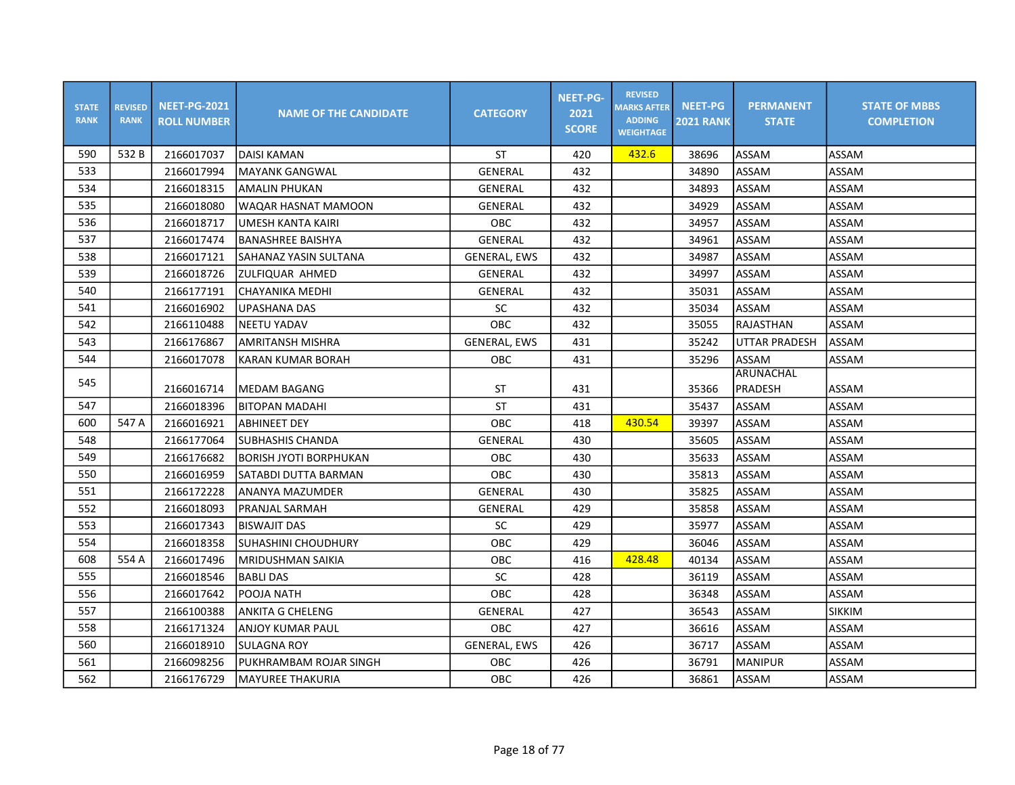| <b>STATE</b><br><b>RANK</b> | <b>REVISED</b><br><b>RANK</b> | <b>NEET-PG-2021</b><br><b>ROLL NUMBER</b> | <b>NAME OF THE CANDIDATE</b> | <b>CATEGORY</b>     | <b>NEET-PG-</b><br>2021<br><b>SCORE</b> | <b>REVISED</b><br><b>MARKS AFTER</b><br><b>ADDING</b><br><b>WEIGHTAGE</b> | <b>NEET-PG</b><br><b>2021 RANK</b> | <b>PERMANENT</b><br><b>STATE</b> | <b>STATE OF MBBS</b><br><b>COMPLETION</b> |
|-----------------------------|-------------------------------|-------------------------------------------|------------------------------|---------------------|-----------------------------------------|---------------------------------------------------------------------------|------------------------------------|----------------------------------|-------------------------------------------|
| 590                         | 532B                          | 2166017037                                | <b>DAISI KAMAN</b>           | ST                  | 420                                     | 432.6                                                                     | 38696                              | ASSAM                            | ASSAM                                     |
| 533                         |                               | 2166017994                                | <b>MAYANK GANGWAL</b>        | GENERAL             | 432                                     |                                                                           | 34890                              | ASSAM                            | ASSAM                                     |
| 534                         |                               | 2166018315                                | <b>AMALIN PHUKAN</b>         | GENERAL             | 432                                     |                                                                           | 34893                              | ASSAM                            | ASSAM                                     |
| 535                         |                               | 2166018080                                | WAQAR HASNAT MAMOON          | GENERAL             | 432                                     |                                                                           | 34929                              | ASSAM                            | ASSAM                                     |
| 536                         |                               | 2166018717                                | <b>UMESH KANTA KAIRI</b>     | OBC                 | 432                                     |                                                                           | 34957                              | ASSAM                            | ASSAM                                     |
| 537                         |                               | 2166017474                                | <b>BANASHREE BAISHYA</b>     | GENERAL             | 432                                     |                                                                           | 34961                              | ASSAM                            | ASSAM                                     |
| 538                         |                               | 2166017121                                | SAHANAZ YASIN SULTANA        | <b>GENERAL, EWS</b> | 432                                     |                                                                           | 34987                              | ASSAM                            | ASSAM                                     |
| 539                         |                               | 2166018726                                | ZULFIQUAR AHMED              | GENERAL             | 432                                     |                                                                           | 34997                              | ASSAM                            | ASSAM                                     |
| 540                         |                               | 2166177191                                | CHAYANIKA MEDHI              | GENERAL             | 432                                     |                                                                           | 35031                              | ASSAM                            | ASSAM                                     |
| 541                         |                               | 2166016902                                | UPASHANA DAS                 | SC                  | 432                                     |                                                                           | 35034                              | ASSAM                            | ASSAM                                     |
| 542                         |                               | 2166110488                                | <b>NEETU YADAV</b>           | OBC                 | 432                                     |                                                                           | 35055                              | RAJASTHAN                        | ASSAM                                     |
| 543                         |                               | 2166176867                                | AMRITANSH MISHRA             | <b>GENERAL, EWS</b> | 431                                     |                                                                           | 35242                              | UTTAR PRADESH                    | ASSAM                                     |
| 544                         |                               | 2166017078                                | <b>KARAN KUMAR BORAH</b>     | OBC                 | 431                                     |                                                                           | 35296                              | ASSAM                            | ASSAM                                     |
| 545                         |                               | 2166016714                                | MEDAM BAGANG                 | ST                  | 431                                     |                                                                           | 35366                              | <b>ARUNACHAL</b><br>PRADESH      | ASSAM                                     |
| 547                         |                               | 2166018396                                | <b>BITOPAN MADAHI</b>        | <b>ST</b>           | 431                                     |                                                                           | 35437                              | ASSAM                            | ASSAM                                     |
| 600                         | 547 A                         | 2166016921                                | <b>ABHINEET DEY</b>          | OBC                 | 418                                     | 430.54                                                                    | 39397                              | ASSAM                            | ASSAM                                     |
| 548                         |                               | 2166177064                                | <b>SUBHASHIS CHANDA</b>      | <b>GENERAL</b>      | 430                                     |                                                                           | 35605                              | ASSAM                            | ASSAM                                     |
| 549                         |                               | 2166176682                                | BORISH JYOTI BORPHUKAN       | OBC                 | 430                                     |                                                                           | 35633                              | ASSAM                            | ASSAM                                     |
| 550                         |                               | 2166016959                                | <b>SATABDI DUTTA BARMAN</b>  | OBC                 | 430                                     |                                                                           | 35813                              | ASSAM                            | ASSAM                                     |
| 551                         |                               | 2166172228                                | ANANYA MAZUMDER              | <b>GENERAL</b>      | 430                                     |                                                                           | 35825                              | ASSAM                            | ASSAM                                     |
| 552                         |                               | 2166018093                                | PRANJAL SARMAH               | GENERAL             | 429                                     |                                                                           | 35858                              | ASSAM                            | ASSAM                                     |
| 553                         |                               | 2166017343                                | IBISWAJIT DAS                | SC                  | 429                                     |                                                                           | 35977                              | ASSAM                            | ASSAM                                     |
| 554                         |                               | 2166018358                                | <b>SUHASHINI CHOUDHURY</b>   | OBC                 | 429                                     |                                                                           | 36046                              | ASSAM                            | ASSAM                                     |
| 608                         | 554 A                         | 2166017496                                | İMRIDUSHMAN SAIKIA           | OBC                 | 416                                     | 428.48                                                                    | 40134                              | ASSAM                            | ASSAM                                     |
| 555                         |                               | 2166018546                                | <b>BABLI DAS</b>             | SC                  | 428                                     |                                                                           | 36119                              | ASSAM                            | ASSAM                                     |
| 556                         |                               | 2166017642                                | POOJA NATH                   | OBC                 | 428                                     |                                                                           | 36348                              | ASSAM                            | ASSAM                                     |
| 557                         |                               | 2166100388                                | <b>ANKITA G CHELENG</b>      | GENERAL             | 427                                     |                                                                           | 36543                              | ASSAM                            | <b>SIKKIM</b>                             |
| 558                         |                               | 2166171324                                | ANJOY KUMAR PAUL             | OBC                 | 427                                     |                                                                           | 36616                              | ASSAM                            | ASSAM                                     |
| 560                         |                               | 2166018910                                | <b>SULAGNA ROY</b>           | <b>GENERAL, EWS</b> | 426                                     |                                                                           | 36717                              | ASSAM                            | ASSAM                                     |
| 561                         |                               | 2166098256                                | PUKHRAMBAM ROJAR SINGH       | OBC                 | 426                                     |                                                                           | 36791                              | <b>MANIPUR</b>                   | ASSAM                                     |
| 562                         |                               | 2166176729                                | MAYUREE THAKURIA             | OBC                 | 426                                     |                                                                           | 36861                              | ASSAM                            | ASSAM                                     |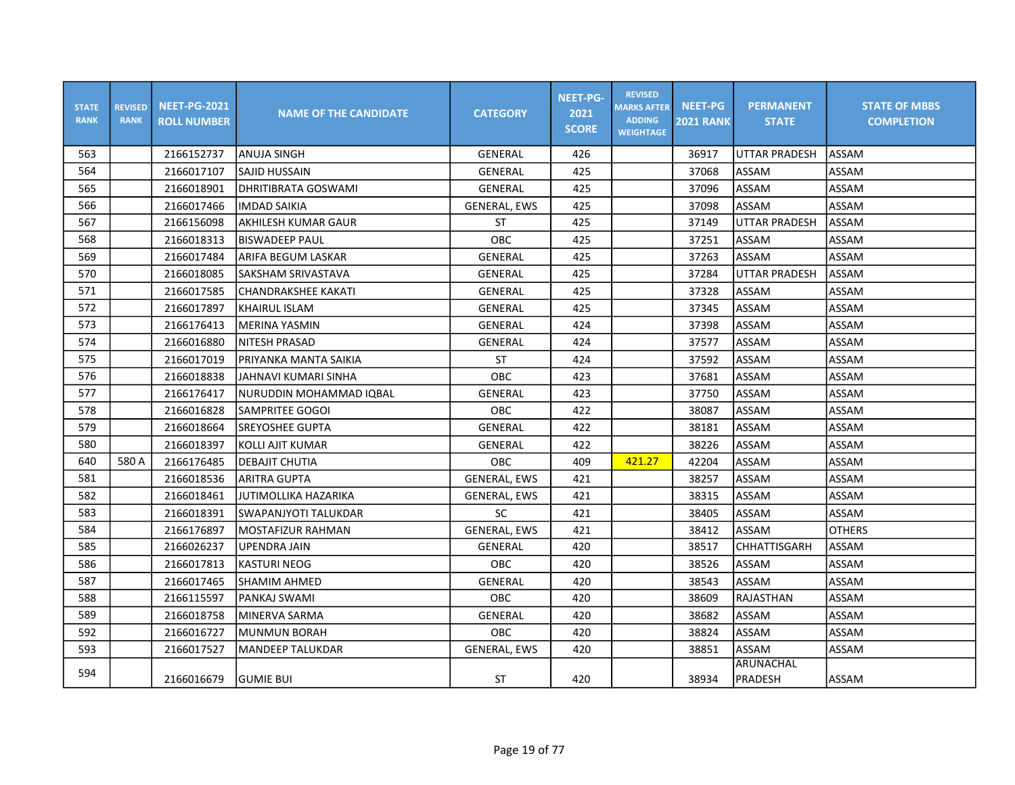| <b>STATE</b><br><b>RANK</b> | <b>REVISED</b><br><b>RANK</b> | <b>NEET-PG-2021</b><br><b>ROLL NUMBER</b> | <b>NAME OF THE CANDIDATE</b> | <b>CATEGORY</b>     | <b>NEET-PG-</b><br>2021<br><b>SCORE</b> | <b>REVISED</b><br><b>MARKS AFTER</b><br><b>ADDING</b><br><b>WEIGHTAGE</b> | <b>NEET-PG</b><br><b>2021 RANK</b> | <b>PERMANENT</b><br><b>STATE</b> | <b>STATE OF MBBS</b><br><b>COMPLETION</b> |
|-----------------------------|-------------------------------|-------------------------------------------|------------------------------|---------------------|-----------------------------------------|---------------------------------------------------------------------------|------------------------------------|----------------------------------|-------------------------------------------|
| 563                         |                               | 2166152737                                | <b>ANUJA SINGH</b>           | GENERAL             | 426                                     |                                                                           | 36917                              | UTTAR PRADESH                    | ASSAM                                     |
| 564                         |                               | 2166017107                                | SAJID HUSSAIN                | GENERAL             | 425                                     |                                                                           | 37068                              | ASSAM                            | ASSAM                                     |
| 565                         |                               | 2166018901                                | DHRITIBRATA GOSWAMI          | <b>GENERAL</b>      | 425                                     |                                                                           | 37096                              | ASSAM                            | ASSAM                                     |
| 566                         |                               | 2166017466                                | <b>IMDAD SAIKIA</b>          | <b>GENERAL, EWS</b> | 425                                     |                                                                           | 37098                              | ASSAM                            | ASSAM                                     |
| 567                         |                               | 2166156098                                | AKHILESH KUMAR GAUR          | <b>ST</b>           | 425                                     |                                                                           | 37149                              | UTTAR PRADESH                    | ASSAM                                     |
| 568                         |                               | 2166018313                                | <b>BISWADEEP PAUL</b>        | OBC                 | 425                                     |                                                                           | 37251                              | ASSAM                            | ASSAM                                     |
| 569                         |                               | 2166017484                                | ARIFA BEGUM LASKAR           | GENERAL             | 425                                     |                                                                           | 37263                              | ASSAM                            | ASSAM                                     |
| 570                         |                               | 2166018085                                | SAKSHAM SRIVASTAVA           | GENERAL             | 425                                     |                                                                           | 37284                              | <b>UTTAR PRADESH</b>             | ASSAM                                     |
| 571                         |                               | 2166017585                                | <b>CHANDRAKSHEE KAKATI</b>   | GENERAL             | 425                                     |                                                                           | 37328                              | ASSAM                            | ASSAM                                     |
| 572                         |                               | 2166017897                                | <b>KHAIRUL ISLAM</b>         | GENERAL             | 425                                     |                                                                           | 37345                              | ASSAM                            | ASSAM                                     |
| 573                         |                               | 2166176413                                | MERINA YASMIN                | GENERAL             | 424                                     |                                                                           | 37398                              | ASSAM                            | ASSAM                                     |
| 574                         |                               | 2166016880                                | NITESH PRASAD                | GENERAL             | 424                                     |                                                                           | 37577                              | ASSAM                            | ASSAM                                     |
| 575                         |                               | 2166017019                                | PRIYANKA MANTA SAIKIA        | ST                  | 424                                     |                                                                           | 37592                              | ASSAM                            | ASSAM                                     |
| 576                         |                               | 2166018838                                | JAHNAVI KUMARI SINHA         | OBC                 | 423                                     |                                                                           | 37681                              | ASSAM                            | ASSAM                                     |
| 577                         |                               | 2166176417                                | NURUDDIN MOHAMMAD IQBAL      | GENERAL             | 423                                     |                                                                           | 37750                              | ASSAM                            | ASSAM                                     |
| 578                         |                               | 2166016828                                | <b>SAMPRITEE GOGOI</b>       | OBC                 | 422                                     |                                                                           | 38087                              | ASSAM                            | ASSAM                                     |
| 579                         |                               | 2166018664                                | <b>ISREYOSHEE GUPTA</b>      | GENERAL             | 422                                     |                                                                           | 38181                              | ASSAM                            | ASSAM                                     |
| 580                         |                               | 2166018397                                | KOLLI AJIT KUMAR             | GENERAL             | 422                                     |                                                                           | 38226                              | ASSAM                            | ASSAM                                     |
| 640                         | 580 A                         | 2166176485                                | DEBAJIT CHUTIA               | OBC                 | 409                                     | 421.27                                                                    | 42204                              | ASSAM                            | ASSAM                                     |
| 581                         |                               | 2166018536                                | <b>ARITRA GUPTA</b>          | <b>GENERAL, EWS</b> | 421                                     |                                                                           | 38257                              | ASSAM                            | ASSAM                                     |
| 582                         |                               | 2166018461                                | JUTIMOLLIKA HAZARIKA         | <b>GENERAL, EWS</b> | 421                                     |                                                                           | 38315                              | ASSAM                            | ASSAM                                     |
| 583                         |                               | 2166018391                                | SWAPANJYOTI TALUKDAR         | <b>SC</b>           | 421                                     |                                                                           | 38405                              | ASSAM                            | ASSAM                                     |
| 584                         |                               | 2166176897                                | MOSTAFIZUR RAHMAN            | <b>GENERAL, EWS</b> | 421                                     |                                                                           | 38412                              | ASSAM                            | <b>OTHERS</b>                             |
| 585                         |                               | 2166026237                                | <b>UPENDRA JAIN</b>          | <b>GENERAL</b>      | 420                                     |                                                                           | 38517                              | CHHATTISGARH                     | ASSAM                                     |
| 586                         |                               | 2166017813                                | <b>KASTURI NEOG</b>          | OBC                 | 420                                     |                                                                           | 38526                              | ASSAM                            | ASSAM                                     |
| 587                         |                               | 2166017465                                | <b>SHAMIM AHMED</b>          | GENERAL             | 420                                     |                                                                           | 38543                              | ASSAM                            | ASSAM                                     |
| 588                         |                               | 2166115597                                | PANKAJ SWAMI                 | OBC                 | 420                                     |                                                                           | 38609                              | RAJASTHAN                        | ASSAM                                     |
| 589                         |                               | 2166018758                                | MINERVA SARMA                | <b>GENERAL</b>      | 420                                     |                                                                           | 38682                              | ASSAM                            | ASSAM                                     |
| 592                         |                               | 2166016727                                | MUNMUN BORAH                 | <b>OBC</b>          | 420                                     |                                                                           | 38824                              | ASSAM                            | ASSAM                                     |
| 593                         |                               | 2166017527                                | <b>MANDEEP TALUKDAR</b>      | <b>GENERAL, EWS</b> | 420                                     |                                                                           | 38851                              | <b>ASSAM</b>                     | ASSAM                                     |
| 594                         |                               | 2166016679                                | <b>GUMIE BUI</b>             | <b>ST</b>           | 420                                     |                                                                           | 38934                              | ARUNACHAL<br>PRADESH             | ASSAM                                     |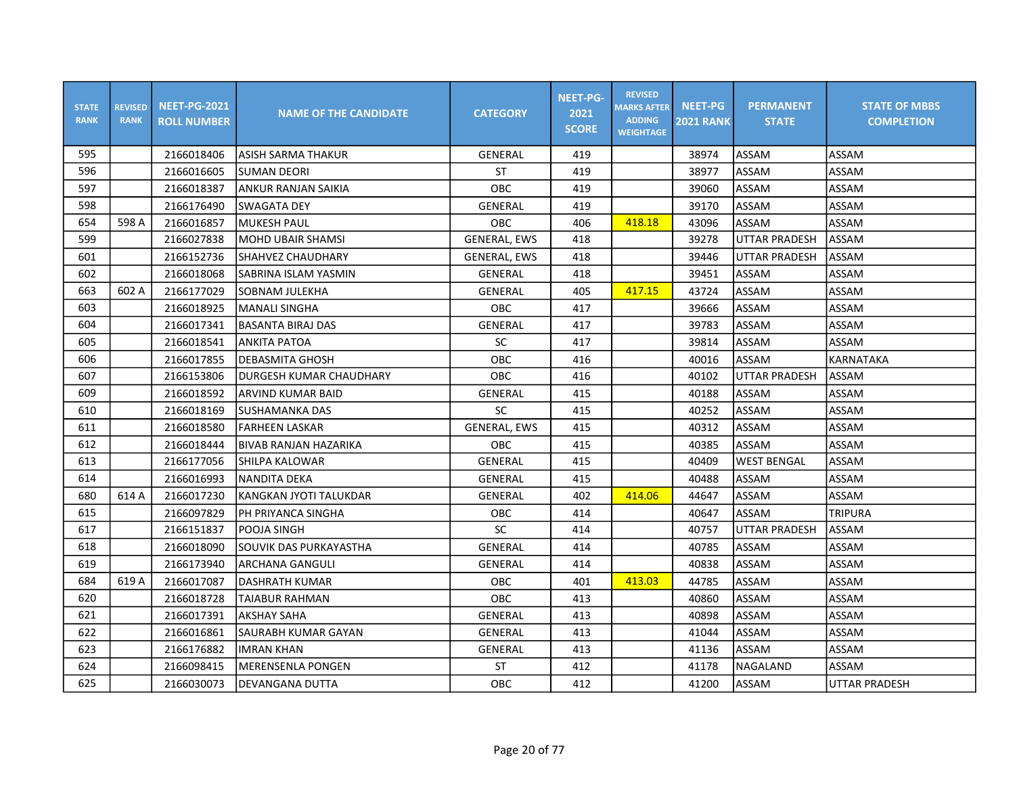| <b>STATE</b><br><b>RANK</b> | <b>REVISED</b><br><b>RANK</b> | <b>NEET-PG-2021</b><br><b>ROLL NUMBER</b> | <b>NAME OF THE CANDIDATE</b> | <b>CATEGORY</b>     | <b>NEET-PG-</b><br>2021<br><b>SCORE</b> | <b>REVISED</b><br><b>MARKS AFTER</b><br><b>ADDING</b><br><b>WEIGHTAGE</b> | <b>NEET-PG</b><br><b>2021 RANK</b> | <b>PERMANENT</b><br><b>STATE</b> | <b>STATE OF MBBS</b><br><b>COMPLETION</b> |
|-----------------------------|-------------------------------|-------------------------------------------|------------------------------|---------------------|-----------------------------------------|---------------------------------------------------------------------------|------------------------------------|----------------------------------|-------------------------------------------|
| 595                         |                               | 2166018406                                | lASISH SARMA THAKUR          | GENERAL             | 419                                     |                                                                           | 38974                              | ASSAM                            | ASSAM                                     |
| 596                         |                               | 2166016605                                | <b>SUMAN DEORI</b>           | <b>ST</b>           | 419                                     |                                                                           | 38977                              | ASSAM                            | ASSAM                                     |
| 597                         |                               | 2166018387                                | ANKUR RANJAN SAIKIA          | <b>OBC</b>          | 419                                     |                                                                           | 39060                              | ASSAM                            | ASSAM                                     |
| 598                         |                               | 2166176490                                | <b>SWAGATA DEY</b>           | GENERAL             | 419                                     |                                                                           | 39170                              | ASSAM                            | ASSAM                                     |
| 654                         | 598 A                         | 2166016857                                | <b>MUKESH PAUL</b>           | OBC                 | 406                                     | 418.18                                                                    | 43096                              | ASSAM                            | ASSAM                                     |
| 599                         |                               | 2166027838                                | <b>MOHD UBAIR SHAMSI</b>     | <b>GENERAL, EWS</b> | 418                                     |                                                                           | 39278                              | <b>UTTAR PRADESH</b>             | ASSAM                                     |
| 601                         |                               | 2166152736                                | SHAHVEZ CHAUDHARY            | <b>GENERAL, EWS</b> | 418                                     |                                                                           | 39446                              | <b>UTTAR PRADESH</b>             | ASSAM                                     |
| 602                         |                               | 2166018068                                | SABRINA ISLAM YASMIN         | GENERAL             | 418                                     |                                                                           | 39451                              | ASSAM                            | ASSAM                                     |
| 663                         | 602 A                         | 2166177029                                | lSOBNAM JULEKHA              | GENERAL             | 405                                     | 417.15                                                                    | 43724                              | ASSAM                            | ASSAM                                     |
| 603                         |                               | 2166018925                                | lMANALI SINGHA               | <b>OBC</b>          | 417                                     |                                                                           | 39666                              | ASSAM                            | ASSAM                                     |
| 604                         |                               | 2166017341                                | <b>BASANTA BIRAJ DAS</b>     | GENERAL             | 417                                     |                                                                           | 39783                              | ASSAM                            | ASSAM                                     |
| 605                         |                               | 2166018541                                | <b>ANKITA PATOA</b>          | <b>SC</b>           | 417                                     |                                                                           | 39814                              | ASSAM                            | ASSAM                                     |
| 606                         |                               | 2166017855                                | <b>DEBASMITA GHOSH</b>       | OBC                 | 416                                     |                                                                           | 40016                              | ASSAM                            | <b>KARNATAKA</b>                          |
| 607                         |                               | 2166153806                                | DURGESH KUMAR CHAUDHARY      | OBC                 | 416                                     |                                                                           | 40102                              | UTTAR PRADESH                    | ASSAM                                     |
| 609                         |                               | 2166018592                                | ARVIND KUMAR BAID            | GENERAL             | 415                                     |                                                                           | 40188                              | ASSAM                            | ASSAM                                     |
| 610                         |                               | 2166018169                                | <b>SUSHAMANKA DAS</b>        | SC                  | 415                                     |                                                                           | 40252                              | ASSAM                            | ASSAM                                     |
| 611                         |                               | 2166018580                                | <b>FARHEEN LASKAR</b>        | <b>GENERAL, EWS</b> | 415                                     |                                                                           | 40312                              | ASSAM                            | ASSAM                                     |
| 612                         |                               | 2166018444                                | <b>BIVAB RANJAN HAZARIKA</b> | OBC                 | 415                                     |                                                                           | 40385                              | <b>ASSAM</b>                     | ASSAM                                     |
| 613                         |                               | 2166177056                                | SHILPA KALOWAR               | GENERAL             | 415                                     |                                                                           | 40409                              | <b>WEST BENGAL</b>               | ASSAM                                     |
| 614                         |                               | 2166016993                                | NANDITA DEKA                 | <b>GENERAL</b>      | 415                                     |                                                                           | 40488                              | ASSAM                            | ASSAM                                     |
| 680                         | 614 A                         | 2166017230                                | KANGKAN JYOTI TALUKDAR       | GENERAL             | 402                                     | 414.06                                                                    | 44647                              | ASSAM                            | ASSAM                                     |
| 615                         |                               | 2166097829                                | PH PRIYANCA SINGHA           | OBC                 | 414                                     |                                                                           | 40647                              | <b>ASSAM</b>                     | <b>TRIPURA</b>                            |
| 617                         |                               | 2166151837                                | POOJA SINGH                  | SC                  | 414                                     |                                                                           | 40757                              | UTTAR PRADESH                    | ASSAM                                     |
| 618                         |                               | 2166018090                                | SOUVIK DAS PURKAYASTHA       | GENERAL             | 414                                     |                                                                           | 40785                              | ASSAM                            | ASSAM                                     |
| 619                         |                               | 2166173940                                | ARCHANA GANGULI              | GENERAL             | 414                                     |                                                                           | 40838                              | ASSAM                            | ASSAM                                     |
| 684                         | 619 A                         | 2166017087                                | <b>DASHRATH KUMAR</b>        | <b>OBC</b>          | 401                                     | 413.03                                                                    | 44785                              | ASSAM                            | ASSAM                                     |
| 620                         |                               | 2166018728                                | TAIABUR RAHMAN               | <b>OBC</b>          | 413                                     |                                                                           | 40860                              | ASSAM                            | ASSAM                                     |
| 621                         |                               | 2166017391                                | <b>AKSHAY SAHA</b>           | GENERAL             | 413                                     |                                                                           | 40898                              | ASSAM                            | ASSAM                                     |
| 622                         |                               | 2166016861                                | SAURABH KUMAR GAYAN          | GENERAL             | 413                                     |                                                                           | 41044                              | ASSAM                            | ASSAM                                     |
| 623                         |                               | 2166176882                                | <b>IMRAN KHAN</b>            | <b>GENERAL</b>      | 413                                     |                                                                           | 41136                              | ASSAM                            | ASSAM                                     |
| 624                         |                               | 2166098415                                | <b>MERENSENLA PONGEN</b>     | ST                  | 412                                     |                                                                           | 41178                              | <b>NAGALAND</b>                  | ASSAM                                     |
| 625                         |                               | 2166030073                                | DEVANGANA DUTTA              | OBC                 | 412                                     |                                                                           | 41200                              | <b>ASSAM</b>                     | <b>UTTAR PRADESH</b>                      |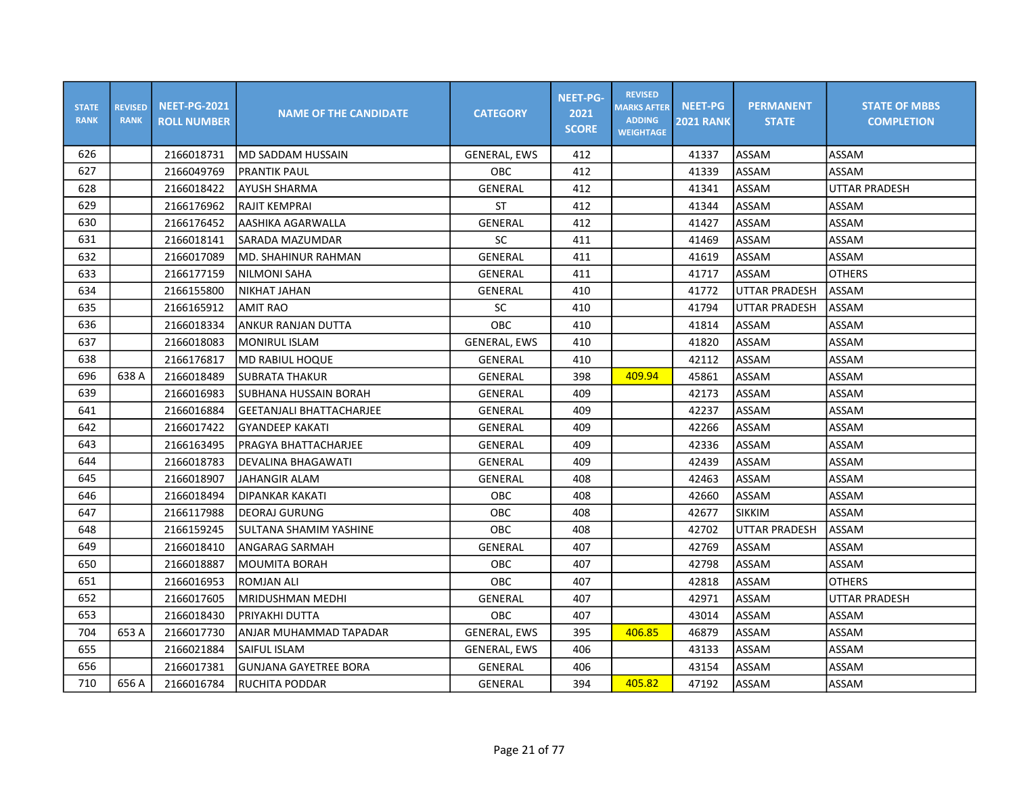| <b>STATE</b><br><b>RANK</b> | <b>REVISED</b><br><b>RANK</b> | <b>NEET-PG-2021</b><br><b>ROLL NUMBER</b> | <b>NAME OF THE CANDIDATE</b>    | <b>CATEGORY</b>     | <b>NEET-PG-</b><br>2021<br><b>SCORE</b> | <b>REVISED</b><br><b>MARKS AFTER</b><br><b>ADDING</b><br><b>WEIGHTAGE</b> | <b>NEET-PG</b><br><b>2021 RANK</b> | <b>PERMANENT</b><br><b>STATE</b> | <b>STATE OF MBBS</b><br><b>COMPLETION</b> |
|-----------------------------|-------------------------------|-------------------------------------------|---------------------------------|---------------------|-----------------------------------------|---------------------------------------------------------------------------|------------------------------------|----------------------------------|-------------------------------------------|
| 626                         |                               | 2166018731                                | MD SADDAM HUSSAIN               | <b>GENERAL, EWS</b> | 412                                     |                                                                           | 41337                              | ASSAM                            | ASSAM                                     |
| 627                         |                               | 2166049769                                | <b>PRANTIK PAUL</b>             | <b>OBC</b>          | 412                                     |                                                                           | 41339                              | ASSAM                            | ASSAM                                     |
| 628                         |                               | 2166018422                                | AYUSH SHARMA                    | <b>GENERAL</b>      | 412                                     |                                                                           | 41341                              | ASSAM                            | <b>UTTAR PRADESH</b>                      |
| 629                         |                               | 2166176962                                | RAJIT KEMPRAI                   | ST                  | 412                                     |                                                                           | 41344                              | ASSAM                            | ASSAM                                     |
| 630                         |                               | 2166176452                                | AASHIKA AGARWALLA               | GENERAL             | 412                                     |                                                                           | 41427                              | ASSAM                            | ASSAM                                     |
| 631                         |                               | 2166018141                                | SARADA MAZUMDAR                 | SC                  | 411                                     |                                                                           | 41469                              | ASSAM                            | ASSAM                                     |
| 632                         |                               | 2166017089                                | MD. SHAHINUR RAHMAN             | <b>GENERAL</b>      | 411                                     |                                                                           | 41619                              | ASSAM                            | ASSAM                                     |
| 633                         |                               | 2166177159                                | <b>NILMONI SAHA</b>             | GENERAL             | 411                                     |                                                                           | 41717                              | ASSAM                            | <b>OTHERS</b>                             |
| 634                         |                               | 2166155800                                | NIKHAT JAHAN                    | GENERAL             | 410                                     |                                                                           | 41772                              | <b>UTTAR PRADESH</b>             | ASSAM                                     |
| 635                         |                               | 2166165912                                | <b>AMIT RAO</b>                 | SC                  | 410                                     |                                                                           | 41794                              | UTTAR PRADESH                    | ASSAM                                     |
| 636                         |                               | 2166018334                                | ANKUR RANJAN DUTTA              | <b>OBC</b>          | 410                                     |                                                                           | 41814                              | <b>ASSAM</b>                     | ASSAM                                     |
| 637                         |                               | 2166018083                                | <b>MONIRUL ISLAM</b>            | <b>GENERAL, EWS</b> | 410                                     |                                                                           | 41820                              | ASSAM                            | ASSAM                                     |
| 638                         |                               | 2166176817                                | MD RABIUL HOQUE                 | GENERAL             | 410                                     |                                                                           | 42112                              | ASSAM                            | ASSAM                                     |
| 696                         | 638 A                         | 2166018489                                | <b>SUBRATA THAKUR</b>           | GENERAL             | 398                                     | 409.94                                                                    | 45861                              | ASSAM                            | ASSAM                                     |
| 639                         |                               | 2166016983                                | SUBHANA HUSSAIN BORAH           | GENERAL             | 409                                     |                                                                           | 42173                              | ASSAM                            | ASSAM                                     |
| 641                         |                               | 2166016884                                | <b>GEETANJALI BHATTACHARJEE</b> | <b>GENERAL</b>      | 409                                     |                                                                           | 42237                              | ASSAM                            | ASSAM                                     |
| 642                         |                               | 2166017422                                | <b>GYANDEEP KAKATI</b>          | GENERAL             | 409                                     |                                                                           | 42266                              | ASSAM                            | ASSAM                                     |
| 643                         |                               | 2166163495                                | PRAGYA BHATTACHARJEE            | <b>GENERAL</b>      | 409                                     |                                                                           | 42336                              | ASSAM                            | ASSAM                                     |
| 644                         |                               | 2166018783                                | DEVALINA BHAGAWATI              | GENERAL             | 409                                     |                                                                           | 42439                              | ASSAM                            | ASSAM                                     |
| 645                         |                               | 2166018907                                | JAHANGIR ALAM                   | GENERAL             | 408                                     |                                                                           | 42463                              | ASSAM                            | ASSAM                                     |
| 646                         |                               | 2166018494                                | DIPANKAR KAKATI                 | <b>OBC</b>          | 408                                     |                                                                           | 42660                              | <b>ASSAM</b>                     | ASSAM                                     |
| 647                         |                               | 2166117988                                | DEORAJ GURUNG                   | OBC                 | 408                                     |                                                                           | 42677                              | <b>SIKKIM</b>                    | ASSAM                                     |
| 648                         |                               | 2166159245                                | SULTANA SHAMIM YASHINE          | OBC                 | 408                                     |                                                                           | 42702                              | <b>UTTAR PRADESH</b>             | ASSAM                                     |
| 649                         |                               | 2166018410                                | ANGARAG SARMAH                  | GENERAL             | 407                                     |                                                                           | 42769                              | ASSAM                            | ASSAM                                     |
| 650                         |                               | 2166018887                                | <b>MOUMITA BORAH</b>            | OBC                 | 407                                     |                                                                           | 42798                              | ASSAM                            | ASSAM                                     |
| 651                         |                               | 2166016953                                | <b>ROMJAN ALI</b>               | OBC                 | 407                                     |                                                                           | 42818                              | ASSAM                            | <b>OTHERS</b>                             |
| 652                         |                               | 2166017605                                | MRIDUSHMAN MEDHI                | GENERAL             | 407                                     |                                                                           | 42971                              | ASSAM                            | <b>UTTAR PRADESH</b>                      |
| 653                         |                               | 2166018430                                | PRIYAKHI DUTTA                  | <b>OBC</b>          | 407                                     |                                                                           | 43014                              | ASSAM                            | ASSAM                                     |
| 704                         | 653 A                         | 2166017730                                | ANJAR MUHAMMAD TAPADAR          | <b>GENERAL, EWS</b> | 395                                     | 406.85                                                                    | 46879                              | ASSAM                            | ASSAM                                     |
| 655                         |                               | 2166021884                                | SAIFUL ISLAM                    | <b>GENERAL, EWS</b> | 406                                     |                                                                           | 43133                              | ASSAM                            | ASSAM                                     |
| 656                         |                               | 2166017381                                | GUNJANA GAYETREE BORA           | GENERAL             | 406                                     |                                                                           | 43154                              | ASSAM                            | ASSAM                                     |
| 710                         | 656 A                         | 2166016784                                | RUCHITA PODDAR                  | GENERAL             | 394                                     | 405.82                                                                    | 47192                              | ASSAM                            | ASSAM                                     |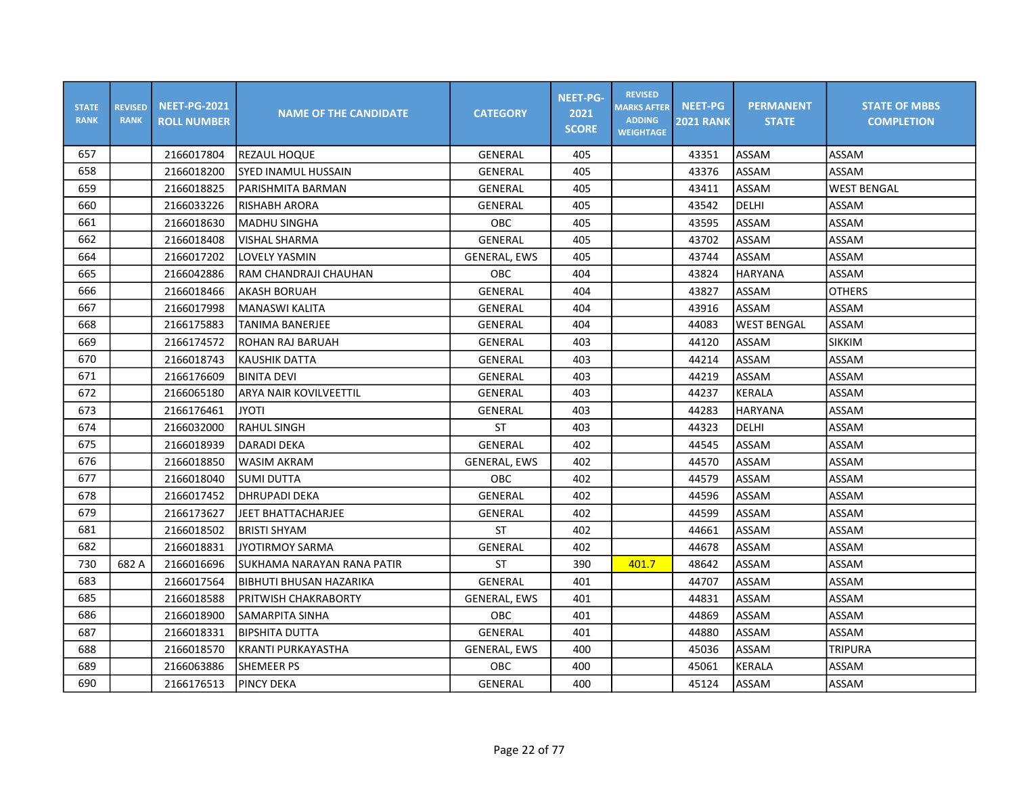| <b>STATE</b><br><b>RANK</b> | <b>REVISED</b><br><b>RANK</b> | <b>NEET-PG-2021</b><br><b>ROLL NUMBER</b> | <b>NAME OF THE CANDIDATE</b>  | <b>CATEGORY</b>     | <b>NEET-PG-</b><br>2021<br><b>SCORE</b> | <b>REVISED</b><br><b>MARKS AFTER</b><br><b>ADDING</b><br><b>WEIGHTAGE</b> | <b>NEET-PG</b><br><b>2021 RANK</b> | <b>PERMANENT</b><br><b>STATE</b> | <b>STATE OF MBBS</b><br><b>COMPLETION</b> |
|-----------------------------|-------------------------------|-------------------------------------------|-------------------------------|---------------------|-----------------------------------------|---------------------------------------------------------------------------|------------------------------------|----------------------------------|-------------------------------------------|
| 657                         |                               | 2166017804                                | <b>REZAUL HOQUE</b>           | GENERAL             | 405                                     |                                                                           | 43351                              | ASSAM                            | ASSAM                                     |
| 658                         |                               | 2166018200                                | <b>SYED INAMUL HUSSAIN</b>    | GENERAL             | 405                                     |                                                                           | 43376                              | ASSAM                            | ASSAM                                     |
| 659                         |                               | 2166018825                                | PARISHMITA BARMAN             | GENERAL             | 405                                     |                                                                           | 43411                              | ASSAM                            | <b>WEST BENGAL</b>                        |
| 660                         |                               | 2166033226                                | RISHABH ARORA                 | GENERAL             | 405                                     |                                                                           | 43542                              | DELHI                            | ASSAM                                     |
| 661                         |                               | 2166018630                                | <b>MADHU SINGHA</b>           | OBC                 | 405                                     |                                                                           | 43595                              | ASSAM                            | ASSAM                                     |
| 662                         |                               | 2166018408                                | <b>VISHAL SHARMA</b>          | <b>GENERAL</b>      | 405                                     |                                                                           | 43702                              | ASSAM                            | ASSAM                                     |
| 664                         |                               | 2166017202                                | LOVELY YASMIN                 | <b>GENERAL, EWS</b> | 405                                     |                                                                           | 43744                              | ASSAM                            | ASSAM                                     |
| 665                         |                               | 2166042886                                | RAM CHANDRAJI CHAUHAN         | OBC                 | 404                                     |                                                                           | 43824                              | HARYANA                          | ASSAM                                     |
| 666                         |                               | 2166018466                                | <b>AKASH BORUAH</b>           | GENERAL             | 404                                     |                                                                           | 43827                              | ASSAM                            | <b>OTHERS</b>                             |
| 667                         |                               | 2166017998                                | <b>MANASWI KALITA</b>         | <b>GENERAL</b>      | 404                                     |                                                                           | 43916                              | <b>ASSAM</b>                     | ASSAM                                     |
| 668                         |                               | 2166175883                                | TANIMA BANERJEE               | GENERAL             | 404                                     |                                                                           | 44083                              | <b>WEST BENGAL</b>               | ASSAM                                     |
| 669                         |                               | 2166174572                                | ROHAN RAJ BARUAH              | <b>GENERAL</b>      | 403                                     |                                                                           | 44120                              | ASSAM                            | <b>SIKKIM</b>                             |
| 670                         |                               | 2166018743                                | KAUSHIK DATTA                 | GENERAL             | 403                                     |                                                                           | 44214                              | ASSAM                            | ASSAM                                     |
| 671                         |                               | 2166176609                                | <b>BINITA DEVI</b>            | GENERAL             | 403                                     |                                                                           | 44219                              | ASSAM                            | ASSAM                                     |
| 672                         |                               | 2166065180                                | <b>ARYA NAIR KOVILVEETTIL</b> | GENERAL             | 403                                     |                                                                           | 44237                              | <b>KERALA</b>                    | ASSAM                                     |
| 673                         |                               | 2166176461                                | <b>ITOYL</b>                  | GENERAL             | 403                                     |                                                                           | 44283                              | HARYANA                          | ASSAM                                     |
| 674                         |                               | 2166032000                                | <b>RAHUL SINGH</b>            | <b>ST</b>           | 403                                     |                                                                           | 44323                              | DELHI                            | ASSAM                                     |
| 675                         |                               | 2166018939                                | <b>DARADI DEKA</b>            | <b>GENERAL</b>      | 402                                     |                                                                           | 44545                              | <b>ASSAM</b>                     | ASSAM                                     |
| 676                         |                               | 2166018850                                | WASIM AKRAM                   | GENERAL, EWS        | 402                                     |                                                                           | 44570                              | ASSAM                            | ASSAM                                     |
| 677                         |                               | 2166018040                                | SUMI DUTTA                    | <b>OBC</b>          | 402                                     |                                                                           | 44579                              | ASSAM                            | ASSAM                                     |
| 678                         |                               | 2166017452                                | <b>DHRUPADI DEKA</b>          | GENERAL             | 402                                     |                                                                           | 44596                              | ASSAM                            | ASSAM                                     |
| 679                         |                               | 2166173627                                | <b>JEET BHATTACHARJEE</b>     | GENERAL             | 402                                     |                                                                           | 44599                              | ASSAM                            | ASSAM                                     |
| 681                         |                               | 2166018502                                | <b>BRISTI SHYAM</b>           | ST                  | 402                                     |                                                                           | 44661                              | ASSAM                            | ASSAM                                     |
| 682                         |                               | 2166018831                                | <b>JYOTIRMOY SARMA</b>        | <b>GENERAL</b>      | 402                                     |                                                                           | 44678                              | ASSAM                            | ASSAM                                     |
| 730                         | 682 A                         | 2166016696                                | SUKHAMA NARAYAN RANA PATIR    | <b>ST</b>           | 390                                     | 401.7                                                                     | 48642                              | ASSAM                            | ASSAM                                     |
| 683                         |                               | 2166017564                                | BIBHUTI BHUSAN HAZARIKA       | <b>GENERAL</b>      | 401                                     |                                                                           | 44707                              | ASSAM                            | ASSAM                                     |
| 685                         |                               | 2166018588                                | PRITWISH CHAKRABORTY          | <b>GENERAL, EWS</b> | 401                                     |                                                                           | 44831                              | ASSAM                            | ASSAM                                     |
| 686                         |                               | 2166018900                                | SAMARPITA SINHA               | OBC                 | 401                                     |                                                                           | 44869                              | ASSAM                            | ASSAM                                     |
| 687                         |                               | 2166018331                                | <b>BIPSHITA DUTTA</b>         | GENERAL             | 401                                     |                                                                           | 44880                              | ASSAM                            | ASSAM                                     |
| 688                         |                               | 2166018570                                | <b>KRANTI PURKAYASTHA</b>     | <b>GENERAL, EWS</b> | 400                                     |                                                                           | 45036                              | ASSAM                            | <b>TRIPURA</b>                            |
| 689                         |                               | 2166063886                                | <b>SHEMEER PS</b>             | OBC                 | 400                                     |                                                                           | 45061                              | <b>KERALA</b>                    | ASSAM                                     |
| 690                         |                               | 2166176513                                | PINCY DEKA                    | GENERAL             | 400                                     |                                                                           | 45124                              | ASSAM                            | ASSAM                                     |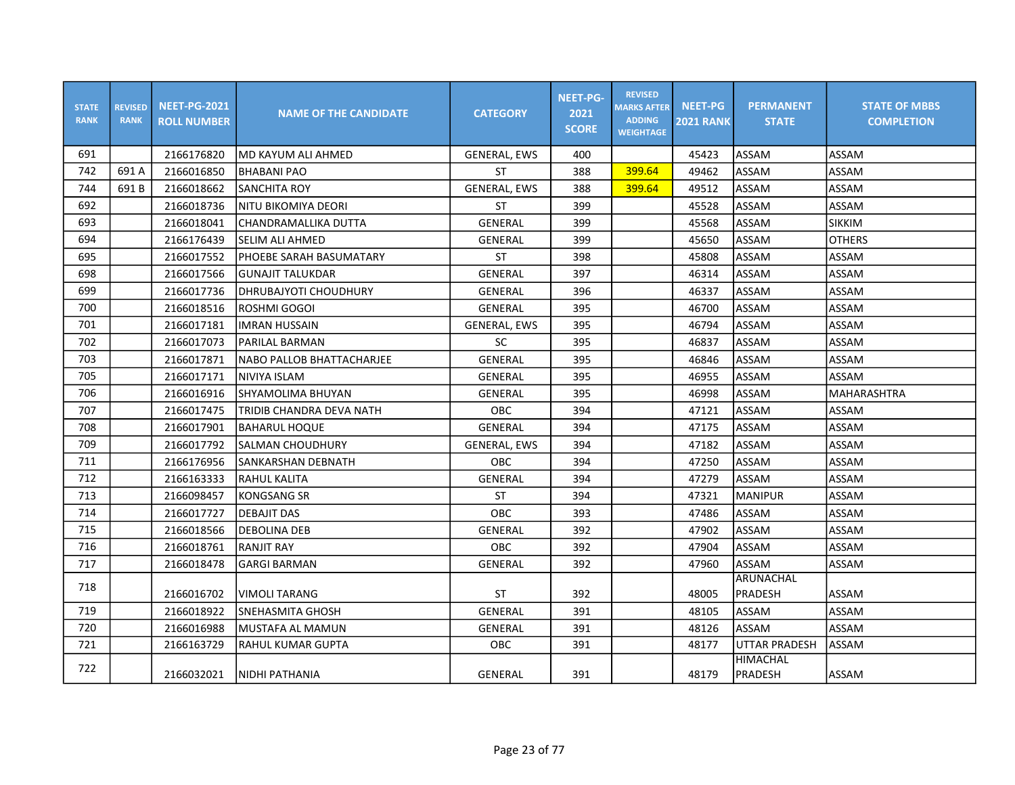| <b>STATE</b><br><b>RANK</b> | <b>REVISED</b><br><b>RANK</b> | <b>NEET-PG-2021</b><br><b>ROLL NUMBER</b> | <b>NAME OF THE CANDIDATE</b> | <b>CATEGORY</b>     | <b>NEET-PG-</b><br>2021<br><b>SCORE</b> | <b>REVISED</b><br><b>MARKS AFTER</b><br><b>ADDING</b><br><b>WEIGHTAGE</b> | <b>NEET-PG</b><br><b>2021 RANK</b> | <b>PERMANENT</b><br><b>STATE</b> | <b>STATE OF MBBS</b><br><b>COMPLETION</b> |
|-----------------------------|-------------------------------|-------------------------------------------|------------------------------|---------------------|-----------------------------------------|---------------------------------------------------------------------------|------------------------------------|----------------------------------|-------------------------------------------|
| 691                         |                               | 2166176820                                | lMD KAYUM ALI AHMED          | GENERAL, EWS        | 400                                     |                                                                           | 45423                              | <b>ASSAM</b>                     | ASSAM                                     |
| 742                         | 691 A                         | 2166016850                                | IBHABANI PAO                 | <b>ST</b>           | 388                                     | 399.64                                                                    | 49462                              | ASSAM                            | ASSAM                                     |
| 744                         | 691B                          | 2166018662                                | <b>SANCHITA ROY</b>          | <b>GENERAL, EWS</b> | 388                                     | 399.64                                                                    | 49512                              | <b>ASSAM</b>                     | ASSAM                                     |
| 692                         |                               | 2166018736                                | NITU BIKOMIYA DEORI          | ST                  | 399                                     |                                                                           | 45528                              | <b>ASSAM</b>                     | ASSAM                                     |
| 693                         |                               | 2166018041                                | lCHANDRAMALLIKA DUTTA        | GENERAL             | 399                                     |                                                                           | 45568                              | ASSAM                            | <b>SIKKIM</b>                             |
| 694                         |                               | 2166176439                                | <b>SELIM ALI AHMED</b>       | GENERAL             | 399                                     |                                                                           | 45650                              | ASSAM                            | <b>OTHERS</b>                             |
| 695                         |                               | 2166017552                                | IPHOEBE SARAH BASUMATARY     | <b>ST</b>           | 398                                     |                                                                           | 45808                              | ASSAM                            | ASSAM                                     |
| 698                         |                               | 2166017566                                | <b>GUNAJIT TALUKDAR</b>      | GENERAL             | 397                                     |                                                                           | 46314                              | <b>ASSAM</b>                     | ASSAM                                     |
| 699                         |                               | 2166017736                                | DHRUBAJYOTI CHOUDHURY        | GENERAL             | 396                                     |                                                                           | 46337                              | ASSAM                            | ASSAM                                     |
| 700                         |                               | 2166018516                                | ROSHMI GOGOI                 | GENERAL             | 395                                     |                                                                           | 46700                              | <b>ASSAM</b>                     | ASSAM                                     |
| 701                         |                               | 2166017181                                | <b>IMRAN HUSSAIN</b>         | <b>GENERAL, EWS</b> | 395                                     |                                                                           | 46794                              | <b>ASSAM</b>                     | ASSAM                                     |
| 702                         |                               | 2166017073                                | <b>PARILAL BARMAN</b>        | SC                  | 395                                     |                                                                           | 46837                              | <b>ASSAM</b>                     | ASSAM                                     |
| 703                         |                               | 2166017871                                | NABO PALLOB BHATTACHARJEE    | GENERAL             | 395                                     |                                                                           | 46846                              | <b>ASSAM</b>                     | ASSAM                                     |
| 705                         |                               | 2166017171                                | <b>NIVIYA ISLAM</b>          | GENERAL             | 395                                     |                                                                           | 46955                              | ASSAM                            | ASSAM                                     |
| 706                         |                               | 2166016916                                | <b>SHYAMOLIMA BHUYAN</b>     | GENERAL             | 395                                     |                                                                           | 46998                              | ASSAM                            | MAHARASHTRA                               |
| 707                         |                               | 2166017475                                | TRIDIB CHANDRA DEVA NATH     | <b>OBC</b>          | 394                                     |                                                                           | 47121                              | <b>ASSAM</b>                     | ASSAM                                     |
| 708                         |                               | 2166017901                                | <b>BAHARUL HOQUE</b>         | GENERAL             | 394                                     |                                                                           | 47175                              | <b>ASSAM</b>                     | ASSAM                                     |
| 709                         |                               | 2166017792                                | <b>SALMAN CHOUDHURY</b>      | <b>GENERAL, EWS</b> | 394                                     |                                                                           | 47182                              | ASSAM                            | ASSAM                                     |
| 711                         |                               | 2166176956                                | SANKARSHAN DEBNATH           | <b>OBC</b>          | 394                                     |                                                                           | 47250                              | ASSAM                            | ASSAM                                     |
| 712                         |                               | 2166163333                                | <b>RAHUL KALITA</b>          | <b>GENERAL</b>      | 394                                     |                                                                           | 47279                              | <b>ASSAM</b>                     | <b>ASSAM</b>                              |
| 713                         |                               | 2166098457                                | <b>KONGSANG SR</b>           | <b>ST</b>           | 394                                     |                                                                           | 47321                              | MANIPUR                          | ASSAM                                     |
| 714                         |                               | 2166017727                                | <b>DEBAJIT DAS</b>           | OBC                 | 393                                     |                                                                           | 47486                              | ASSAM                            | ASSAM                                     |
| 715                         |                               | 2166018566                                | DEBOLINA DEB                 | GENERAL             | 392                                     |                                                                           | 47902                              | ASSAM                            | ASSAM                                     |
| 716                         |                               | 2166018761                                | <b>RANJIT RAY</b>            | <b>OBC</b>          | 392                                     |                                                                           | 47904                              | <b>ASSAM</b>                     | ASSAM                                     |
| 717                         |                               | 2166018478                                | <b>GARGI BARMAN</b>          | <b>GENERAL</b>      | 392                                     |                                                                           | 47960                              | ASSAM                            | ASSAM                                     |
| 718                         |                               | 2166016702                                | <b>VIMOLI TARANG</b>         | <b>ST</b>           | 392                                     |                                                                           | 48005                              | ARUNACHAL<br>PRADESH             | ASSAM                                     |
| 719                         |                               | 2166018922                                | SNEHASMITA GHOSH             | GENERAL             | 391                                     |                                                                           | 48105                              | ASSAM                            | ASSAM                                     |
| 720                         |                               | 2166016988                                | MUSTAFA AL MAMUN             | GENERAL             | 391                                     |                                                                           | 48126                              | ASSAM                            | ASSAM                                     |
| 721                         |                               | 2166163729                                | <b>RAHUL KUMAR GUPTA</b>     | <b>OBC</b>          | 391                                     |                                                                           | 48177                              | <b>UTTAR PRADESH</b>             | <b>ASSAM</b>                              |
| 722                         |                               | 2166032021                                | NIDHI PATHANIA               | GENERAL             | 391                                     |                                                                           | 48179                              | HIMACHAL<br>PRADESH              | ASSAM                                     |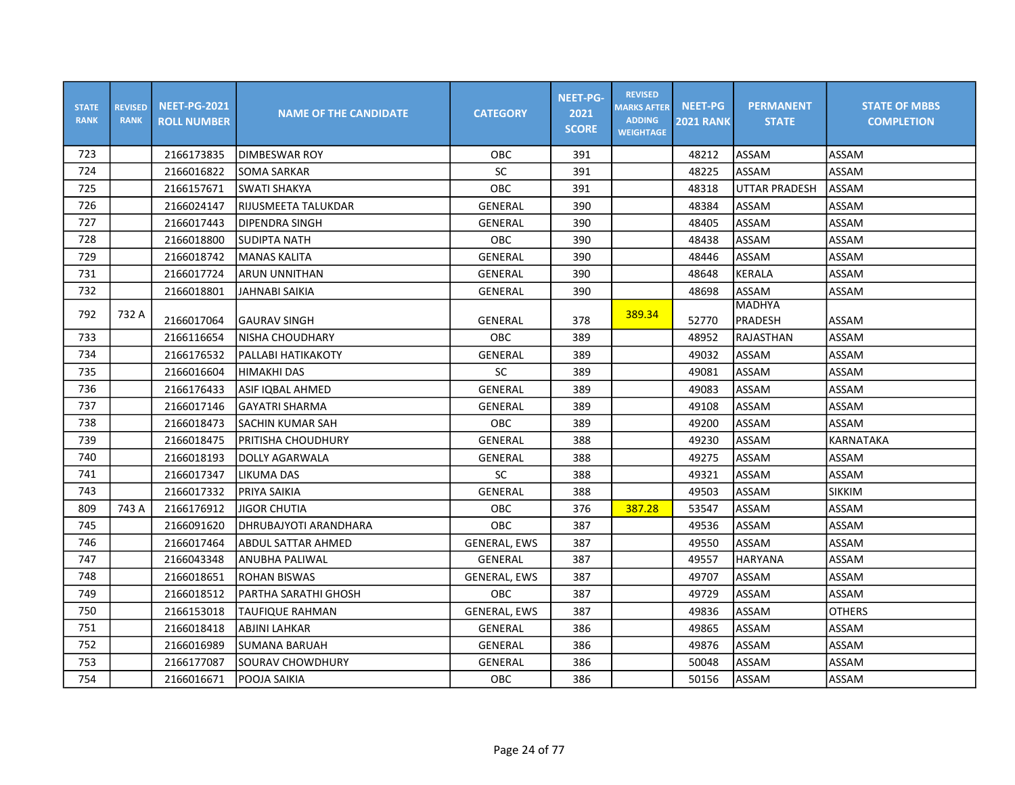| <b>STATE</b><br><b>RANK</b> | <b>REVISED</b><br><b>RANK</b> | <b>NEET-PG-2021</b><br><b>ROLL NUMBER</b> | <b>NAME OF THE CANDIDATE</b> | <b>CATEGORY</b>     | <b>NEET-PG-</b><br>2021<br><b>SCORE</b> | <b>REVISED</b><br><b>MARKS AFTER</b><br><b>ADDING</b><br><b>WEIGHTAGE</b> | <b>NEET-PG</b><br><b>2021 RANK</b> | <b>PERMANENT</b><br><b>STATE</b> | <b>STATE OF MBBS</b><br><b>COMPLETION</b> |
|-----------------------------|-------------------------------|-------------------------------------------|------------------------------|---------------------|-----------------------------------------|---------------------------------------------------------------------------|------------------------------------|----------------------------------|-------------------------------------------|
| 723                         |                               | 2166173835                                | <b>DIMBESWAR ROY</b>         | <b>OBC</b>          | 391                                     |                                                                           | 48212                              | <b>ASSAM</b>                     | ASSAM                                     |
| 724                         |                               | 2166016822                                | <b>SOMA SARKAR</b>           | <b>SC</b>           | 391                                     |                                                                           | 48225                              | <b>ASSAM</b>                     | ASSAM                                     |
| 725                         |                               | 2166157671                                | <b>SWATI SHAKYA</b>          | <b>OBC</b>          | 391                                     |                                                                           | 48318                              | <b>UTTAR PRADESH</b>             | ASSAM                                     |
| 726                         |                               | 2166024147                                | IRIJUSMEETA TALUKDAR         | <b>GENERAL</b>      | 390                                     |                                                                           | 48384                              | ASSAM                            | ASSAM                                     |
| 727                         |                               | 2166017443                                | DIPENDRA SINGH               | GENERAL             | 390                                     |                                                                           | 48405                              | ASSAM                            | ASSAM                                     |
| 728                         |                               | 2166018800                                | SUDIPTA NATH                 | OBC                 | 390                                     |                                                                           | 48438                              | ASSAM                            | ASSAM                                     |
| 729                         |                               | 2166018742                                | MANAS KALITA                 | GENERAL             | 390                                     |                                                                           | 48446                              | ASSAM                            | ASSAM                                     |
| 731                         |                               | 2166017724                                | <b>ARUN UNNITHAN</b>         | GENERAL             | 390                                     |                                                                           | 48648                              | KERALA                           | ASSAM                                     |
| 732                         |                               | 2166018801                                | JAHNABI SAIKIA               | GENERAL             | 390                                     |                                                                           | 48698                              | ASSAM                            | ASSAM                                     |
| 792                         | 732 A                         |                                           |                              |                     |                                         | 389.34                                                                    |                                    | <b>MADHYA</b>                    |                                           |
|                             |                               | 2166017064                                | <b>GAURAV SINGH</b>          | GENERAL             | 378                                     |                                                                           | 52770                              | PRADESH                          | <b>ASSAM</b>                              |
| 733                         |                               | 2166116654                                | INISHA CHOUDHARY             | OBC                 | 389                                     |                                                                           | 48952                              | RAJASTHAN                        | ASSAM                                     |
| 734                         |                               | 2166176532                                | PALLABI HATIKAKOTY           | <b>GENERAL</b>      | 389                                     |                                                                           | 49032                              | ASSAM                            | ASSAM                                     |
| 735                         |                               | 2166016604                                | <b>HIMAKHI DAS</b>           | SC                  | 389                                     |                                                                           | 49081                              | ASSAM                            | ASSAM                                     |
| 736                         |                               | 2166176433                                | ASIF IQBAL AHMED             | <b>GENERAL</b>      | 389                                     |                                                                           | 49083                              | ASSAM                            | ASSAM                                     |
| 737                         |                               | 2166017146                                | <b>GAYATRI SHARMA</b>        | GENERAL             | 389                                     |                                                                           | 49108                              | ASSAM                            | ASSAM                                     |
| 738                         |                               | 2166018473                                | SACHIN KUMAR SAH             | <b>OBC</b>          | 389                                     |                                                                           | 49200                              | ASSAM                            | ASSAM                                     |
| 739                         |                               | 2166018475                                | PRITISHA CHOUDHURY           | GENERAL             | 388                                     |                                                                           | 49230                              | ASSAM                            | <b>KARNATAKA</b>                          |
| 740                         |                               | 2166018193                                | DOLLY AGARWALA               | GENERAL             | 388                                     |                                                                           | 49275                              | ASSAM                            | ASSAM                                     |
| 741                         |                               | 2166017347                                | <b>LIKUMA DAS</b>            | SC                  | 388                                     |                                                                           | 49321                              | ASSAM                            | ASSAM                                     |
| 743                         |                               | 2166017332                                | PRIYA SAIKIA                 | <b>GENERAL</b>      | 388                                     |                                                                           | 49503                              | ASSAM                            | <b>SIKKIM</b>                             |
| 809                         | 743 A                         | 2166176912                                | JIGOR CHUTIA                 | <b>OBC</b>          | 376                                     | 387.28                                                                    | 53547                              | ASSAM                            | ASSAM                                     |
| 745                         |                               | 2166091620                                | IDHRUBAJYOTI ARANDHARA       | <b>OBC</b>          | 387                                     |                                                                           | 49536                              | ASSAM                            | ASSAM                                     |
| 746                         |                               | 2166017464                                | ABDUL SATTAR AHMED           | <b>GENERAL, EWS</b> | 387                                     |                                                                           | 49550                              | ASSAM                            | ASSAM                                     |
| 747                         |                               | 2166043348                                | <b>ANUBHA PALIWAL</b>        | GENERAL             | 387                                     |                                                                           | 49557                              | <b>HARYANA</b>                   | ASSAM                                     |
| 748                         |                               | 2166018651                                | <b>ROHAN BISWAS</b>          | <b>GENERAL, EWS</b> | 387                                     |                                                                           | 49707                              | ASSAM                            | ASSAM                                     |
| 749                         |                               | 2166018512                                | PARTHA SARATHI GHOSH         | OBC                 | 387                                     |                                                                           | 49729                              | ASSAM                            | ASSAM                                     |
| 750                         |                               | 2166153018                                | <b>TAUFIQUE RAHMAN</b>       | <b>GENERAL, EWS</b> | 387                                     |                                                                           | 49836                              | ASSAM                            | <b>OTHERS</b>                             |
| 751                         |                               | 2166018418                                | ABJINI LAHKAR                | GENERAL             | 386                                     |                                                                           | 49865                              | ASSAM                            | ASSAM                                     |
| 752                         |                               | 2166016989                                | ISUMANA BARUAH               | GENERAL             | 386                                     |                                                                           | 49876                              | ASSAM                            | ASSAM                                     |
| 753                         |                               | 2166177087                                | SOURAV CHOWDHURY             | GENERAL             | 386                                     |                                                                           | 50048                              | ASSAM                            | ASSAM                                     |
| 754                         |                               | 2166016671                                | POOJA SAIKIA                 | OBC                 | 386                                     |                                                                           | 50156                              | ASSAM                            | ASSAM                                     |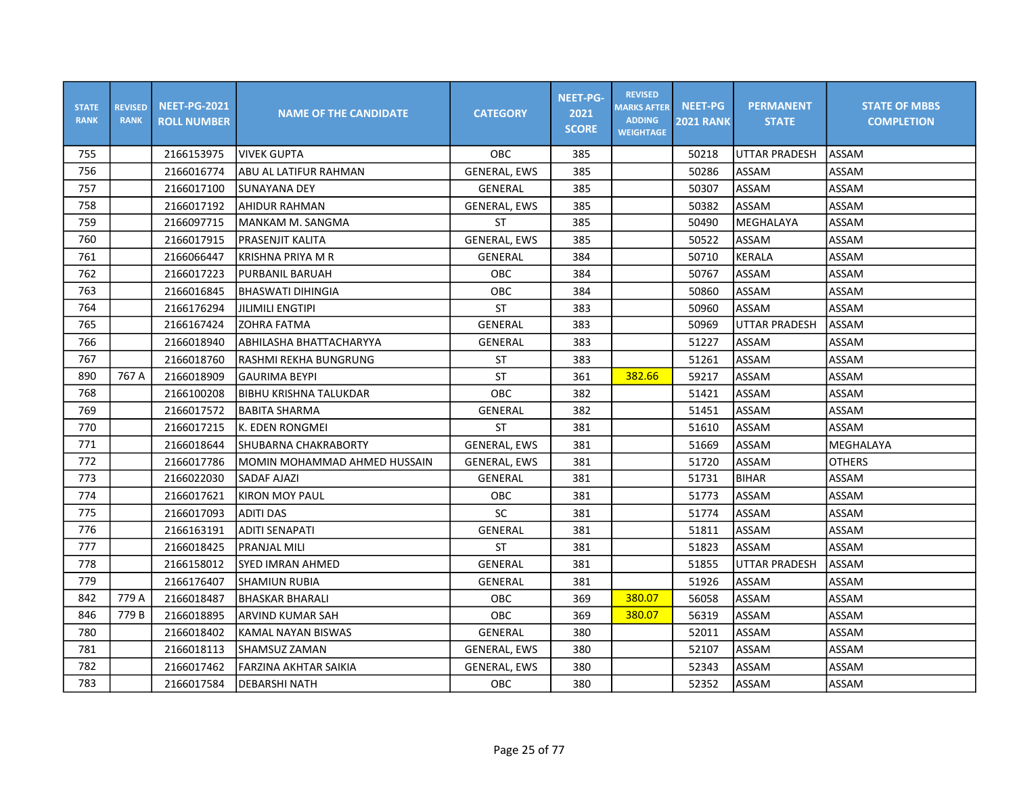| <b>STATE</b><br><b>RANK</b> | <b>REVISED</b><br><b>RANK</b> | <b>NEET-PG-2021</b><br><b>ROLL NUMBER</b> | <b>NAME OF THE CANDIDATE</b> | <b>CATEGORY</b>     | <b>NEET-PG-</b><br>2021<br><b>SCORE</b> | <b>REVISED</b><br><b>MARKS AFTER</b><br><b>ADDING</b><br><b>WEIGHTAGE</b> | <b>NEET-PG</b><br><b>2021 RANK</b> | <b>PERMANENT</b><br><b>STATE</b> | <b>STATE OF MBBS</b><br><b>COMPLETION</b> |
|-----------------------------|-------------------------------|-------------------------------------------|------------------------------|---------------------|-----------------------------------------|---------------------------------------------------------------------------|------------------------------------|----------------------------------|-------------------------------------------|
| 755                         |                               | 2166153975                                | <b>VIVEK GUPTA</b>           | <b>OBC</b>          | 385                                     |                                                                           | 50218                              | <b>UTTAR PRADESH</b>             | ASSAM                                     |
| 756                         |                               | 2166016774                                | ABU AL LATIFUR RAHMAN        | GENERAL, EWS        | 385                                     |                                                                           | 50286                              | ASSAM                            | ASSAM                                     |
| 757                         |                               | 2166017100                                | SUNAYANA DEY                 | GENERAL             | 385                                     |                                                                           | 50307                              | ASSAM                            | ASSAM                                     |
| 758                         |                               | 2166017192                                | AHIDUR RAHMAN                | <b>GENERAL, EWS</b> | 385                                     |                                                                           | 50382                              | ASSAM                            | ASSAM                                     |
| 759                         |                               | 2166097715                                | MANKAM M. SANGMA             | <b>ST</b>           | 385                                     |                                                                           | 50490                              | MEGHALAYA                        | ASSAM                                     |
| 760                         |                               | 2166017915                                | <b>PRASENJIT KALITA</b>      | <b>GENERAL, EWS</b> | 385                                     |                                                                           | 50522                              | ASSAM                            | ASSAM                                     |
| 761                         |                               | 2166066447                                | <b>KRISHNA PRIYA M R</b>     | GENERAL             | 384                                     |                                                                           | 50710                              | <b>KERALA</b>                    | ASSAM                                     |
| 762                         |                               | 2166017223                                | PURBANIL BARUAH              | OBC                 | 384                                     |                                                                           | 50767                              | ASSAM                            | ASSAM                                     |
| 763                         |                               | 2166016845                                | IBHASWATI DIHINGIA           | OBC                 | 384                                     |                                                                           | 50860                              | ASSAM                            | ASSAM                                     |
| 764                         |                               | 2166176294                                | <b>JILIMILI ENGTIPI</b>      | ST                  | 383                                     |                                                                           | 50960                              | ASSAM                            | ASSAM                                     |
| 765                         |                               | 2166167424                                | <b>ZOHRA FATMA</b>           | GENERAL             | 383                                     |                                                                           | 50969                              | <b>UTTAR PRADESH</b>             | ASSAM                                     |
| 766                         |                               | 2166018940                                | ABHILASHA BHATTACHARYYA      | <b>GENERAL</b>      | 383                                     |                                                                           | 51227                              | ASSAM                            | ASSAM                                     |
| 767                         |                               | 2166018760                                | RASHMI REKHA BUNGRUNG        | ST                  | 383                                     |                                                                           | 51261                              | ASSAM                            | ASSAM                                     |
| 890                         | 767 A                         | 2166018909                                | <b>GAURIMA BEYPI</b>         | <b>ST</b>           | 361                                     | 382.66                                                                    | 59217                              | ASSAM                            | ASSAM                                     |
| 768                         |                               | 2166100208                                | BIBHU KRISHNA TALUKDAR       | OBC                 | 382                                     |                                                                           | 51421                              | ASSAM                            | ASSAM                                     |
| 769                         |                               | 2166017572                                | <b>BABITA SHARMA</b>         | <b>GENERAL</b>      | 382                                     |                                                                           | 51451                              | ASSAM                            | ASSAM                                     |
| 770                         |                               | 2166017215                                | K. EDEN RONGMEI              | <b>ST</b>           | 381                                     |                                                                           | 51610                              | ASSAM                            | ASSAM                                     |
| 771                         |                               | 2166018644                                | <b>SHUBARNA CHAKRABORTY</b>  | <b>GENERAL, EWS</b> | 381                                     |                                                                           | 51669                              | ASSAM                            | <b>MEGHALAYA</b>                          |
| 772                         |                               | 2166017786                                | MOMIN MOHAMMAD AHMED HUSSAIN | <b>GENERAL, EWS</b> | 381                                     |                                                                           | 51720                              | ASSAM                            | <b>OTHERS</b>                             |
| 773                         |                               | 2166022030                                | <b>SADAF AJAZI</b>           | GENERAL             | 381                                     |                                                                           | 51731                              | <b>BIHAR</b>                     | ASSAM                                     |
| 774                         |                               | 2166017621                                | KIRON MOY PAUL               | OBC                 | 381                                     |                                                                           | 51773                              | ASSAM                            | ASSAM                                     |
| 775                         |                               | 2166017093                                | <b>ADITI DAS</b>             | SC                  | 381                                     |                                                                           | 51774                              | ASSAM                            | ASSAM                                     |
| 776                         |                               | 2166163191                                | ADITI SENAPATI               | GENERAL             | 381                                     |                                                                           | 51811                              | ASSAM                            | ASSAM                                     |
| 777                         |                               | 2166018425                                | <b>PRANJAL MILI</b>          | <b>ST</b>           | 381                                     |                                                                           | 51823                              | ASSAM                            | ASSAM                                     |
| 778                         |                               | 2166158012                                | <b>SYED IMRAN AHMED</b>      | GENERAL             | 381                                     |                                                                           | 51855                              | UTTAR PRADESH                    | ASSAM                                     |
| 779                         |                               | 2166176407                                | SHAMIUN RUBIA                | <b>GENERAL</b>      | 381                                     |                                                                           | 51926                              | ASSAM                            | ASSAM                                     |
| 842                         | 779 A                         | 2166018487                                | <b>BHASKAR BHARALI</b>       | OBC                 | 369                                     | 380.07                                                                    | 56058                              | ASSAM                            | ASSAM                                     |
| 846                         | 779B                          | 2166018895                                | ARVIND KUMAR SAH             | OBC                 | 369                                     | 380.07                                                                    | 56319                              | ASSAM                            | ASSAM                                     |
| 780                         |                               | 2166018402                                | KAMAL NAYAN BISWAS           | GENERAL             | 380                                     |                                                                           | 52011                              | ASSAM                            | ASSAM                                     |
| 781                         |                               | 2166018113                                | <b>SHAMSUZ ZAMAN</b>         | <b>GENERAL, EWS</b> | 380                                     |                                                                           | 52107                              | ASSAM                            | ASSAM                                     |
| 782                         |                               | 2166017462                                | FARZINA AKHTAR SAIKIA        | <b>GENERAL, EWS</b> | 380                                     |                                                                           | 52343                              | ASSAM                            | ASSAM                                     |
| 783                         |                               | 2166017584                                | <b>DEBARSHI NATH</b>         | OBC                 | 380                                     |                                                                           | 52352                              | ASSAM                            | ASSAM                                     |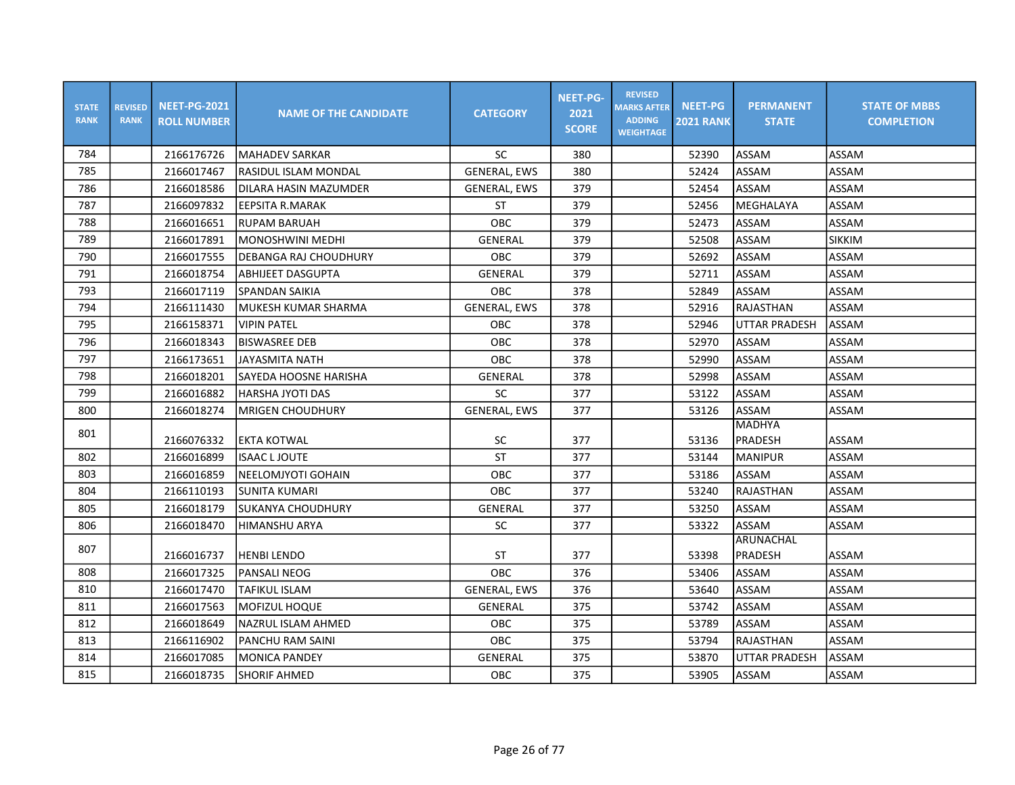| <b>STATE</b><br><b>RANK</b> | <b>REVISED</b><br><b>RANK</b> | <b>NEET-PG-2021</b><br><b>ROLL NUMBER</b> | <b>NAME OF THE CANDIDATE</b> | <b>CATEGORY</b>     | <b>NEET-PG-</b><br>2021<br><b>SCORE</b> | <b>REVISED</b><br><b>MARKS AFTER</b><br><b>ADDING</b><br><b>WEIGHTAGE</b> | <b>NEET-PG</b><br><b>2021 RANK</b> | <b>PERMANENT</b><br><b>STATE</b> | <b>STATE OF MBBS</b><br><b>COMPLETION</b> |
|-----------------------------|-------------------------------|-------------------------------------------|------------------------------|---------------------|-----------------------------------------|---------------------------------------------------------------------------|------------------------------------|----------------------------------|-------------------------------------------|
| 784                         |                               | 2166176726                                | lMAHADEV SARKAR              | <b>SC</b>           | 380                                     |                                                                           | 52390                              | ASSAM                            | <b>ASSAM</b>                              |
| 785                         |                               | 2166017467                                | lRASIDUL ISLAM MONDAL        | <b>GENERAL, EWS</b> | 380                                     |                                                                           | 52424                              | ASSAM                            | ASSAM                                     |
| 786                         |                               | 2166018586                                | IDILARA HASIN MAZUMDER       | <b>GENERAL, EWS</b> | 379                                     |                                                                           | 52454                              | ASSAM                            | ASSAM                                     |
| 787                         |                               | 2166097832                                | <b>EEPSITA R.MARAK</b>       | <b>ST</b>           | 379                                     |                                                                           | 52456                              | MEGHALAYA                        | ASSAM                                     |
| 788                         |                               | 2166016651                                | RUPAM BARUAH                 | OBC                 | 379                                     |                                                                           | 52473                              | ASSAM                            | ASSAM                                     |
| 789                         |                               | 2166017891                                | IMONOSHWINI MEDHI            | GENERAL             | 379                                     |                                                                           | 52508                              | ASSAM                            | <b>SIKKIM</b>                             |
| 790                         |                               | 2166017555                                | IDEBANGA RAJ CHOUDHURY       | OBC                 | 379                                     |                                                                           | 52692                              | ASSAM                            | ASSAM                                     |
| 791                         |                               | 2166018754                                | <b>ABHIJEET DASGUPTA</b>     | GENERAL             | 379                                     |                                                                           | 52711                              | ASSAM                            | ASSAM                                     |
| 793                         |                               | 2166017119                                | SPANDAN SAIKIA               | OBC                 | 378                                     |                                                                           | 52849                              | ASSAM                            | ASSAM                                     |
| 794                         |                               | 2166111430                                | lMUKESH KUMAR SHARMA         | <b>GENERAL, EWS</b> | 378                                     |                                                                           | 52916                              | RAJASTHAN                        | ASSAM                                     |
| 795                         |                               | 2166158371                                | <b>VIPIN PATEL</b>           | <b>OBC</b>          | 378                                     |                                                                           | 52946                              | <b>UTTAR PRADESH</b>             | ASSAM                                     |
| 796                         |                               | 2166018343                                | <b>BISWASREE DEB</b>         | OBC                 | 378                                     |                                                                           | 52970                              | ASSAM                            | ASSAM                                     |
| 797                         |                               | 2166173651                                | JAYASMITA NATH               | OBC                 | 378                                     |                                                                           | 52990                              | ASSAM                            | ASSAM                                     |
| 798                         |                               | 2166018201                                | ISAYEDA HOOSNE HARISHA       | GENERAL             | 378                                     |                                                                           | 52998                              | ASSAM                            | ASSAM                                     |
| 799                         |                               | 2166016882                                | IHARSHA JYOTI DAS            | SC                  | 377                                     |                                                                           | 53122                              | <b>ASSAM</b>                     | ASSAM                                     |
| 800                         |                               | 2166018274                                | MRIGEN CHOUDHURY             | <b>GENERAL, EWS</b> | 377                                     |                                                                           | 53126                              | ASSAM                            | ASSAM                                     |
| 801                         |                               | 2166076332                                | <b>EKTA KOTWAL</b>           | SC                  | 377                                     |                                                                           | 53136                              | <b>MADHYA</b><br>PRADESH         | ASSAM                                     |
| 802                         |                               | 2166016899                                | <b>ISAAC LJOUTE</b>          | <b>ST</b>           | 377                                     |                                                                           | 53144                              | <b>MANIPUR</b>                   | ASSAM                                     |
| 803                         |                               | 2166016859                                | INEELOMJYOTI GOHAIN          | <b>OBC</b>          | 377                                     |                                                                           | 53186                              | <b>ASSAM</b>                     | ASSAM                                     |
| 804                         |                               | 2166110193                                | <b>SUNITA KUMARI</b>         | OBC                 | 377                                     |                                                                           | 53240                              | RAJASTHAN                        | ASSAM                                     |
| 805                         |                               | 2166018179                                | SUKANYA CHOUDHURY            | <b>GENERAL</b>      | 377                                     |                                                                           | 53250                              | ASSAM                            | ASSAM                                     |
| 806                         |                               | 2166018470                                | HIMANSHU ARYA                | ${\sf SC}$          | 377                                     |                                                                           | 53322                              | ASSAM                            | ASSAM                                     |
| 807                         |                               | 2166016737                                | HENBI LENDO                  | <b>ST</b>           | 377                                     |                                                                           | 53398                              | ARUNACHAL<br>PRADESH             | ASSAM                                     |
| 808                         |                               | 2166017325                                | lPANSALI NEOG                | OBC                 | 376                                     |                                                                           | 53406                              | <b>ASSAM</b>                     | ASSAM                                     |
| 810                         |                               | 2166017470                                | <b>TAFIKUL ISLAM</b>         | <b>GENERAL, EWS</b> | 376                                     |                                                                           | 53640                              | ASSAM                            | ASSAM                                     |
| 811                         |                               | 2166017563                                | MOFIZUL HOQUE                | GENERAL             | 375                                     |                                                                           | 53742                              | ASSAM                            | ASSAM                                     |
| 812                         |                               | 2166018649                                | NAZRUL ISLAM AHMED           | OBC                 | 375                                     |                                                                           | 53789                              | ASSAM                            | ASSAM                                     |
| 813                         |                               | 2166116902                                | PANCHU RAM SAINI             | OBC                 | 375                                     |                                                                           | 53794                              | RAJASTHAN                        | ASSAM                                     |
| 814                         |                               | 2166017085                                | <b>MONICA PANDEY</b>         | <b>GENERAL</b>      | 375                                     |                                                                           | 53870                              | <b>UTTAR PRADESH</b>             | ASSAM                                     |
| 815                         |                               | 2166018735                                | <b>SHORIF AHMED</b>          | OBC                 | 375                                     |                                                                           | 53905                              | ASSAM                            | ASSAM                                     |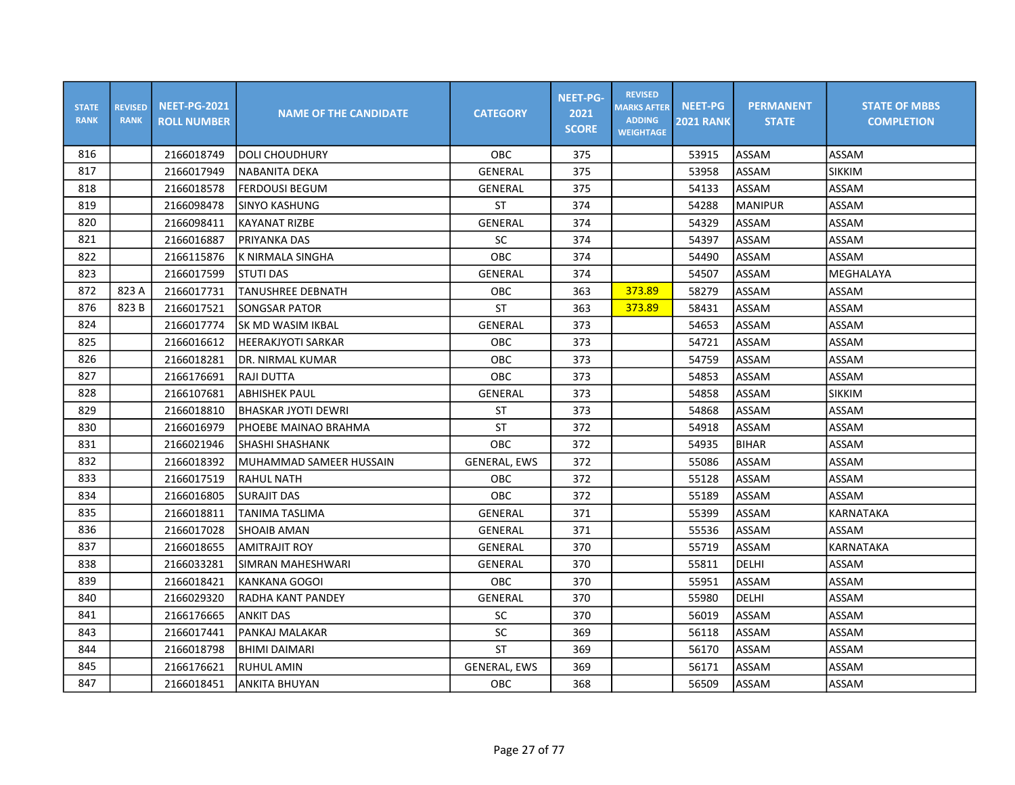| <b>STATE</b><br><b>RANK</b> | <b>REVISED</b><br><b>RANK</b> | <b>NEET-PG-2021</b><br><b>ROLL NUMBER</b> | <b>NAME OF THE CANDIDATE</b> | <b>CATEGORY</b>     | <b>NEET-PG-</b><br>2021<br><b>SCORE</b> | <b>REVISED</b><br><b>MARKS AFTER</b><br><b>ADDING</b><br><b>WEIGHTAGE</b> | <b>NEET-PG</b><br><b>2021 RANK</b> | <b>PERMANENT</b><br><b>STATE</b> | <b>STATE OF MBBS</b><br><b>COMPLETION</b> |
|-----------------------------|-------------------------------|-------------------------------------------|------------------------------|---------------------|-----------------------------------------|---------------------------------------------------------------------------|------------------------------------|----------------------------------|-------------------------------------------|
| 816                         |                               | 2166018749                                | <b>DOLI CHOUDHURY</b>        | OBC                 | 375                                     |                                                                           | 53915                              | ASSAM                            | ASSAM                                     |
| 817                         |                               | 2166017949                                | <b>NABANITA DEKA</b>         | GENERAL             | 375                                     |                                                                           | 53958                              | <b>ASSAM</b>                     | <b>SIKKIM</b>                             |
| 818                         |                               | 2166018578                                | <b>FERDOUSI BEGUM</b>        | <b>GENERAL</b>      | 375                                     |                                                                           | 54133                              | ASSAM                            | ASSAM                                     |
| 819                         |                               | 2166098478                                | <b>SINYO KASHUNG</b>         | <b>ST</b>           | 374                                     |                                                                           | 54288                              | <b>MANIPUR</b>                   | ASSAM                                     |
| 820                         |                               | 2166098411                                | <b>KAYANAT RIZBE</b>         | GENERAL             | 374                                     |                                                                           | 54329                              | ASSAM                            | ASSAM                                     |
| 821                         |                               | 2166016887                                | <b>PRIYANKA DAS</b>          | <b>SC</b>           | 374                                     |                                                                           | 54397                              | <b>ASSAM</b>                     | ASSAM                                     |
| 822                         |                               | 2166115876                                | K NIRMALA SINGHA             | OBC                 | 374                                     |                                                                           | 54490                              | <b>ASSAM</b>                     | ASSAM                                     |
| 823                         |                               | 2166017599                                | STUTI DAS                    | GENERAL             | 374                                     |                                                                           | 54507                              | ASSAM                            | MEGHALAYA                                 |
| 872                         | 823 A                         | 2166017731                                | <b>TANUSHREE DEBNATH</b>     | <b>OBC</b>          | 363                                     | 373.89                                                                    | 58279                              | ASSAM                            | ASSAM                                     |
| 876                         | 823B                          | 2166017521                                | <b>SONGSAR PATOR</b>         | <b>ST</b>           | 363                                     | 373.89                                                                    | 58431                              | <b>ASSAM</b>                     | ASSAM                                     |
| 824                         |                               | 2166017774                                | <b>SK MD WASIM IKBAL</b>     | <b>GENERAL</b>      | 373                                     |                                                                           | 54653                              | ASSAM                            | ASSAM                                     |
| 825                         |                               | 2166016612                                | <b>HEERAKJYOTI SARKAR</b>    | <b>OBC</b>          | 373                                     |                                                                           | 54721                              | <b>ASSAM</b>                     | ASSAM                                     |
| 826                         |                               | 2166018281                                | DR. NIRMAL KUMAR             | OBC                 | 373                                     |                                                                           | 54759                              | ASSAM                            | ASSAM                                     |
| 827                         |                               | 2166176691                                | <b>RAJI DUTTA</b>            | <b>OBC</b>          | 373                                     |                                                                           | 54853                              | ASSAM                            | ASSAM                                     |
| 828                         |                               | 2166107681                                | <b>ABHISHEK PAUL</b>         | <b>GENERAL</b>      | 373                                     |                                                                           | 54858                              | ASSAM                            | <b>SIKKIM</b>                             |
| 829                         |                               | 2166018810                                | <b>BHASKAR JYOTI DEWRI</b>   | ST                  | 373                                     |                                                                           | 54868                              | ASSAM                            | ASSAM                                     |
| 830                         |                               | 2166016979                                | PHOEBE MAINAO BRAHMA         | <b>ST</b>           | 372                                     |                                                                           | 54918                              | <b>ASSAM</b>                     | ASSAM                                     |
| 831                         |                               | 2166021946                                | <b>SHASHI SHASHANK</b>       | <b>OBC</b>          | 372                                     |                                                                           | 54935                              | <b>BIHAR</b>                     | <b>ASSAM</b>                              |
| 832                         |                               | 2166018392                                | MUHAMMAD SAMEER HUSSAIN      | <b>GENERAL, EWS</b> | 372                                     |                                                                           | 55086                              | <b>ASSAM</b>                     | ASSAM                                     |
| 833                         |                               | 2166017519                                | <b>RAHUL NATH</b>            | OBC                 | 372                                     |                                                                           | 55128                              | ASSAM                            | ASSAM                                     |
| 834                         |                               | 2166016805                                | ISURAJIT DAS                 | OBC                 | 372                                     |                                                                           | 55189                              | ASSAM                            | ASSAM                                     |
| 835                         |                               | 2166018811                                | <b>TANIMA TASLIMA</b>        | <b>GENERAL</b>      | 371                                     |                                                                           | 55399                              | ASSAM                            | <b>KARNATAKA</b>                          |
| 836                         |                               | 2166017028                                | <b>SHOAIB AMAN</b>           | GENERAL             | 371                                     |                                                                           | 55536                              | ASSAM                            | ASSAM                                     |
| 837                         |                               | 2166018655                                | <b>AMITRAJIT ROY</b>         | GENERAL             | 370                                     |                                                                           | 55719                              | ASSAM                            | KARNATAKA                                 |
| 838                         |                               | 2166033281                                | SIMRAN MAHESHWARI            | GENERAL             | 370                                     |                                                                           | 55811                              | <b>DELHI</b>                     | ASSAM                                     |
| 839                         |                               | 2166018421                                | <b>KANKANA GOGOI</b>         | OBC                 | 370                                     |                                                                           | 55951                              | <b>ASSAM</b>                     | ASSAM                                     |
| 840                         |                               | 2166029320                                | RADHA KANT PANDEY            | GENERAL             | 370                                     |                                                                           | 55980                              | DELHI                            | ASSAM                                     |
| 841                         |                               | 2166176665                                | <b>ANKIT DAS</b>             | <b>SC</b>           | 370                                     |                                                                           | 56019                              | ASSAM                            | ASSAM                                     |
| 843                         |                               | 2166017441                                | PANKAJ MALAKAR               | SC                  | 369                                     |                                                                           | 56118                              | ASSAM                            | ASSAM                                     |
| 844                         |                               | 2166018798                                | <b>BHIMI DAIMARI</b>         | <b>ST</b>           | 369                                     |                                                                           | 56170                              | <b>ASSAM</b>                     | ASSAM                                     |
| 845                         |                               | 2166176621                                | RUHUL AMIN                   | <b>GENERAL, EWS</b> | 369                                     |                                                                           | 56171                              | <b>ASSAM</b>                     | ASSAM                                     |
| 847                         |                               | 2166018451                                | <b>ANKITA BHUYAN</b>         | OBC                 | 368                                     |                                                                           | 56509                              | <b>ASSAM</b>                     | ASSAM                                     |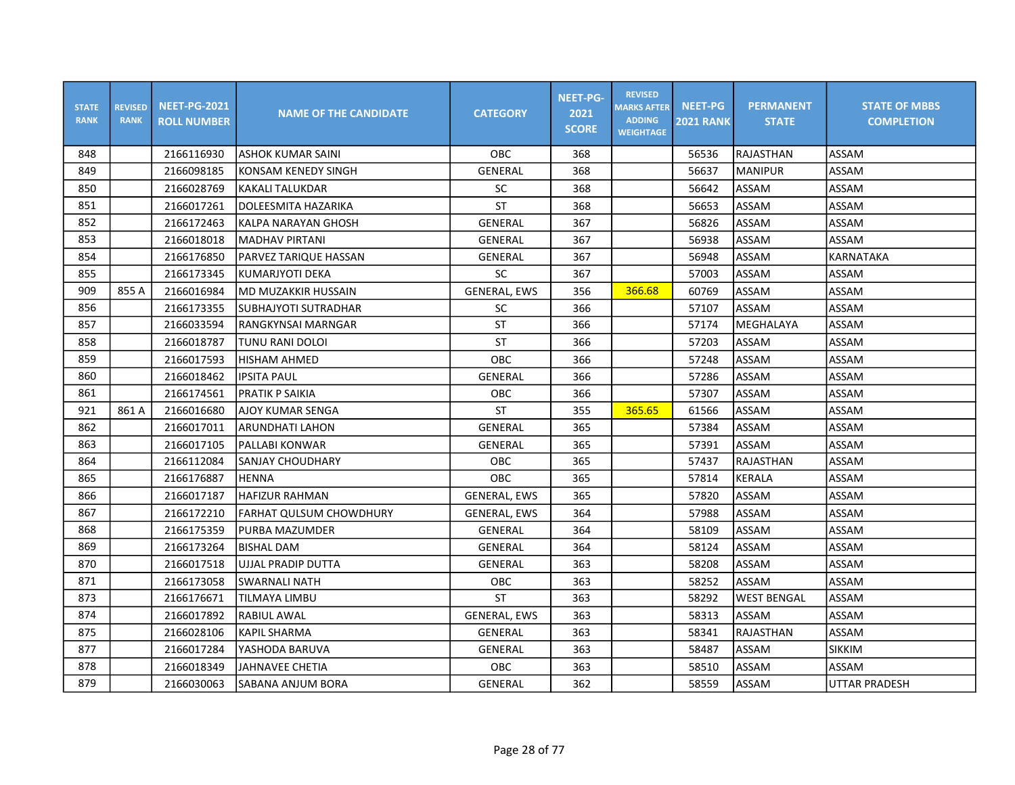| <b>STATE</b><br><b>RANK</b> | <b>REVISED</b><br><b>RANK</b> | <b>NEET-PG-2021</b><br><b>ROLL NUMBER</b> | <b>NAME OF THE CANDIDATE</b> | <b>CATEGORY</b>     | <b>NEET-PG-</b><br>2021<br><b>SCORE</b> | <b>REVISED</b><br><b>MARKS AFTER</b><br><b>ADDING</b><br><b>WEIGHTAGE</b> | <b>NEET-PG</b><br><b>2021 RANK</b> | <b>PERMANENT</b><br><b>STATE</b> | <b>STATE OF MBBS</b><br><b>COMPLETION</b> |
|-----------------------------|-------------------------------|-------------------------------------------|------------------------------|---------------------|-----------------------------------------|---------------------------------------------------------------------------|------------------------------------|----------------------------------|-------------------------------------------|
| 848                         |                               | 2166116930                                | <b>ASHOK KUMAR SAINI</b>     | <b>OBC</b>          | 368                                     |                                                                           | 56536                              | RAJASTHAN                        | ASSAM                                     |
| 849                         |                               | 2166098185                                | KONSAM KENEDY SINGH          | GENERAL             | 368                                     |                                                                           | 56637                              | <b>MANIPUR</b>                   | ASSAM                                     |
| 850                         |                               | 2166028769                                | <b>KAKALI TALUKDAR</b>       | <b>SC</b>           | 368                                     |                                                                           | 56642                              | ASSAM                            | ASSAM                                     |
| 851                         |                               | 2166017261                                | DOLEESMITA HAZARIKA          | <b>ST</b>           | 368                                     |                                                                           | 56653                              | <b>ASSAM</b>                     | ASSAM                                     |
| 852                         |                               | 2166172463                                | KALPA NARAYAN GHOSH          | <b>GENERAL</b>      | 367                                     |                                                                           | 56826                              | <b>ASSAM</b>                     | ASSAM                                     |
| 853                         |                               | 2166018018                                | <b>MADHAV PIRTANI</b>        | GENERAL             | 367                                     |                                                                           | 56938                              | <b>ASSAM</b>                     | ASSAM                                     |
| 854                         |                               | 2166176850                                | PARVEZ TARIQUE HASSAN        | GENERAL             | 367                                     |                                                                           | 56948                              | <b>ASSAM</b>                     | <b>KARNATAKA</b>                          |
| 855                         |                               | 2166173345                                | KUMARJYOTI DEKA              | <b>SC</b>           | 367                                     |                                                                           | 57003                              | ASSAM                            | ASSAM                                     |
| 909                         | 855 A                         | 2166016984                                | lmd muzakkir hussain         | <b>GENERAL, EWS</b> | 356                                     | 366.68                                                                    | 60769                              | ASSAM                            | ASSAM                                     |
| 856                         |                               | 2166173355                                | SUBHAJYOTI SUTRADHAR         | <b>SC</b>           | 366                                     |                                                                           | 57107                              | ASSAM                            | ASSAM                                     |
| 857                         |                               | 2166033594                                | RANGKYNSAI MARNGAR           | <b>ST</b>           | 366                                     |                                                                           | 57174                              | MEGHALAYA                        | ASSAM                                     |
| 858                         |                               | 2166018787                                | TUNU RANI DOLOI              | <b>ST</b>           | 366                                     |                                                                           | 57203                              | <b>ASSAM</b>                     | ASSAM                                     |
| 859                         |                               | 2166017593                                | <b>HISHAM AHMED</b>          | OBC                 | 366                                     |                                                                           | 57248                              | <b>ASSAM</b>                     | ASSAM                                     |
| 860                         |                               | 2166018462                                | <b>IPSITA PAUL</b>           | GENERAL             | 366                                     |                                                                           | 57286                              | <b>ASSAM</b>                     | ASSAM                                     |
| 861                         |                               | 2166174561                                | PRATIK P SAIKIA              | OBC                 | 366                                     |                                                                           | 57307                              | ASSAM                            | ASSAM                                     |
| 921                         | 861 A                         | 2166016680                                | <b>AJOY KUMAR SENGA</b>      | <b>ST</b>           | 355                                     | 365.65                                                                    | 61566                              | ASSAM                            | ASSAM                                     |
| 862                         |                               | 2166017011                                | <b>ARUNDHATI LAHON</b>       | <b>GENERAL</b>      | 365                                     |                                                                           | 57384                              | <b>ASSAM</b>                     | ASSAM                                     |
| 863                         |                               | 2166017105                                | PALLABI KONWAR               | <b>GENERAL</b>      | 365                                     |                                                                           | 57391                              | <b>ASSAM</b>                     | <b>ASSAM</b>                              |
| 864                         |                               | 2166112084                                | SANJAY CHOUDHARY             | OBC                 | 365                                     |                                                                           | 57437                              | <b>RAJASTHAN</b>                 | <b>ASSAM</b>                              |
| 865                         |                               | 2166176887                                | <b>HENNA</b>                 | OBC                 | 365                                     |                                                                           | 57814                              | KERALA                           | ASSAM                                     |
| 866                         |                               | 2166017187                                | <b>HAFIZUR RAHMAN</b>        | <b>GENERAL, EWS</b> | 365                                     |                                                                           | 57820                              | <b>ASSAM</b>                     | ASSAM                                     |
| 867                         |                               | 2166172210                                | lFARHAT QULSUM CHOWDHURY     | <b>GENERAL, EWS</b> | 364                                     |                                                                           | 57988                              | ASSAM                            | ASSAM                                     |
| 868                         |                               | 2166175359                                | PURBA MAZUMDER               | GENERAL             | 364                                     |                                                                           | 58109                              | ASSAM                            | ASSAM                                     |
| 869                         |                               | 2166173264                                | <b>BISHAL DAM</b>            | GENERAL             | 364                                     |                                                                           | 58124                              | <b>ASSAM</b>                     | ASSAM                                     |
| 870                         |                               | 2166017518                                | <b>UJJAL PRADIP DUTTA</b>    | GENERAL             | 363                                     |                                                                           | 58208                              | <b>ASSAM</b>                     | ASSAM                                     |
| 871                         |                               | 2166173058                                | <b>SWARNALI NATH</b>         | OBC                 | 363                                     |                                                                           | 58252                              | ASSAM                            | ASSAM                                     |
| 873                         |                               | 2166176671                                | TILMAYA LIMBU                | <b>ST</b>           | 363                                     |                                                                           | 58292                              | <b>WEST BENGAL</b>               | ASSAM                                     |
| 874                         |                               | 2166017892                                | RABIUL AWAL                  | <b>GENERAL, EWS</b> | 363                                     |                                                                           | 58313                              | ASSAM                            | ASSAM                                     |
| 875                         |                               | 2166028106                                | <b>KAPIL SHARMA</b>          | GENERAL             | 363                                     |                                                                           | 58341                              | RAJASTHAN                        | ASSAM                                     |
| 877                         |                               | 2166017284                                | YASHODA BARUVA               | <b>GENERAL</b>      | 363                                     |                                                                           | 58487                              | <b>ASSAM</b>                     | <b>SIKKIM</b>                             |
| 878                         |                               | 2166018349                                | JAHNAVEE CHETIA              | OBC                 | 363                                     |                                                                           | 58510                              | <b>ASSAM</b>                     | ASSAM                                     |
| 879                         |                               | 2166030063                                | SABANA ANJUM BORA            | GENERAL             | 362                                     |                                                                           | 58559                              | <b>ASSAM</b>                     | <b>UTTAR PRADESH</b>                      |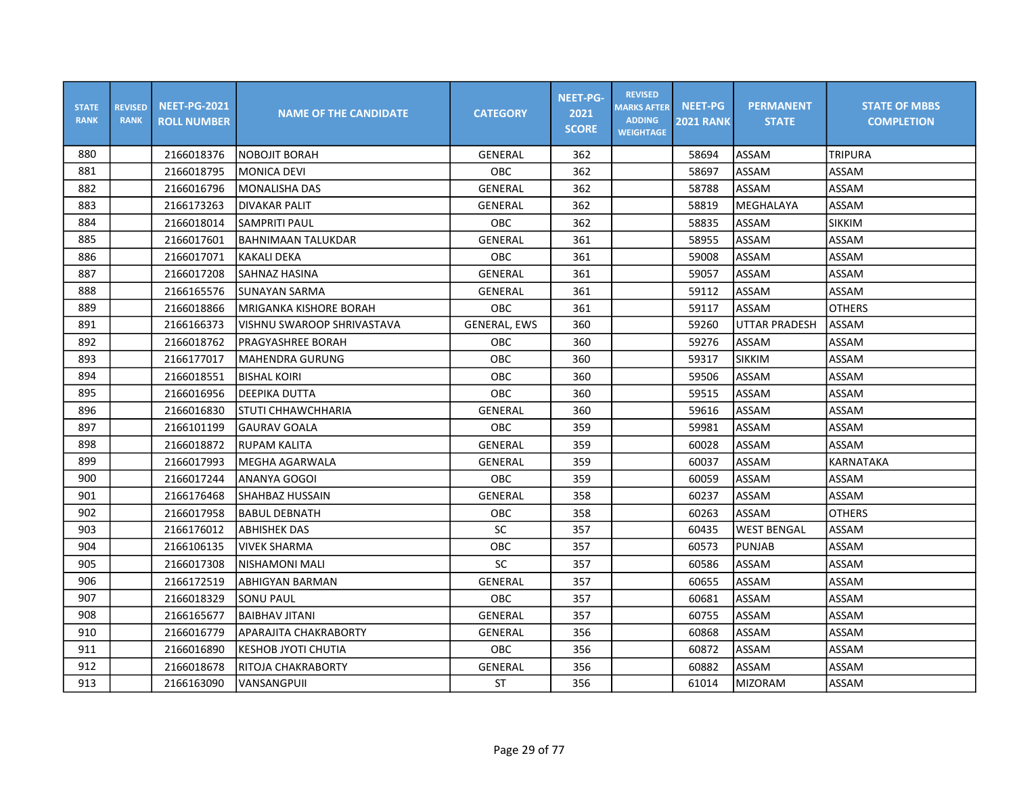| <b>STATE</b><br><b>RANK</b> | <b>REVISED</b><br><b>RANK</b> | <b>NEET-PG-2021</b><br><b>ROLL NUMBER</b> | <b>NAME OF THE CANDIDATE</b>  | <b>CATEGORY</b>     | <b>NEET-PG-</b><br>2021<br><b>SCORE</b> | <b>REVISED</b><br><b>MARKS AFTER</b><br><b>ADDING</b><br><b>WEIGHTAGE</b> | <b>NEET-PG</b><br><b>2021 RANK</b> | <b>PERMANENT</b><br><b>STATE</b> | <b>STATE OF MBBS</b><br><b>COMPLETION</b> |
|-----------------------------|-------------------------------|-------------------------------------------|-------------------------------|---------------------|-----------------------------------------|---------------------------------------------------------------------------|------------------------------------|----------------------------------|-------------------------------------------|
| 880                         |                               | 2166018376                                | <b>NOBOJIT BORAH</b>          | GENERAL             | 362                                     |                                                                           | 58694                              | ASSAM                            | <b>TRIPURA</b>                            |
| 881                         |                               | 2166018795                                | <b>MONICA DEVI</b>            | <b>OBC</b>          | 362                                     |                                                                           | 58697                              | <b>ASSAM</b>                     | ASSAM                                     |
| 882                         |                               | 2166016796                                | <b>MONALISHA DAS</b>          | <b>GENERAL</b>      | 362                                     |                                                                           | 58788                              | ASSAM                            | ASSAM                                     |
| 883                         |                               | 2166173263                                | <b>DIVAKAR PALIT</b>          | GENERAL             | 362                                     |                                                                           | 58819                              | MEGHALAYA                        | ASSAM                                     |
| 884                         |                               | 2166018014                                | <b>SAMPRITI PAUL</b>          | <b>OBC</b>          | 362                                     |                                                                           | 58835                              | <b>ASSAM</b>                     | <b>SIKKIM</b>                             |
| 885                         |                               | 2166017601                                | <b>BAHNIMAAN TALUKDAR</b>     | <b>GENERAL</b>      | 361                                     |                                                                           | 58955                              | ASSAM                            | ASSAM                                     |
| 886                         |                               | 2166017071                                | <b>KAKALI DEKA</b>            | OBC                 | 361                                     |                                                                           | 59008                              | ASSAM                            | ASSAM                                     |
| 887                         |                               | 2166017208                                | SAHNAZ HASINA                 | GENERAL             | 361                                     |                                                                           | 59057                              | ASSAM                            | ASSAM                                     |
| 888                         |                               | 2166165576                                | ISUNAYAN SARMA                | GENERAL             | 361                                     |                                                                           | 59112                              | <b>ASSAM</b>                     | ASSAM                                     |
| 889                         |                               | 2166018866                                | <b>MRIGANKA KISHORE BORAH</b> | <b>OBC</b>          | 361                                     |                                                                           | 59117                              | <b>ASSAM</b>                     | <b>OTHERS</b>                             |
| 891                         |                               | 2166166373                                | VISHNU SWAROOP SHRIVASTAVA    | <b>GENERAL, EWS</b> | 360                                     |                                                                           | 59260                              | <b>UTTAR PRADESH</b>             | <b>ASSAM</b>                              |
| 892                         |                               | 2166018762                                | PRAGYASHREE BORAH             | <b>OBC</b>          | 360                                     |                                                                           | 59276                              | ASSAM                            | ASSAM                                     |
| 893                         |                               | 2166177017                                | <b>MAHENDRA GURUNG</b>        | <b>OBC</b>          | 360                                     |                                                                           | 59317                              | <b>SIKKIM</b>                    | ASSAM                                     |
| 894                         |                               | 2166018551                                | <b>BISHAL KOIRI</b>           | <b>OBC</b>          | 360                                     |                                                                           | 59506                              | ASSAM                            | ASSAM                                     |
| 895                         |                               | 2166016956                                | DEEPIKA DUTTA                 | OBC                 | 360                                     |                                                                           | 59515                              | ASSAM                            | ASSAM                                     |
| 896                         |                               | 2166016830                                | <b>STUTI CHHAWCHHARIA</b>     | <b>GENERAL</b>      | 360                                     |                                                                           | 59616                              | ASSAM                            | ASSAM                                     |
| 897                         |                               | 2166101199                                | <b>GAURAV GOALA</b>           | <b>OBC</b>          | 359                                     |                                                                           | 59981                              | ASSAM                            | ASSAM                                     |
| 898                         |                               | 2166018872                                | RUPAM KALITA                  | <b>GENERAL</b>      | 359                                     |                                                                           | 60028                              | <b>ASSAM</b>                     | ASSAM                                     |
| 899                         |                               | 2166017993                                | MEGHA AGARWALA                | <b>GENERAL</b>      | 359                                     |                                                                           | 60037                              | ASSAM                            | KARNATAKA                                 |
| 900                         |                               | 2166017244                                | ANANYA GOGOI                  | OBC                 | 359                                     |                                                                           | 60059                              | ASSAM                            | ASSAM                                     |
| 901                         |                               | 2166176468                                | ISHAHBAZ HUSSAIN              | <b>GENERAL</b>      | 358                                     |                                                                           | 60237                              | ASSAM                            | ASSAM                                     |
| 902                         |                               | 2166017958                                | IBABUL DEBNATH                | OBC                 | 358                                     |                                                                           | 60263                              | <b>ASSAM</b>                     | <b>OTHERS</b>                             |
| 903                         |                               | 2166176012                                | <b>ABHISHEK DAS</b>           | SC                  | 357                                     |                                                                           | 60435                              | <b>WEST BENGAL</b>               | ASSAM                                     |
| 904                         |                               | 2166106135                                | <b>VIVEK SHARMA</b>           | OBC                 | 357                                     |                                                                           | 60573                              | <b>PUNJAB</b>                    | ASSAM                                     |
| 905                         |                               | 2166017308                                | İNISHAMONI MALI               | SC                  | 357                                     |                                                                           | 60586                              | ASSAM                            | ASSAM                                     |
| 906                         |                               | 2166172519                                | <b>ABHIGYAN BARMAN</b>        | GENERAL             | 357                                     |                                                                           | 60655                              | ASSAM                            | ASSAM                                     |
| 907                         |                               | 2166018329                                | <b>SONU PAUL</b>              | <b>OBC</b>          | 357                                     |                                                                           | 60681                              | ASSAM                            | ASSAM                                     |
| 908                         |                               | 2166165677                                | IBAIBHAV JITANI               | GENERAL             | 357                                     |                                                                           | 60755                              | ASSAM                            | ASSAM                                     |
| 910                         |                               | 2166016779                                | APARAJITA CHAKRABORTY         | GENERAL             | 356                                     |                                                                           | 60868                              | ASSAM                            | ASSAM                                     |
| 911                         |                               | 2166016890                                | <b>KESHOB JYOTI CHUTIA</b>    | OBC                 | 356                                     |                                                                           | 60872                              | ASSAM                            | ASSAM                                     |
| 912                         |                               | 2166018678                                | RITOJA CHAKRABORTY            | GENERAL             | 356                                     |                                                                           | 60882                              | ASSAM                            | ASSAM                                     |
| 913                         |                               | 2166163090                                | VANSANGPUII                   | <b>ST</b>           | 356                                     |                                                                           | 61014                              | <b>MIZORAM</b>                   | ASSAM                                     |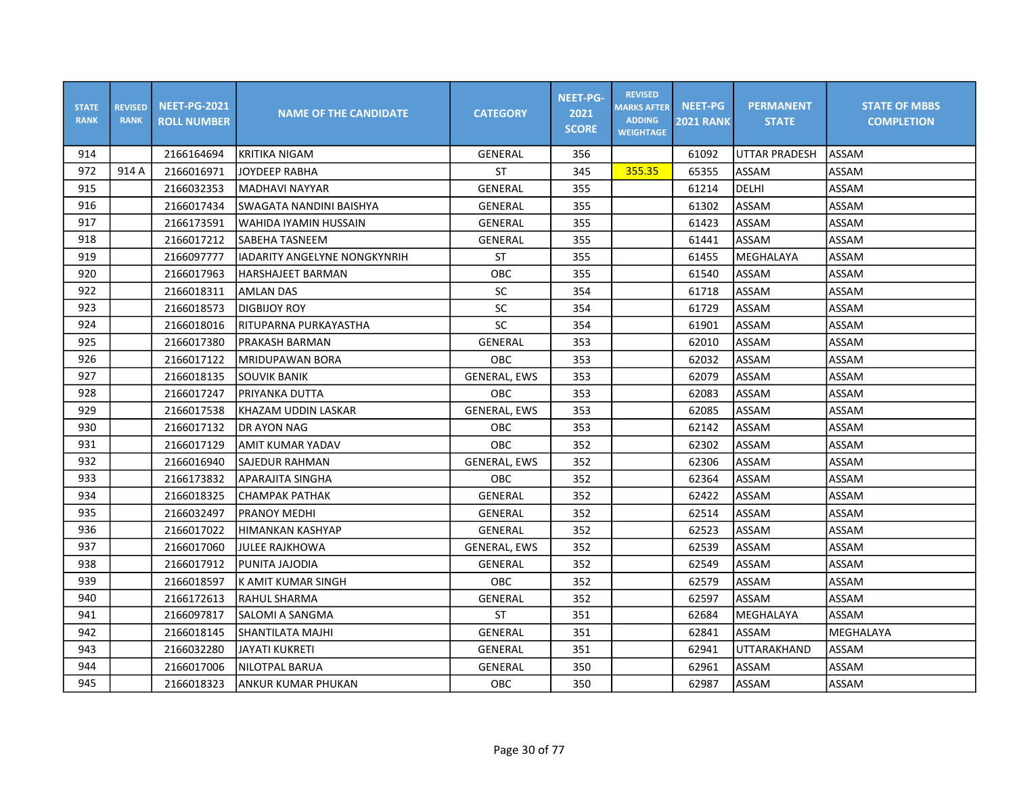| <b>STATE</b><br><b>RANK</b> | <b>REVISED</b><br><b>RANK</b> | <b>NEET-PG-2021</b><br><b>ROLL NUMBER</b> | <b>NAME OF THE CANDIDATE</b> | <b>CATEGORY</b>     | <b>NEET-PG-</b><br>2021<br><b>SCORE</b> | <b>REVISED</b><br><b>MARKS AFTER</b><br><b>ADDING</b><br><b>WEIGHTAGE</b> | <b>NEET-PG</b><br><b>2021 RANK</b> | <b>PERMANENT</b><br><b>STATE</b> | <b>STATE OF MBBS</b><br><b>COMPLETION</b> |
|-----------------------------|-------------------------------|-------------------------------------------|------------------------------|---------------------|-----------------------------------------|---------------------------------------------------------------------------|------------------------------------|----------------------------------|-------------------------------------------|
| 914                         |                               | 2166164694                                | <b>KRITIKA NIGAM</b>         | GENERAL             | 356                                     |                                                                           | 61092                              | <b>UTTAR PRADESH</b>             | <b>ASSAM</b>                              |
| 972                         | 914 A                         | 2166016971                                | <b>JOYDEEP RABHA</b>         | <b>ST</b>           | 345                                     | 355.35                                                                    | 65355                              | <b>ASSAM</b>                     | ASSAM                                     |
| 915                         |                               | 2166032353                                | <b>MADHAVI NAYYAR</b>        | <b>GENERAL</b>      | 355                                     |                                                                           | 61214                              | DELHI                            | ASSAM                                     |
| 916                         |                               | 2166017434                                | SWAGATA NANDINI BAISHYA      | <b>GENERAL</b>      | 355                                     |                                                                           | 61302                              | ASSAM                            | ASSAM                                     |
| 917                         |                               | 2166173591                                | WAHIDA IYAMIN HUSSAIN        | GENERAL             | 355                                     |                                                                           | 61423                              | ASSAM                            | ASSAM                                     |
| 918                         |                               | 2166017212                                | SABEHA TASNEEM               | <b>GENERAL</b>      | 355                                     |                                                                           | 61441                              | <b>ASSAM</b>                     | ASSAM                                     |
| 919                         |                               | 2166097777                                | IADARITY ANGELYNE NONGKYNRIH | <b>ST</b>           | 355                                     |                                                                           | 61455                              | MEGHALAYA                        | ASSAM                                     |
| 920                         |                               | 2166017963                                | <b>HARSHAJEET BARMAN</b>     | OBC                 | 355                                     |                                                                           | 61540                              | ASSAM                            | ASSAM                                     |
| 922                         |                               | 2166018311                                | <b>AMLAN DAS</b>             | SC                  | 354                                     |                                                                           | 61718                              | <b>ASSAM</b>                     | ASSAM                                     |
| 923                         |                               | 2166018573                                | <b>DIGBIJOY ROY</b>          | SC                  | 354                                     |                                                                           | 61729                              | <b>ASSAM</b>                     | ASSAM                                     |
| 924                         |                               | 2166018016                                | RITUPARNA PURKAYASTHA        | SC                  | 354                                     |                                                                           | 61901                              | <b>ASSAM</b>                     | ASSAM                                     |
| 925                         |                               | 2166017380                                | <b>PRAKASH BARMAN</b>        | GENERAL             | 353                                     |                                                                           | 62010                              | <b>ASSAM</b>                     | ASSAM                                     |
| 926                         |                               | 2166017122                                | <b>MRIDUPAWAN BORA</b>       | OBC                 | 353                                     |                                                                           | 62032                              | <b>ASSAM</b>                     | ASSAM                                     |
| 927                         |                               | 2166018135                                | <b>SOUVIK BANIK</b>          | <b>GENERAL, EWS</b> | 353                                     |                                                                           | 62079                              | <b>ASSAM</b>                     | ASSAM                                     |
| 928                         |                               | 2166017247                                | PRIYANKA DUTTA               | <b>OBC</b>          | 353                                     |                                                                           | 62083                              | ASSAM                            | ASSAM                                     |
| 929                         |                               | 2166017538                                | KHAZAM UDDIN LASKAR          | <b>GENERAL, EWS</b> | 353                                     |                                                                           | 62085                              | <b>ASSAM</b>                     | ASSAM                                     |
| 930                         |                               | 2166017132                                | <b>DR AYON NAG</b>           | <b>OBC</b>          | 353                                     |                                                                           | 62142                              | <b>ASSAM</b>                     | ASSAM                                     |
| 931                         |                               | 2166017129                                | <b>AMIT KUMAR YADAV</b>      | <b>OBC</b>          | 352                                     |                                                                           | 62302                              | <b>ASSAM</b>                     | ASSAM                                     |
| 932                         |                               | 2166016940                                | <b>SAJEDUR RAHMAN</b>        | <b>GENERAL, EWS</b> | 352                                     |                                                                           | 62306                              | ASSAM                            | ASSAM                                     |
| 933                         |                               | 2166173832                                | APARAJITA SINGHA             | OBC                 | 352                                     |                                                                           | 62364                              | ASSAM                            | ASSAM                                     |
| 934                         |                               | 2166018325                                | <b>CHAMPAK PATHAK</b>        | GENERAL             | 352                                     |                                                                           | 62422                              | <b>ASSAM</b>                     | ASSAM                                     |
| 935                         |                               | 2166032497                                | IPRANOY MEDHI                | GENERAL             | 352                                     |                                                                           | 62514                              | ASSAM                            | ASSAM                                     |
| 936                         |                               | 2166017022                                | <b>HIMANKAN KASHYAP</b>      | GENERAL             | 352                                     |                                                                           | 62523                              | <b>ASSAM</b>                     | ASSAM                                     |
| 937                         |                               | 2166017060                                | <b>JULEE RAJKHOWA</b>        | <b>GENERAL, EWS</b> | 352                                     |                                                                           | 62539                              | <b>ASSAM</b>                     | ASSAM                                     |
| 938                         |                               | 2166017912                                | PUNITA JAJODIA               | GENERAL             | 352                                     |                                                                           | 62549                              | <b>ASSAM</b>                     | ASSAM                                     |
| 939                         |                               | 2166018597                                | K AMIT KUMAR SINGH           | OBC                 | 352                                     |                                                                           | 62579                              | <b>ASSAM</b>                     | ASSAM                                     |
| 940                         |                               | 2166172613                                | RAHUL SHARMA                 | GENERAL             | 352                                     |                                                                           | 62597                              | ASSAM                            | ASSAM                                     |
| 941                         |                               | 2166097817                                | SALOMI A SANGMA              | <b>ST</b>           | 351                                     |                                                                           | 62684                              | MEGHALAYA                        | ASSAM                                     |
| 942                         |                               | 2166018145                                | SHANTILATA MAJHI             | <b>GENERAL</b>      | 351                                     |                                                                           | 62841                              | <b>ASSAM</b>                     | MEGHALAYA                                 |
| 943                         |                               | 2166032280                                | <b>JAYATI KUKRETI</b>        | GENERAL             | 351                                     |                                                                           | 62941                              | UTTARAKHAND                      | ASSAM                                     |
| 944                         |                               | 2166017006                                | <b>NILOTPAL BARUA</b>        | GENERAL             | 350                                     |                                                                           | 62961                              | <b>ASSAM</b>                     | ASSAM                                     |
| 945                         |                               | 2166018323                                | ANKUR KUMAR PHUKAN           | OBC                 | 350                                     |                                                                           | 62987                              | <b>ASSAM</b>                     | ASSAM                                     |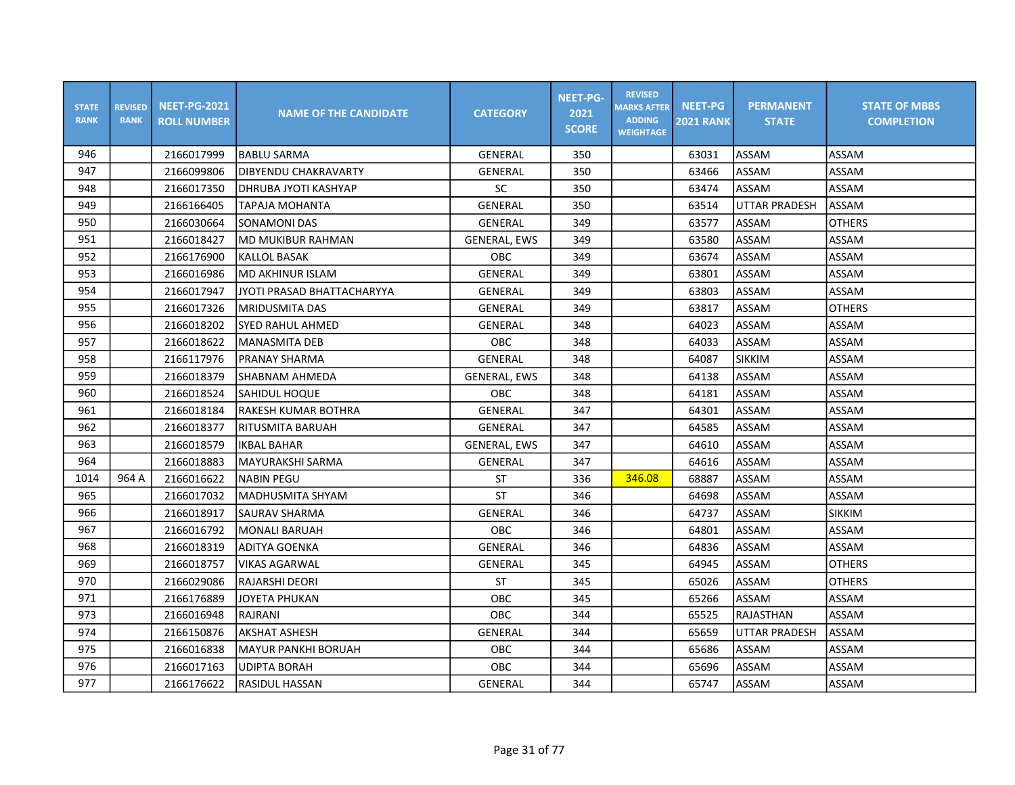| <b>STATE</b><br><b>RANK</b> | <b>REVISED</b><br><b>RANK</b> | <b>NEET-PG-2021</b><br><b>ROLL NUMBER</b> | <b>NAME OF THE CANDIDATE</b> | <b>CATEGORY</b>     | <b>NEET-PG-</b><br>2021<br><b>SCORE</b> | <b>REVISED</b><br><b>MARKS AFTER</b><br><b>ADDING</b><br><b>WEIGHTAGE</b> | <b>NEET-PG</b><br><b>2021 RANK</b> | <b>PERMANENT</b><br><b>STATE</b> | <b>STATE OF MBBS</b><br><b>COMPLETION</b> |
|-----------------------------|-------------------------------|-------------------------------------------|------------------------------|---------------------|-----------------------------------------|---------------------------------------------------------------------------|------------------------------------|----------------------------------|-------------------------------------------|
| 946                         |                               | 2166017999                                | <b>BABLU SARMA</b>           | GENERAL             | 350                                     |                                                                           | 63031                              | ASSAM                            | ASSAM                                     |
| 947                         |                               | 2166099806                                | DIBYENDU CHAKRAVARTY         | <b>GENERAL</b>      | 350                                     |                                                                           | 63466                              | ASSAM                            | ASSAM                                     |
| 948                         |                               | 2166017350                                | <b>DHRUBA JYOTI KASHYAP</b>  | <b>SC</b>           | 350                                     |                                                                           | 63474                              | ASSAM                            | ASSAM                                     |
| 949                         |                               | 2166166405                                | <b>TAPAJA MOHANTA</b>        | GENERAL             | 350                                     |                                                                           | 63514                              | <b>UTTAR PRADESH</b>             | ASSAM                                     |
| 950                         |                               | 2166030664                                | <b>SONAMONI DAS</b>          | GENERAL             | 349                                     |                                                                           | 63577                              | <b>ASSAM</b>                     | <b>OTHERS</b>                             |
| 951                         |                               | 2166018427                                | <b>MD MUKIBUR RAHMAN</b>     | <b>GENERAL, EWS</b> | 349                                     |                                                                           | 63580                              | ASSAM                            | ASSAM                                     |
| 952                         |                               | 2166176900                                | KALLOL BASAK                 | OBC                 | 349                                     |                                                                           | 63674                              | ASSAM                            | ASSAM                                     |
| 953                         |                               | 2166016986                                | MD AKHINUR ISLAM             | GENERAL             | 349                                     |                                                                           | 63801                              | ASSAM                            | ASSAM                                     |
| 954                         |                               | 2166017947                                | lJYOTI PRASAD BHATTACHARYYA  | <b>GENERAL</b>      | 349                                     |                                                                           | 63803                              | ASSAM                            | ASSAM                                     |
| 955                         |                               | 2166017326                                | IMRIDUSMITA DAS              | <b>GENERAL</b>      | 349                                     |                                                                           | 63817                              | ASSAM                            | <b>OTHERS</b>                             |
| 956                         |                               | 2166018202                                | SYED RAHUL AHMED             | GENERAL             | 348                                     |                                                                           | 64023                              | ASSAM                            | ASSAM                                     |
| 957                         |                               | 2166018622                                | MANASMITA DEB                | <b>OBC</b>          | 348                                     |                                                                           | 64033                              | ASSAM                            | ASSAM                                     |
| 958                         |                               | 2166117976                                | PRANAY SHARMA                | GENERAL             | 348                                     |                                                                           | 64087                              | <b>SIKKIM</b>                    | ASSAM                                     |
| 959                         |                               | 2166018379                                | SHABNAM AHMEDA               | <b>GENERAL, EWS</b> | 348                                     |                                                                           | 64138                              | ASSAM                            | ASSAM                                     |
| 960                         |                               | 2166018524                                | <b>SAHIDUL HOQUE</b>         | OBC                 | 348                                     |                                                                           | 64181                              | ASSAM                            | ASSAM                                     |
| 961                         |                               | 2166018184                                | RAKESH KUMAR BOTHRA          | GENERAL             | 347                                     |                                                                           | 64301                              | ASSAM                            | ASSAM                                     |
| 962                         |                               | 2166018377                                | RITUSMITA BARUAH             | GENERAL             | 347                                     |                                                                           | 64585                              | ASSAM                            | ASSAM                                     |
| 963                         |                               | 2166018579                                | <b>IKBAL BAHAR</b>           | <b>GENERAL, EWS</b> | 347                                     |                                                                           | 64610                              | ASSAM                            | ASSAM                                     |
| 964                         |                               | 2166018883                                | MAYURAKSHI SARMA             | GENERAL             | 347                                     |                                                                           | 64616                              | ASSAM                            | ASSAM                                     |
| 1014                        | 964 A                         | 2166016622                                | <b>NABIN PEGU</b>            | ST                  | 336                                     | 346.08                                                                    | 68887                              | ASSAM                            | ASSAM                                     |
| 965                         |                               | 2166017032                                | lMADHUSMITA SHYAM            | <b>ST</b>           | 346                                     |                                                                           | 64698                              | ASSAM                            | ASSAM                                     |
| 966                         |                               | 2166018917                                | lSAURAV SHARMA               | <b>GENERAL</b>      | 346                                     |                                                                           | 64737                              | ASSAM                            | <b>SIKKIM</b>                             |
| 967                         |                               | 2166016792                                | MONALI BARUAH                | OBC                 | 346                                     |                                                                           | 64801                              | ASSAM                            | ASSAM                                     |
| 968                         |                               | 2166018319                                | ADITYA GOENKA                | GENERAL             | 346                                     |                                                                           | 64836                              | ASSAM                            | ASSAM                                     |
| 969                         |                               | 2166018757                                | <b>VIKAS AGARWAL</b>         | <b>GENERAL</b>      | 345                                     |                                                                           | 64945                              | ASSAM                            | <b>OTHERS</b>                             |
| 970                         |                               | 2166029086                                | RAJARSHI DEORI               | <b>ST</b>           | 345                                     |                                                                           | 65026                              | ASSAM                            | <b>OTHERS</b>                             |
| 971                         |                               | 2166176889                                | JOYETA PHUKAN                | OBC                 | 345                                     |                                                                           | 65266                              | ASSAM                            | ASSAM                                     |
| 973                         |                               | 2166016948                                | RAJRANI                      | <b>OBC</b>          | 344                                     |                                                                           | 65525                              | RAJASTHAN                        | ASSAM                                     |
| 974                         |                               | 2166150876                                | <b>AKSHAT ASHESH</b>         | GENERAL             | 344                                     |                                                                           | 65659                              | <b>UTTAR PRADESH</b>             | ASSAM                                     |
| 975                         |                               | 2166016838                                | <b>MAYUR PANKHI BORUAH</b>   | OBC                 | 344                                     |                                                                           | 65686                              | ASSAM                            | ASSAM                                     |
| 976                         |                               | 2166017163                                | <b>UDIPTA BORAH</b>          | OBC                 | 344                                     |                                                                           | 65696                              | ASSAM                            | ASSAM                                     |
| 977                         |                               | 2166176622                                | RASIDUL HASSAN               | GENERAL             | 344                                     |                                                                           | 65747                              | ASSAM                            | ASSAM                                     |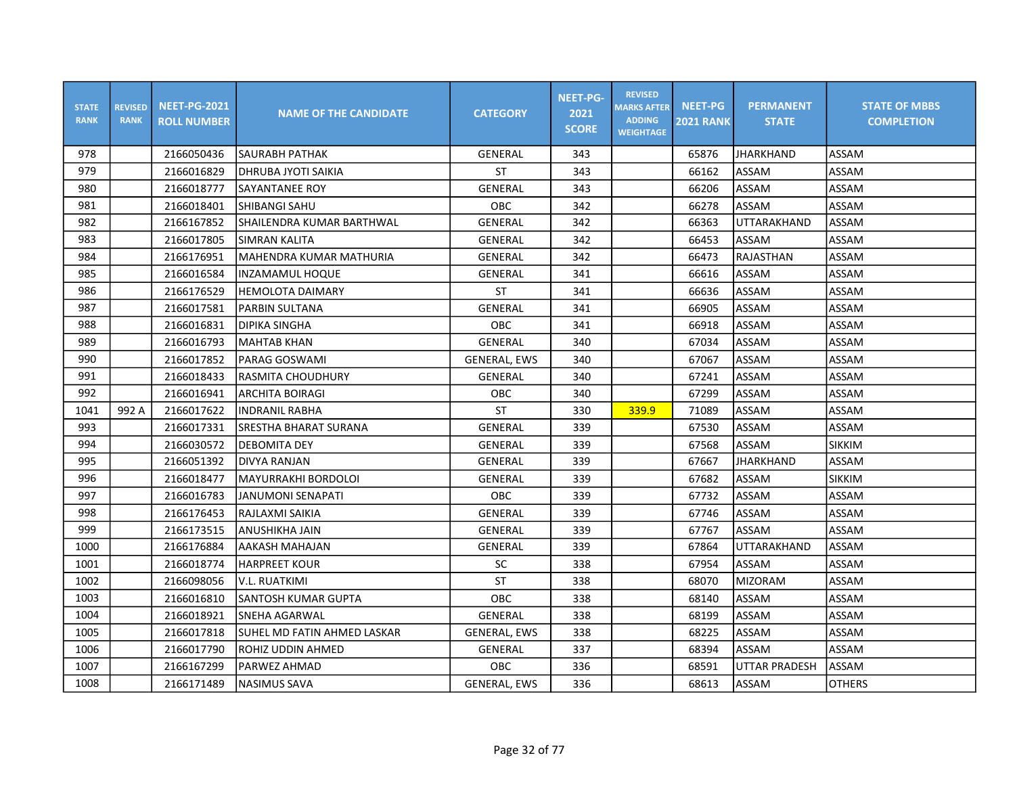| <b>STATE</b><br><b>RANK</b> | <b>REVISED</b><br><b>RANK</b> | <b>NEET-PG-2021</b><br><b>ROLL NUMBER</b> | <b>NAME OF THE CANDIDATE</b> | <b>CATEGORY</b>     | <b>NEET-PG-</b><br>2021<br><b>SCORE</b> | <b>REVISED</b><br><b>MARKS AFTER</b><br><b>ADDING</b><br><b>WEIGHTAGE</b> | <b>NEET-PG</b><br><b>2021 RANK</b> | <b>PERMANENT</b><br><b>STATE</b> | <b>STATE OF MBBS</b><br><b>COMPLETION</b> |
|-----------------------------|-------------------------------|-------------------------------------------|------------------------------|---------------------|-----------------------------------------|---------------------------------------------------------------------------|------------------------------------|----------------------------------|-------------------------------------------|
| 978                         |                               | 2166050436                                | SAURABH PATHAK               | GENERAL             | 343                                     |                                                                           | 65876                              | JHARKHAND                        | ASSAM                                     |
| 979                         |                               | 2166016829                                | DHRUBA JYOTI SAIKIA          | <b>ST</b>           | 343                                     |                                                                           | 66162                              | ASSAM                            | ASSAM                                     |
| 980                         |                               | 2166018777                                | SAYANTANEE ROY               | GENERAL             | 343                                     |                                                                           | 66206                              | ASSAM                            | ASSAM                                     |
| 981                         |                               | 2166018401                                | SHIBANGI SAHU                | OBC                 | 342                                     |                                                                           | 66278                              | ASSAM                            | ASSAM                                     |
| 982                         |                               | 2166167852                                | SHAILENDRA KUMAR BARTHWAL    | GENERAL             | 342                                     |                                                                           | 66363                              | UTTARAKHAND                      | ASSAM                                     |
| 983                         |                               | 2166017805                                | <b>SIMRAN KALITA</b>         | GENERAL             | 342                                     |                                                                           | 66453                              | ASSAM                            | ASSAM                                     |
| 984                         |                               | 2166176951                                | MAHENDRA KUMAR MATHURIA      | GENERAL             | 342                                     |                                                                           | 66473                              | RAJASTHAN                        | ASSAM                                     |
| 985                         |                               | 2166016584                                | INZAMAMUL HOQUE              | <b>GENERAL</b>      | 341                                     |                                                                           | 66616                              | ASSAM                            | ASSAM                                     |
| 986                         |                               | 2166176529                                | <b>HEMOLOTA DAIMARY</b>      | <b>ST</b>           | 341                                     |                                                                           | 66636                              | ASSAM                            | ASSAM                                     |
| 987                         |                               | 2166017581                                | <b>PARBIN SULTANA</b>        | <b>GENERAL</b>      | 341                                     |                                                                           | 66905                              | <b>ASSAM</b>                     | ASSAM                                     |
| 988                         |                               | 2166016831                                | <b>DIPIKA SINGHA</b>         | OBC                 | 341                                     |                                                                           | 66918                              | <b>ASSAM</b>                     | ASSAM                                     |
| 989                         |                               | 2166016793                                | <b>MAHTAB KHAN</b>           | <b>GENERAL</b>      | 340                                     |                                                                           | 67034                              | <b>ASSAM</b>                     | ASSAM                                     |
| 990                         |                               | 2166017852                                | PARAG GOSWAMI                | <b>GENERAL, EWS</b> | 340                                     |                                                                           | 67067                              | <b>ASSAM</b>                     | ASSAM                                     |
| 991                         |                               | 2166018433                                | RASMITA CHOUDHURY            | GENERAL             | 340                                     |                                                                           | 67241                              | <b>ASSAM</b>                     | ASSAM                                     |
| 992                         |                               | 2166016941                                | <b>ARCHITA BOIRAGI</b>       | OBC                 | 340                                     |                                                                           | 67299                              | <b>ASSAM</b>                     | ASSAM                                     |
| 1041                        | 992 A                         | 2166017622                                | <b>INDRANIL RABHA</b>        | <b>ST</b>           | 330                                     | 339.9                                                                     | 71089                              | ASSAM                            | ASSAM                                     |
| 993                         |                               | 2166017331                                | <b>SRESTHA BHARAT SURANA</b> | <b>GENERAL</b>      | 339                                     |                                                                           | 67530                              | ASSAM                            | ASSAM                                     |
| 994                         |                               | 2166030572                                | <b>DEBOMITA DEY</b>          | <b>GENERAL</b>      | 339                                     |                                                                           | 67568                              | <b>ASSAM</b>                     | <b>SIKKIM</b>                             |
| 995                         |                               | 2166051392                                | <b>DIVYA RANJAN</b>          | GENERAL             | 339                                     |                                                                           | 67667                              | <b>JHARKHAND</b>                 | ASSAM                                     |
| 996                         |                               | 2166018477                                | <b>MAYURRAKHI BORDOLOI</b>   | GENERAL             | 339                                     |                                                                           | 67682                              | ASSAM                            | <b>SIKKIM</b>                             |
| 997                         |                               | 2166016783                                | <b>JANUMONI SENAPATI</b>     | OBC                 | 339                                     |                                                                           | 67732                              | ASSAM                            | ASSAM                                     |
| 998                         |                               | 2166176453                                | RAJLAXMI SAIKIA              | <b>GENERAL</b>      | 339                                     |                                                                           | 67746                              | ASSAM                            | ASSAM                                     |
| 999                         |                               | 2166173515                                | <b>ANUSHIKHA JAIN</b>        | <b>GENERAL</b>      | 339                                     |                                                                           | 67767                              | ASSAM                            | ASSAM                                     |
| 1000                        |                               | 2166176884                                | AAKASH MAHAJAN               | GENERAL             | 339                                     |                                                                           | 67864                              | UTTARAKHAND                      | ASSAM                                     |
| 1001                        |                               | 2166018774                                | <b>HARPREET KOUR</b>         | SC                  | 338                                     |                                                                           | 67954                              | <b>ASSAM</b>                     | ASSAM                                     |
| 1002                        |                               | 2166098056                                | <b>V.L. RUATKIMI</b>         | <b>ST</b>           | 338                                     |                                                                           | 68070                              | MIZORAM                          | ASSAM                                     |
| 1003                        |                               | 2166016810                                | SANTOSH KUMAR GUPTA          | OBC                 | 338                                     |                                                                           | 68140                              | ASSAM                            | ASSAM                                     |
| 1004                        |                               | 2166018921                                | SNEHA AGARWAL                | GENERAL             | 338                                     |                                                                           | 68199                              | ASSAM                            | ASSAM                                     |
| 1005                        |                               | 2166017818                                | SUHEL MD FATIN AHMED LASKAR  | <b>GENERAL, EWS</b> | 338                                     |                                                                           | 68225                              | ASSAM                            | ASSAM                                     |
| 1006                        |                               | 2166017790                                | ROHIZ UDDIN AHMED            | <b>GENERAL</b>      | 337                                     |                                                                           | 68394                              | ASSAM                            | ASSAM                                     |
| 1007                        |                               | 2166167299                                | <b>PARWEZ AHMAD</b>          | OBC                 | 336                                     |                                                                           | 68591                              | <b>UTTAR PRADESH</b>             | ASSAM                                     |
| 1008                        |                               | 2166171489                                | <b>NASIMUS SAVA</b>          | <b>GENERAL, EWS</b> | 336                                     |                                                                           | 68613                              | ASSAM                            | <b>OTHERS</b>                             |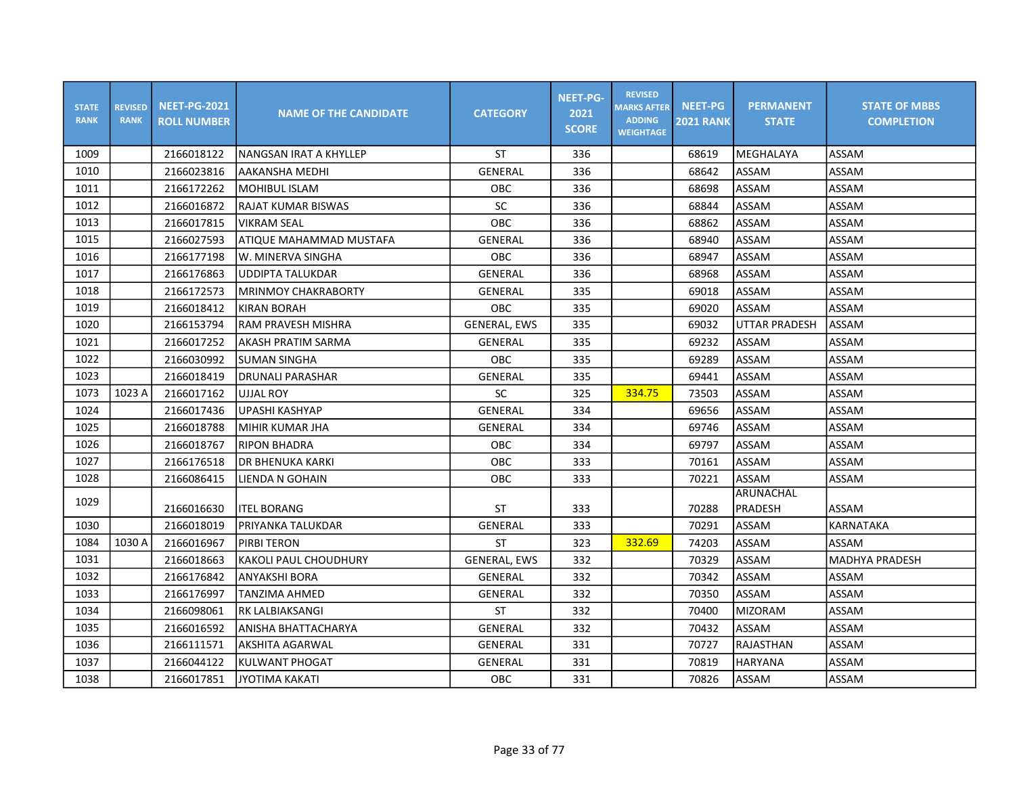| <b>STATE</b><br><b>RANK</b> | <b>REVISED</b><br><b>RANK</b> | <b>NEET-PG-2021</b><br><b>ROLL NUMBER</b> | <b>NAME OF THE CANDIDATE</b> | <b>CATEGORY</b>     | <b>NEET-PG-</b><br>2021<br><b>SCORE</b> | <b>REVISED</b><br><b>MARKS AFTER</b><br><b>ADDING</b><br><b>WEIGHTAGE</b> | <b>NEET-PG</b><br><b>2021 RANK</b> | <b>PERMANENT</b><br><b>STATE</b> | <b>STATE OF MBBS</b><br><b>COMPLETION</b> |
|-----------------------------|-------------------------------|-------------------------------------------|------------------------------|---------------------|-----------------------------------------|---------------------------------------------------------------------------|------------------------------------|----------------------------------|-------------------------------------------|
| 1009                        |                               | 2166018122                                | INANGSAN IRAT A KHYLLEP      | <b>ST</b>           | 336                                     |                                                                           | 68619                              | MEGHALAYA                        | ASSAM                                     |
| 1010                        |                               | 2166023816                                | AAKANSHA MEDHI               | GENERAL             | 336                                     |                                                                           | 68642                              | <b>ASSAM</b>                     | ASSAM                                     |
| 1011                        |                               | 2166172262                                | <b>MOHIBUL ISLAM</b>         | <b>OBC</b>          | 336                                     |                                                                           | 68698                              | ASSAM                            | ASSAM                                     |
| 1012                        |                               | 2166016872                                | RAJAT KUMAR BISWAS           | <b>SC</b>           | 336                                     |                                                                           | 68844                              | <b>ASSAM</b>                     | ASSAM                                     |
| 1013                        |                               | 2166017815                                | <b>VIKRAM SEAL</b>           | <b>OBC</b>          | 336                                     |                                                                           | 68862                              | ASSAM                            | ASSAM                                     |
| 1015                        |                               | 2166027593                                | ATIQUE MAHAMMAD MUSTAFA      | GENERAL             | 336                                     |                                                                           | 68940                              | ASSAM                            | ASSAM                                     |
| 1016                        |                               | 2166177198                                | lw. MINERVA SINGHA           | OBC                 | 336                                     |                                                                           | 68947                              | <b>ASSAM</b>                     | ASSAM                                     |
| 1017                        |                               | 2166176863                                | <b>UDDIPTA TALUKDAR</b>      | <b>GENERAL</b>      | 336                                     |                                                                           | 68968                              | ASSAM                            | ASSAM                                     |
| 1018                        |                               | 2166172573                                | MRINMOY CHAKRABORTY          | <b>GENERAL</b>      | 335                                     |                                                                           | 69018                              | <b>ASSAM</b>                     | ASSAM                                     |
| 1019                        |                               | 2166018412                                | KIRAN BORAH                  | OBC                 | 335                                     |                                                                           | 69020                              | ASSAM                            | ASSAM                                     |
| 1020                        |                               | 2166153794                                | RAM PRAVESH MISHRA           | <b>GENERAL, EWS</b> | 335                                     |                                                                           | 69032                              | <b>UTTAR PRADESH</b>             | ASSAM                                     |
| 1021                        |                               | 2166017252                                | AKASH PRATIM SARMA           | GENERAL             | 335                                     |                                                                           | 69232                              | ASSAM                            | ASSAM                                     |
| 1022                        |                               | 2166030992                                | <b>SUMAN SINGHA</b>          | <b>OBC</b>          | 335                                     |                                                                           | 69289                              | ASSAM                            | ASSAM                                     |
| 1023                        |                               | 2166018419                                | <b>DRUNALI PARASHAR</b>      | GENERAL             | 335                                     |                                                                           | 69441                              | ASSAM                            | ASSAM                                     |
| 1073                        | 1023 A                        | 2166017162                                | <b>UJJAL ROY</b>             | SC                  | 325                                     | 334.75                                                                    | 73503                              | ASSAM                            | ASSAM                                     |
| 1024                        |                               | 2166017436                                | UPASHI KASHYAP               | GENERAL             | 334                                     |                                                                           | 69656                              | <b>ASSAM</b>                     | ASSAM                                     |
| 1025                        |                               | 2166018788                                | MIHIR KUMAR JHA              | <b>GENERAL</b>      | 334                                     |                                                                           | 69746                              | ASSAM                            | ASSAM                                     |
| 1026                        |                               | 2166018767                                | <b>RIPON BHADRA</b>          | OBC                 | 334                                     |                                                                           | 69797                              | <b>ASSAM</b>                     | ASSAM                                     |
| 1027                        |                               | 2166176518                                | IDR BHENUKA KARKI            | OBC                 | 333                                     |                                                                           | 70161                              | ASSAM                            | ASSAM                                     |
| 1028                        |                               | 2166086415                                | LIENDA N GOHAIN              | OBC                 | 333                                     |                                                                           | 70221                              | ASSAM                            | ASSAM                                     |
| 1029                        |                               | 2166016630                                | <b>ITEL BORANG</b>           | <b>ST</b>           | 333                                     |                                                                           | 70288                              | ARUNACHAL<br><b>PRADESH</b>      | ASSAM                                     |
| 1030                        |                               | 2166018019                                | PRIYANKA TALUKDAR            | GENERAL             | 333                                     |                                                                           | 70291                              | <b>ASSAM</b>                     | <b>KARNATAKA</b>                          |
| 1084                        | 1030 A                        | 2166016967                                | <b>PIRBI TERON</b>           | <b>ST</b>           | 323                                     | 332.69                                                                    | 74203                              | ASSAM                            | ASSAM                                     |
| 1031                        |                               | 2166018663                                | IKAKOLI PAUL CHOUDHURY       | <b>GENERAL, EWS</b> | 332                                     |                                                                           | 70329                              | <b>ASSAM</b>                     | <b>MADHYA PRADESH</b>                     |
| 1032                        |                               | 2166176842                                | lanyakshi bora               | GENERAL             | 332                                     |                                                                           | 70342                              | ASSAM                            | ASSAM                                     |
| 1033                        |                               | 2166176997                                | <b>TANZIMA AHMED</b>         | GENERAL             | 332                                     |                                                                           | 70350                              | ASSAM                            | ASSAM                                     |
| 1034                        |                               | 2166098061                                | RK LALBIAKSANGI              | ST                  | 332                                     |                                                                           | 70400                              | MIZORAM                          | ASSAM                                     |
| 1035                        |                               | 2166016592                                | ANISHA BHATTACHARYA          | GENERAL             | 332                                     |                                                                           | 70432                              | ASSAM                            | ASSAM                                     |
| 1036                        |                               | 2166111571                                | AKSHITA AGARWAL              | GENERAL             | 331                                     |                                                                           | 70727                              | RAJASTHAN                        | ASSAM                                     |
| 1037                        |                               | 2166044122                                | <b>KULWANT PHOGAT</b>        | GENERAL             | 331                                     |                                                                           | 70819                              | <b>HARYANA</b>                   | ASSAM                                     |
| 1038                        |                               | 2166017851                                | JYOTIMA KAKATI               | OBC                 | 331                                     |                                                                           | 70826                              | ASSAM                            | ASSAM                                     |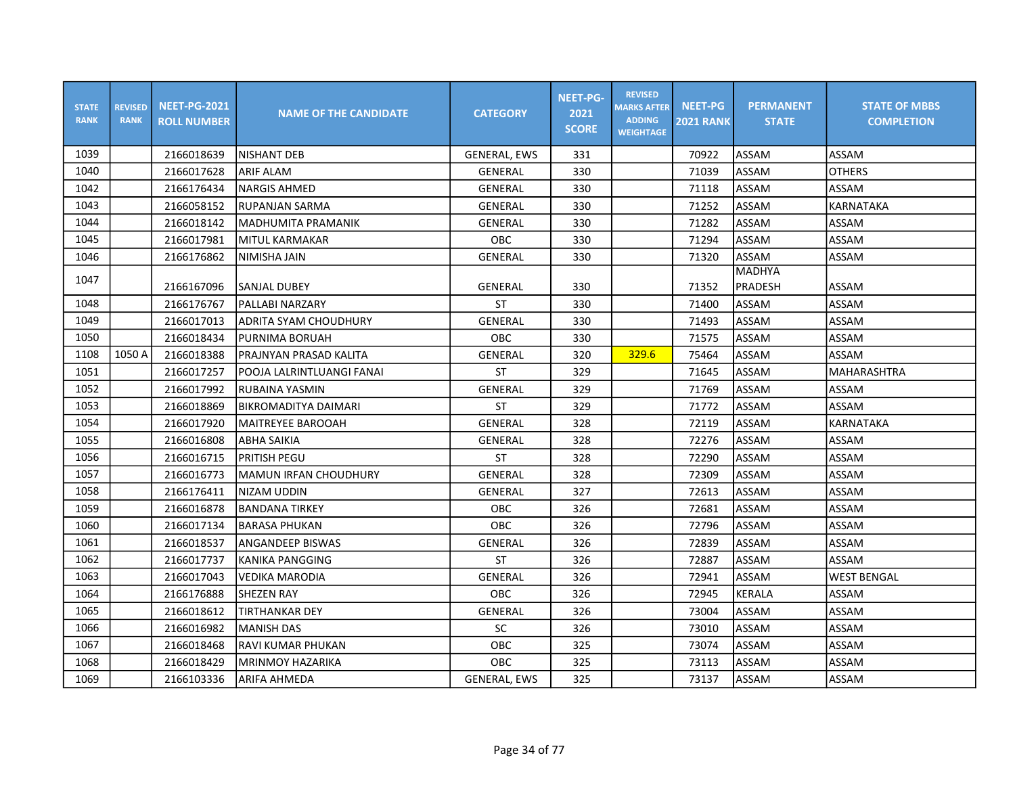| <b>STATE</b><br><b>RANK</b> | <b>REVISED</b><br><b>RANK</b> | <b>NEET-PG-2021</b><br><b>ROLL NUMBER</b> | <b>NAME OF THE CANDIDATE</b> | <b>CATEGORY</b>     | <b>NEET-PG-</b><br>2021<br><b>SCORE</b> | <b>REVISED</b><br><b>MARKS AFTER</b><br><b>ADDING</b><br><b>WEIGHTAGE</b> | <b>NEET-PG</b><br><b>2021 RANK</b> | <b>PERMANENT</b><br><b>STATE</b> | <b>STATE OF MBBS</b><br><b>COMPLETION</b> |
|-----------------------------|-------------------------------|-------------------------------------------|------------------------------|---------------------|-----------------------------------------|---------------------------------------------------------------------------|------------------------------------|----------------------------------|-------------------------------------------|
| 1039                        |                               | 2166018639                                | <b>NISHANT DEB</b>           | <b>GENERAL, EWS</b> | 331                                     |                                                                           | 70922                              | ASSAM                            | ASSAM                                     |
| 1040                        |                               | 2166017628                                | <b>ARIF ALAM</b>             | GENERAL             | 330                                     |                                                                           | 71039                              | ASSAM                            | <b>OTHERS</b>                             |
| 1042                        |                               | 2166176434                                | <b>NARGIS AHMED</b>          | GENERAL             | 330                                     |                                                                           | 71118                              | ASSAM                            | ASSAM                                     |
| 1043                        |                               | 2166058152                                | IRUPANJAN SARMA              | GENERAL             | 330                                     |                                                                           | 71252                              | ASSAM                            | KARNATAKA                                 |
| 1044                        |                               | 2166018142                                | <b>MADHUMITA PRAMANIK</b>    | GENERAL             | 330                                     |                                                                           | 71282                              | ASSAM                            | ASSAM                                     |
| 1045                        |                               | 2166017981                                | MITUL KARMAKAR               | OBC                 | 330                                     |                                                                           | 71294                              | ASSAM                            | ASSAM                                     |
| 1046                        |                               | 2166176862                                | <b>NIMISHA JAIN</b>          | GENERAL             | 330                                     |                                                                           | 71320                              | ASSAM                            | ASSAM                                     |
| 1047                        |                               |                                           |                              |                     |                                         |                                                                           |                                    | <b>MADHYA</b>                    |                                           |
|                             |                               | 2166167096                                | <b>SANJAL DUBEY</b>          | GENERAL             | 330                                     |                                                                           | 71352                              | PRADESH                          | ASSAM                                     |
| 1048                        |                               | 2166176767                                | <b>PALLABI NARZARY</b>       | <b>ST</b>           | 330                                     |                                                                           | 71400                              | ASSAM                            | <b>ASSAM</b>                              |
| 1049                        |                               | 2166017013                                | ADRITA SYAM CHOUDHURY        | <b>GENERAL</b>      | 330                                     |                                                                           | 71493                              | ASSAM                            | ASSAM                                     |
| 1050                        |                               | 2166018434                                | PURNIMA BORUAH               | <b>OBC</b>          | 330                                     |                                                                           | 71575                              | ASSAM                            | ASSAM                                     |
| 1108                        | 1050 A                        | 2166018388                                | PRAJNYAN PRASAD KALITA       | <b>GENERAL</b>      | 320                                     | 329.6                                                                     | 75464                              | ASSAM                            | ASSAM                                     |
| 1051                        |                               | 2166017257                                | POOJA LALRINTLUANGI FANAI    | <b>ST</b>           | 329                                     |                                                                           | 71645                              | ASSAM                            | <b>MAHARASHTRA</b>                        |
| 1052                        |                               | 2166017992                                | <b>RUBAINA YASMIN</b>        | <b>GENERAL</b>      | 329                                     |                                                                           | 71769                              | ASSAM                            | ASSAM                                     |
| 1053                        |                               | 2166018869                                | BIKROMADITYA DAIMARI         | <b>ST</b>           | 329                                     |                                                                           | 71772                              | ASSAM                            | ASSAM                                     |
| 1054                        |                               | 2166017920                                | <b>MAITREYEE BAROOAH</b>     | GENERAL             | 328                                     |                                                                           | 72119                              | ASSAM                            | <b>KARNATAKA</b>                          |
| 1055                        |                               | 2166016808                                | <b>ABHA SAIKIA</b>           | GENERAL             | 328                                     |                                                                           | 72276                              | ASSAM                            | ASSAM                                     |
| 1056                        |                               | 2166016715                                | PRITISH PEGU                 | <b>ST</b>           | 328                                     |                                                                           | 72290                              | ASSAM                            | ASSAM                                     |
| 1057                        |                               | 2166016773                                | MAMUN IRFAN CHOUDHURY        | <b>GENERAL</b>      | 328                                     |                                                                           | 72309                              | ASSAM                            | ASSAM                                     |
| 1058                        |                               | 2166176411                                | <b>NIZAM UDDIN</b>           | <b>GENERAL</b>      | 327                                     |                                                                           | 72613                              | ASSAM                            | ASSAM                                     |
| 1059                        |                               | 2166016878                                | <b>BANDANA TIRKEY</b>        | <b>OBC</b>          | 326                                     |                                                                           | 72681                              | ASSAM                            | ASSAM                                     |
| 1060                        |                               | 2166017134                                | IBARASA PHUKAN               | OBC                 | 326                                     |                                                                           | 72796                              | ASSAM                            | ASSAM                                     |
| 1061                        |                               | 2166018537                                | <b>ANGANDEEP BISWAS</b>      | <b>GENERAL</b>      | 326                                     |                                                                           | 72839                              | ASSAM                            | ASSAM                                     |
| 1062                        |                               | 2166017737                                | <b>KANIKA PANGGING</b>       | <b>ST</b>           | 326                                     |                                                                           | 72887                              | ASSAM                            | ASSAM                                     |
| 1063                        |                               | 2166017043                                | <b>VEDIKA MARODIA</b>        | <b>GENERAL</b>      | 326                                     |                                                                           | 72941                              | ASSAM                            | <b>WEST BENGAL</b>                        |
| 1064                        |                               | 2166176888                                | SHEZEN RAY                   | <b>OBC</b>          | 326                                     |                                                                           | 72945                              | <b>KERALA</b>                    | ASSAM                                     |
| 1065                        |                               | 2166018612                                | TIRTHANKAR DEY               | GENERAL             | 326                                     |                                                                           | 73004                              | ASSAM                            | ASSAM                                     |
| 1066                        |                               | 2166016982                                | <b>MANISH DAS</b>            | <b>SC</b>           | 326                                     |                                                                           | 73010                              | ASSAM                            | ASSAM                                     |
| 1067                        |                               | 2166018468                                | <b>RAVI KUMAR PHUKAN</b>     | <b>OBC</b>          | 325                                     |                                                                           | 73074                              | ASSAM                            | ASSAM                                     |
| 1068                        |                               | 2166018429                                | <b>MRINMOY HAZARIKA</b>      | OBC                 | 325                                     |                                                                           | 73113                              | ASSAM                            | ASSAM                                     |
| 1069                        |                               | 2166103336                                | ARIFA AHMEDA                 | <b>GENERAL, EWS</b> | 325                                     |                                                                           | 73137                              | ASSAM                            | ASSAM                                     |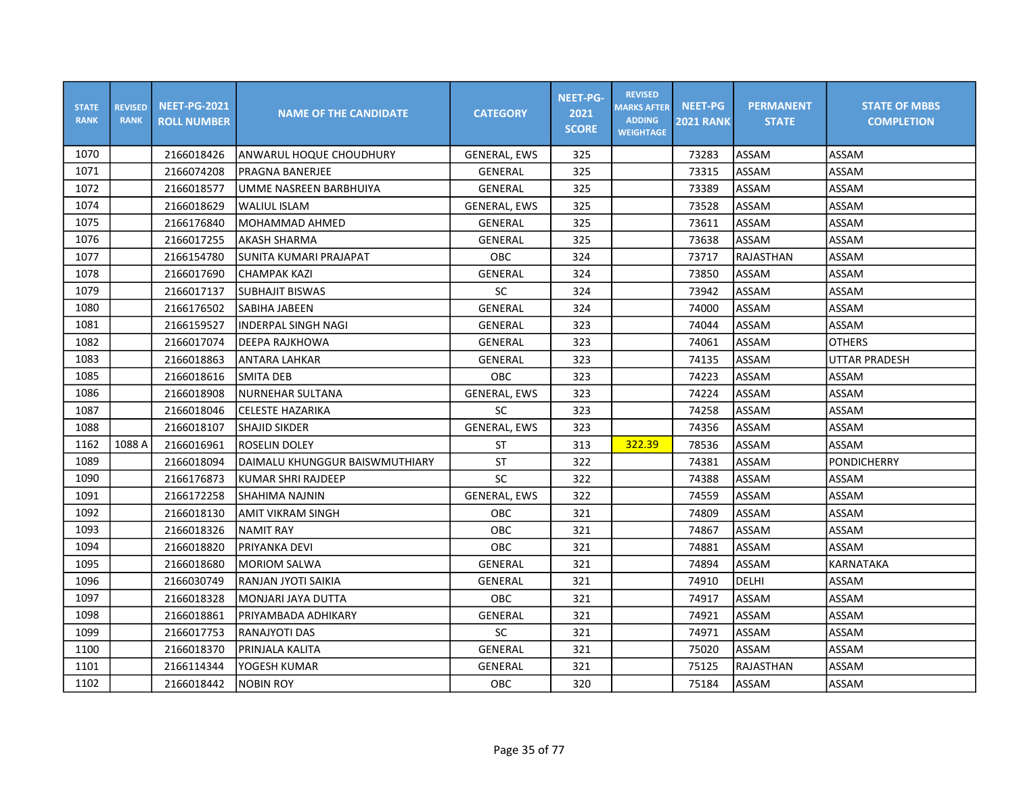| <b>STATE</b><br><b>RANK</b> | <b>REVISED</b><br><b>RANK</b> | <b>NEET-PG-2021</b><br><b>ROLL NUMBER</b> | <b>NAME OF THE CANDIDATE</b>   | <b>CATEGORY</b>     | <b>NEET-PG-</b><br>2021<br><b>SCORE</b> | <b>REVISED</b><br><b>MARKS AFTER</b><br><b>ADDING</b><br><b>WEIGHTAGE</b> | <b>NEET-PG</b><br><b>2021 RANK</b> | <b>PERMANENT</b><br><b>STATE</b> | <b>STATE OF MBBS</b><br><b>COMPLETION</b> |
|-----------------------------|-------------------------------|-------------------------------------------|--------------------------------|---------------------|-----------------------------------------|---------------------------------------------------------------------------|------------------------------------|----------------------------------|-------------------------------------------|
| 1070                        |                               | 2166018426                                | ANWARUL HOQUE CHOUDHURY        | <b>GENERAL, EWS</b> | 325                                     |                                                                           | 73283                              | ASSAM                            | ASSAM                                     |
| 1071                        |                               | 2166074208                                | PRAGNA BANERJEE                | GENERAL             | 325                                     |                                                                           | 73315                              | ASSAM                            | ASSAM                                     |
| 1072                        |                               | 2166018577                                | UMME NASREEN BARBHUIYA         | GENERAL             | 325                                     |                                                                           | 73389                              | ASSAM                            | ASSAM                                     |
| 1074                        |                               | 2166018629                                | <b>WALIUL ISLAM</b>            | <b>GENERAL, EWS</b> | 325                                     |                                                                           | 73528                              | ASSAM                            | ASSAM                                     |
| 1075                        |                               | 2166176840                                | MOHAMMAD AHMED                 | <b>GENERAL</b>      | 325                                     |                                                                           | 73611                              | ASSAM                            | ASSAM                                     |
| 1076                        |                               | 2166017255                                | <b>AKASH SHARMA</b>            | <b>GENERAL</b>      | 325                                     |                                                                           | 73638                              | ASSAM                            | ASSAM                                     |
| 1077                        |                               | 2166154780                                | SUNITA KUMARI PRAJAPAT         | OBC                 | 324                                     |                                                                           | 73717                              | RAJASTHAN                        | ASSAM                                     |
| 1078                        |                               | 2166017690                                | CHAMPAK KAZI                   | GENERAL             | 324                                     |                                                                           | 73850                              | ASSAM                            | ASSAM                                     |
| 1079                        |                               | 2166017137                                | <b>SUBHAJIT BISWAS</b>         | <b>SC</b>           | 324                                     |                                                                           | 73942                              | ASSAM                            | ASSAM                                     |
| 1080                        |                               | 2166176502                                | SABIHA JABEEN                  | <b>GENERAL</b>      | 324                                     |                                                                           | 74000                              | ASSAM                            | ASSAM                                     |
| 1081                        |                               | 2166159527                                | <b>INDERPAL SINGH NAGI</b>     | <b>GENERAL</b>      | 323                                     |                                                                           | 74044                              | ASSAM                            | ASSAM                                     |
| 1082                        |                               | 2166017074                                | DEEPA RAJKHOWA                 | GENERAL             | 323                                     |                                                                           | 74061                              | ASSAM                            | <b>OTHERS</b>                             |
| 1083                        |                               | 2166018863                                | <b>ANTARA LAHKAR</b>           | GENERAL             | 323                                     |                                                                           | 74135                              | ASSAM                            | <b>UTTAR PRADESH</b>                      |
| 1085                        |                               | 2166018616                                | <b>SMITA DEB</b>               | <b>OBC</b>          | 323                                     |                                                                           | 74223                              | ASSAM                            | ASSAM                                     |
| 1086                        |                               | 2166018908                                | NURNEHAR SULTANA               | <b>GENERAL, EWS</b> | 323                                     |                                                                           | 74224                              | ASSAM                            | ASSAM                                     |
| 1087                        |                               | 2166018046                                | <b>CELESTE HAZARIKA</b>        | SC                  | 323                                     |                                                                           | 74258                              | ASSAM                            | ASSAM                                     |
| 1088                        |                               | 2166018107                                | <b>SHAJID SIKDER</b>           | <b>GENERAL, EWS</b> | 323                                     |                                                                           | 74356                              | ASSAM                            | ASSAM                                     |
| 1162                        | 1088 A                        | 2166016961                                | <b>ROSELIN DOLEY</b>           | <b>ST</b>           | 313                                     | 322.39                                                                    | 78536                              | ASSAM                            | ASSAM                                     |
| 1089                        |                               | 2166018094                                | DAIMALU KHUNGGUR BAISWMUTHIARY | <b>ST</b>           | 322                                     |                                                                           | 74381                              | ASSAM                            | <b>PONDICHERRY</b>                        |
| 1090                        |                               | 2166176873                                | KUMAR SHRI RAJDEEP             | SC                  | 322                                     |                                                                           | 74388                              | ASSAM                            | ASSAM                                     |
| 1091                        |                               | 2166172258                                | ISHAHIMA NAJNIN                | <b>GENERAL, EWS</b> | 322                                     |                                                                           | 74559                              | ASSAM                            | ASSAM                                     |
| 1092                        |                               | 2166018130                                | <b>AMIT VIKRAM SINGH</b>       | OBC                 | 321                                     |                                                                           | 74809                              | ASSAM                            | ASSAM                                     |
| 1093                        |                               | 2166018326                                | <b>NAMIT RAY</b>               | OBC                 | 321                                     |                                                                           | 74867                              | ASSAM                            | ASSAM                                     |
| 1094                        |                               | 2166018820                                | <b>PRIYANKA DEVI</b>           | OBC                 | 321                                     |                                                                           | 74881                              | ASSAM                            | ASSAM                                     |
| 1095                        |                               | 2166018680                                | MORIOM SALWA                   | <b>GENERAL</b>      | 321                                     |                                                                           | 74894                              | ASSAM                            | <b>KARNATAKA</b>                          |
| 1096                        |                               | 2166030749                                | RANJAN JYOTI SAIKIA            | GENERAL             | 321                                     |                                                                           | 74910                              | DELHI                            | ASSAM                                     |
| 1097                        |                               | 2166018328                                | MONJARI JAYA DUTTA             | OBC                 | 321                                     |                                                                           | 74917                              | ASSAM                            | ASSAM                                     |
| 1098                        |                               | 2166018861                                | PRIYAMBADA ADHIKARY            | GENERAL             | 321                                     |                                                                           | 74921                              | ASSAM                            | ASSAM                                     |
| 1099                        |                               | 2166017753                                | RANAJYOTI DAS                  | SC                  | 321                                     |                                                                           | 74971                              | ASSAM                            | ASSAM                                     |
| 1100                        |                               | 2166018370                                | PRINJALA KALITA                | GENERAL             | 321                                     |                                                                           | 75020                              | <b>ASSAM</b>                     | ASSAM                                     |
| 1101                        |                               | 2166114344                                | YOGESH KUMAR                   | <b>GENERAL</b>      | 321                                     |                                                                           | 75125                              | <b>RAJASTHAN</b>                 | ASSAM                                     |
| 1102                        |                               | 2166018442                                | <b>NOBIN ROY</b>               | OBC                 | 320                                     |                                                                           | 75184                              | ASSAM                            | ASSAM                                     |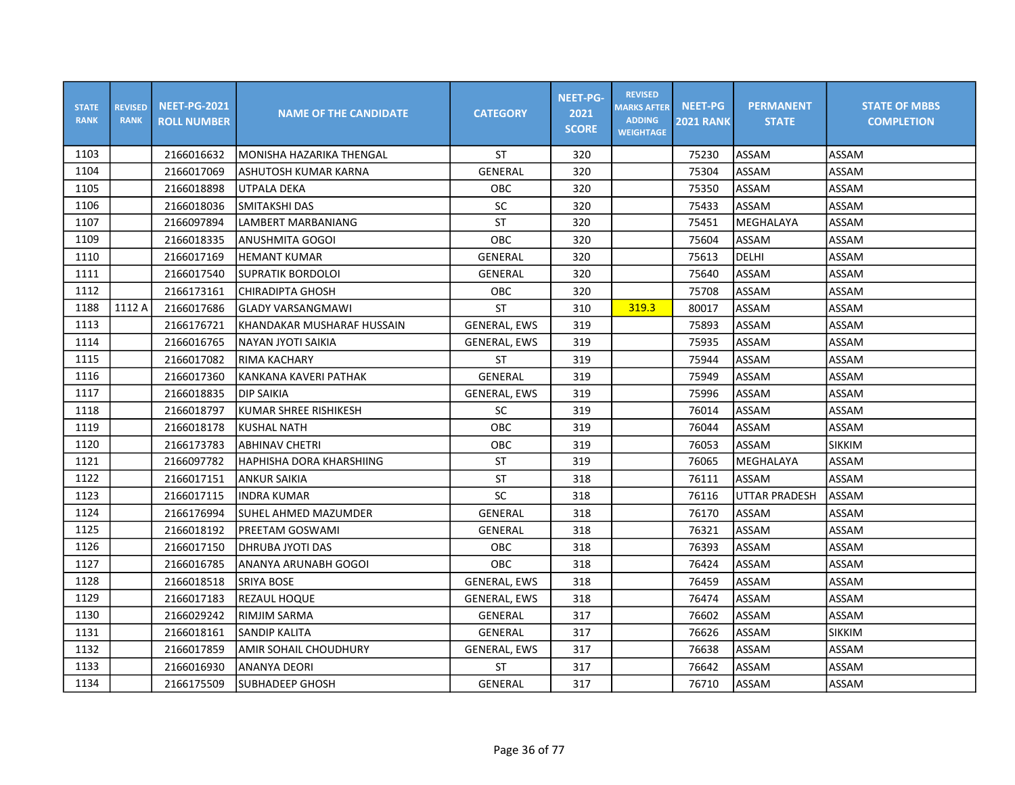| <b>STATE</b><br><b>RANK</b> | <b>REVISED</b><br><b>RANK</b> | <b>NEET-PG-2021</b><br><b>ROLL NUMBER</b> | <b>NAME OF THE CANDIDATE</b> | <b>CATEGORY</b>     | <b>NEET-PG-</b><br>2021<br><b>SCORE</b> | <b>REVISED</b><br><b>MARKS AFTER</b><br><b>ADDING</b><br><b>WEIGHTAGE</b> | <b>NEET-PG</b><br><b>2021 RANK</b> | <b>PERMANENT</b><br><b>STATE</b> | <b>STATE OF MBBS</b><br><b>COMPLETION</b> |
|-----------------------------|-------------------------------|-------------------------------------------|------------------------------|---------------------|-----------------------------------------|---------------------------------------------------------------------------|------------------------------------|----------------------------------|-------------------------------------------|
| 1103                        |                               | 2166016632                                | MONISHA HAZARIKA THENGAL     | <b>ST</b>           | 320                                     |                                                                           | 75230                              | ASSAM                            | ASSAM                                     |
| 1104                        |                               | 2166017069                                | ASHUTOSH KUMAR KARNA         | <b>GENERAL</b>      | 320                                     |                                                                           | 75304                              | ASSAM                            | ASSAM                                     |
| 1105                        |                               | 2166018898                                | UTPALA DEKA                  | OBC                 | 320                                     |                                                                           | 75350                              | ASSAM                            | ASSAM                                     |
| 1106                        |                               | 2166018036                                | SMITAKSHI DAS                | SC                  | 320                                     |                                                                           | 75433                              | ASSAM                            | ASSAM                                     |
| 1107                        |                               | 2166097894                                | LAMBERT MARBANIANG           | <b>ST</b>           | 320                                     |                                                                           | 75451                              | MEGHALAYA                        | ASSAM                                     |
| 1109                        |                               | 2166018335                                | <b>ANUSHMITA GOGOI</b>       | OBC                 | 320                                     |                                                                           | 75604                              | ASSAM                            | ASSAM                                     |
| 1110                        |                               | 2166017169                                | <b>HEMANT KUMAR</b>          | GENERAL             | 320                                     |                                                                           | 75613                              | DELHI                            | ASSAM                                     |
| 1111                        |                               | 2166017540                                | SUPRATIK BORDOLOI            | <b>GENERAL</b>      | 320                                     |                                                                           | 75640                              | ASSAM                            | ASSAM                                     |
| 1112                        |                               | 2166173161                                | ICHIRADIPTA GHOSH            | OBC                 | 320                                     |                                                                           | 75708                              | ASSAM                            | ASSAM                                     |
| 1188                        | 1112 A                        | 2166017686                                | lGLADY VARSANGMAWI           | <b>ST</b>           | 310                                     | 319.3                                                                     | 80017                              | ASSAM                            | ASSAM                                     |
| 1113                        |                               | 2166176721                                | KHANDAKAR MUSHARAF HUSSAIN   | <b>GENERAL, EWS</b> | 319                                     |                                                                           | 75893                              | ASSAM                            | ASSAM                                     |
| 1114                        |                               | 2166016765                                | INAYAN JYOTI SAIKIA          | <b>GENERAL, EWS</b> | 319                                     |                                                                           | 75935                              | ASSAM                            | ASSAM                                     |
| 1115                        |                               | 2166017082                                | RIMA KACHARY                 | <b>ST</b>           | 319                                     |                                                                           | 75944                              | ASSAM                            | ASSAM                                     |
| 1116                        |                               | 2166017360                                | KANKANA KAVERI PATHAK        | GENERAL             | 319                                     |                                                                           | 75949                              | ASSAM                            | ASSAM                                     |
| 1117                        |                               | 2166018835                                | <b>DIP SAIKIA</b>            | <b>GENERAL, EWS</b> | 319                                     |                                                                           | 75996                              | ASSAM                            | ASSAM                                     |
| 1118                        |                               | 2166018797                                | KUMAR SHREE RISHIKESH        | <b>SC</b>           | 319                                     |                                                                           | 76014                              | ASSAM                            | ASSAM                                     |
| 1119                        |                               | 2166018178                                | <b>KUSHAL NATH</b>           | OBC                 | 319                                     |                                                                           | 76044                              | ASSAM                            | ASSAM                                     |
| 1120                        |                               | 2166173783                                | <b>ABHINAV CHETRI</b>        | OBC                 | 319                                     |                                                                           | 76053                              | <b>ASSAM</b>                     | SIKKIM                                    |
| 1121                        |                               | 2166097782                                | HAPHISHA DORA KHARSHIING     | <b>ST</b>           | 319                                     |                                                                           | 76065                              | MEGHALAYA                        | ASSAM                                     |
| 1122                        |                               | 2166017151                                | ANKUR SAIKIA                 | <b>ST</b>           | 318                                     |                                                                           | 76111                              | ASSAM                            | ASSAM                                     |
| 1123                        |                               | 2166017115                                | lindra kumar                 | SC                  | 318                                     |                                                                           | 76116                              | <b>UTTAR PRADESH</b>             | ASSAM                                     |
| 1124                        |                               | 2166176994                                | lSUHEL AHMED MAZUMDER        | <b>GENERAL</b>      | 318                                     |                                                                           | 76170                              | ASSAM                            | ASSAM                                     |
| 1125                        |                               | 2166018192                                | <b>PREETAM GOSWAMI</b>       | <b>GENERAL</b>      | 318                                     |                                                                           | 76321                              | ASSAM                            | ASSAM                                     |
| 1126                        |                               | 2166017150                                | DHRUBA JYOTI DAS             | <b>OBC</b>          | 318                                     |                                                                           | 76393                              | ASSAM                            | ASSAM                                     |
| 1127                        |                               | 2166016785                                | ANANYA ARUNABH GOGOI         | OBC                 | 318                                     |                                                                           | 76424                              | ASSAM                            | ASSAM                                     |
| 1128                        |                               | 2166018518                                | SRIYA BOSE                   | <b>GENERAL, EWS</b> | 318                                     |                                                                           | 76459                              | ASSAM                            | ASSAM                                     |
| 1129                        |                               | 2166017183                                | REZAUL HOQUE                 | <b>GENERAL, EWS</b> | 318                                     |                                                                           | 76474                              | ASSAM                            | ASSAM                                     |
| 1130                        |                               | 2166029242                                | RIMJIM SARMA                 | GENERAL             | 317                                     |                                                                           | 76602                              | ASSAM                            | ASSAM                                     |
| 1131                        |                               | 2166018161                                | SANDIP KALITA                | GENERAL             | 317                                     |                                                                           | 76626                              | ASSAM                            | <b>SIKKIM</b>                             |
| 1132                        |                               | 2166017859                                | AMIR SOHAIL CHOUDHURY        | <b>GENERAL, EWS</b> | 317                                     |                                                                           | 76638                              | ASSAM                            | ASSAM                                     |
| 1133                        |                               | 2166016930                                | ANANYA DEORI                 | <b>ST</b>           | 317                                     |                                                                           | 76642                              | ASSAM                            | ASSAM                                     |
| 1134                        |                               | 2166175509                                | SUBHADEEP GHOSH              | GENERAL             | 317                                     |                                                                           | 76710                              | ASSAM                            | ASSAM                                     |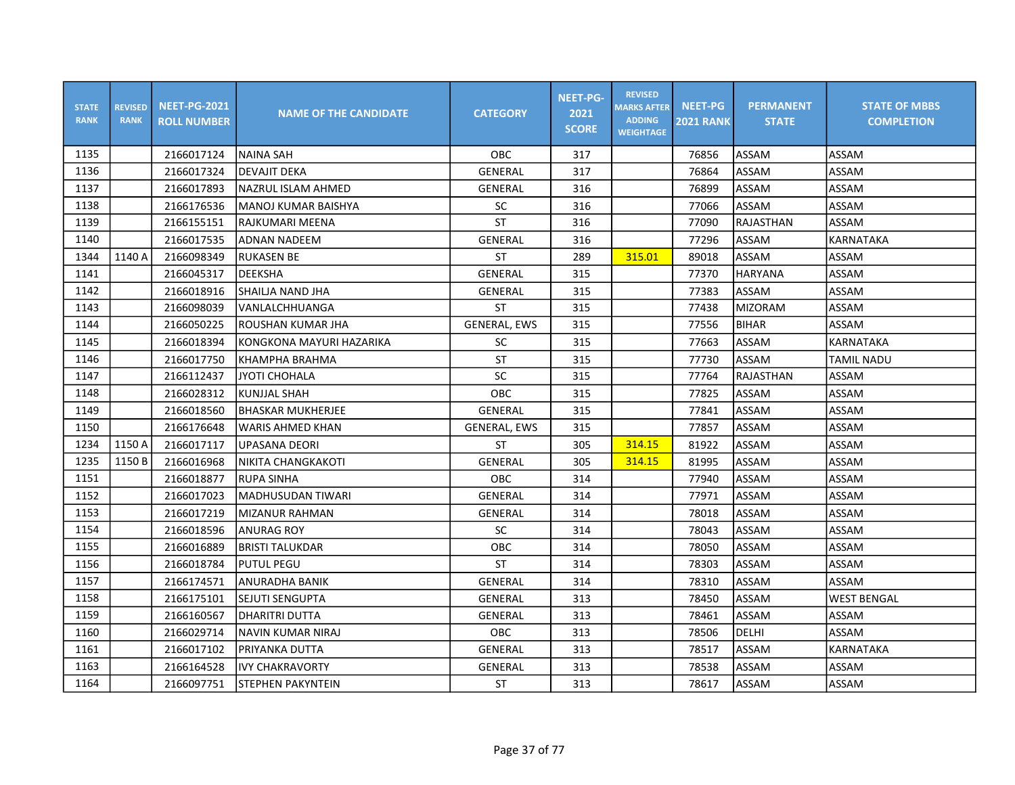| <b>STATE</b><br><b>RANK</b> | <b>REVISED</b><br><b>RANK</b> | <b>NEET-PG-2021</b><br><b>ROLL NUMBER</b> | <b>NAME OF THE CANDIDATE</b> | <b>CATEGORY</b>     | <b>NEET-PG-</b><br>2021<br><b>SCORE</b> | <b>REVISED</b><br><b>MARKS AFTER</b><br><b>ADDING</b><br><b>WEIGHTAGE</b> | <b>NEET-PG</b><br><b>2021 RANK</b> | <b>PERMANENT</b><br><b>STATE</b> | <b>STATE OF MBBS</b><br><b>COMPLETION</b> |
|-----------------------------|-------------------------------|-------------------------------------------|------------------------------|---------------------|-----------------------------------------|---------------------------------------------------------------------------|------------------------------------|----------------------------------|-------------------------------------------|
| 1135                        |                               | 2166017124                                | <b>NAINA SAH</b>             | OBC                 | 317                                     |                                                                           | 76856                              | ASSAM                            | ASSAM                                     |
| 1136                        |                               | 2166017324                                | <b>DEVAJIT DEKA</b>          | GENERAL             | 317                                     |                                                                           | 76864                              | ASSAM                            | ASSAM                                     |
| 1137                        |                               | 2166017893                                | NAZRUL ISLAM AHMED           | <b>GENERAL</b>      | 316                                     |                                                                           | 76899                              | ASSAM                            | ASSAM                                     |
| 1138                        |                               | 2166176536                                | MANOJ KUMAR BAISHYA          | <b>SC</b>           | 316                                     |                                                                           | 77066                              | ASSAM                            | ASSAM                                     |
| 1139                        |                               | 2166155151                                | RAJKUMARI MEENA              | ST                  | 316                                     |                                                                           | 77090                              | RAJASTHAN                        | ASSAM                                     |
| 1140                        |                               | 2166017535                                | <b>ADNAN NADEEM</b>          | <b>GENERAL</b>      | 316                                     |                                                                           | 77296                              | ASSAM                            | <b>KARNATAKA</b>                          |
| 1344                        | 1140 A                        | 2166098349                                | <b>RUKASEN BE</b>            | <b>ST</b>           | 289                                     | 315.01                                                                    | 89018                              | ASSAM                            | <b>ASSAM</b>                              |
| 1141                        |                               | 2166045317                                | <b>DEEKSHA</b>               | GENERAL             | 315                                     |                                                                           | 77370                              | HARYANA                          | ASSAM                                     |
| 1142                        |                               | 2166018916                                | ISHAILJA NAND JHA            | GENERAL             | 315                                     |                                                                           | 77383                              | ASSAM                            | ASSAM                                     |
| 1143                        |                               | 2166098039                                | VANLALCHHUANGA               | <b>ST</b>           | 315                                     |                                                                           | 77438                              | <b>MIZORAM</b>                   | ASSAM                                     |
| 1144                        |                               | 2166050225                                | ROUSHAN KUMAR JHA            | <b>GENERAL, EWS</b> | 315                                     |                                                                           | 77556                              | <b>BIHAR</b>                     | ASSAM                                     |
| 1145                        |                               | 2166018394                                | KONGKONA MAYURI HAZARIKA     | <b>SC</b>           | 315                                     |                                                                           | 77663                              | ASSAM                            | <b>KARNATAKA</b>                          |
| 1146                        |                               | 2166017750                                | KHAMPHA BRAHMA               | <b>ST</b>           | 315                                     |                                                                           | 77730                              | ASSAM                            | <b>TAMIL NADU</b>                         |
| 1147                        |                               | 2166112437                                | <b>JYOTI CHOHALA</b>         | SC                  | 315                                     |                                                                           | 77764                              | RAJASTHAN                        | ASSAM                                     |
| 1148                        |                               | 2166028312                                | <b>KUNJJAL SHAH</b>          | OBC                 | 315                                     |                                                                           | 77825                              | ASSAM                            | ASSAM                                     |
| 1149                        |                               | 2166018560                                | <b>BHASKAR MUKHERJEE</b>     | GENERAL             | 315                                     |                                                                           | 77841                              | ASSAM                            | ASSAM                                     |
| 1150                        |                               | 2166176648                                | <b>WARIS AHMED KHAN</b>      | <b>GENERAL, EWS</b> | 315                                     |                                                                           | 77857                              | ASSAM                            | ASSAM                                     |
| 1234                        | 1150 A                        | 2166017117                                | <b>UPASANA DEORI</b>         | <b>ST</b>           | 305                                     | 314.15                                                                    | 81922                              | ASSAM                            | ASSAM                                     |
| 1235                        | 1150 B                        | 2166016968                                | NIKITA CHANGKAKOTI           | GENERAL             | 305                                     | 314.15                                                                    | 81995                              | ASSAM                            | ASSAM                                     |
| 1151                        |                               | 2166018877                                | RUPA SINHA                   | OBC                 | 314                                     |                                                                           | 77940                              | ASSAM                            | ASSAM                                     |
| 1152                        |                               | 2166017023                                | lMADHUSUDAN TIWARI           | <b>GENERAL</b>      | 314                                     |                                                                           | 77971                              | ASSAM                            | ASSAM                                     |
| 1153                        |                               | 2166017219                                | MIZANUR RAHMAN               | GENERAL             | 314                                     |                                                                           | 78018                              | ASSAM                            | ASSAM                                     |
| 1154                        |                               | 2166018596                                | <b>ANURAG ROY</b>            | SC                  | 314                                     |                                                                           | 78043                              | ASSAM                            | ASSAM                                     |
| 1155                        |                               | 2166016889                                | BRISTI TALUKDAR              | OBC                 | 314                                     |                                                                           | 78050                              | ASSAM                            | ASSAM                                     |
| 1156                        |                               | 2166018784                                | PUTUL PEGU                   | ST                  | 314                                     |                                                                           | 78303                              | ASSAM                            | ASSAM                                     |
| 1157                        |                               | 2166174571                                | ANURADHA BANIK               | GENERAL             | 314                                     |                                                                           | 78310                              | ASSAM                            | ASSAM                                     |
| 1158                        |                               | 2166175101                                | <b>SEJUTI SENGUPTA</b>       | GENERAL             | 313                                     |                                                                           | 78450                              | ASSAM                            | <b>WEST BENGAL</b>                        |
| 1159                        |                               | 2166160567                                | IDHARITRI DUTTA              | GENERAL             | 313                                     |                                                                           | 78461                              | ASSAM                            | ASSAM                                     |
| 1160                        |                               | 2166029714                                | NAVIN KUMAR NIRAJ            | OBC                 | 313                                     |                                                                           | 78506                              | <b>DELHI</b>                     | ASSAM                                     |
| 1161                        |                               | 2166017102                                | PRIYANKA DUTTA               | GENERAL             | 313                                     |                                                                           | 78517                              | ASSAM                            | <b>KARNATAKA</b>                          |
| 1163                        |                               | 2166164528                                | <b>IVY CHAKRAVORTY</b>       | GENERAL             | 313                                     |                                                                           | 78538                              | ASSAM                            | ASSAM                                     |
| 1164                        |                               | 2166097751                                | STEPHEN PAKYNTEIN            | ST                  | 313                                     |                                                                           | 78617                              | ASSAM                            | ASSAM                                     |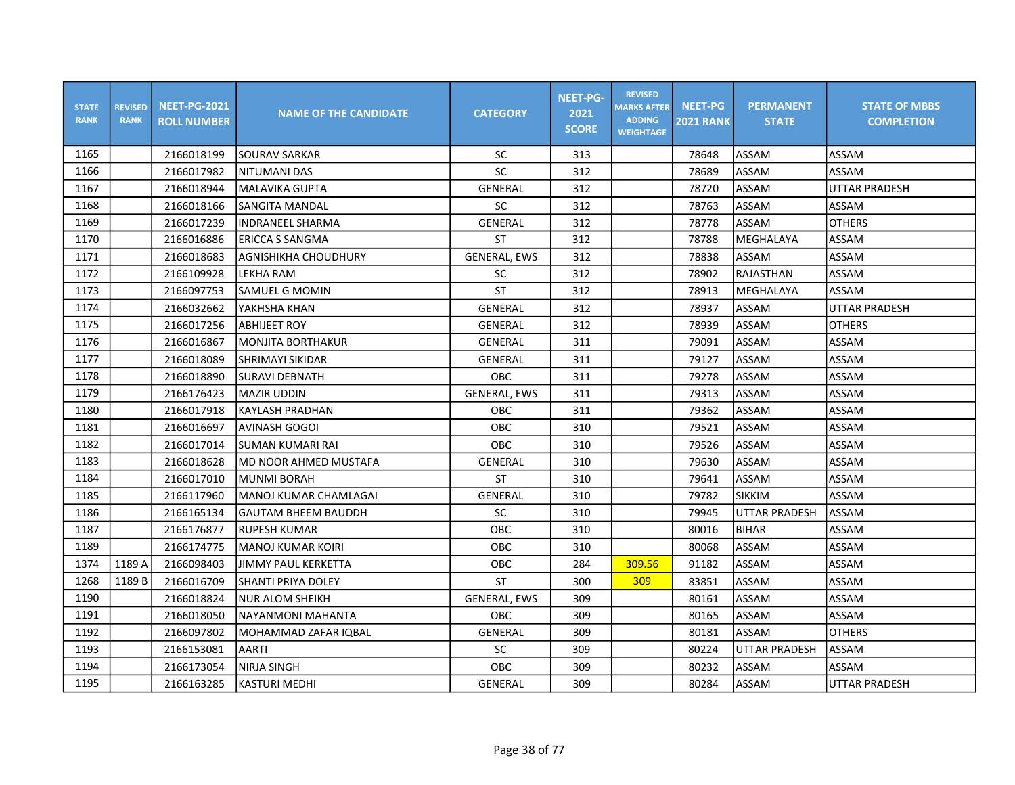| <b>STATE</b><br><b>RANK</b> | <b>REVISED</b><br><b>RANK</b> | <b>NEET-PG-2021</b><br><b>ROLL NUMBER</b> | <b>NAME OF THE CANDIDATE</b> | <b>CATEGORY</b>     | <b>NEET-PG-</b><br>2021<br><b>SCORE</b> | <b>REVISED</b><br><b>MARKS AFTER</b><br><b>ADDING</b><br><b>WEIGHTAGE</b> | <b>NEET-PG</b><br><b>2021 RANK</b> | <b>PERMANENT</b><br><b>STATE</b> | <b>STATE OF MBBS</b><br><b>COMPLETION</b> |
|-----------------------------|-------------------------------|-------------------------------------------|------------------------------|---------------------|-----------------------------------------|---------------------------------------------------------------------------|------------------------------------|----------------------------------|-------------------------------------------|
| 1165                        |                               | 2166018199                                | SOURAV SARKAR                | <b>SC</b>           | 313                                     |                                                                           | 78648                              | ASSAM                            | ASSAM                                     |
| 1166                        |                               | 2166017982                                | <b>NITUMANI DAS</b>          | SC                  | 312                                     |                                                                           | 78689                              | ASSAM                            | ASSAM                                     |
| 1167                        |                               | 2166018944                                | MALAVIKA GUPTA               | <b>GENERAL</b>      | 312                                     |                                                                           | 78720                              | ASSAM                            | <b>UTTAR PRADESH</b>                      |
| 1168                        |                               | 2166018166                                | SANGITA MANDAL               | SC                  | 312                                     |                                                                           | 78763                              | ASSAM                            | ASSAM                                     |
| 1169                        |                               | 2166017239                                | <b>INDRANEEL SHARMA</b>      | GENERAL             | 312                                     |                                                                           | 78778                              | <b>ASSAM</b>                     | <b>OTHERS</b>                             |
| 1170                        |                               | 2166016886                                | <b>ERICCA S SANGMA</b>       | <b>ST</b>           | 312                                     |                                                                           | 78788                              | MEGHALAYA                        | ASSAM                                     |
| 1171                        |                               | 2166018683                                | AGNISHIKHA CHOUDHURY         | <b>GENERAL, EWS</b> | 312                                     |                                                                           | 78838                              | ASSAM                            | ASSAM                                     |
| 1172                        |                               | 2166109928                                | LEKHA RAM                    | SC                  | 312                                     |                                                                           | 78902                              | RAJASTHAN                        | ASSAM                                     |
| 1173                        |                               | 2166097753                                | ISAMUEL G MOMIN              | ST                  | 312                                     |                                                                           | 78913                              | MEGHALAYA                        | ASSAM                                     |
| 1174                        |                               | 2166032662                                | YAKHSHA KHAN                 | <b>GENERAL</b>      | 312                                     |                                                                           | 78937                              | ASSAM                            | <b>UTTAR PRADESH</b>                      |
| 1175                        |                               | 2166017256                                | <b>ABHIJEET ROY</b>          | <b>GENERAL</b>      | 312                                     |                                                                           | 78939                              | ASSAM                            | <b>OTHERS</b>                             |
| 1176                        |                               | 2166016867                                | IMONJITA BORTHAKUR           | GENERAL             | 311                                     |                                                                           | 79091                              | ASSAM                            | ASSAM                                     |
| 1177                        |                               | 2166018089                                | SHRIMAYI SIKIDAR             | <b>GENERAL</b>      | 311                                     |                                                                           | 79127                              | ASSAM                            | ASSAM                                     |
| 1178                        |                               | 2166018890                                | <b>SURAVI DEBNATH</b>        | <b>OBC</b>          | 311                                     |                                                                           | 79278                              | ASSAM                            | ASSAM                                     |
| 1179                        |                               | 2166176423                                | <b>MAZIR UDDIN</b>           | <b>GENERAL, EWS</b> | 311                                     |                                                                           | 79313                              | ASSAM                            | ASSAM                                     |
| 1180                        |                               | 2166017918                                | <b>KAYLASH PRADHAN</b>       | OBC                 | 311                                     |                                                                           | 79362                              | ASSAM                            | ASSAM                                     |
| 1181                        |                               | 2166016697                                | AVINASH GOGOI                | OBC                 | 310                                     |                                                                           | 79521                              | ASSAM                            | ASSAM                                     |
| 1182                        |                               | 2166017014                                | İSUMAN KUMARI RAI            | <b>OBC</b>          | 310                                     |                                                                           | 79526                              | <b>ASSAM</b>                     | ASSAM                                     |
| 1183                        |                               | 2166018628                                | MD NOOR AHMED MUSTAFA        | GENERAL             | 310                                     |                                                                           | 79630                              | ASSAM                            | ASSAM                                     |
| 1184                        |                               | 2166017010                                | MUNMI BORAH                  | <b>ST</b>           | 310                                     |                                                                           | 79641                              | ASSAM                            | ASSAM                                     |
| 1185                        |                               | 2166117960                                | İMANOJ KUMAR CHAMLAGAI       | GENERAL             | 310                                     |                                                                           | 79782                              | <b>SIKKIM</b>                    | ASSAM                                     |
| 1186                        |                               | 2166165134                                | lGAUTAM BHEEM BAUDDH         | <b>SC</b>           | 310                                     |                                                                           | 79945                              | UTTAR PRADESH                    | <b>ASSAM</b>                              |
| 1187                        |                               | 2166176877                                | <b>RUPESH KUMAR</b>          | OBC                 | 310                                     |                                                                           | 80016                              | <b>BIHAR</b>                     | ASSAM                                     |
| 1189                        |                               | 2166174775                                | MANOJ KUMAR KOIRI            | <b>OBC</b>          | 310                                     |                                                                           | 80068                              | ASSAM                            | ASSAM                                     |
| 1374                        | 1189 A                        | 2166098403                                | <b>JIMMY PAUL KERKETTA</b>   | OBC                 | 284                                     | 309.56                                                                    | 91182                              | ASSAM                            | ASSAM                                     |
| 1268                        | 1189 B                        | 2166016709                                | SHANTI PRIYA DOLEY           | <b>ST</b>           | 300                                     | 309                                                                       | 83851                              | ASSAM                            | ASSAM                                     |
| 1190                        |                               | 2166018824                                | <b>NUR ALOM SHEIKH</b>       | <b>GENERAL, EWS</b> | 309                                     |                                                                           | 80161                              | ASSAM                            | ASSAM                                     |
| 1191                        |                               | 2166018050                                | NAYANMONI MAHANTA            | OBC                 | 309                                     |                                                                           | 80165                              | ASSAM                            | ASSAM                                     |
| 1192                        |                               | 2166097802                                | MOHAMMAD ZAFAR IQBAL         | GENERAL             | 309                                     |                                                                           | 80181                              | ASSAM                            | <b>OTHERS</b>                             |
| 1193                        |                               | 2166153081                                | AARTI                        | SC                  | 309                                     |                                                                           | 80224                              | <b>UTTAR PRADESH</b>             | ASSAM                                     |
| 1194                        |                               | 2166173054                                | <b>NIRJA SINGH</b>           | OBC                 | 309                                     |                                                                           | 80232                              | ASSAM                            | ASSAM                                     |
| 1195                        |                               | 2166163285                                | <b>KASTURI MEDHI</b>         | GENERAL             | 309                                     |                                                                           | 80284                              | ASSAM                            | <b>UTTAR PRADESH</b>                      |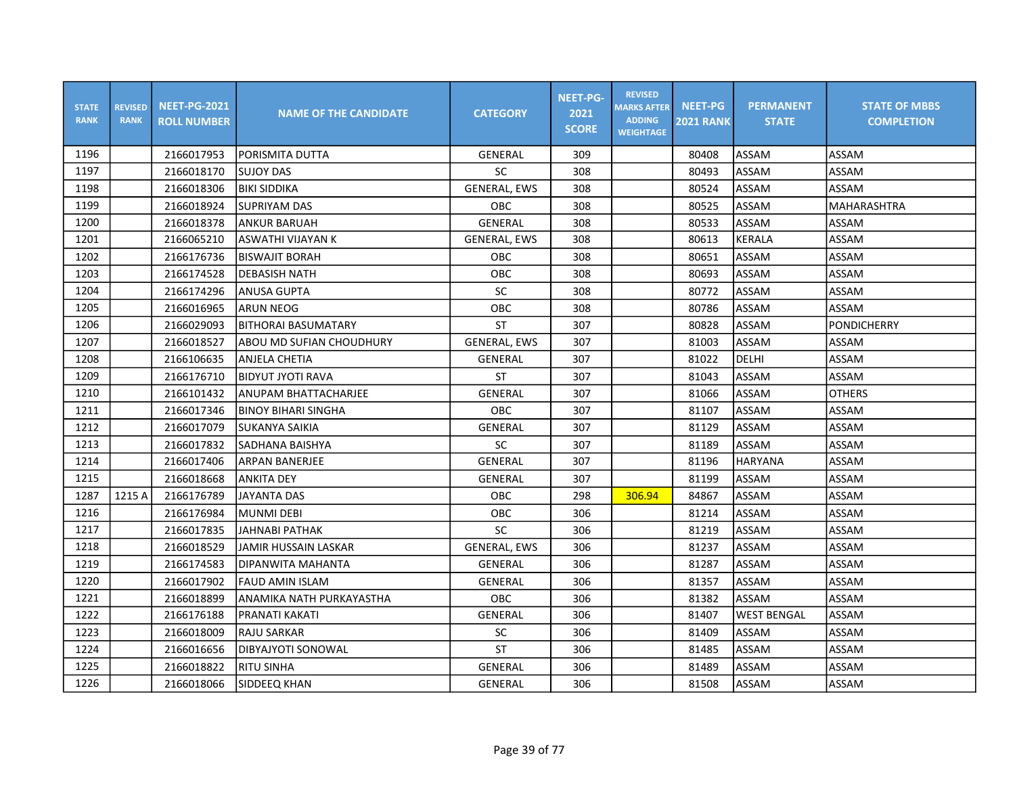| <b>STATE</b><br><b>RANK</b> | <b>REVISED</b><br><b>RANK</b> | <b>NEET-PG-2021</b><br><b>ROLL NUMBER</b> | <b>NAME OF THE CANDIDATE</b> | <b>CATEGORY</b>     | <b>NEET-PG-</b><br>2021<br><b>SCORE</b> | <b>REVISED</b><br><b>MARKS AFTER</b><br><b>ADDING</b><br><b>WEIGHTAGE</b> | <b>NEET-PG</b><br><b>2021 RANK</b> | <b>PERMANENT</b><br><b>STATE</b> | <b>STATE OF MBBS</b><br><b>COMPLETION</b> |
|-----------------------------|-------------------------------|-------------------------------------------|------------------------------|---------------------|-----------------------------------------|---------------------------------------------------------------------------|------------------------------------|----------------------------------|-------------------------------------------|
| 1196                        |                               | 2166017953                                | PORISMITA DUTTA              | GENERAL             | 309                                     |                                                                           | 80408                              | ASSAM                            | ASSAM                                     |
| 1197                        |                               | 2166018170                                | <b>SUJOY DAS</b>             | SC                  | 308                                     |                                                                           | 80493                              | ASSAM                            | ASSAM                                     |
| 1198                        |                               | 2166018306                                | <b>BIKI SIDDIKA</b>          | <b>GENERAL, EWS</b> | 308                                     |                                                                           | 80524                              | ASSAM                            | ASSAM                                     |
| 1199                        |                               | 2166018924                                | <b>SUPRIYAM DAS</b>          | OBC                 | 308                                     |                                                                           | 80525                              | ASSAM                            | <b>MAHARASHTRA</b>                        |
| 1200                        |                               | 2166018378                                | ANKUR BARUAH                 | <b>GENERAL</b>      | 308                                     |                                                                           | 80533                              | ASSAM                            | ASSAM                                     |
| 1201                        |                               | 2166065210                                | ASWATHI VIJAYAN K            | <b>GENERAL, EWS</b> | 308                                     |                                                                           | 80613                              | <b>KERALA</b>                    | ASSAM                                     |
| 1202                        |                               | 2166176736                                | <b>BISWAJIT BORAH</b>        | OBC                 | 308                                     |                                                                           | 80651                              | ASSAM                            | ASSAM                                     |
| 1203                        |                               | 2166174528                                | <b>DEBASISH NATH</b>         | OBC                 | 308                                     |                                                                           | 80693                              | ASSAM                            | ASSAM                                     |
| 1204                        |                               | 2166174296                                | <b>ANUSA GUPTA</b>           | <b>SC</b>           | 308                                     |                                                                           | 80772                              | ASSAM                            | ASSAM                                     |
| 1205                        |                               | 2166016965                                | <b>ARUN NEOG</b>             | OBC                 | 308                                     |                                                                           | 80786                              | ASSAM                            | ASSAM                                     |
| 1206                        |                               | 2166029093                                | BITHORAI BASUMATARY          | <b>ST</b>           | 307                                     |                                                                           | 80828                              | ASSAM                            | <b>PONDICHERRY</b>                        |
| 1207                        |                               | 2166018527                                | ABOU MD SUFIAN CHOUDHURY     | <b>GENERAL, EWS</b> | 307                                     |                                                                           | 81003                              | ASSAM                            | ASSAM                                     |
| 1208                        |                               | 2166106635                                | ANJELA CHETIA                | GENERAL             | 307                                     |                                                                           | 81022                              | DELHI                            | ASSAM                                     |
| 1209                        |                               | 2166176710                                | <b>BIDYUT JYOTI RAVA</b>     | <b>ST</b>           | 307                                     |                                                                           | 81043                              | ASSAM                            | ASSAM                                     |
| 1210                        |                               | 2166101432                                | ANUPAM BHATTACHARJEE         | <b>GENERAL</b>      | 307                                     |                                                                           | 81066                              | ASSAM                            | <b>OTHERS</b>                             |
| 1211                        |                               | 2166017346                                | <b>BINOY BIHARI SINGHA</b>   | OBC                 | 307                                     |                                                                           | 81107                              | ASSAM                            | ASSAM                                     |
| 1212                        |                               | 2166017079                                | <b>SUKANYA SAIKIA</b>        | GENERAL             | 307                                     |                                                                           | 81129                              | ASSAM                            | ASSAM                                     |
| 1213                        |                               | 2166017832                                | <b>SADHANA BAISHYA</b>       | SC                  | 307                                     |                                                                           | 81189                              | <b>ASSAM</b>                     | ASSAM                                     |
| 1214                        |                               | 2166017406                                | <b>ARPAN BANERJEE</b>        | GENERAL             | 307                                     |                                                                           | 81196                              | <b>HARYANA</b>                   | ASSAM                                     |
| 1215                        |                               | 2166018668                                | <b>ANKITA DEY</b>            | GENERAL             | 307                                     |                                                                           | 81199                              | ASSAM                            | ASSAM                                     |
| 1287                        | 1215 A                        | 2166176789                                | IJAYANTA DAS                 | <b>OBC</b>          | 298                                     | 306.94                                                                    | 84867                              | ASSAM                            | ASSAM                                     |
| 1216                        |                               | 2166176984                                | MUNMI DEBI                   | OBC                 | 306                                     |                                                                           | 81214                              | ASSAM                            | ASSAM                                     |
| 1217                        |                               | 2166017835                                | JAHNABI PATHAK               | SC                  | 306                                     |                                                                           | 81219                              | ASSAM                            | ASSAM                                     |
| 1218                        |                               | 2166018529                                | <b>JAMIR HUSSAIN LASKAR</b>  | <b>GENERAL, EWS</b> | 306                                     |                                                                           | 81237                              | ASSAM                            | ASSAM                                     |
| 1219                        |                               | 2166174583                                | DIPANWITA MAHANTA            | GENERAL             | 306                                     |                                                                           | 81287                              | ASSAM                            | ASSAM                                     |
| 1220                        |                               | 2166017902                                | <b>FAUD AMIN ISLAM</b>       | <b>GENERAL</b>      | 306                                     |                                                                           | 81357                              | ASSAM                            | ASSAM                                     |
| 1221                        |                               | 2166018899                                | ANAMIKA NATH PURKAYASTHA     | OBC                 | 306                                     |                                                                           | 81382                              | ASSAM                            | ASSAM                                     |
| 1222                        |                               | 2166176188                                | PRANATI KAKATI               | GENERAL             | 306                                     |                                                                           | 81407                              | <b>WEST BENGAL</b>               | ASSAM                                     |
| 1223                        |                               | 2166018009                                | RAJU SARKAR                  | SC                  | 306                                     |                                                                           | 81409                              | ASSAM                            | ASSAM                                     |
| 1224                        |                               | 2166016656                                | DIBYAJYOTI SONOWAL           | <b>ST</b>           | 306                                     |                                                                           | 81485                              | ASSAM                            | ASSAM                                     |
| 1225                        |                               | 2166018822                                | <b>RITU SINHA</b>            | GENERAL             | 306                                     |                                                                           | 81489                              | ASSAM                            | ASSAM                                     |
| 1226                        |                               | 2166018066                                | SIDDEEQ KHAN                 | GENERAL             | 306                                     |                                                                           | 81508                              | ASSAM                            | ASSAM                                     |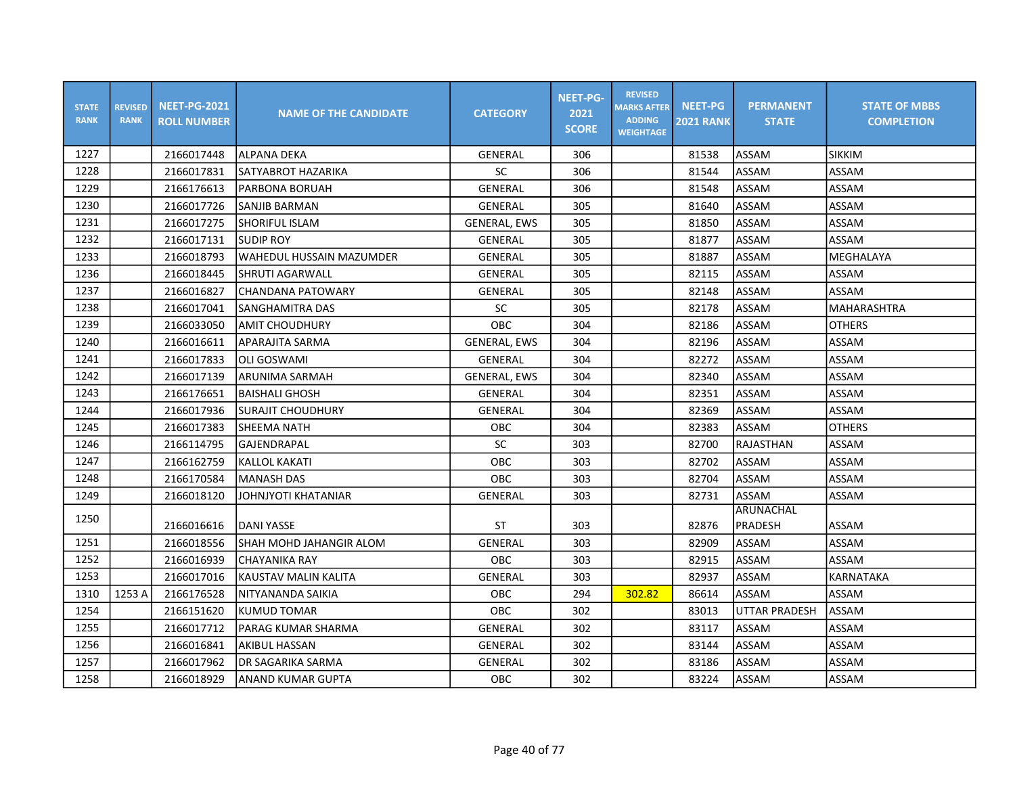| <b>STATE</b><br><b>RANK</b> | <b>REVISED</b><br><b>RANK</b> | <b>NEET-PG-2021</b><br><b>ROLL NUMBER</b> | <b>NAME OF THE CANDIDATE</b> | <b>CATEGORY</b>     | <b>NEET-PG-</b><br>2021<br><b>SCORE</b> | <b>REVISED</b><br><b>MARKS AFTER</b><br><b>ADDING</b><br><b>WEIGHTAGE</b> | <b>NEET-PG</b><br><b>2021 RANK</b> | <b>PERMANENT</b><br><b>STATE</b> | <b>STATE OF MBBS</b><br><b>COMPLETION</b> |
|-----------------------------|-------------------------------|-------------------------------------------|------------------------------|---------------------|-----------------------------------------|---------------------------------------------------------------------------|------------------------------------|----------------------------------|-------------------------------------------|
| 1227                        |                               | 2166017448                                | lalpana DEKA                 | GENERAL             | 306                                     |                                                                           | 81538                              | ASSAM                            | <b>SIKKIM</b>                             |
| 1228                        |                               | 2166017831                                | SATYABROT HAZARIKA           | SC                  | 306                                     |                                                                           | 81544                              | ASSAM                            | ASSAM                                     |
| 1229                        |                               | 2166176613                                | PARBONA BORUAH               | <b>GENERAL</b>      | 306                                     |                                                                           | 81548                              | ASSAM                            | ASSAM                                     |
| 1230                        |                               | 2166017726                                | SANJIB BARMAN                | GENERAL             | 305                                     |                                                                           | 81640                              | ASSAM                            | ASSAM                                     |
| 1231                        |                               | 2166017275                                | SHORIFUL ISLAM               | <b>GENERAL, EWS</b> | 305                                     |                                                                           | 81850                              | ASSAM                            | ASSAM                                     |
| 1232                        |                               | 2166017131                                | <b>SUDIP ROY</b>             | GENERAL             | 305                                     |                                                                           | 81877                              | <b>ASSAM</b>                     | ASSAM                                     |
| 1233                        |                               | 2166018793                                | WAHEDUL HUSSAIN MAZUMDER     | <b>GENERAL</b>      | 305                                     |                                                                           | 81887                              | ASSAM                            | MEGHALAYA                                 |
| 1236                        |                               | 2166018445                                | SHRUTI AGARWALL              | GENERAL             | 305                                     |                                                                           | 82115                              | ASSAM                            | ASSAM                                     |
| 1237                        |                               | 2166016827                                | ICHANDANA PATOWARY           | GENERAL             | 305                                     |                                                                           | 82148                              | ASSAM                            | ASSAM                                     |
| 1238                        |                               | 2166017041                                | SANGHAMITRA DAS              | SC                  | 305                                     |                                                                           | 82178                              | ASSAM                            | <b>MAHARASHTRA</b>                        |
| 1239                        |                               | 2166033050                                | <b>AMIT CHOUDHURY</b>        | OBC                 | 304                                     |                                                                           | 82186                              | ASSAM                            | <b>OTHERS</b>                             |
| 1240                        |                               | 2166016611                                | APARAJITA SARMA              | <b>GENERAL, EWS</b> | 304                                     |                                                                           | 82196                              | ASSAM                            | ASSAM                                     |
| 1241                        |                               | 2166017833                                | <b>OLI GOSWAMI</b>           | GENERAL             | 304                                     |                                                                           | 82272                              | ASSAM                            | ASSAM                                     |
| 1242                        |                               | 2166017139                                | ARUNIMA SARMAH               | <b>GENERAL, EWS</b> | 304                                     |                                                                           | 82340                              | ASSAM                            | ASSAM                                     |
| 1243                        |                               | 2166176651                                | BAISHALI GHOSH               | <b>GENERAL</b>      | 304                                     |                                                                           | 82351                              | ASSAM                            | ASSAM                                     |
| 1244                        |                               | 2166017936                                | <b>SURAJIT CHOUDHURY</b>     | <b>GENERAL</b>      | 304                                     |                                                                           | 82369                              | ASSAM                            | ASSAM                                     |
| 1245                        |                               | 2166017383                                | <b>SHEEMA NATH</b>           | OBC                 | 304                                     |                                                                           | 82383                              | ASSAM                            | <b>OTHERS</b>                             |
| 1246                        |                               | 2166114795                                | GAJENDRAPAL                  | SC                  | 303                                     |                                                                           | 82700                              | RAJASTHAN                        | ASSAM                                     |
| 1247                        |                               | 2166162759                                | <b>KALLOL KAKATI</b>         | <b>OBC</b>          | 303                                     |                                                                           | 82702                              | ASSAM                            | ASSAM                                     |
| 1248                        |                               | 2166170584                                | <b>MANASH DAS</b>            | <b>OBC</b>          | 303                                     |                                                                           | 82704                              | ASSAM                            | ASSAM                                     |
| 1249                        |                               | 2166018120                                | JOHNJYOTI KHATANIAR          | <b>GENERAL</b>      | 303                                     |                                                                           | 82731                              | ASSAM                            | ASSAM                                     |
| 1250                        |                               |                                           |                              |                     |                                         |                                                                           |                                    | ARUNACHAL                        |                                           |
|                             |                               | 2166016616                                | DANI YASSE                   | ST                  | 303                                     |                                                                           | 82876                              | PRADESH                          | ASSAM                                     |
| 1251                        |                               | 2166018556                                | SHAH MOHD JAHANGIR ALOM      | GENERAL             | 303                                     |                                                                           | 82909                              | ASSAM                            | ASSAM                                     |
| 1252                        |                               | 2166016939                                | CHAYANIKA RAY                | OBC                 | 303                                     |                                                                           | 82915                              | ASSAM                            | ASSAM                                     |
| 1253                        |                               | 2166017016                                | KAUSTAV MALIN KALITA         | <b>GENERAL</b>      | 303                                     |                                                                           | 82937                              | ASSAM                            | KARNATAKA                                 |
| 1310                        | 1253 A                        | 2166176528                                | NITYANANDA SAIKIA            | OBC                 | 294                                     | 302.82                                                                    | 86614                              | ASSAM                            | ASSAM                                     |
| 1254                        |                               | 2166151620                                | KUMUD TOMAR                  | <b>OBC</b>          | 302                                     |                                                                           | 83013                              | <b>UTTAR PRADESH</b>             | ASSAM                                     |
| 1255                        |                               | 2166017712                                | PARAG KUMAR SHARMA           | <b>GENERAL</b>      | 302                                     |                                                                           | 83117                              | ASSAM                            | ASSAM                                     |
| 1256                        |                               | 2166016841                                | AKIBUL HASSAN                | GENERAL             | 302                                     |                                                                           | 83144                              | ASSAM                            | ASSAM                                     |
| 1257                        |                               | 2166017962                                | DR SAGARIKA SARMA            | GENERAL             | 302                                     |                                                                           | 83186                              | ASSAM                            | ASSAM                                     |
| 1258                        |                               | 2166018929                                | ANAND KUMAR GUPTA            | OBC                 | 302                                     |                                                                           | 83224                              | ASSAM                            | ASSAM                                     |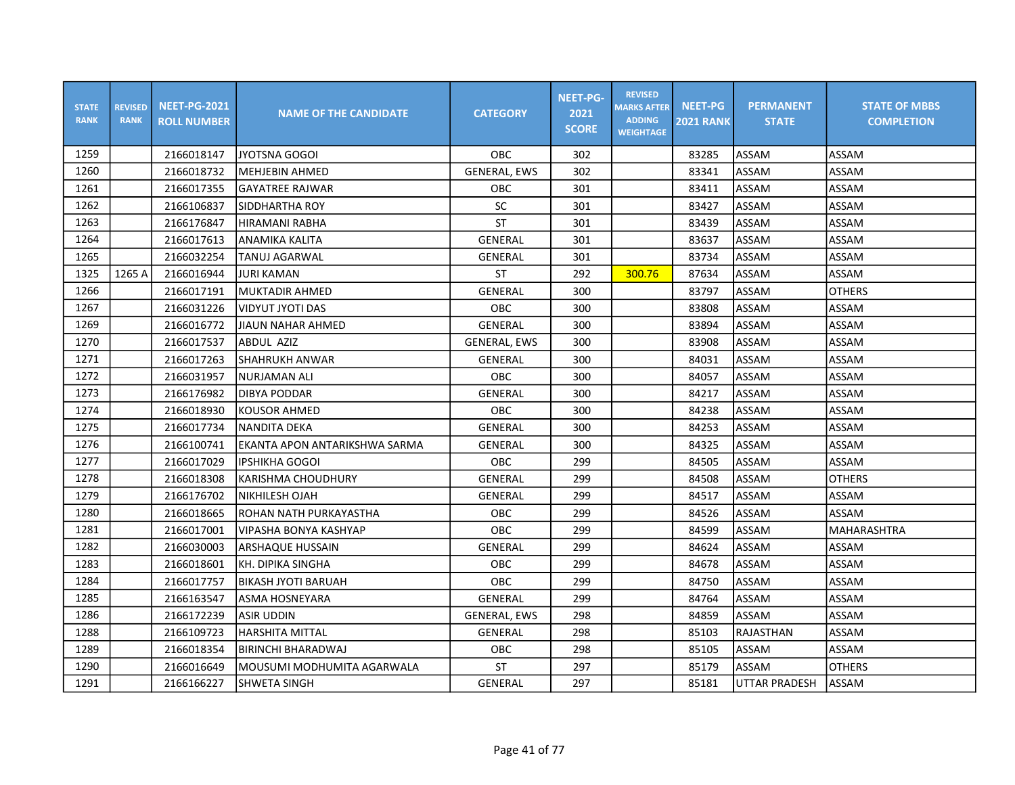| <b>STATE</b><br><b>RANK</b> | <b>REVISED</b><br><b>RANK</b> | <b>NEET-PG-2021</b><br><b>ROLL NUMBER</b> | <b>NAME OF THE CANDIDATE</b>  | <b>CATEGORY</b>     | <b>NEET-PG-</b><br>2021<br><b>SCORE</b> | <b>REVISED</b><br><b>MARKS AFTER</b><br><b>ADDING</b><br><b>WEIGHTAGE</b> | <b>NEET-PG</b><br><b>2021 RANK</b> | <b>PERMANENT</b><br><b>STATE</b> | <b>STATE OF MBBS</b><br><b>COMPLETION</b> |
|-----------------------------|-------------------------------|-------------------------------------------|-------------------------------|---------------------|-----------------------------------------|---------------------------------------------------------------------------|------------------------------------|----------------------------------|-------------------------------------------|
| 1259                        |                               | 2166018147                                | <b>JYOTSNA GOGOI</b>          | OBC                 | 302                                     |                                                                           | 83285                              | ASSAM                            | ASSAM                                     |
| 1260                        |                               | 2166018732                                | <b>MEHJEBIN AHMED</b>         | <b>GENERAL, EWS</b> | 302                                     |                                                                           | 83341                              | ASSAM                            | ASSAM                                     |
| 1261                        |                               | 2166017355                                | <b>GAYATREE RAJWAR</b>        | OBC                 | 301                                     |                                                                           | 83411                              | ASSAM                            | ASSAM                                     |
| 1262                        |                               | 2166106837                                | SIDDHARTHA ROY                | SC                  | 301                                     |                                                                           | 83427                              | ASSAM                            | ASSAM                                     |
| 1263                        |                               | 2166176847                                | HIRAMANI RABHA                | ST                  | 301                                     |                                                                           | 83439                              | ASSAM                            | ASSAM                                     |
| 1264                        |                               | 2166017613                                | ANAMIKA KALITA                | <b>GENERAL</b>      | 301                                     |                                                                           | 83637                              | ASSAM                            | ASSAM                                     |
| 1265                        |                               | 2166032254                                | TANUJ AGARWAL                 | GENERAL             | 301                                     |                                                                           | 83734                              | ASSAM                            | ASSAM                                     |
| 1325                        | 1265 A                        | 2166016944                                | <b>JURI KAMAN</b>             | <b>ST</b>           | 292                                     | 300.76                                                                    | 87634                              | ASSAM                            | ASSAM                                     |
| 1266                        |                               | 2166017191                                | İMUKTADIR AHMED               | <b>GENERAL</b>      | 300                                     |                                                                           | 83797                              | ASSAM                            | <b>OTHERS</b>                             |
| 1267                        |                               | 2166031226                                | <b>VIDYUT JYOTI DAS</b>       | OBC                 | 300                                     |                                                                           | 83808                              | ASSAM                            | ASSAM                                     |
| 1269                        |                               | 2166016772                                | <b>JIAUN NAHAR AHMED</b>      | GENERAL             | 300                                     |                                                                           | 83894                              | ASSAM                            | ASSAM                                     |
| 1270                        |                               | 2166017537                                | ABDUL AZIZ                    | <b>GENERAL, EWS</b> | 300                                     |                                                                           | 83908                              | ASSAM                            | ASSAM                                     |
| 1271                        |                               | 2166017263                                | SHAHRUKH ANWAR                | GENERAL             | 300                                     |                                                                           | 84031                              | ASSAM                            | ASSAM                                     |
| 1272                        |                               | 2166031957                                | NURJAMAN ALI                  | <b>OBC</b>          | 300                                     |                                                                           | 84057                              | ASSAM                            | ASSAM                                     |
| 1273                        |                               | 2166176982                                | DIBYA PODDAR                  | GENERAL             | 300                                     |                                                                           | 84217                              | ASSAM                            | ASSAM                                     |
| 1274                        |                               | 2166018930                                | <b>KOUSOR AHMED</b>           | OBC                 | 300                                     |                                                                           | 84238                              | ASSAM                            | ASSAM                                     |
| 1275                        |                               | 2166017734                                | <b>NANDITA DEKA</b>           | <b>GENERAL</b>      | 300                                     |                                                                           | 84253                              | ASSAM                            | ASSAM                                     |
| 1276                        |                               | 2166100741                                | EKANTA APON ANTARIKSHWA SARMA | GENERAL             | 300                                     |                                                                           | 84325                              | ASSAM                            | ASSAM                                     |
| 1277                        |                               | 2166017029                                | <b>IPSHIKHA GOGOI</b>         | OBC                 | 299                                     |                                                                           | 84505                              | ASSAM                            | ASSAM                                     |
| 1278                        |                               | 2166018308                                | KARISHMA CHOUDHURY            | GENERAL             | 299                                     |                                                                           | 84508                              | ASSAM                            | <b>OTHERS</b>                             |
| 1279                        |                               | 2166176702                                | <b>NIKHILESH OJAH</b>         | GENERAL             | 299                                     |                                                                           | 84517                              | ASSAM                            | ASSAM                                     |
| 1280                        |                               | 2166018665                                | ROHAN NATH PURKAYASTHA        | OBC                 | 299                                     |                                                                           | 84526                              | ASSAM                            | ASSAM                                     |
| 1281                        |                               | 2166017001                                | <b>VIPASHA BONYA KASHYAP</b>  | OBC                 | 299                                     |                                                                           | 84599                              | ASSAM                            | MAHARASHTRA                               |
| 1282                        |                               | 2166030003                                | ARSHAQUE HUSSAIN              | <b>GENERAL</b>      | 299                                     |                                                                           | 84624                              | ASSAM                            | ASSAM                                     |
| 1283                        |                               | 2166018601                                | KH. DIPIKA SINGHA             | OBC                 | 299                                     |                                                                           | 84678                              | ASSAM                            | ASSAM                                     |
| 1284                        |                               | 2166017757                                | BIKASH JYOTI BARUAH           | OBC                 | 299                                     |                                                                           | 84750                              | ASSAM                            | ASSAM                                     |
| 1285                        |                               | 2166163547                                | ASMA HOSNEYARA                | GENERAL             | 299                                     |                                                                           | 84764                              | ASSAM                            | ASSAM                                     |
| 1286                        |                               | 2166172239                                | <b>ASIR UDDIN</b>             | <b>GENERAL, EWS</b> | 298                                     |                                                                           | 84859                              | ASSAM                            | ASSAM                                     |
| 1288                        |                               | 2166109723                                | <b>HARSHITA MITTAL</b>        | GENERAL             | 298                                     |                                                                           | 85103                              | RAJASTHAN                        | ASSAM                                     |
| 1289                        |                               | 2166018354                                | <b>BIRINCHI BHARADWAJ</b>     | OBC                 | 298                                     |                                                                           | 85105                              | ASSAM                            | ASSAM                                     |
| 1290                        |                               | 2166016649                                | MOUSUMI MODHUMITA AGARWALA    | <b>ST</b>           | 297                                     |                                                                           | 85179                              | ASSAM                            | <b>OTHERS</b>                             |
| 1291                        |                               | 2166166227                                | SHWETA SINGH                  | GENERAL             | 297                                     |                                                                           | 85181                              | UTTAR PRADESH                    | ASSAM                                     |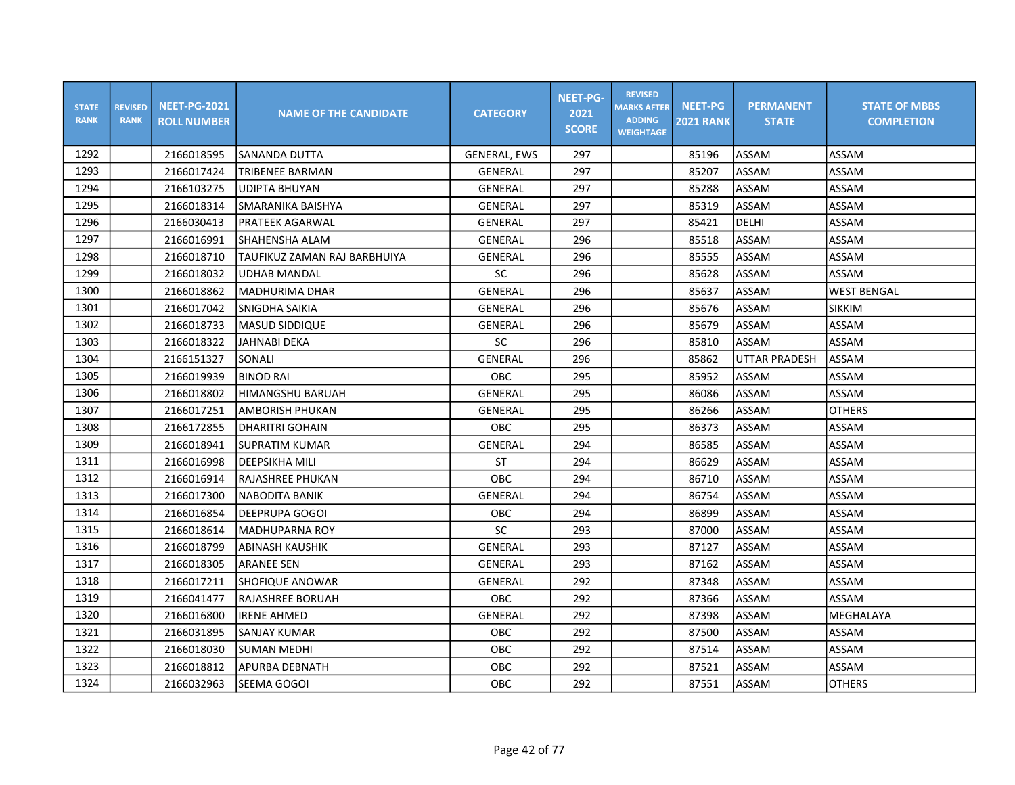| <b>STATE</b><br><b>RANK</b> | <b>REVISED</b><br><b>RANK</b> | <b>NEET-PG-2021</b><br><b>ROLL NUMBER</b> | <b>NAME OF THE CANDIDATE</b> | <b>CATEGORY</b>     | <b>NEET-PG-</b><br>2021<br><b>SCORE</b> | <b>REVISED</b><br><b>MARKS AFTER</b><br><b>ADDING</b><br><b>WEIGHTAGE</b> | <b>NEET-PG</b><br><b>2021 RANK</b> | <b>PERMANENT</b><br><b>STATE</b> | <b>STATE OF MBBS</b><br><b>COMPLETION</b> |
|-----------------------------|-------------------------------|-------------------------------------------|------------------------------|---------------------|-----------------------------------------|---------------------------------------------------------------------------|------------------------------------|----------------------------------|-------------------------------------------|
| 1292                        |                               | 2166018595                                | SANANDA DUTTA                | <b>GENERAL, EWS</b> | 297                                     |                                                                           | 85196                              | ASSAM                            | ASSAM                                     |
| 1293                        |                               | 2166017424                                | TRIBENEE BARMAN              | GENERAL             | 297                                     |                                                                           | 85207                              | <b>ASSAM</b>                     | ASSAM                                     |
| 1294                        |                               | 2166103275                                | <b>UDIPTA BHUYAN</b>         | <b>GENERAL</b>      | 297                                     |                                                                           | 85288                              | ASSAM                            | ASSAM                                     |
| 1295                        |                               | 2166018314                                | SMARANIKA BAISHYA            | GENERAL             | 297                                     |                                                                           | 85319                              | ASSAM                            | ASSAM                                     |
| 1296                        |                               | 2166030413                                | PRATEEK AGARWAL              | GENERAL             | 297                                     |                                                                           | 85421                              | DELHI                            | ASSAM                                     |
| 1297                        |                               | 2166016991                                | SHAHENSHA ALAM               | <b>GENERAL</b>      | 296                                     |                                                                           | 85518                              | ASSAM                            | ASSAM                                     |
| 1298                        |                               | 2166018710                                | TAUFIKUZ ZAMAN RAJ BARBHUIYA | GENERAL             | 296                                     |                                                                           | 85555                              | ASSAM                            | ASSAM                                     |
| 1299                        |                               | 2166018032                                | <b>UDHAB MANDAL</b>          | SC                  | 296                                     |                                                                           | 85628                              | ASSAM                            | ASSAM                                     |
| 1300                        |                               | 2166018862                                | IMADHURIMA DHAR              | GENERAL             | 296                                     |                                                                           | 85637                              | ASSAM                            | <b>WEST BENGAL</b>                        |
| 1301                        |                               | 2166017042                                | SNIGDHA SAIKIA               | GENERAL             | 296                                     |                                                                           | 85676                              | ASSAM                            | <b>SIKKIM</b>                             |
| 1302                        |                               | 2166018733                                | <b>MASUD SIDDIQUE</b>        | GENERAL             | 296                                     |                                                                           | 85679                              | ASSAM                            | ASSAM                                     |
| 1303                        |                               | 2166018322                                | <b>JAHNABI DEKA</b>          | <b>SC</b>           | 296                                     |                                                                           | 85810                              | ASSAM                            | ASSAM                                     |
| 1304                        |                               | 2166151327                                | SONALI                       | GENERAL             | 296                                     |                                                                           | 85862                              | <b>UTTAR PRADESH</b>             | ASSAM                                     |
| 1305                        |                               | 2166019939                                | <b>BINOD RAI</b>             | OBC                 | 295                                     |                                                                           | 85952                              | ASSAM                            | ASSAM                                     |
| 1306                        |                               | 2166018802                                | <b>HIMANGSHU BARUAH</b>      | GENERAL             | 295                                     |                                                                           | 86086                              | ASSAM                            | ASSAM                                     |
| 1307                        |                               | 2166017251                                | AMBORISH PHUKAN              | GENERAL             | 295                                     |                                                                           | 86266                              | ASSAM                            | <b>OTHERS</b>                             |
| 1308                        |                               | 2166172855                                | <b>DHARITRI GOHAIN</b>       | <b>OBC</b>          | 295                                     |                                                                           | 86373                              | ASSAM                            | ASSAM                                     |
| 1309                        |                               | 2166018941                                | <b>SUPRATIM KUMAR</b>        | <b>GENERAL</b>      | 294                                     |                                                                           | 86585                              | <b>ASSAM</b>                     | ASSAM                                     |
| 1311                        |                               | 2166016998                                | <b>DEEPSIKHA MILI</b>        | <b>ST</b>           | 294                                     |                                                                           | 86629                              | ASSAM                            | ASSAM                                     |
| 1312                        |                               | 2166016914                                | RAJASHREE PHUKAN             | OBC                 | 294                                     |                                                                           | 86710                              | ASSAM                            | ASSAM                                     |
| 1313                        |                               | 2166017300                                | INABODITA BANIK              | GENERAL             | 294                                     |                                                                           | 86754                              | ASSAM                            | ASSAM                                     |
| 1314                        |                               | 2166016854                                | IDEEPRUPA GOGOI              | <b>OBC</b>          | 294                                     |                                                                           | 86899                              | ASSAM                            | ASSAM                                     |
| 1315                        |                               | 2166018614                                | <b>MADHUPARNA ROY</b>        | SC                  | 293                                     |                                                                           | 87000                              | ASSAM                            | ASSAM                                     |
| 1316                        |                               | 2166018799                                | ABINASH KAUSHIK              | GENERAL             | 293                                     |                                                                           | 87127                              | <b>ASSAM</b>                     | ASSAM                                     |
| 1317                        |                               | 2166018305                                | <b>ARANEE SEN</b>            | <b>GENERAL</b>      | 293                                     |                                                                           | 87162                              | ASSAM                            | ASSAM                                     |
| 1318                        |                               | 2166017211                                | SHOFIQUE ANOWAR              | GENERAL             | 292                                     |                                                                           | 87348                              | ASSAM                            | ASSAM                                     |
| 1319                        |                               | 2166041477                                | RAJASHREE BORUAH             | OBC                 | 292                                     |                                                                           | 87366                              | ASSAM                            | ASSAM                                     |
| 1320                        |                               | 2166016800                                | <b>IRENE AHMED</b>           | GENERAL             | 292                                     |                                                                           | 87398                              | <b>ASSAM</b>                     | MEGHALAYA                                 |
| 1321                        |                               | 2166031895                                | SANJAY KUMAR                 | <b>OBC</b>          | 292                                     |                                                                           | 87500                              | ASSAM                            | ASSAM                                     |
| 1322                        |                               | 2166018030                                | <b>SUMAN MEDHI</b>           | OBC                 | 292                                     |                                                                           | 87514                              | ASSAM                            | ASSAM                                     |
| 1323                        |                               | 2166018812                                | APURBA DEBNATH               | OBC                 | 292                                     |                                                                           | 87521                              | ASSAM                            | ASSAM                                     |
| 1324                        |                               | 2166032963                                | SEEMA GOGOI                  | OBC                 | 292                                     |                                                                           | 87551                              | <b>ASSAM</b>                     | <b>OTHERS</b>                             |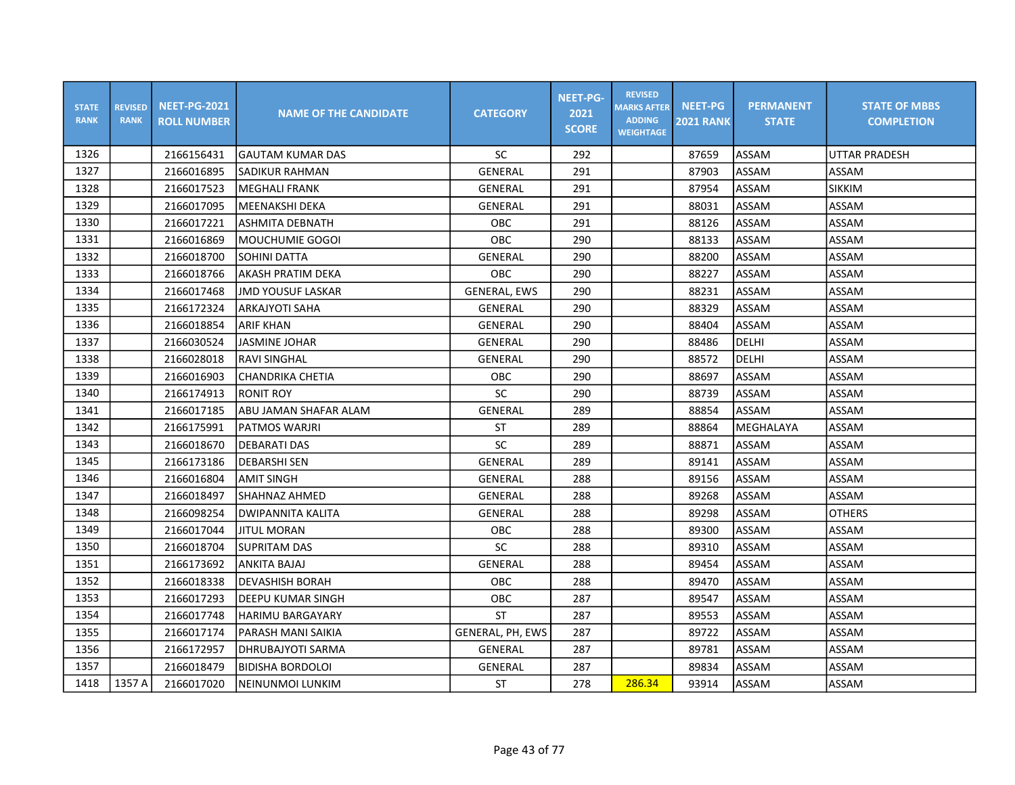| <b>STATE</b><br><b>RANK</b> | <b>REVISED</b><br><b>RANK</b> | <b>NEET-PG-2021</b><br><b>ROLL NUMBER</b> | <b>NAME OF THE CANDIDATE</b> | <b>CATEGORY</b>     | <b>NEET-PG-</b><br>2021<br><b>SCORE</b> | <b>REVISED</b><br><b>MARKS AFTER</b><br><b>ADDING</b><br><b>WEIGHTAGE</b> | <b>NEET-PG</b><br><b>2021 RANK</b> | <b>PERMANENT</b><br><b>STATE</b> | <b>STATE OF MBBS</b><br><b>COMPLETION</b> |
|-----------------------------|-------------------------------|-------------------------------------------|------------------------------|---------------------|-----------------------------------------|---------------------------------------------------------------------------|------------------------------------|----------------------------------|-------------------------------------------|
| 1326                        |                               | 2166156431                                | lGAUTAM KUMAR DAS            | SC                  | 292                                     |                                                                           | 87659                              | ASSAM                            | UTTAR PRADESH                             |
| 1327                        |                               | 2166016895                                | SADIKUR RAHMAN               | GENERAL             | 291                                     |                                                                           | 87903                              | ASSAM                            | ASSAM                                     |
| 1328                        |                               | 2166017523                                | <b>MEGHALI FRANK</b>         | <b>GENERAL</b>      | 291                                     |                                                                           | 87954                              | ASSAM                            | <b>SIKKIM</b>                             |
| 1329                        |                               | 2166017095                                | MEENAKSHI DEKA               | GENERAL             | 291                                     |                                                                           | 88031                              | ASSAM                            | ASSAM                                     |
| 1330                        |                               | 2166017221                                | ASHMITA DEBNATH              | <b>OBC</b>          | 291                                     |                                                                           | 88126                              | ASSAM                            | ASSAM                                     |
| 1331                        |                               | 2166016869                                | MOUCHUMIE GOGOI              | OBC                 | 290                                     |                                                                           | 88133                              | ASSAM                            | ASSAM                                     |
| 1332                        |                               | 2166018700                                | SOHINI DATTA                 | <b>GENERAL</b>      | 290                                     |                                                                           | 88200                              | ASSAM                            | ASSAM                                     |
| 1333                        |                               | 2166018766                                | AKASH PRATIM DEKA            | OBC                 | 290                                     |                                                                           | 88227                              | ASSAM                            | ASSAM                                     |
| 1334                        |                               | 2166017468                                | IJMD YOUSUF LASKAR           | <b>GENERAL, EWS</b> | 290                                     |                                                                           | 88231                              | <b>ASSAM</b>                     | ASSAM                                     |
| 1335                        |                               | 2166172324                                | <b>ARKAJYOTI SAHA</b>        | GENERAL             | 290                                     |                                                                           | 88329                              | ASSAM                            | ASSAM                                     |
| 1336                        |                               | 2166018854                                | <b>ARIF KHAN</b>             | <b>GENERAL</b>      | 290                                     |                                                                           | 88404                              | ASSAM                            | ASSAM                                     |
| 1337                        |                               | 2166030524                                | <b>JASMINE JOHAR</b>         | GENERAL             | 290                                     |                                                                           | 88486                              | DELHI                            | ASSAM                                     |
| 1338                        |                               | 2166028018                                | <b>RAVI SINGHAL</b>          | GENERAL             | 290                                     |                                                                           | 88572                              | DELHI                            | ASSAM                                     |
| 1339                        |                               | 2166016903                                | <b>CHANDRIKA CHETIA</b>      | OBC                 | 290                                     |                                                                           | 88697                              | ASSAM                            | ASSAM                                     |
| 1340                        |                               | 2166174913                                | <b>RONIT ROY</b>             | SC                  | 290                                     |                                                                           | 88739                              | ASSAM                            | ASSAM                                     |
| 1341                        |                               | 2166017185                                | ABU JAMAN SHAFAR ALAM        | GENERAL             | 289                                     |                                                                           | 88854                              | ASSAM                            | ASSAM                                     |
| 1342                        |                               | 2166175991                                | PATMOS WARJRI                | <b>ST</b>           | 289                                     |                                                                           | 88864                              | MEGHALAYA                        | ASSAM                                     |
| 1343                        |                               | 2166018670                                | <b>DEBARATI DAS</b>          | SC                  | 289                                     |                                                                           | 88871                              | <b>ASSAM</b>                     | ASSAM                                     |
| 1345                        |                               | 2166173186                                | <b>DEBARSHI SEN</b>          | GENERAL             | 289                                     |                                                                           | 89141                              | ASSAM                            | ASSAM                                     |
| 1346                        |                               | 2166016804                                | AMIT SINGH                   | <b>GENERAL</b>      | 288                                     |                                                                           | 89156                              | ASSAM                            | ASSAM                                     |
| 1347                        |                               | 2166018497                                | ISHAHNAZ AHMED               | GENERAL             | 288                                     |                                                                           | 89268                              | ASSAM                            | ASSAM                                     |
| 1348                        |                               | 2166098254                                | DWIPANNITA KALITA            | <b>GENERAL</b>      | 288                                     |                                                                           | 89298                              | ASSAM                            | <b>OTHERS</b>                             |
| 1349                        |                               | 2166017044                                | <b>JITUL MORAN</b>           | OBC                 | 288                                     |                                                                           | 89300                              | ASSAM                            | ASSAM                                     |
| 1350                        |                               | 2166018704                                | SUPRITAM DAS                 | SC                  | 288                                     |                                                                           | 89310                              | ASSAM                            | ASSAM                                     |
| 1351                        |                               | 2166173692                                | <b>ANKITA BAJAJ</b>          | <b>GENERAL</b>      | 288                                     |                                                                           | 89454                              | ASSAM                            | ASSAM                                     |
| 1352                        |                               | 2166018338                                | <b>DEVASHISH BORAH</b>       | OBC                 | 288                                     |                                                                           | 89470                              | ASSAM                            | ASSAM                                     |
| 1353                        |                               | 2166017293                                | DEEPU KUMAR SINGH            | OBC                 | 287                                     |                                                                           | 89547                              | ASSAM                            | ASSAM                                     |
| 1354                        |                               | 2166017748                                | <b>HARIMU BARGAYARY</b>      | ST                  | 287                                     |                                                                           | 89553                              | ASSAM                            | ASSAM                                     |
| 1355                        |                               | 2166017174                                | PARASH MANI SAIKIA           | GENERAL, PH, EWS    | 287                                     |                                                                           | 89722                              | ASSAM                            | ASSAM                                     |
| 1356                        |                               | 2166172957                                | DHRUBAJYOTI SARMA            | GENERAL             | 287                                     |                                                                           | 89781                              | ASSAM                            | ASSAM                                     |
| 1357                        |                               | 2166018479                                | <b>BIDISHA BORDOLOI</b>      | GENERAL             | 287                                     |                                                                           | 89834                              | ASSAM                            | ASSAM                                     |
| 1418                        | 1357 A                        | 2166017020                                | NEINUNMOI LUNKIM             | ST                  | 278                                     | 286.34                                                                    | 93914                              | ASSAM                            | ASSAM                                     |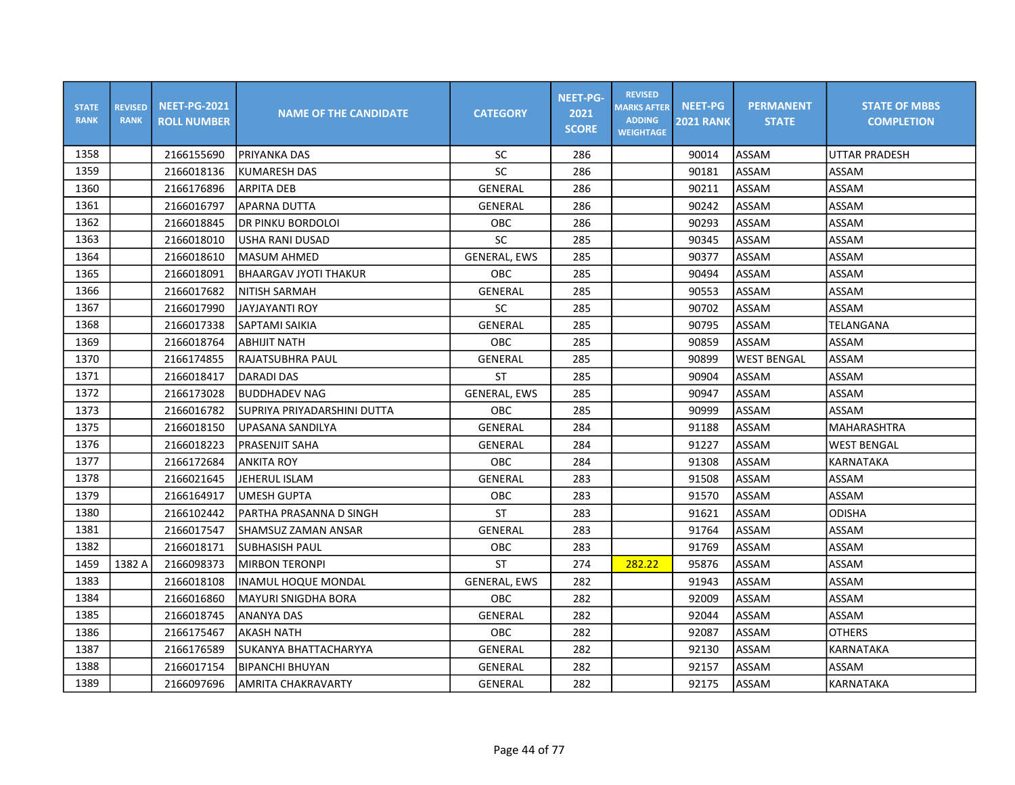| <b>STATE</b><br><b>RANK</b> | <b>REVISED</b><br><b>RANK</b> | <b>NEET-PG-2021</b><br><b>ROLL NUMBER</b> | <b>NAME OF THE CANDIDATE</b> | <b>CATEGORY</b>     | <b>NEET-PG-</b><br>2021<br><b>SCORE</b> | <b>REVISED</b><br><b>MARKS AFTER</b><br><b>ADDING</b><br><b>WEIGHTAGE</b> | <b>NEET-PG</b><br><b>2021 RANK</b> | <b>PERMANENT</b><br><b>STATE</b> | <b>STATE OF MBBS</b><br><b>COMPLETION</b> |
|-----------------------------|-------------------------------|-------------------------------------------|------------------------------|---------------------|-----------------------------------------|---------------------------------------------------------------------------|------------------------------------|----------------------------------|-------------------------------------------|
| 1358                        |                               | 2166155690                                | PRIYANKA DAS                 | SC                  | 286                                     |                                                                           | 90014                              | <b>ASSAM</b>                     | <b>UTTAR PRADESH</b>                      |
| 1359                        |                               | 2166018136                                | <b>KUMARESH DAS</b>          | SC                  | 286                                     |                                                                           | 90181                              | <b>ASSAM</b>                     | ASSAM                                     |
| 1360                        |                               | 2166176896                                | <b>ARPITA DEB</b>            | GENERAL             | 286                                     |                                                                           | 90211                              | ASSAM                            | ASSAM                                     |
| 1361                        |                               | 2166016797                                | <b>APARNA DUTTA</b>          | GENERAL             | 286                                     |                                                                           | 90242                              | ASSAM                            | <b>ASSAM</b>                              |
| 1362                        |                               | 2166018845                                | DR PINKU BORDOLOI            | <b>OBC</b>          | 286                                     |                                                                           | 90293                              | ASSAM                            | <b>ASSAM</b>                              |
| 1363                        |                               | 2166018010                                | <b>USHA RANI DUSAD</b>       | SC                  | 285                                     |                                                                           | 90345                              | ASSAM                            | <b>ASSAM</b>                              |
| 1364                        |                               | 2166018610                                | MASUM AHMED                  | <b>GENERAL, EWS</b> | 285                                     |                                                                           | 90377                              | <b>ASSAM</b>                     | ASSAM                                     |
| 1365                        |                               | 2166018091                                | <b>BHAARGAV JYOTI THAKUR</b> | <b>OBC</b>          | 285                                     |                                                                           | 90494                              | <b>ASSAM</b>                     | ASSAM                                     |
| 1366                        |                               | 2166017682                                | INITISH SARMAH               | GENERAL             | 285                                     |                                                                           | 90553                              | ASSAM                            | ASSAM                                     |
| 1367                        |                               | 2166017990                                | <b>JAYJAYANTI ROY</b>        | SC                  | 285                                     |                                                                           | 90702                              | ASSAM                            | <b>ASSAM</b>                              |
| 1368                        |                               | 2166017338                                | SAPTAMI SAIKIA               | <b>GENERAL</b>      | 285                                     |                                                                           | 90795                              | <b>ASSAM</b>                     | TELANGANA                                 |
| 1369                        |                               | 2166018764                                | ABHIJIT NATH                 | OBC                 | 285                                     |                                                                           | 90859                              | ASSAM                            | ASSAM                                     |
| 1370                        |                               | 2166174855                                | <b>RAJATSUBHRA PAUL</b>      | GENERAL             | 285                                     |                                                                           | 90899                              | <b>WEST BENGAL</b>               | ASSAM                                     |
| 1371                        |                               | 2166018417                                | <b>DARADI DAS</b>            | ST                  | 285                                     |                                                                           | 90904                              | <b>ASSAM</b>                     | ASSAM                                     |
| 1372                        |                               | 2166173028                                | <b>BUDDHADEV NAG</b>         | <b>GENERAL, EWS</b> | 285                                     |                                                                           | 90947                              | <b>ASSAM</b>                     | ASSAM                                     |
| 1373                        |                               | 2166016782                                | SUPRIYA PRIYADARSHINI DUTTA  | OBC                 | 285                                     |                                                                           | 90999                              | ASSAM                            | ASSAM                                     |
| 1375                        |                               | 2166018150                                | UPASANA SANDILYA             | GENERAL             | 284                                     |                                                                           | 91188                              | ASSAM                            | MAHARASHTRA                               |
| 1376                        |                               | 2166018223                                | PRASENJIT SAHA               | GENERAL             | 284                                     |                                                                           | 91227                              | <b>ASSAM</b>                     | <b>WEST BENGAL</b>                        |
| 1377                        |                               | 2166172684                                | <b>ANKITA ROY</b>            | OBC                 | 284                                     |                                                                           | 91308                              | <b>ASSAM</b>                     | KARNATAKA                                 |
| 1378                        |                               | 2166021645                                | JEHERUL ISLAM                | GENERAL             | 283                                     |                                                                           | 91508                              | ASSAM                            | ASSAM                                     |
| 1379                        |                               | 2166164917                                | <b>UMESH GUPTA</b>           | OBC                 | 283                                     |                                                                           | 91570                              | ASSAM                            | ASSAM                                     |
| 1380                        |                               | 2166102442                                | PARTHA PRASANNA D SINGH      | <b>ST</b>           | 283                                     |                                                                           | 91621                              | ASSAM                            | <b>ODISHA</b>                             |
| 1381                        |                               | 2166017547                                | <b>SHAMSUZ ZAMAN ANSAR</b>   | GENERAL             | 283                                     |                                                                           | 91764                              | ASSAM                            | ASSAM                                     |
| 1382                        |                               | 2166018171                                | <b>SUBHASISH PAUL</b>        | OBC                 | 283                                     |                                                                           | 91769                              | ASSAM                            | ASSAM                                     |
| 1459                        | 1382 A                        | 2166098373                                | <b>MIRBON TERONPI</b>        | <b>ST</b>           | 274                                     | 282.22                                                                    | 95876                              | ASSAM                            | ASSAM                                     |
| 1383                        |                               | 2166018108                                | <b>INAMUL HOQUE MONDAL</b>   | <b>GENERAL, EWS</b> | 282                                     |                                                                           | 91943                              | ASSAM                            | ASSAM                                     |
| 1384                        |                               | 2166016860                                | MAYURI SNIGDHA BORA          | <b>OBC</b>          | 282                                     |                                                                           | 92009                              | ASSAM                            | ASSAM                                     |
| 1385                        |                               | 2166018745                                | <b>ANANYA DAS</b>            | GENERAL             | 282                                     |                                                                           | 92044                              | ASSAM                            | ASSAM                                     |
| 1386                        |                               | 2166175467                                | <b>AKASH NATH</b>            | <b>OBC</b>          | 282                                     |                                                                           | 92087                              | ASSAM                            | <b>OTHERS</b>                             |
| 1387                        |                               | 2166176589                                | SUKANYA BHATTACHARYYA        | GENERAL             | 282                                     |                                                                           | 92130                              | ASSAM                            | <b>KARNATAKA</b>                          |
| 1388                        |                               | 2166017154                                | <b>BIPANCHI BHUYAN</b>       | GENERAL             | 282                                     |                                                                           | 92157                              | ASSAM                            | ASSAM                                     |
| 1389                        |                               | 2166097696                                | <b>AMRITA CHAKRAVARTY</b>    | GENERAL             | 282                                     |                                                                           | 92175                              | ASSAM                            | KARNATAKA                                 |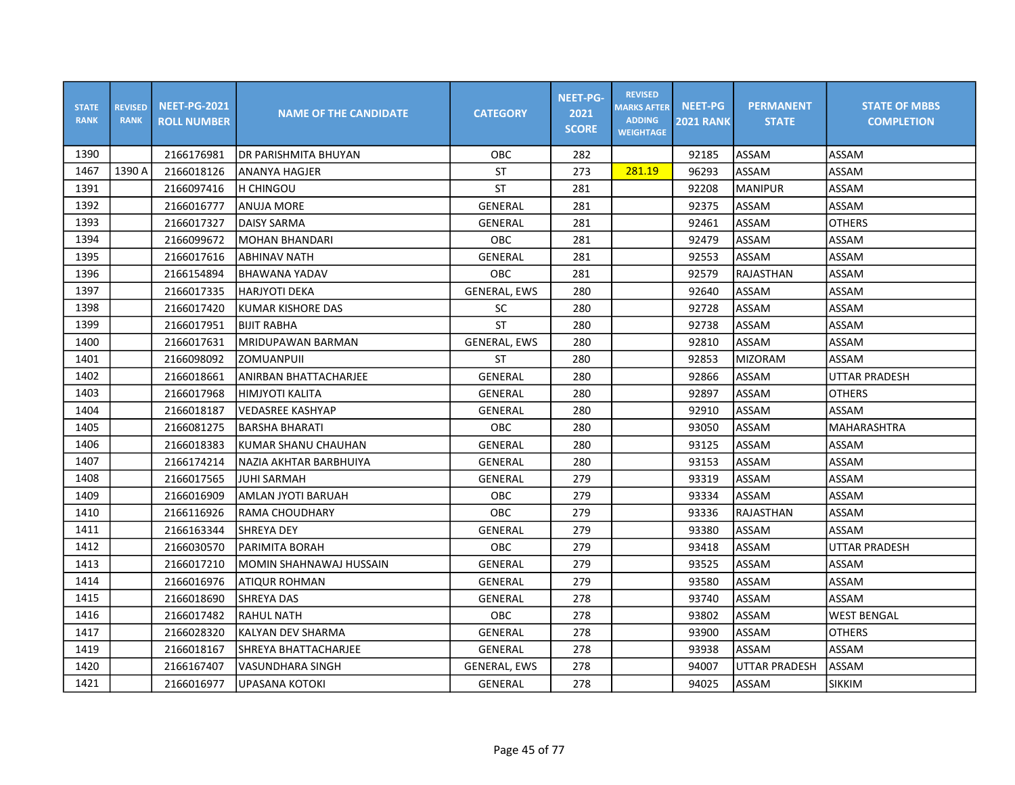| <b>STATE</b><br><b>RANK</b> | <b>REVISED</b><br><b>RANK</b> | <b>NEET-PG-2021</b><br><b>ROLL NUMBER</b> | <b>NAME OF THE CANDIDATE</b> | <b>CATEGORY</b>     | <b>NEET-PG-</b><br>2021<br><b>SCORE</b> | <b>REVISED</b><br><b>MARKS AFTER</b><br><b>ADDING</b><br><b>WEIGHTAGE</b> | <b>NEET-PG</b><br><b>2021 RANK</b> | <b>PERMANENT</b><br><b>STATE</b> | <b>STATE OF MBBS</b><br><b>COMPLETION</b> |
|-----------------------------|-------------------------------|-------------------------------------------|------------------------------|---------------------|-----------------------------------------|---------------------------------------------------------------------------|------------------------------------|----------------------------------|-------------------------------------------|
| 1390                        |                               | 2166176981                                | IDR PARISHMITA BHUYAN        | OBC                 | 282                                     |                                                                           | 92185                              | ASSAM                            | ASSAM                                     |
| 1467                        | 1390 A                        | 2166018126                                | ANANYA HAGJER                | <b>ST</b>           | 273                                     | 281.19                                                                    | 96293                              | <b>ASSAM</b>                     | ASSAM                                     |
| 1391                        |                               | 2166097416                                | <b>H CHINGOU</b>             | ST                  | 281                                     |                                                                           | 92208                              | <b>MANIPUR</b>                   | ASSAM                                     |
| 1392                        |                               | 2166016777                                | <b>ANUJA MORE</b>            | <b>GENERAL</b>      | 281                                     |                                                                           | 92375                              | ASSAM                            | ASSAM                                     |
| 1393                        |                               | 2166017327                                | <b>DAISY SARMA</b>           | <b>GENERAL</b>      | 281                                     |                                                                           | 92461                              | ASSAM                            | <b>OTHERS</b>                             |
| 1394                        |                               | 2166099672                                | <b>MOHAN BHANDARI</b>        | OBC                 | 281                                     |                                                                           | 92479                              | ASSAM                            | ASSAM                                     |
| 1395                        |                               | 2166017616                                | <b>ABHINAV NATH</b>          | <b>GENERAL</b>      | 281                                     |                                                                           | 92553                              | ASSAM                            | ASSAM                                     |
| 1396                        |                               | 2166154894                                | BHAWANA YADAV                | OBC                 | 281                                     |                                                                           | 92579                              | RAJASTHAN                        | ASSAM                                     |
| 1397                        |                               | 2166017335                                | lharjyoti deka               | <b>GENERAL, EWS</b> | 280                                     |                                                                           | 92640                              | ASSAM                            | ASSAM                                     |
| 1398                        |                               | 2166017420                                | KUMAR KISHORE DAS            | <b>SC</b>           | 280                                     |                                                                           | 92728                              | ASSAM                            | ASSAM                                     |
| 1399                        |                               | 2166017951                                | <b>BIJIT RABHA</b>           | <b>ST</b>           | 280                                     |                                                                           | 92738                              | ASSAM                            | ASSAM                                     |
| 1400                        |                               | 2166017631                                | MRIDUPAWAN BARMAN            | <b>GENERAL, EWS</b> | 280                                     |                                                                           | 92810                              | ASSAM                            | ASSAM                                     |
| 1401                        |                               | 2166098092                                | <b>ZOMUANPUIL</b>            | <b>ST</b>           | 280                                     |                                                                           | 92853                              | <b>MIZORAM</b>                   | ASSAM                                     |
| 1402                        |                               | 2166018661                                | ANIRBAN BHATTACHARJEE        | GENERAL             | 280                                     |                                                                           | 92866                              | ASSAM                            | <b>UTTAR PRADESH</b>                      |
| 1403                        |                               | 2166017968                                | <b>HIMJYOTI KALITA</b>       | GENERAL             | 280                                     |                                                                           | 92897                              | ASSAM                            | <b>OTHERS</b>                             |
| 1404                        |                               | 2166018187                                | <b>VEDASREE KASHYAP</b>      | <b>GENERAL</b>      | 280                                     |                                                                           | 92910                              | ASSAM                            | ASSAM                                     |
| 1405                        |                               | 2166081275                                | <b>BARSHA BHARATI</b>        | OBC                 | 280                                     |                                                                           | 93050                              | ASSAM                            | <b>MAHARASHTRA</b>                        |
| 1406                        |                               | 2166018383                                | KUMAR SHANU CHAUHAN          | <b>GENERAL</b>      | 280                                     |                                                                           | 93125                              | <b>ASSAM</b>                     | ASSAM                                     |
| 1407                        |                               | 2166174214                                | NAZIA AKHTAR BARBHUIYA       | <b>GENERAL</b>      | 280                                     |                                                                           | 93153                              | ASSAM                            | ASSAM                                     |
| 1408                        |                               | 2166017565                                | JUHI SARMAH                  | GENERAL             | 279                                     |                                                                           | 93319                              | ASSAM                            | ASSAM                                     |
| 1409                        |                               | 2166016909                                | AMLAN JYOTI BARUAH           | <b>OBC</b>          | 279                                     |                                                                           | 93334                              | <b>ASSAM</b>                     | ASSAM                                     |
| 1410                        |                               | 2166116926                                | IRAMA CHOUDHARY              | <b>OBC</b>          | 279                                     |                                                                           | 93336                              | RAJASTHAN                        | ASSAM                                     |
| 1411                        |                               | 2166163344                                | <b>SHREYA DEY</b>            | <b>GENERAL</b>      | 279                                     |                                                                           | 93380                              | ASSAM                            | ASSAM                                     |
| 1412                        |                               | 2166030570                                | PARIMITA BORAH               | OBC                 | 279                                     |                                                                           | 93418                              | ASSAM                            | <b>UTTAR PRADESH</b>                      |
| 1413                        |                               | 2166017210                                | İMOMIN SHAHNAWAJ HUSSAIN     | <b>GENERAL</b>      | 279                                     |                                                                           | 93525                              | ASSAM                            | ASSAM                                     |
| 1414                        |                               | 2166016976                                | ATIQUR ROHMAN                | GENERAL             | 279                                     |                                                                           | 93580                              | ASSAM                            | ASSAM                                     |
| 1415                        |                               | 2166018690                                | SHREYA DAS                   | GENERAL             | 278                                     |                                                                           | 93740                              | ASSAM                            | ASSAM                                     |
| 1416                        |                               | 2166017482                                | <b>RAHUL NATH</b>            | <b>OBC</b>          | 278                                     |                                                                           | 93802                              | ASSAM                            | <b>WEST BENGAL</b>                        |
| 1417                        |                               | 2166028320                                | KALYAN DEV SHARMA            | GENERAL             | 278                                     |                                                                           | 93900                              | ASSAM                            | <b>OTHERS</b>                             |
| 1419                        |                               | 2166018167                                | SHREYA BHATTACHARJEE         | GENERAL             | 278                                     |                                                                           | 93938                              | <b>ASSAM</b>                     | ASSAM                                     |
| 1420                        |                               | 2166167407                                | <b>VASUNDHARA SINGH</b>      | <b>GENERAL, EWS</b> | 278                                     |                                                                           | 94007                              | <b>UTTAR PRADESH</b>             | ASSAM                                     |
| 1421                        |                               | 2166016977                                | UPASANA KOTOKI               | GENERAL             | 278                                     |                                                                           | 94025                              | ASSAM                            | <b>SIKKIM</b>                             |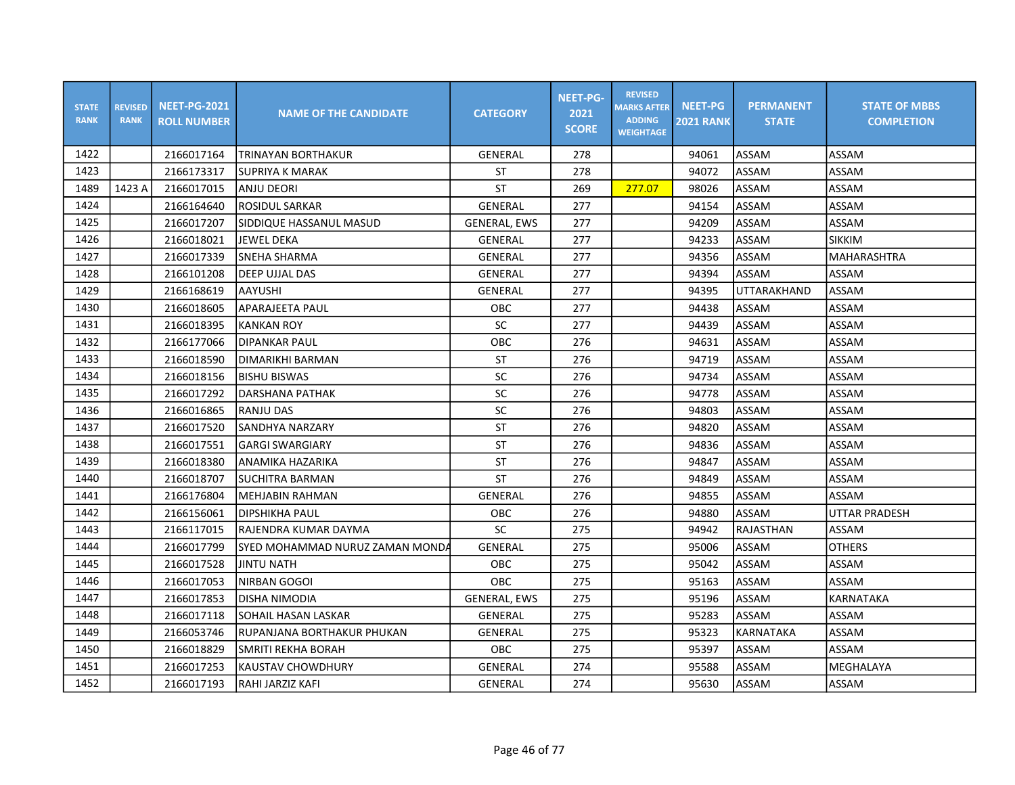| <b>STATE</b><br><b>RANK</b> | <b>REVISED</b><br><b>RANK</b> | <b>NEET-PG-2021</b><br><b>ROLL NUMBER</b> | <b>NAME OF THE CANDIDATE</b>     | <b>CATEGORY</b>     | <b>NEET-PG-</b><br>2021<br><b>SCORE</b> | <b>REVISED</b><br><b>MARKS AFTER</b><br><b>ADDING</b><br><b>WEIGHTAGE</b> | <b>NEET-PG</b><br><b>2021 RANK</b> | <b>PERMANENT</b><br><b>STATE</b> | <b>STATE OF MBBS</b><br><b>COMPLETION</b> |
|-----------------------------|-------------------------------|-------------------------------------------|----------------------------------|---------------------|-----------------------------------------|---------------------------------------------------------------------------|------------------------------------|----------------------------------|-------------------------------------------|
| 1422                        |                               | 2166017164                                | TRINAYAN BORTHAKUR               | GENERAL             | 278                                     |                                                                           | 94061                              | ASSAM                            | ASSAM                                     |
| 1423                        |                               | 2166173317                                | <b>SUPRIYA K MARAK</b>           | ST                  | 278                                     |                                                                           | 94072                              | ASSAM                            | ASSAM                                     |
| 1489                        | 1423 A                        | 2166017015                                | <b>ANJU DEORI</b>                | ST                  | 269                                     | 277.07                                                                    | 98026                              | ASSAM                            | ASSAM                                     |
| 1424                        |                               | 2166164640                                | <b>ROSIDUL SARKAR</b>            | GENERAL             | 277                                     |                                                                           | 94154                              | ASSAM                            | ASSAM                                     |
| 1425                        |                               | 2166017207                                | SIDDIQUE HASSANUL MASUD          | <b>GENERAL, EWS</b> | 277                                     |                                                                           | 94209                              | ASSAM                            | ASSAM                                     |
| 1426                        |                               | 2166018021                                | <b>JEWEL DEKA</b>                | <b>GENERAL</b>      | 277                                     |                                                                           | 94233                              | ASSAM                            | <b>SIKKIM</b>                             |
| 1427                        |                               | 2166017339                                | <b>SNEHA SHARMA</b>              | GENERAL             | 277                                     |                                                                           | 94356                              | ASSAM                            | MAHARASHTRA                               |
| 1428                        |                               | 2166101208                                | <b>DEEP UJJAL DAS</b>            | GENERAL             | 277                                     |                                                                           | 94394                              | ASSAM                            | ASSAM                                     |
| 1429                        |                               | 2166168619                                | AAYUSHI                          | GENERAL             | 277                                     |                                                                           | 94395                              | UTTARAKHAND                      | ASSAM                                     |
| 1430                        |                               | 2166018605                                | APARAJEETA PAUL                  | OBC                 | 277                                     |                                                                           | 94438                              | ASSAM                            | ASSAM                                     |
| 1431                        |                               | 2166018395                                | <b>KANKAN ROY</b>                | SC                  | 277                                     |                                                                           | 94439                              | ASSAM                            | ASSAM                                     |
| 1432                        |                               | 2166177066                                | <b>DIPANKAR PAUL</b>             | OBC                 | 276                                     |                                                                           | 94631                              | ASSAM                            | ASSAM                                     |
| 1433                        |                               | 2166018590                                | DIMARIKHI BARMAN                 | <b>ST</b>           | 276                                     |                                                                           | 94719                              | ASSAM                            | ASSAM                                     |
| 1434                        |                               | 2166018156                                | <b>BISHU BISWAS</b>              | SC                  | 276                                     |                                                                           | 94734                              | ASSAM                            | ASSAM                                     |
| 1435                        |                               | 2166017292                                | DARSHANA PATHAK                  | ${\sf SC}$          | 276                                     |                                                                           | 94778                              | ASSAM                            | ASSAM                                     |
| 1436                        |                               | 2166016865                                | <b>RANJU DAS</b>                 | ${\sf SC}$          | 276                                     |                                                                           | 94803                              | ASSAM                            | ASSAM                                     |
| 1437                        |                               | 2166017520                                | SANDHYA NARZARY                  | <b>ST</b>           | 276                                     |                                                                           | 94820                              | ASSAM                            | ASSAM                                     |
| 1438                        |                               | 2166017551                                | <b>GARGI SWARGIARY</b>           | <b>ST</b>           | 276                                     |                                                                           | 94836                              | ASSAM                            | ASSAM                                     |
| 1439                        |                               | 2166018380                                | ANAMIKA HAZARIKA                 | <b>ST</b>           | 276                                     |                                                                           | 94847                              | ASSAM                            | ASSAM                                     |
| 1440                        |                               | 2166018707                                | SUCHITRA BARMAN                  | <b>ST</b>           | 276                                     |                                                                           | 94849                              | ASSAM                            | ASSAM                                     |
| 1441                        |                               | 2166176804                                | MEHJABIN RAHMAN                  | GENERAL             | 276                                     |                                                                           | 94855                              | ASSAM                            | ASSAM                                     |
| 1442                        |                               | 2166156061                                | DIPSHIKHA PAUL                   | <b>OBC</b>          | 276                                     |                                                                           | 94880                              | ASSAM                            | <b>UTTAR PRADESH</b>                      |
| 1443                        |                               | 2166117015                                | IRAJENDRA KUMAR DAYMA            | SC                  | 275                                     |                                                                           | 94942                              | RAJASTHAN                        | ASSAM                                     |
| 1444                        |                               | 2166017799                                | ISYED MOHAMMAD NURUZ ZAMAN MONDA | <b>GENERAL</b>      | 275                                     |                                                                           | 95006                              | ASSAM                            | <b>OTHERS</b>                             |
| 1445                        |                               | 2166017528                                | <b>JINTU NATH</b>                | OBC                 | 275                                     |                                                                           | 95042                              | ASSAM                            | ASSAM                                     |
| 1446                        |                               | 2166017053                                | NIRBAN GOGOI                     | OBC                 | 275                                     |                                                                           | 95163                              | ASSAM                            | ASSAM                                     |
| 1447                        |                               | 2166017853                                | DISHA NIMODIA                    | <b>GENERAL, EWS</b> | 275                                     |                                                                           | 95196                              | ASSAM                            | KARNATAKA                                 |
| 1448                        |                               | 2166017118                                | SOHAIL HASAN LASKAR              | GENERAL             | 275                                     |                                                                           | 95283                              | ASSAM                            | ASSAM                                     |
| 1449                        |                               | 2166053746                                | RUPANJANA BORTHAKUR PHUKAN       | GENERAL             | 275                                     |                                                                           | 95323                              | KARNATAKA                        | ASSAM                                     |
| 1450                        |                               | 2166018829                                | SMRITI REKHA BORAH               | OBC                 | 275                                     |                                                                           | 95397                              | <b>ASSAM</b>                     | ASSAM                                     |
| 1451                        |                               | 2166017253                                | <b>KAUSTAV CHOWDHURY</b>         | GENERAL             | 274                                     |                                                                           | 95588                              | ASSAM                            | MEGHALAYA                                 |
| 1452                        |                               | 2166017193                                | RAHI JARZIZ KAFI                 | GENERAL             | 274                                     |                                                                           | 95630                              | <b>ASSAM</b>                     | ASSAM                                     |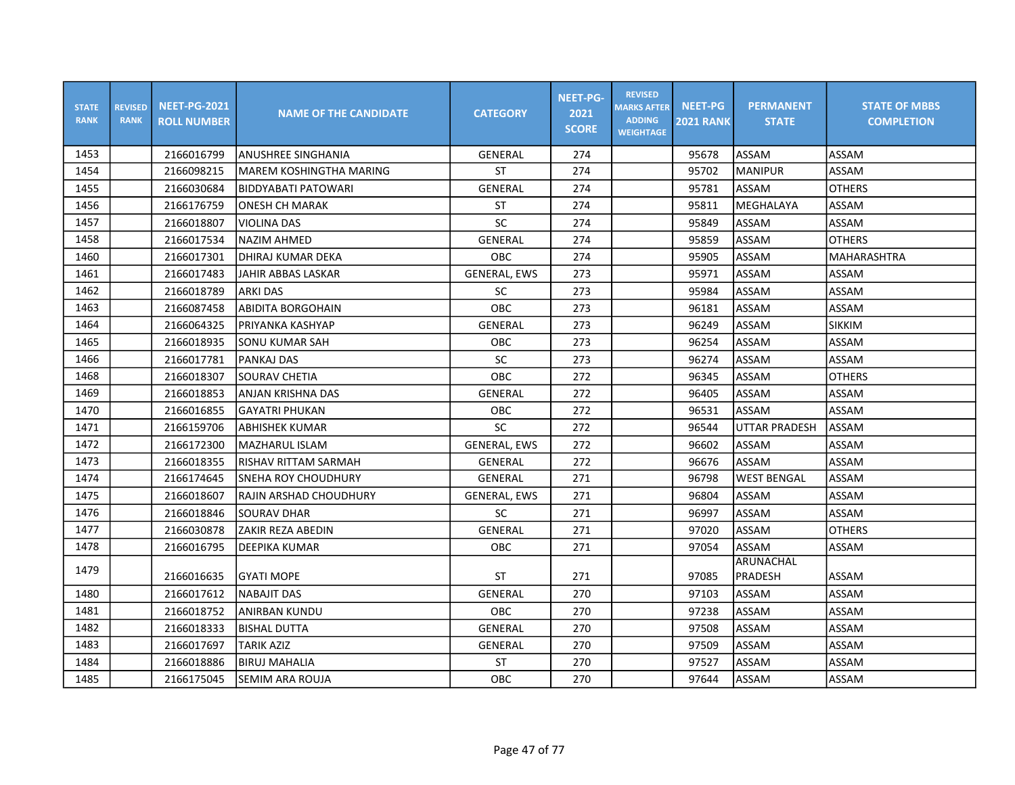| <b>STATE</b><br><b>RANK</b> | <b>REVISED</b><br><b>RANK</b> | <b>NEET-PG-2021</b><br><b>ROLL NUMBER</b> | <b>NAME OF THE CANDIDATE</b>  | <b>CATEGORY</b>     | <b>NEET-PG-</b><br>2021<br><b>SCORE</b> | <b>REVISED</b><br><b>MARKS AFTER</b><br><b>ADDING</b><br><b>WEIGHTAGE</b> | <b>NEET-PG</b><br><b>2021 RANK</b> | <b>PERMANENT</b><br><b>STATE</b> | <b>STATE OF MBBS</b><br><b>COMPLETION</b> |
|-----------------------------|-------------------------------|-------------------------------------------|-------------------------------|---------------------|-----------------------------------------|---------------------------------------------------------------------------|------------------------------------|----------------------------------|-------------------------------------------|
| 1453                        |                               | 2166016799                                | lanushree singhania           | <b>GENERAL</b>      | 274                                     |                                                                           | 95678                              | <b>ASSAM</b>                     | <b>ASSAM</b>                              |
| 1454                        |                               | 2166098215                                | MAREM KOSHINGTHA MARING       | <b>ST</b>           | 274                                     |                                                                           | 95702                              | <b>MANIPUR</b>                   | ASSAM                                     |
| 1455                        |                               | 2166030684                                | <b>BIDDYABATI PATOWARI</b>    | <b>GENERAL</b>      | 274                                     |                                                                           | 95781                              | <b>ASSAM</b>                     | <b>OTHERS</b>                             |
| 1456                        |                               | 2166176759                                | <b>ONESH CH MARAK</b>         | <b>ST</b>           | 274                                     |                                                                           | 95811                              | MEGHALAYA                        | ASSAM                                     |
| 1457                        |                               | 2166018807                                | <b>VIOLINA DAS</b>            | SC                  | 274                                     |                                                                           | 95849                              | <b>ASSAM</b>                     | ASSAM                                     |
| 1458                        |                               | 2166017534                                | NAZIM AHMED                   | GENERAL             | 274                                     |                                                                           | 95859                              | ASSAM                            | <b>OTHERS</b>                             |
| 1460                        |                               | 2166017301                                | IDHIRAJ KUMAR DEKA            | OBC                 | 274                                     |                                                                           | 95905                              | <b>ASSAM</b>                     | <b>MAHARASHTRA</b>                        |
| 1461                        |                               | 2166017483                                | <b>JAHIR ABBAS LASKAR</b>     | <b>GENERAL, EWS</b> | 273                                     |                                                                           | 95971                              | <b>ASSAM</b>                     | ASSAM                                     |
| 1462                        |                               | 2166018789                                | <b>ARKI DAS</b>               | <b>SC</b>           | 273                                     |                                                                           | 95984                              | <b>ASSAM</b>                     | ASSAM                                     |
| 1463                        |                               | 2166087458                                | <b>ABIDITA BORGOHAIN</b>      | OBC                 | 273                                     |                                                                           | 96181                              | <b>ASSAM</b>                     | ASSAM                                     |
| 1464                        |                               | 2166064325                                | PRIYANKA KASHYAP              | GENERAL             | 273                                     |                                                                           | 96249                              | ASSAM                            | <b>SIKKIM</b>                             |
| 1465                        |                               | 2166018935                                | <b>SONU KUMAR SAH</b>         | <b>OBC</b>          | 273                                     |                                                                           | 96254                              | <b>ASSAM</b>                     | ASSAM                                     |
| 1466                        |                               | 2166017781                                | <b>PANKAJ DAS</b>             | <b>SC</b>           | 273                                     |                                                                           | 96274                              | <b>ASSAM</b>                     | ASSAM                                     |
| 1468                        |                               | 2166018307                                | <b>SOURAV CHETIA</b>          | OBC                 | 272                                     |                                                                           | 96345                              | <b>ASSAM</b>                     | <b>OTHERS</b>                             |
| 1469                        |                               | 2166018853                                | <b>ANJAN KRISHNA DAS</b>      | <b>GENERAL</b>      | 272                                     |                                                                           | 96405                              | <b>ASSAM</b>                     | <b>ASSAM</b>                              |
| 1470                        |                               | 2166016855                                | <b>GAYATRI PHUKAN</b>         | OBC                 | 272                                     |                                                                           | 96531                              | <b>ASSAM</b>                     | ASSAM                                     |
| 1471                        |                               | 2166159706                                | <b>ABHISHEK KUMAR</b>         | <b>SC</b>           | 272                                     |                                                                           | 96544                              | <b>UTTAR PRADESH</b>             | ASSAM                                     |
| 1472                        |                               | 2166172300                                | lMAZHARUL ISLAM               | <b>GENERAL, EWS</b> | 272                                     |                                                                           | 96602                              | ASSAM                            | ASSAM                                     |
| 1473                        |                               | 2166018355                                | RISHAV RITTAM SARMAH          | GENERAL             | 272                                     |                                                                           | 96676                              | <b>ASSAM</b>                     | <b>ASSAM</b>                              |
| 1474                        |                               | 2166174645                                | <b>SNEHA ROY CHOUDHURY</b>    | <b>GENERAL</b>      | 271                                     |                                                                           | 96798                              | <b>WEST BENGAL</b>               | ASSAM                                     |
| 1475                        |                               | 2166018607                                | <b>RAJIN ARSHAD CHOUDHURY</b> | <b>GENERAL, EWS</b> | 271                                     |                                                                           | 96804                              | <b>ASSAM</b>                     | ASSAM                                     |
| 1476                        |                               | 2166018846                                | <b>SOURAV DHAR</b>            | <b>SC</b>           | 271                                     |                                                                           | 96997                              | ASSAM                            | ASSAM                                     |
| 1477                        |                               | 2166030878                                | ZAKIR REZA ABEDIN             | <b>GENERAL</b>      | 271                                     |                                                                           | 97020                              | <b>ASSAM</b>                     | <b>OTHERS</b>                             |
| 1478                        |                               | 2166016795                                | <b>DEEPIKA KUMAR</b>          | OBC                 | 271                                     |                                                                           | 97054                              | <b>ASSAM</b>                     | ASSAM                                     |
| 1479                        |                               | 2166016635                                | <b>GYATI MOPE</b>             | ST                  | 271                                     |                                                                           | 97085                              | ARUNACHAL<br>PRADESH             | ASSAM                                     |
| 1480                        |                               | 2166017612                                | <b>NABAJIT DAS</b>            | <b>GENERAL</b>      | 270                                     |                                                                           | 97103                              | ASSAM                            | ASSAM                                     |
| 1481                        |                               | 2166018752                                | <b>ANIRBAN KUNDU</b>          | <b>OBC</b>          | 270                                     |                                                                           | 97238                              | ASSAM                            | ASSAM                                     |
| 1482                        |                               | 2166018333                                | <b>BISHAL DUTTA</b>           | <b>GENERAL</b>      | 270                                     |                                                                           | 97508                              | <b>ASSAM</b>                     | <b>ASSAM</b>                              |
| 1483                        |                               | 2166017697                                | TARIK AZIZ                    | <b>GENERAL</b>      | 270                                     |                                                                           | 97509                              | ASSAM                            | ASSAM                                     |
| 1484                        |                               | 2166018886                                | <b>BIRUJ MAHALIA</b>          | <b>ST</b>           | 270                                     |                                                                           | 97527                              | ASSAM                            | ASSAM                                     |
| 1485                        |                               | 2166175045                                | SEMIM ARA ROUJA               | OBC                 | 270                                     |                                                                           | 97644                              | <b>ASSAM</b>                     | ASSAM                                     |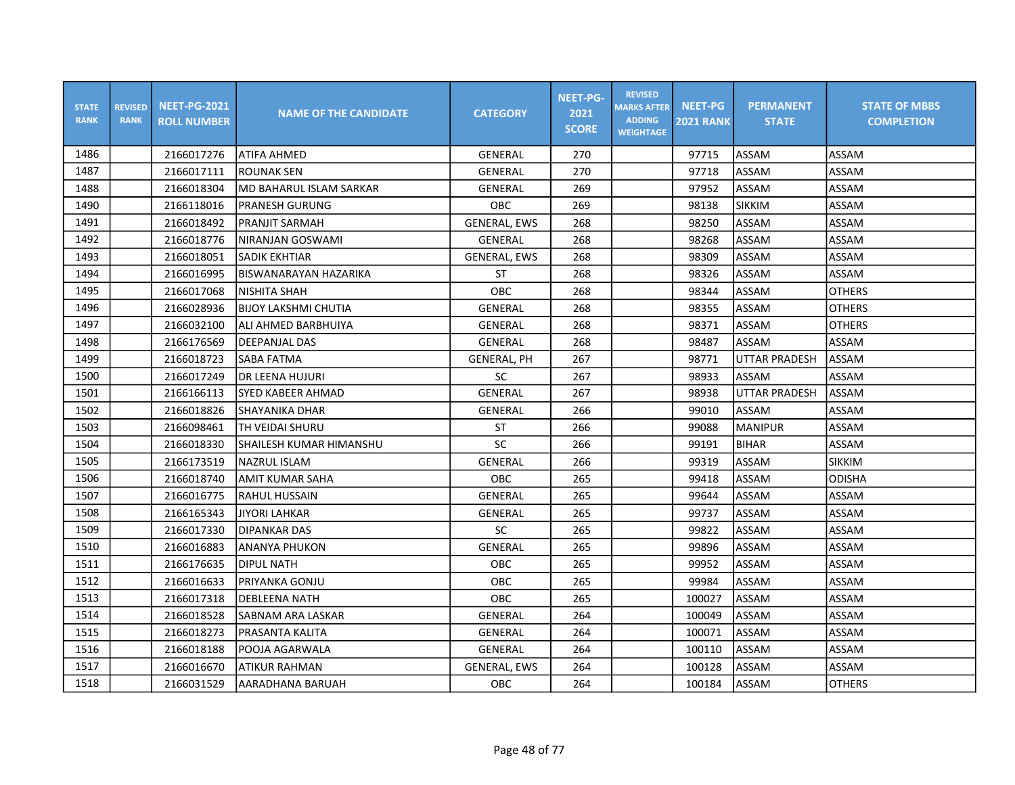| <b>STATE</b><br><b>RANK</b> | <b>REVISED</b><br><b>RANK</b> | <b>NEET-PG-2021</b><br><b>ROLL NUMBER</b> | <b>NAME OF THE CANDIDATE</b> | <b>CATEGORY</b>     | <b>NEET-PG-</b><br>2021<br><b>SCORE</b> | <b>REVISED</b><br><b>MARKS AFTER</b><br><b>ADDING</b><br><b>WEIGHTAGE</b> | <b>NEET-PG</b><br><b>2021 RANK</b> | <b>PERMANENT</b><br><b>STATE</b> | <b>STATE OF MBBS</b><br><b>COMPLETION</b> |
|-----------------------------|-------------------------------|-------------------------------------------|------------------------------|---------------------|-----------------------------------------|---------------------------------------------------------------------------|------------------------------------|----------------------------------|-------------------------------------------|
| 1486                        |                               | 2166017276                                | <b>ATIFA AHMED</b>           | <b>GENERAL</b>      | 270                                     |                                                                           | 97715                              | ASSAM                            | ASSAM                                     |
| 1487                        |                               | 2166017111                                | <b>ROUNAK SEN</b>            | GENERAL             | 270                                     |                                                                           | 97718                              | ASSAM                            | ASSAM                                     |
| 1488                        |                               | 2166018304                                | MD BAHARUL ISLAM SARKAR      | GENERAL             | 269                                     |                                                                           | 97952                              | ASSAM                            | ASSAM                                     |
| 1490                        |                               | 2166118016                                | PRANESH GURUNG               | <b>OBC</b>          | 269                                     |                                                                           | 98138                              | <b>SIKKIM</b>                    | ASSAM                                     |
| 1491                        |                               | 2166018492                                | PRANJIT SARMAH               | <b>GENERAL, EWS</b> | 268                                     |                                                                           | 98250                              | ASSAM                            | ASSAM                                     |
| 1492                        |                               | 2166018776                                | NIRANJAN GOSWAMI             | <b>GENERAL</b>      | 268                                     |                                                                           | 98268                              | ASSAM                            | ASSAM                                     |
| 1493                        |                               | 2166018051                                | <b>SADIK EKHTIAR</b>         | <b>GENERAL, EWS</b> | 268                                     |                                                                           | 98309                              | ASSAM                            | ASSAM                                     |
| 1494                        |                               | 2166016995                                | BISWANARAYAN HAZARIKA        | ST                  | 268                                     |                                                                           | 98326                              | ASSAM                            | ASSAM                                     |
| 1495                        |                               | 2166017068                                | NISHITA SHAH                 | <b>OBC</b>          | 268                                     |                                                                           | 98344                              | ASSAM                            | <b>OTHERS</b>                             |
| 1496                        |                               | 2166028936                                | BIJOY LAKSHMI CHUTIA         | <b>GENERAL</b>      | 268                                     |                                                                           | 98355                              | ASSAM                            | <b>OTHERS</b>                             |
| 1497                        |                               | 2166032100                                | ALI AHMED BARBHUIYA          | <b>GENERAL</b>      | 268                                     |                                                                           | 98371                              | ASSAM                            | <b>OTHERS</b>                             |
| 1498                        |                               | 2166176569                                | DEEPANJAL DAS                | GENERAL             | 268                                     |                                                                           | 98487                              | ASSAM                            | ASSAM                                     |
| 1499                        |                               | 2166018723                                | SABA FATMA                   | <b>GENERAL, PH</b>  | 267                                     |                                                                           | 98771                              | <b>UTTAR PRADESH</b>             | ASSAM                                     |
| 1500                        |                               | 2166017249                                | <b>DR LEENA HUJURI</b>       | <b>SC</b>           | 267                                     |                                                                           | 98933                              | <b>ASSAM</b>                     | ASSAM                                     |
| 1501                        |                               | 2166166113                                | ISYED KABEER AHMAD           | GENERAL             | 267                                     |                                                                           | 98938                              | <b>UTTAR PRADESH</b>             | ASSAM                                     |
| 1502                        |                               | 2166018826                                | SHAYANIKA DHAR               | GENERAL             | 266                                     |                                                                           | 99010                              | ASSAM                            | ASSAM                                     |
| 1503                        |                               | 2166098461                                | TH VEIDAI SHURU              | <b>ST</b>           | 266                                     |                                                                           | 99088                              | <b>MANIPUR</b>                   | ASSAM                                     |
| 1504                        |                               | 2166018330                                | SHAILESH KUMAR HIMANSHU      | SC                  | 266                                     |                                                                           | 99191                              | <b>BIHAR</b>                     | ASSAM                                     |
| 1505                        |                               | 2166173519                                | NAZRUL ISLAM                 | GENERAL             | 266                                     |                                                                           | 99319                              | ASSAM                            | <b>SIKKIM</b>                             |
| 1506                        |                               | 2166018740                                | AMIT KUMAR SAHA              | OBC                 | 265                                     |                                                                           | 99418                              | ASSAM                            | <b>ODISHA</b>                             |
| 1507                        |                               | 2166016775                                | IRAHUL HUSSAIN               | GENERAL             | 265                                     |                                                                           | 99644                              | ASSAM                            | ASSAM                                     |
| 1508                        |                               | 2166165343                                | JIYORI LAHKAR                | GENERAL             | 265                                     |                                                                           | 99737                              | ASSAM                            | ASSAM                                     |
| 1509                        |                               | 2166017330                                | <b>DIPANKAR DAS</b>          | SC                  | 265                                     |                                                                           | 99822                              | ASSAM                            | ASSAM                                     |
| 1510                        |                               | 2166016883                                | ANANYA PHUKON                | GENERAL             | 265                                     |                                                                           | 99896                              | ASSAM                            | ASSAM                                     |
| 1511                        |                               | 2166176635                                | <b>DIPUL NATH</b>            | <b>OBC</b>          | 265                                     |                                                                           | 99952                              | ASSAM                            | ASSAM                                     |
| 1512                        |                               | 2166016633                                | PRIYANKA GONJU               | OBC                 | 265                                     |                                                                           | 99984                              | ASSAM                            | ASSAM                                     |
| 1513                        |                               | 2166017318                                | <b>DEBLEENA NATH</b>         | <b>OBC</b>          | 265                                     |                                                                           | 100027                             | ASSAM                            | ASSAM                                     |
| 1514                        |                               | 2166018528                                | SABNAM ARA LASKAR            | GENERAL             | 264                                     |                                                                           | 100049                             | ASSAM                            | ASSAM                                     |
| 1515                        |                               | 2166018273                                | PRASANTA KALITA              | GENERAL             | 264                                     |                                                                           | 100071                             | ASSAM                            | ASSAM                                     |
| 1516                        |                               | 2166018188                                | POOJA AGARWALA               | GENERAL             | 264                                     |                                                                           | 100110                             | ASSAM                            | ASSAM                                     |
| 1517                        |                               | 2166016670                                | <b>ATIKUR RAHMAN</b>         | <b>GENERAL, EWS</b> | 264                                     |                                                                           | 100128                             | ASSAM                            | ASSAM                                     |
| 1518                        |                               | 2166031529                                | AARADHANA BARUAH             | OBC                 | 264                                     |                                                                           | 100184                             | <b>ASSAM</b>                     | <b>OTHERS</b>                             |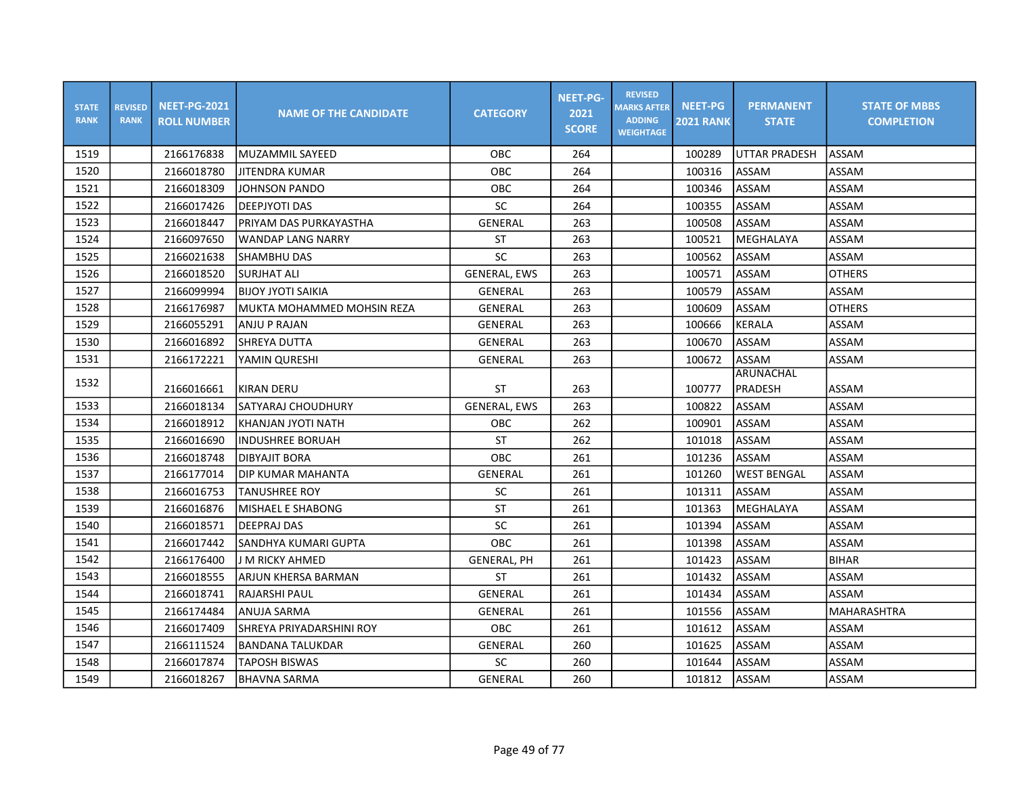| <b>STATE</b><br><b>RANK</b> | <b>REVISED</b><br><b>RANK</b> | <b>NEET-PG-2021</b><br><b>ROLL NUMBER</b> | <b>NAME OF THE CANDIDATE</b> | <b>CATEGORY</b>     | <b>NEET-PG-</b><br>2021<br><b>SCORE</b> | <b>REVISED</b><br><b>MARKS AFTER</b><br><b>ADDING</b><br><b>WEIGHTAGE</b> | <b>NEET-PG</b><br><b>2021 RANK</b> | <b>PERMANENT</b><br><b>STATE</b> | <b>STATE OF MBBS</b><br><b>COMPLETION</b> |
|-----------------------------|-------------------------------|-------------------------------------------|------------------------------|---------------------|-----------------------------------------|---------------------------------------------------------------------------|------------------------------------|----------------------------------|-------------------------------------------|
| 1519                        |                               | 2166176838                                | MUZAMMIL SAYEED              | <b>OBC</b>          | 264                                     |                                                                           | 100289                             | UTTAR PRADESH                    | ASSAM                                     |
| 1520                        |                               | 2166018780                                | <b>JITENDRA KUMAR</b>        | OBC                 | 264                                     |                                                                           | 100316                             | <b>ASSAM</b>                     | ASSAM                                     |
| 1521                        |                               | 2166018309                                | <b>JOHNSON PANDO</b>         | OBC                 | 264                                     |                                                                           | 100346                             | ASSAM                            | ASSAM                                     |
| 1522                        |                               | 2166017426                                | <b>DEEPJYOTI DAS</b>         | SC                  | 264                                     |                                                                           | 100355                             | ASSAM                            | ASSAM                                     |
| 1523                        |                               | 2166018447                                | PRIYAM DAS PURKAYASTHA       | <b>GENERAL</b>      | 263                                     |                                                                           | 100508                             | ASSAM                            | ASSAM                                     |
| 1524                        |                               | 2166097650                                | WANDAP LANG NARRY            | <b>ST</b>           | 263                                     |                                                                           | 100521                             | MEGHALAYA                        | ASSAM                                     |
| 1525                        |                               | 2166021638                                | SHAMBHU DAS                  | SC                  | 263                                     |                                                                           | 100562                             | <b>ASSAM</b>                     | ASSAM                                     |
| 1526                        |                               | 2166018520                                | <b>SURJHAT ALI</b>           | <b>GENERAL, EWS</b> | 263                                     |                                                                           | 100571                             | ASSAM                            | <b>OTHERS</b>                             |
| 1527                        |                               | 2166099994                                | BIJOY JYOTI SAIKIA           | GENERAL             | 263                                     |                                                                           | 100579                             | ASSAM                            | ASSAM                                     |
| 1528                        |                               | 2166176987                                | MUKTA MOHAMMED MOHSIN REZA   | <b>GENERAL</b>      | 263                                     |                                                                           | 100609                             | ASSAM                            | <b>OTHERS</b>                             |
| 1529                        |                               | 2166055291                                | ANJU P RAJAN                 | GENERAL             | 263                                     |                                                                           | 100666                             | KERALA                           | ASSAM                                     |
| 1530                        |                               | 2166016892                                | <b>SHREYA DUTTA</b>          | GENERAL             | 263                                     |                                                                           | 100670                             | ASSAM                            | ASSAM                                     |
| 1531                        |                               | 2166172221                                | YAMIN QURESHI                | GENERAL             | 263                                     |                                                                           | 100672                             | ASSAM                            | ASSAM                                     |
| 1532                        |                               | 2166016661                                | KIRAN DERU                   | <b>ST</b>           | 263                                     |                                                                           | 100777                             | <b>ARUNACHAL</b><br>PRADESH      | ASSAM                                     |
| 1533                        |                               | 2166018134                                | SATYARAJ CHOUDHURY           | <b>GENERAL, EWS</b> | 263                                     |                                                                           | 100822                             | ASSAM                            | ASSAM                                     |
| 1534                        |                               | 2166018912                                | KHANJAN JYOTI NATH           | OBC                 | 262                                     |                                                                           | 100901                             | <b>ASSAM</b>                     | ASSAM                                     |
| 1535                        |                               | 2166016690                                | <b>INDUSHREE BORUAH</b>      | <b>ST</b>           | 262                                     |                                                                           | 101018                             | ASSAM                            | ASSAM                                     |
| 1536                        |                               | 2166018748                                | <b>DIBYAJIT BORA</b>         | <b>OBC</b>          | 261                                     |                                                                           | 101236                             | <b>ASSAM</b>                     | <b>ASSAM</b>                              |
| 1537                        |                               | 2166177014                                | <b>DIP KUMAR MAHANTA</b>     | GENERAL             | 261                                     |                                                                           | 101260                             | <b>WEST BENGAL</b>               | ASSAM                                     |
| 1538                        |                               | 2166016753                                | <b>TANUSHREE ROY</b>         | <b>SC</b>           | 261                                     |                                                                           | 101311                             | ASSAM                            | ASSAM                                     |
| 1539                        |                               | 2166016876                                | MISHAEL E SHABONG            | <b>ST</b>           | 261                                     |                                                                           | 101363                             | MEGHALAYA                        | ASSAM                                     |
| 1540                        |                               | 2166018571                                | IDEEPRAJ DAS                 | SC                  | 261                                     |                                                                           | 101394                             | <b>ASSAM</b>                     | ASSAM                                     |
| 1541                        |                               | 2166017442                                | SANDHYA KUMARI GUPTA         | OBC                 | 261                                     |                                                                           | 101398                             | ASSAM                            | ASSAM                                     |
| 1542                        |                               | 2166176400                                | J M RICKY AHMED              | <b>GENERAL, PH</b>  | 261                                     |                                                                           | 101423                             | ASSAM                            | <b>BIHAR</b>                              |
| 1543                        |                               | 2166018555                                | ARJUN KHERSA BARMAN          | <b>ST</b>           | 261                                     |                                                                           | 101432                             | ASSAM                            | ASSAM                                     |
| 1544                        |                               | 2166018741                                | RAJARSHI PAUL                | GENERAL             | 261                                     |                                                                           | 101434                             | ASSAM                            | ASSAM                                     |
| 1545                        |                               | 2166174484                                | ANUJA SARMA                  | GENERAL             | 261                                     |                                                                           | 101556                             | ASSAM                            | MAHARASHTRA                               |
| 1546                        |                               | 2166017409                                | SHREYA PRIYADARSHINI ROY     | OBC                 | 261                                     |                                                                           | 101612                             | ASSAM                            | ASSAM                                     |
| 1547                        |                               | 2166111524                                | <b>BANDANA TALUKDAR</b>      | GENERAL             | 260                                     |                                                                           | 101625                             | <b>ASSAM</b>                     | ASSAM                                     |
| 1548                        |                               | 2166017874                                | <b>TAPOSH BISWAS</b>         | SC                  | 260                                     |                                                                           | 101644                             | ASSAM                            | ASSAM                                     |
| 1549                        |                               | 2166018267                                | BHAVNA SARMA                 | GENERAL             | 260                                     |                                                                           | 101812                             | <b>ASSAM</b>                     | ASSAM                                     |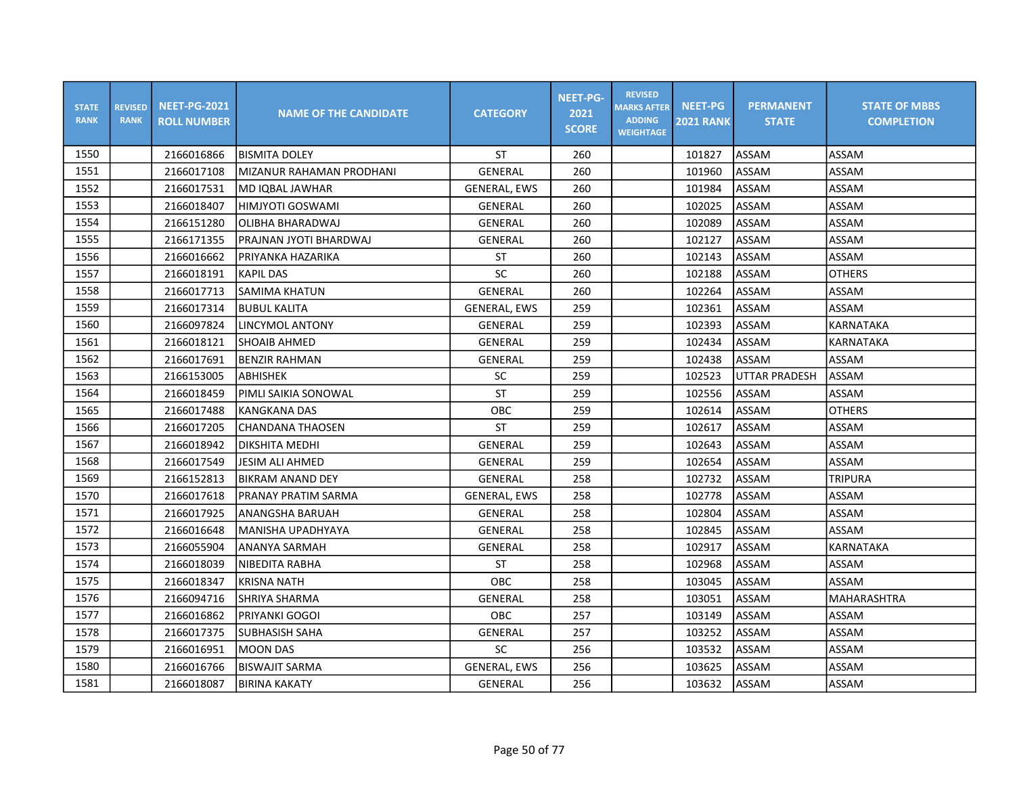| <b>STATE</b><br><b>RANK</b> | <b>REVISED</b><br><b>RANK</b> | <b>NEET-PG-2021</b><br><b>ROLL NUMBER</b> | <b>NAME OF THE CANDIDATE</b> | <b>CATEGORY</b>     | <b>NEET-PG-</b><br>2021<br><b>SCORE</b> | <b>REVISED</b><br><b>MARKS AFTER</b><br><b>ADDING</b><br><b>WEIGHTAGE</b> | <b>NEET-PG</b><br><b>2021 RANK</b> | <b>PERMANENT</b><br><b>STATE</b> | <b>STATE OF MBBS</b><br><b>COMPLETION</b> |
|-----------------------------|-------------------------------|-------------------------------------------|------------------------------|---------------------|-----------------------------------------|---------------------------------------------------------------------------|------------------------------------|----------------------------------|-------------------------------------------|
| 1550                        |                               | 2166016866                                | <b>BISMITA DOLEY</b>         | <b>ST</b>           | 260                                     |                                                                           | 101827                             | ASSAM                            | ASSAM                                     |
| 1551                        |                               | 2166017108                                | MIZANUR RAHAMAN PRODHANI     | GENERAL             | 260                                     |                                                                           | 101960                             | ASSAM                            | ASSAM                                     |
| 1552                        |                               | 2166017531                                | MD IQBAL JAWHAR              | <b>GENERAL, EWS</b> | 260                                     |                                                                           | 101984                             | ASSAM                            | ASSAM                                     |
| 1553                        |                               | 2166018407                                | HIMJYOTI GOSWAMI             | GENERAL             | 260                                     |                                                                           | 102025                             | ASSAM                            | ASSAM                                     |
| 1554                        |                               | 2166151280                                | OLIBHA BHARADWAJ             | GENERAL             | 260                                     |                                                                           | 102089                             | ASSAM                            | ASSAM                                     |
| 1555                        |                               | 2166171355                                | PRAJNAN JYOTI BHARDWAJ       | GENERAL             | 260                                     |                                                                           | 102127                             | ASSAM                            | ASSAM                                     |
| 1556                        |                               | 2166016662                                | PRIYANKA HAZARIKA            | <b>ST</b>           | 260                                     |                                                                           | 102143                             | ASSAM                            | ASSAM                                     |
| 1557                        |                               | 2166018191                                | KAPIL DAS                    | SC                  | 260                                     |                                                                           | 102188                             | ASSAM                            | <b>OTHERS</b>                             |
| 1558                        |                               | 2166017713                                | SAMIMA KHATUN                | GENERAL             | 260                                     |                                                                           | 102264                             | ASSAM                            | ASSAM                                     |
| 1559                        |                               | 2166017314                                | <b>BUBUL KALITA</b>          | <b>GENERAL, EWS</b> | 259                                     |                                                                           | 102361                             | ASSAM                            | ASSAM                                     |
| 1560                        |                               | 2166097824                                | LINCYMOL ANTONY              | <b>GENERAL</b>      | 259                                     |                                                                           | 102393                             | ASSAM                            | <b>KARNATAKA</b>                          |
| 1561                        |                               | 2166018121                                | <b>SHOAIB AHMED</b>          | GENERAL             | 259                                     |                                                                           | 102434                             | ASSAM                            | KARNATAKA                                 |
| 1562                        |                               | 2166017691                                | <b>BENZIR RAHMAN</b>         | <b>GENERAL</b>      | 259                                     |                                                                           | 102438                             | ASSAM                            | ASSAM                                     |
| 1563                        |                               | 2166153005                                | <b>ABHISHEK</b>              | SC                  | 259                                     |                                                                           | 102523                             | <b>UTTAR PRADESH</b>             | ASSAM                                     |
| 1564                        |                               | 2166018459                                | PIMLI SAIKIA SONOWAL         | <b>ST</b>           | 259                                     |                                                                           | 102556                             | ASSAM                            | ASSAM                                     |
| 1565                        |                               | 2166017488                                | <b>KANGKANA DAS</b>          | OBC                 | 259                                     |                                                                           | 102614                             | ASSAM                            | <b>OTHERS</b>                             |
| 1566                        |                               | 2166017205                                | <b>CHANDANA THAOSEN</b>      | <b>ST</b>           | 259                                     |                                                                           | 102617                             | ASSAM                            | ASSAM                                     |
| 1567                        |                               | 2166018942                                | DIKSHITA MEDHI               | <b>GENERAL</b>      | 259                                     |                                                                           | 102643                             | ASSAM                            | ASSAM                                     |
| 1568                        |                               | 2166017549                                | <b>JESIM ALI AHMED</b>       | GENERAL             | 259                                     |                                                                           | 102654                             | ASSAM                            | ASSAM                                     |
| 1569                        |                               | 2166152813                                | BIKRAM ANAND DEY             | GENERAL             | 258                                     |                                                                           | 102732                             | ASSAM                            | <b>TRIPURA</b>                            |
| 1570                        |                               | 2166017618                                | IPRANAY PRATIM SARMA         | <b>GENERAL, EWS</b> | 258                                     |                                                                           | 102778                             | ASSAM                            | ASSAM                                     |
| 1571                        |                               | 2166017925                                | ANANGSHA BARUAH              | GENERAL             | 258                                     |                                                                           | 102804                             | ASSAM                            | ASSAM                                     |
| 1572                        |                               | 2166016648                                | MANISHA UPADHYAYA            | <b>GENERAL</b>      | 258                                     |                                                                           | 102845                             | ASSAM                            | ASSAM                                     |
| 1573                        |                               | 2166055904                                | <b>ANANYA SARMAH</b>         | <b>GENERAL</b>      | 258                                     |                                                                           | 102917                             | ASSAM                            | KARNATAKA                                 |
| 1574                        |                               | 2166018039                                | NIBEDITA RABHA               | <b>ST</b>           | 258                                     |                                                                           | 102968                             | ASSAM                            | ASSAM                                     |
| 1575                        |                               | 2166018347                                | <b>KRISNA NATH</b>           | OBC                 | 258                                     |                                                                           | 103045                             | ASSAM                            | ASSAM                                     |
| 1576                        |                               | 2166094716                                | SHRIYA SHARMA                | GENERAL             | 258                                     |                                                                           | 103051                             | ASSAM                            | MAHARASHTRA                               |
| 1577                        |                               | 2166016862                                | PRIYANKI GOGOI               | OBC                 | 257                                     |                                                                           | 103149                             | ASSAM                            | ASSAM                                     |
| 1578                        |                               | 2166017375                                | SUBHASISH SAHA               | <b>GENERAL</b>      | 257                                     |                                                                           | 103252                             | ASSAM                            | ASSAM                                     |
| 1579                        |                               | 2166016951                                | <b>MOON DAS</b>              | SC                  | 256                                     |                                                                           | 103532                             | ASSAM                            | ASSAM                                     |
| 1580                        |                               | 2166016766                                | <b>BISWAJIT SARMA</b>        | <b>GENERAL, EWS</b> | 256                                     |                                                                           | 103625                             | ASSAM                            | ASSAM                                     |
| 1581                        |                               | 2166018087                                | <b>BIRINA KAKATY</b>         | GENERAL             | 256                                     |                                                                           | 103632                             | <b>ASSAM</b>                     | ASSAM                                     |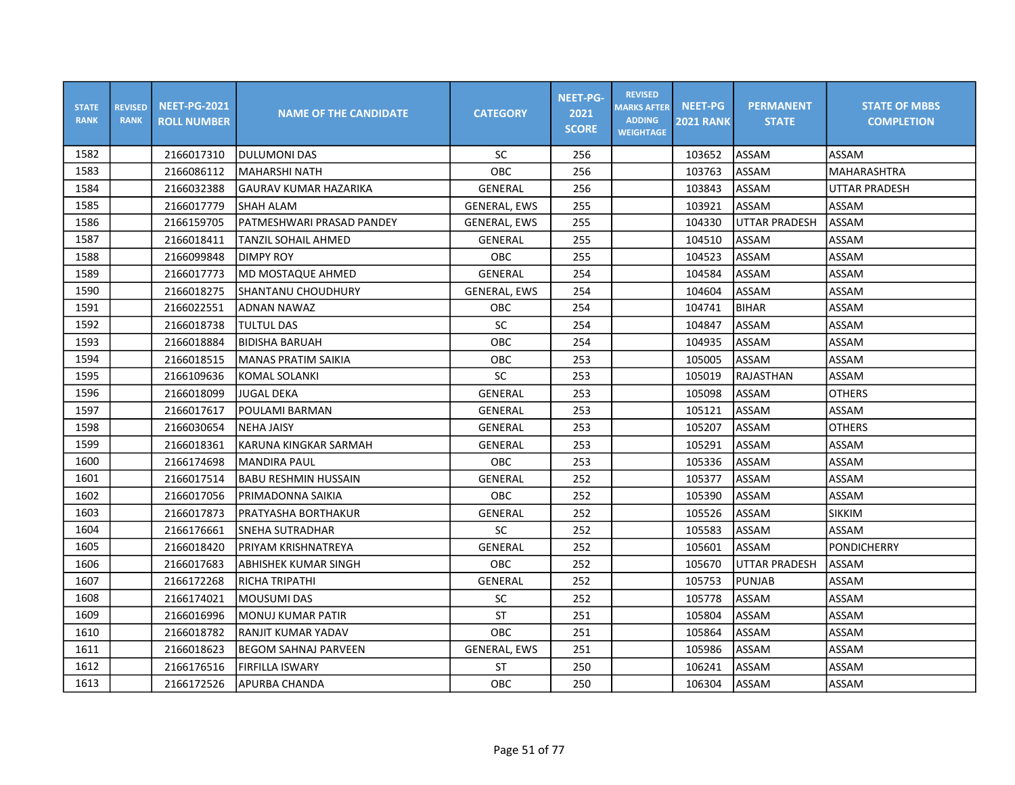| <b>STATE</b><br><b>RANK</b> | <b>REVISED</b><br><b>RANK</b> | <b>NEET-PG-2021</b><br><b>ROLL NUMBER</b> | <b>NAME OF THE CANDIDATE</b> | <b>CATEGORY</b>     | <b>NEET-PG-</b><br>2021<br><b>SCORE</b> | <b>REVISED</b><br><b>MARKS AFTER</b><br><b>ADDING</b><br><b>WEIGHTAGE</b> | <b>NEET-PG</b><br><b>2021 RANK</b> | <b>PERMANENT</b><br><b>STATE</b> | <b>STATE OF MBBS</b><br><b>COMPLETION</b> |
|-----------------------------|-------------------------------|-------------------------------------------|------------------------------|---------------------|-----------------------------------------|---------------------------------------------------------------------------|------------------------------------|----------------------------------|-------------------------------------------|
| 1582                        |                               | 2166017310                                | <b>DULUMONI DAS</b>          | <b>SC</b>           | 256                                     |                                                                           | 103652                             | ASSAM                            | ASSAM                                     |
| 1583                        |                               | 2166086112                                | <b>MAHARSHI NATH</b>         | <b>OBC</b>          | 256                                     |                                                                           | 103763                             | ASSAM                            | MAHARASHTRA                               |
| 1584                        |                               | 2166032388                                | <b>GAURAV KUMAR HAZARIKA</b> | GENERAL             | 256                                     |                                                                           | 103843                             | ASSAM                            | <b>UTTAR PRADESH</b>                      |
| 1585                        |                               | 2166017779                                | <b>SHAH ALAM</b>             | <b>GENERAL, EWS</b> | 255                                     |                                                                           | 103921                             | ASSAM                            | ASSAM                                     |
| 1586                        |                               | 2166159705                                | PATMESHWARI PRASAD PANDEY    | GENERAL, EWS        | 255                                     |                                                                           | 104330                             | <b>UTTAR PRADESH</b>             | <b>ASSAM</b>                              |
| 1587                        |                               | 2166018411                                | TANZIL SOHAIL AHMED          | <b>GENERAL</b>      | 255                                     |                                                                           | 104510                             | ASSAM                            | ASSAM                                     |
| 1588                        |                               | 2166099848                                | <b>DIMPY ROY</b>             | OBC                 | 255                                     |                                                                           | 104523                             | ASSAM                            | ASSAM                                     |
| 1589                        |                               | 2166017773                                | MD MOSTAQUE AHMED            | GENERAL             | 254                                     |                                                                           | 104584                             | ASSAM                            | ASSAM                                     |
| 1590                        |                               | 2166018275                                | <b>SHANTANU CHOUDHURY</b>    | <b>GENERAL, EWS</b> | 254                                     |                                                                           | 104604                             | ASSAM                            | ASSAM                                     |
| 1591                        |                               | 2166022551                                | ADNAN NAWAZ                  | OBC                 | 254                                     |                                                                           | 104741                             | <b>BIHAR</b>                     | ASSAM                                     |
| 1592                        |                               | 2166018738                                | TULTUL DAS                   | SC                  | 254                                     |                                                                           | 104847                             | ASSAM                            | ASSAM                                     |
| 1593                        |                               | 2166018884                                | <b>BIDISHA BARUAH</b>        | OBC                 | 254                                     |                                                                           | 104935                             | ASSAM                            | ASSAM                                     |
| 1594                        |                               | 2166018515                                | <b>MANAS PRATIM SAIKIA</b>   | OBC                 | 253                                     |                                                                           | 105005                             | ASSAM                            | ASSAM                                     |
| 1595                        |                               | 2166109636                                | KOMAL SOLANKI                | SC                  | 253                                     |                                                                           | 105019                             | RAJASTHAN                        | ASSAM                                     |
| 1596                        |                               | 2166018099                                | <b>JUGAL DEKA</b>            | GENERAL             | 253                                     |                                                                           | 105098                             | ASSAM                            | <b>OTHERS</b>                             |
| 1597                        |                               | 2166017617                                | POULAMI BARMAN               | GENERAL             | 253                                     |                                                                           | 105121                             | ASSAM                            | ASSAM                                     |
| 1598                        |                               | 2166030654                                | <b>NEHA JAISY</b>            | GENERAL             | 253                                     |                                                                           | 105207                             | ASSAM                            | <b>OTHERS</b>                             |
| 1599                        |                               | 2166018361                                | KARUNA KINGKAR SARMAH        | GENERAL             | 253                                     |                                                                           | 105291                             | ASSAM                            | ASSAM                                     |
| 1600                        |                               | 2166174698                                | <b>MANDIRA PAUL</b>          | OBC                 | 253                                     |                                                                           | 105336                             | ASSAM                            | ASSAM                                     |
| 1601                        |                               | 2166017514                                | <b>BABU RESHMIN HUSSAIN</b>  | GENERAL             | 252                                     |                                                                           | 105377                             | ASSAM                            | ASSAM                                     |
| 1602                        |                               | 2166017056                                | PRIMADONNA SAIKIA            | <b>OBC</b>          | 252                                     |                                                                           | 105390                             | ASSAM                            | ASSAM                                     |
| 1603                        |                               | 2166017873                                | lpratyasha borthakur         | GENERAL             | 252                                     |                                                                           | 105526                             | ASSAM                            | <b>SIKKIM</b>                             |
| 1604                        |                               | 2166176661                                | SNEHA SUTRADHAR              | SC                  | 252                                     |                                                                           | 105583                             | ASSAM                            | ASSAM                                     |
| 1605                        |                               | 2166018420                                | PRIYAM KRISHNATREYA          | GENERAL             | 252                                     |                                                                           | 105601                             | ASSAM                            | PONDICHERRY                               |
| 1606                        |                               | 2166017683                                | ABHISHEK KUMAR SINGH         | OBC                 | 252                                     |                                                                           | 105670                             | UTTAR PRADESH                    | ASSAM                                     |
| 1607                        |                               | 2166172268                                | RICHA TRIPATHI               | GENERAL             | 252                                     |                                                                           | 105753                             | <b>PUNJAB</b>                    | ASSAM                                     |
| 1608                        |                               | 2166174021                                | <b>MOUSUMI DAS</b>           | SC                  | 252                                     |                                                                           | 105778                             | ASSAM                            | ASSAM                                     |
| 1609                        |                               | 2166016996                                | <b>MONUJ KUMAR PATIR</b>     | ST                  | 251                                     |                                                                           | 105804                             | ASSAM                            | ASSAM                                     |
| 1610                        |                               | 2166018782                                | RANJIT KUMAR YADAV           | <b>OBC</b>          | 251                                     |                                                                           | 105864                             | ASSAM                            | ASSAM                                     |
| 1611                        |                               | 2166018623                                | <b>BEGOM SAHNAJ PARVEEN</b>  | <b>GENERAL, EWS</b> | 251                                     |                                                                           | 105986                             | ASSAM                            | ASSAM                                     |
| 1612                        |                               | 2166176516                                | FIRFILLA ISWARY              | <b>ST</b>           | 250                                     |                                                                           | 106241                             | ASSAM                            | ASSAM                                     |
| 1613                        |                               | 2166172526                                | APURBA CHANDA                | OBC                 | 250                                     |                                                                           | 106304                             | ASSAM                            | ASSAM                                     |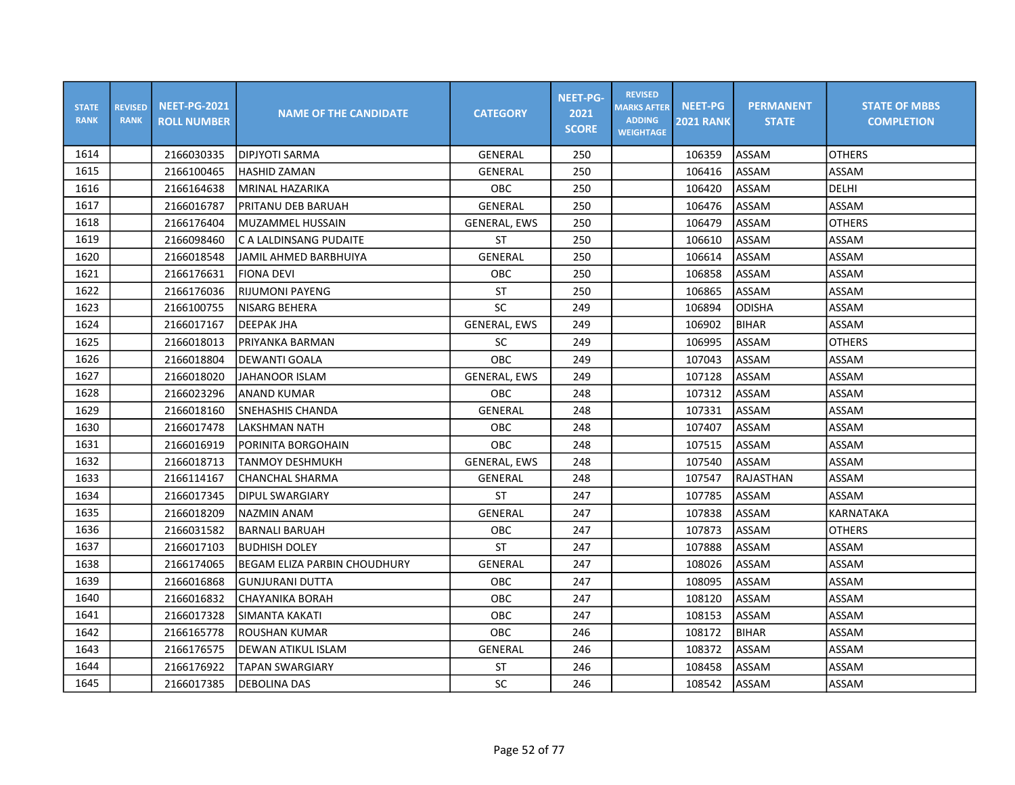| <b>STATE</b><br><b>RANK</b> | <b>REVISED</b><br><b>RANK</b> | <b>NEET-PG-2021</b><br><b>ROLL NUMBER</b> | <b>NAME OF THE CANDIDATE</b> | <b>CATEGORY</b>     | <b>NEET-PG-</b><br>2021<br><b>SCORE</b> | <b>REVISED</b><br><b>MARKS AFTER</b><br><b>ADDING</b><br><b>WEIGHTAGE</b> | <b>NEET-PG</b><br><b>2021 RANK</b> | <b>PERMANENT</b><br><b>STATE</b> | <b>STATE OF MBBS</b><br><b>COMPLETION</b> |
|-----------------------------|-------------------------------|-------------------------------------------|------------------------------|---------------------|-----------------------------------------|---------------------------------------------------------------------------|------------------------------------|----------------------------------|-------------------------------------------|
| 1614                        |                               | 2166030335                                | DIPJYOTI SARMA               | GENERAL             | 250                                     |                                                                           | 106359                             | <b>ASSAM</b>                     | <b>OTHERS</b>                             |
| 1615                        |                               | 2166100465                                | <b>HASHID ZAMAN</b>          | GENERAL             | 250                                     |                                                                           | 106416                             | ASSAM                            | ASSAM                                     |
| 1616                        |                               | 2166164638                                | MRINAL HAZARIKA              | OBC                 | 250                                     |                                                                           | 106420                             | ASSAM                            | DELHI                                     |
| 1617                        |                               | 2166016787                                | PRITANU DEB BARUAH           | <b>GENERAL</b>      | 250                                     |                                                                           | 106476                             | ASSAM                            | ASSAM                                     |
| 1618                        |                               | 2166176404                                | MUZAMMEL HUSSAIN             | <b>GENERAL, EWS</b> | 250                                     |                                                                           | 106479                             | ASSAM                            | <b>OTHERS</b>                             |
| 1619                        |                               | 2166098460                                | C A LALDINSANG PUDAITE       | <b>ST</b>           | 250                                     |                                                                           | 106610                             | ASSAM                            | ASSAM                                     |
| 1620                        |                               | 2166018548                                | JAMIL AHMED BARBHUIYA        | GENERAL             | 250                                     |                                                                           | 106614                             | ASSAM                            | ASSAM                                     |
| 1621                        |                               | 2166176631                                | <b>FIONA DEVI</b>            | OBC                 | 250                                     |                                                                           | 106858                             | ASSAM                            | ASSAM                                     |
| 1622                        |                               | 2166176036                                | <b>RIJUMONI PAYENG</b>       | <b>ST</b>           | 250                                     |                                                                           | 106865                             | ASSAM                            | ASSAM                                     |
| 1623                        |                               | 2166100755                                | INISARG BEHERA               | SC                  | 249                                     |                                                                           | 106894                             | <b>ODISHA</b>                    | ASSAM                                     |
| 1624                        |                               | 2166017167                                | <b>DEEPAK JHA</b>            | <b>GENERAL, EWS</b> | 249                                     |                                                                           | 106902                             | <b>BIHAR</b>                     | ASSAM                                     |
| 1625                        |                               | 2166018013                                | PRIYANKA BARMAN              | SC                  | 249                                     |                                                                           | 106995                             | ASSAM                            | <b>OTHERS</b>                             |
| 1626                        |                               | 2166018804                                | DEWANTI GOALA                | OBC                 | 249                                     |                                                                           | 107043                             | ASSAM                            | ASSAM                                     |
| 1627                        |                               | 2166018020                                | <b>JAHANOOR ISLAM</b>        | <b>GENERAL, EWS</b> | 249                                     |                                                                           | 107128                             | ASSAM                            | ASSAM                                     |
| 1628                        |                               | 2166023296                                | <b>ANAND KUMAR</b>           | OBC                 | 248                                     |                                                                           | 107312                             | ASSAM                            | ASSAM                                     |
| 1629                        |                               | 2166018160                                | SNEHASHIS CHANDA             | <b>GENERAL</b>      | 248                                     |                                                                           | 107331                             | ASSAM                            | ASSAM                                     |
| 1630                        |                               | 2166017478                                | <b>LAKSHMAN NATH</b>         | OBC                 | 248                                     |                                                                           | 107407                             | ASSAM                            | ASSAM                                     |
| 1631                        |                               | 2166016919                                | PORINITA BORGOHAIN           | <b>OBC</b>          | 248                                     |                                                                           | 107515                             | <b>ASSAM</b>                     | ASSAM                                     |
| 1632                        |                               | 2166018713                                | <b>TANMOY DESHMUKH</b>       | <b>GENERAL, EWS</b> | 248                                     |                                                                           | 107540                             | ASSAM                            | ASSAM                                     |
| 1633                        |                               | 2166114167                                | CHANCHAL SHARMA              | GENERAL             | 248                                     |                                                                           | 107547                             | RAJASTHAN                        | ASSAM                                     |
| 1634                        |                               | 2166017345                                | IDIPUL SWARGIARY             | <b>ST</b>           | 247                                     |                                                                           | 107785                             | ASSAM                            | ASSAM                                     |
| 1635                        |                               | 2166018209                                | <b>NAZMIN ANAM</b>           | <b>GENERAL</b>      | 247                                     |                                                                           | 107838                             | ASSAM                            | KARNATAKA                                 |
| 1636                        |                               | 2166031582                                | <b>BARNALI BARUAH</b>        | OBC                 | 247                                     |                                                                           | 107873                             | ASSAM                            | <b>OTHERS</b>                             |
| 1637                        |                               | 2166017103                                | IBUDHISH DOLEY               | <b>ST</b>           | 247                                     |                                                                           | 107888                             | ASSAM                            | ASSAM                                     |
| 1638                        |                               | 2166174065                                | BEGAM ELIZA PARBIN CHOUDHURY | <b>GENERAL</b>      | 247                                     |                                                                           | 108026                             | ASSAM                            | ASSAM                                     |
| 1639                        |                               | 2166016868                                | <b>GUNJURANI DUTTA</b>       | <b>OBC</b>          | 247                                     |                                                                           | 108095                             | ASSAM                            | ASSAM                                     |
| 1640                        |                               | 2166016832                                | <b>CHAYANIKA BORAH</b>       | OBC                 | 247                                     |                                                                           | 108120                             | ASSAM                            | ASSAM                                     |
| 1641                        |                               | 2166017328                                | SIMANTA KAKATI               | OBC                 | 247                                     |                                                                           | 108153                             | ASSAM                            | ASSAM                                     |
| 1642                        |                               | 2166165778                                | <b>ROUSHAN KUMAR</b>         | <b>OBC</b>          | 246                                     |                                                                           | 108172                             | <b>BIHAR</b>                     | ASSAM                                     |
| 1643                        |                               | 2166176575                                | DEWAN ATIKUL ISLAM           | <b>GENERAL</b>      | 246                                     |                                                                           | 108372                             | ASSAM                            | ASSAM                                     |
| 1644                        |                               | 2166176922                                | <b>TAPAN SWARGIARY</b>       | ST                  | 246                                     |                                                                           | 108458                             | ASSAM                            | ASSAM                                     |
| 1645                        |                               | 2166017385                                | <b>DEBOLINA DAS</b>          | SC                  | 246                                     |                                                                           | 108542                             | ASSAM                            | ASSAM                                     |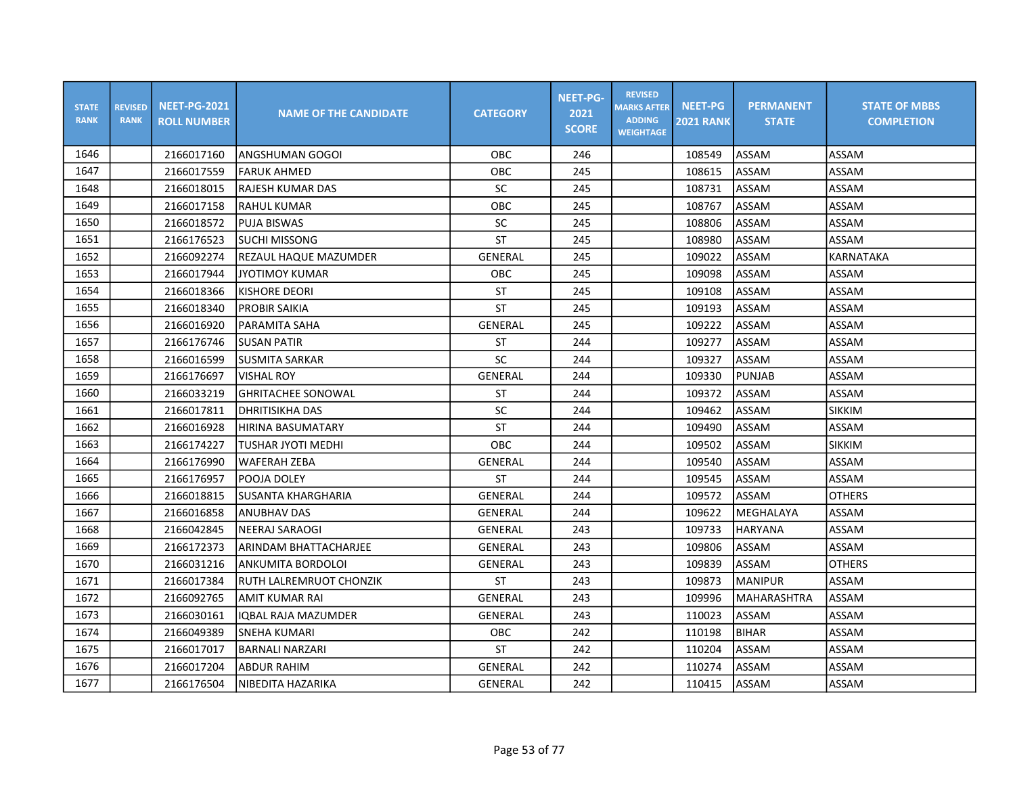| <b>STATE</b><br><b>RANK</b> | <b>REVISED</b><br><b>RANK</b> | <b>NEET-PG-2021</b><br><b>ROLL NUMBER</b> | <b>NAME OF THE CANDIDATE</b> | <b>CATEGORY</b> | <b>NEET-PG-</b><br>2021<br><b>SCORE</b> | <b>REVISED</b><br><b>MARKS AFTER</b><br><b>ADDING</b><br><b>WEIGHTAGE</b> | <b>NEET-PG</b><br><b>2021 RANK</b> | <b>PERMANENT</b><br><b>STATE</b> | <b>STATE OF MBBS</b><br><b>COMPLETION</b> |
|-----------------------------|-------------------------------|-------------------------------------------|------------------------------|-----------------|-----------------------------------------|---------------------------------------------------------------------------|------------------------------------|----------------------------------|-------------------------------------------|
| 1646                        |                               | 2166017160                                | IANGSHUMAN GOGOI             | OBC             | 246                                     |                                                                           | 108549                             | ASSAM                            | ASSAM                                     |
| 1647                        |                               | 2166017559                                | <b>FARUK AHMED</b>           | OBC             | 245                                     |                                                                           | 108615                             | <b>ASSAM</b>                     | ASSAM                                     |
| 1648                        |                               | 2166018015                                | <b>RAJESH KUMAR DAS</b>      | SC              | 245                                     |                                                                           | 108731                             | <b>ASSAM</b>                     | ASSAM                                     |
| 1649                        |                               | 2166017158                                | RAHUL KUMAR                  | OBC             | 245                                     |                                                                           | 108767                             | ASSAM                            | ASSAM                                     |
| 1650                        |                               | 2166018572                                | <b>PUJA BISWAS</b>           | SC              | 245                                     |                                                                           | 108806                             | ASSAM                            | ASSAM                                     |
| 1651                        |                               | 2166176523                                | ISUCHI MISSONG               | <b>ST</b>       | 245                                     |                                                                           | 108980                             | ASSAM                            | ASSAM                                     |
| 1652                        |                               | 2166092274                                | REZAUL HAQUE MAZUMDER        | <b>GENERAL</b>  | 245                                     |                                                                           | 109022                             | ASSAM                            | <b>KARNATAKA</b>                          |
| 1653                        |                               | 2166017944                                | <b>JYOTIMOY KUMAR</b>        | OBC             | 245                                     |                                                                           | 109098                             | ASSAM                            | ASSAM                                     |
| 1654                        |                               | 2166018366                                | KISHORE DEORI                | <b>ST</b>       | 245                                     |                                                                           | 109108                             | <b>ASSAM</b>                     | ASSAM                                     |
| 1655                        |                               | 2166018340                                | IPROBIR SAIKIA               | <b>ST</b>       | 245                                     |                                                                           | 109193                             | ASSAM                            | ASSAM                                     |
| 1656                        |                               | 2166016920                                | PARAMITA SAHA                | <b>GENERAL</b>  | 245                                     |                                                                           | 109222                             | ASSAM                            | ASSAM                                     |
| 1657                        |                               | 2166176746                                | <b>SUSAN PATIR</b>           | <b>ST</b>       | 244                                     |                                                                           | 109277                             | ASSAM                            | ASSAM                                     |
| 1658                        |                               | 2166016599                                | <b>SUSMITA SARKAR</b>        | SC              | 244                                     |                                                                           | 109327                             | ASSAM                            | ASSAM                                     |
| 1659                        |                               | 2166176697                                | <b>VISHAL ROY</b>            | GENERAL         | 244                                     |                                                                           | 109330                             | <b>PUNJAB</b>                    | ASSAM                                     |
| 1660                        |                               | 2166033219                                | <b>GHRITACHEE SONOWAL</b>    | ST              | 244                                     |                                                                           | 109372                             | ASSAM                            | ASSAM                                     |
| 1661                        |                               | 2166017811                                | <b>DHRITISIKHA DAS</b>       | SC              | 244                                     |                                                                           | 109462                             | <b>ASSAM</b>                     | <b>SIKKIM</b>                             |
| 1662                        |                               | 2166016928                                | HIRINA BASUMATARY            | <b>ST</b>       | 244                                     |                                                                           | 109490                             | ASSAM                            | ASSAM                                     |
| 1663                        |                               | 2166174227                                | TUSHAR JYOTI MEDHI           | OBC             | 244                                     |                                                                           | 109502                             | <b>ASSAM</b>                     | SIKKIM                                    |
| 1664                        |                               | 2166176990                                | WAFERAH ZEBA                 | <b>GENERAL</b>  | 244                                     |                                                                           | 109540                             | ASSAM                            | ASSAM                                     |
| 1665                        |                               | 2166176957                                | POOJA DOLEY                  | ST              | 244                                     |                                                                           | 109545                             | ASSAM                            | ASSAM                                     |
| 1666                        |                               | 2166018815                                | <b>ISUSANTA KHARGHARIA</b>   | <b>GENERAL</b>  | 244                                     |                                                                           | 109572                             | <b>ASSAM</b>                     | <b>OTHERS</b>                             |
| 1667                        |                               | 2166016858                                | <b>ANUBHAV DAS</b>           | GENERAL         | 244                                     |                                                                           | 109622                             | MEGHALAYA                        | ASSAM                                     |
| 1668                        |                               | 2166042845                                | NEERAJ SARAOGI               | GENERAL         | 243                                     |                                                                           | 109733                             | <b>HARYANA</b>                   | ASSAM                                     |
| 1669                        |                               | 2166172373                                | ARINDAM BHATTACHARJEE        | <b>GENERAL</b>  | 243                                     |                                                                           | 109806                             | <b>ASSAM</b>                     | ASSAM                                     |
| 1670                        |                               | 2166031216                                | <b>ANKUMITA BORDOLOI</b>     | GENERAL         | 243                                     |                                                                           | 109839                             | ASSAM                            | <b>OTHERS</b>                             |
| 1671                        |                               | 2166017384                                | RUTH LALREMRUOT CHONZIK      | <b>ST</b>       | 243                                     |                                                                           | 109873                             | <b>MANIPUR</b>                   | ASSAM                                     |
| 1672                        |                               | 2166092765                                | AMIT KUMAR RAI               | GENERAL         | 243                                     |                                                                           | 109996                             | MAHARASHTRA                      | ASSAM                                     |
| 1673                        |                               | 2166030161                                | <b>IOBAL RAJA MAZUMDER</b>   | GENERAL         | 243                                     |                                                                           | 110023                             | ASSAM                            | ASSAM                                     |
| 1674                        |                               | 2166049389                                | <b>SNEHA KUMARI</b>          | OBC             | 242                                     |                                                                           | 110198                             | <b>BIHAR</b>                     | ASSAM                                     |
| 1675                        |                               | 2166017017                                | <b>BARNALI NARZARI</b>       | <b>ST</b>       | 242                                     |                                                                           | 110204                             | ASSAM                            | ASSAM                                     |
| 1676                        |                               | 2166017204                                | <b>ABDUR RAHIM</b>           | GENERAL         | 242                                     |                                                                           | 110274                             | ASSAM                            | ASSAM                                     |
| 1677                        |                               | 2166176504                                | NIBEDITA HAZARIKA            | GENERAL         | 242                                     |                                                                           | 110415                             | ASSAM                            | ASSAM                                     |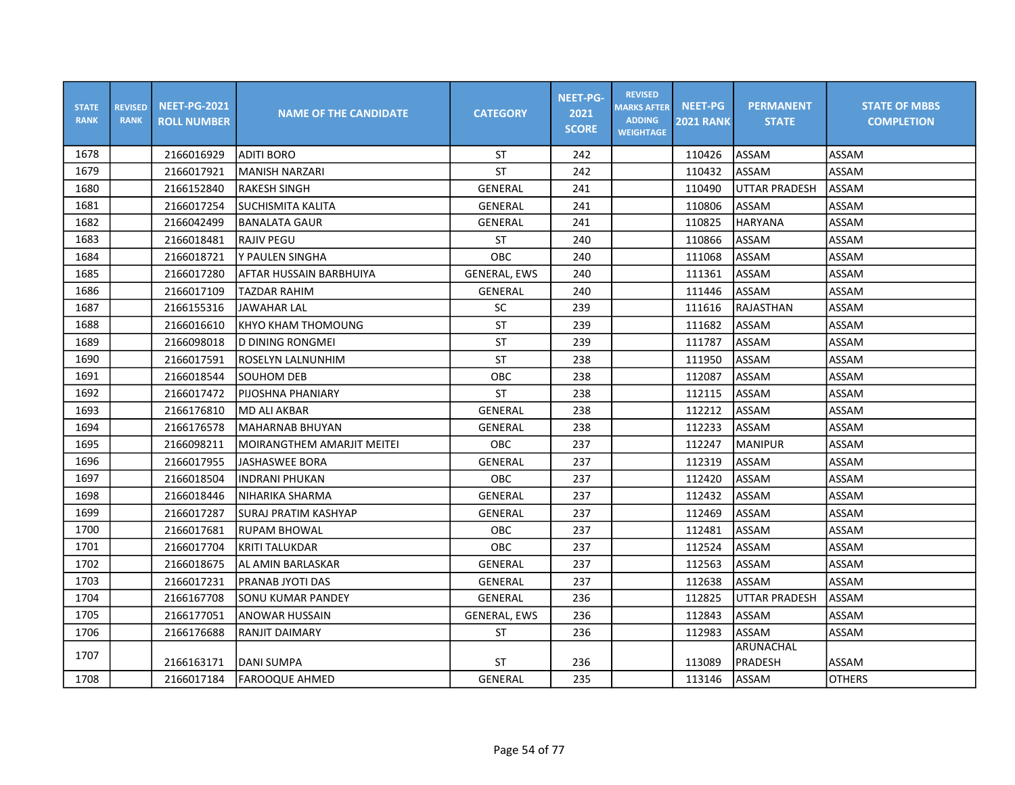| <b>STATE</b><br><b>RANK</b> | <b>REVISED</b><br><b>RANK</b> | <b>NEET-PG-2021</b><br><b>ROLL NUMBER</b> | <b>NAME OF THE CANDIDATE</b> | <b>CATEGORY</b>     | <b>NEET-PG-</b><br>2021<br><b>SCORE</b> | <b>REVISED</b><br><b>MARKS AFTER</b><br><b>ADDING</b><br><b>WEIGHTAGE</b> | <b>NEET-PG</b><br><b>2021 RANK</b> | <b>PERMANENT</b><br><b>STATE</b> | <b>STATE OF MBBS</b><br><b>COMPLETION</b> |
|-----------------------------|-------------------------------|-------------------------------------------|------------------------------|---------------------|-----------------------------------------|---------------------------------------------------------------------------|------------------------------------|----------------------------------|-------------------------------------------|
| 1678                        |                               | 2166016929                                | <b>ADITI BORO</b>            | ST                  | 242                                     |                                                                           | 110426                             | ASSAM                            | ASSAM                                     |
| 1679                        |                               | 2166017921                                | <b>MANISH NARZARI</b>        | <b>ST</b>           | 242                                     |                                                                           | 110432                             | ASSAM                            | ASSAM                                     |
| 1680                        |                               | 2166152840                                | <b>RAKESH SINGH</b>          | GENERAL             | 241                                     |                                                                           | 110490                             | <b>UTTAR PRADESH</b>             | ASSAM                                     |
| 1681                        |                               | 2166017254                                | SUCHISMITA KALITA            | GENERAL             | 241                                     |                                                                           | 110806                             | ASSAM                            | ASSAM                                     |
| 1682                        |                               | 2166042499                                | <b>BANALATA GAUR</b>         | GENERAL             | 241                                     |                                                                           | 110825                             | <b>HARYANA</b>                   | ASSAM                                     |
| 1683                        |                               | 2166018481                                | RAJIV PEGU                   | ST                  | 240                                     |                                                                           | 110866                             | ASSAM                            | ASSAM                                     |
| 1684                        |                               | 2166018721                                | Y PAULEN SINGHA              | <b>OBC</b>          | 240                                     |                                                                           | 111068                             | ASSAM                            | ASSAM                                     |
| 1685                        |                               | 2166017280                                | IAFTAR HUSSAIN BARBHUIYA     | <b>GENERAL, EWS</b> | 240                                     |                                                                           | 111361                             | <b>ASSAM</b>                     | ASSAM                                     |
| 1686                        |                               | 2166017109                                | <b>TAZDAR RAHIM</b>          | <b>GENERAL</b>      | 240                                     |                                                                           | 111446                             | <b>ASSAM</b>                     | ASSAM                                     |
| 1687                        |                               | 2166155316                                | <b>JAWAHAR LAL</b>           | SC                  | 239                                     |                                                                           | 111616                             | RAJASTHAN                        | ASSAM                                     |
| 1688                        |                               | 2166016610                                | KHYO KHAM THOMOUNG           | <b>ST</b>           | 239                                     |                                                                           | 111682                             | ASSAM                            | ASSAM                                     |
| 1689                        |                               | 2166098018                                | D DINING RONGMEI             | <b>ST</b>           | 239                                     |                                                                           | 111787                             | ASSAM                            | ASSAM                                     |
| 1690                        |                               | 2166017591                                | ROSELYN LALNUNHIM            | <b>ST</b>           | 238                                     |                                                                           | 111950                             | ASSAM                            | ASSAM                                     |
| 1691                        |                               | 2166018544                                | SOUHOM DEB                   | OBC                 | 238                                     |                                                                           | 112087                             | ASSAM                            | ASSAM                                     |
| 1692                        |                               | 2166017472                                | PIJOSHNA PHANIARY            | <b>ST</b>           | 238                                     |                                                                           | 112115                             | ASSAM                            | ASSAM                                     |
| 1693                        |                               | 2166176810                                | <b>MD ALI AKBAR</b>          | GENERAL             | 238                                     |                                                                           | 112212                             | ASSAM                            | ASSAM                                     |
| 1694                        |                               | 2166176578                                | lmaharnab bhuyan             | <b>GENERAL</b>      | 238                                     |                                                                           | 112233                             | ASSAM                            | ASSAM                                     |
| 1695                        |                               | 2166098211                                | MOIRANGTHEM AMARJIT MEITEI   | <b>OBC</b>          | 237                                     |                                                                           | 112247                             | <b>MANIPUR</b>                   | ASSAM                                     |
| 1696                        |                               | 2166017955                                | <b>JASHASWEE BORA</b>        | GENERAL             | 237                                     |                                                                           | 112319                             | <b>ASSAM</b>                     | ASSAM                                     |
| 1697                        |                               | 2166018504                                | <b>INDRANI PHUKAN</b>        | OBC                 | 237                                     |                                                                           | 112420                             | ASSAM                            | ASSAM                                     |
| 1698                        |                               | 2166018446                                | NIHARIKA SHARMA              | GENERAL             | 237                                     |                                                                           | 112432                             | ASSAM                            | ASSAM                                     |
| 1699                        |                               | 2166017287                                | SURAJ PRATIM KASHYAP         | GENERAL             | 237                                     |                                                                           | 112469                             | ASSAM                            | ASSAM                                     |
| 1700                        |                               | 2166017681                                | <b>RUPAM BHOWAL</b>          | <b>OBC</b>          | 237                                     |                                                                           | 112481                             | ASSAM                            | ASSAM                                     |
| 1701                        |                               | 2166017704                                | <b>KRITI TALUKDAR</b>        | <b>OBC</b>          | 237                                     |                                                                           | 112524                             | ASSAM                            | ASSAM                                     |
| 1702                        |                               | 2166018675                                | AL AMIN BARLASKAR            | GENERAL             | 237                                     |                                                                           | 112563                             | ASSAM                            | ASSAM                                     |
| 1703                        |                               | 2166017231                                | PRANAB JYOTI DAS             | GENERAL             | 237                                     |                                                                           | 112638                             | ASSAM                            | ASSAM                                     |
| 1704                        |                               | 2166167708                                | SONU KUMAR PANDEY            | GENERAL             | 236                                     |                                                                           | 112825                             | UTTAR PRADESH                    | ASSAM                                     |
| 1705                        |                               | 2166177051                                | ANOWAR HUSSAIN               | <b>GENERAL, EWS</b> | 236                                     |                                                                           | 112843                             | ASSAM                            | ASSAM                                     |
| 1706                        |                               | 2166176688                                | RANJIT DAIMARY               | ST                  | 236                                     |                                                                           | 112983                             | ASSAM                            | ASSAM                                     |
| 1707                        |                               | 2166163171                                | <b>DANI SUMPA</b>            | ST                  | 236                                     |                                                                           | 113089                             | <b>ARUNACHAL</b><br>PRADESH      | ASSAM                                     |
| 1708                        |                               | 2166017184                                | <b>FAROOQUE AHMED</b>        | GENERAL             | 235                                     |                                                                           | 113146                             | ASSAM                            | <b>OTHERS</b>                             |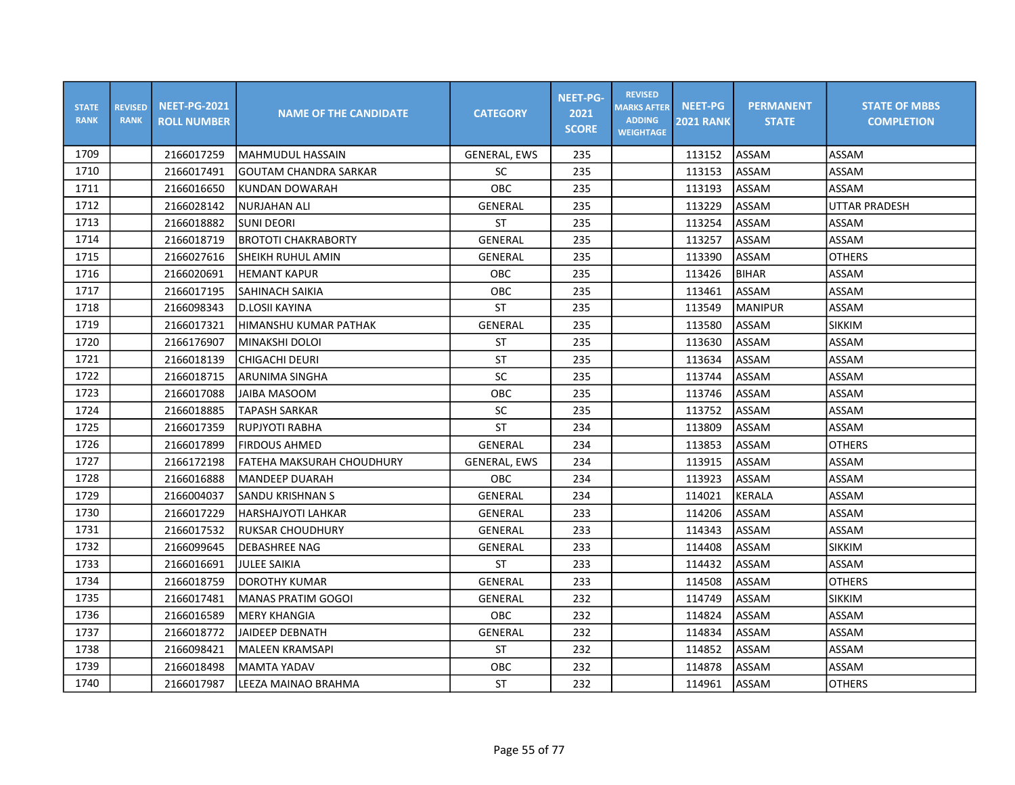| <b>STATE</b><br><b>RANK</b> | <b>REVISED</b><br><b>RANK</b> | <b>NEET-PG-2021</b><br><b>ROLL NUMBER</b> | <b>NAME OF THE CANDIDATE</b> | <b>CATEGORY</b>     | <b>NEET-PG-</b><br>2021<br><b>SCORE</b> | <b>REVISED</b><br><b>MARKS AFTER</b><br><b>ADDING</b><br><b>WEIGHTAGE</b> | <b>NEET-PG</b><br><b>2021 RANK</b> | <b>PERMANENT</b><br><b>STATE</b> | <b>STATE OF MBBS</b><br><b>COMPLETION</b> |
|-----------------------------|-------------------------------|-------------------------------------------|------------------------------|---------------------|-----------------------------------------|---------------------------------------------------------------------------|------------------------------------|----------------------------------|-------------------------------------------|
| 1709                        |                               | 2166017259                                | lMAHMUDUL HASSAIN            | <b>GENERAL, EWS</b> | 235                                     |                                                                           | 113152                             | ASSAM                            | ASSAM                                     |
| 1710                        |                               | 2166017491                                | <b>GOUTAM CHANDRA SARKAR</b> | <b>SC</b>           | 235                                     |                                                                           | 113153                             | <b>ASSAM</b>                     | ASSAM                                     |
| 1711                        |                               | 2166016650                                | <b>KUNDAN DOWARAH</b>        | OBC                 | 235                                     |                                                                           | 113193                             | ASSAM                            | ASSAM                                     |
| 1712                        |                               | 2166028142                                | <b>NURJAHAN ALI</b>          | <b>GENERAL</b>      | 235                                     |                                                                           | 113229                             | ASSAM                            | <b>UTTAR PRADESH</b>                      |
| 1713                        |                               | 2166018882                                | <b>SUNI DEORI</b>            | <b>ST</b>           | 235                                     |                                                                           | 113254                             | ASSAM                            | ASSAM                                     |
| 1714                        |                               | 2166018719                                | <b>BROTOTI CHAKRABORTY</b>   | <b>GENERAL</b>      | 235                                     |                                                                           | 113257                             | ASSAM                            | ASSAM                                     |
| 1715                        |                               | 2166027616                                | SHEIKH RUHUL AMIN            | <b>GENERAL</b>      | 235                                     |                                                                           | 113390                             | ASSAM                            | <b>OTHERS</b>                             |
| 1716                        |                               | 2166020691                                | <b>HEMANT KAPUR</b>          | OBC                 | 235                                     |                                                                           | 113426                             | <b>BIHAR</b>                     | ASSAM                                     |
| 1717                        |                               | 2166017195                                | ISAHINACH SAIKIA             | <b>OBC</b>          | 235                                     |                                                                           | 113461                             | <b>ASSAM</b>                     | ASSAM                                     |
| 1718                        |                               | 2166098343                                | <b>D.LOSII KAYINA</b>        | <b>ST</b>           | 235                                     |                                                                           | 113549                             | <b>MANIPUR</b>                   | <b>ASSAM</b>                              |
| 1719                        |                               | 2166017321                                | HIMANSHU KUMAR PATHAK        | <b>GENERAL</b>      | 235                                     |                                                                           | 113580                             | ASSAM                            | <b>SIKKIM</b>                             |
| 1720                        |                               | 2166176907                                | MINAKSHI DOLOI               | <b>ST</b>           | 235                                     |                                                                           | 113630                             | ASSAM                            | ASSAM                                     |
| 1721                        |                               | 2166018139                                | CHIGACHI DEURI               | <b>ST</b>           | 235                                     |                                                                           | 113634                             | ASSAM                            | ASSAM                                     |
| 1722                        |                               | 2166018715                                | ARUNIMA SINGHA               | SC                  | 235                                     |                                                                           | 113744                             | ASSAM                            | ASSAM                                     |
| 1723                        |                               | 2166017088                                | JAIBA MASOOM                 | OBC                 | 235                                     |                                                                           | 113746                             | ASSAM                            | ASSAM                                     |
| 1724                        |                               | 2166018885                                | TAPASH SARKAR                | SC                  | 235                                     |                                                                           | 113752                             | ASSAM                            | ASSAM                                     |
| 1725                        |                               | 2166017359                                | <b>RUPJYOTI RABHA</b>        | <b>ST</b>           | 234                                     |                                                                           | 113809                             | ASSAM                            | ASSAM                                     |
| 1726                        |                               | 2166017899                                | <b>FIRDOUS AHMED</b>         | <b>GENERAL</b>      | 234                                     |                                                                           | 113853                             | <b>ASSAM</b>                     | <b>OTHERS</b>                             |
| 1727                        |                               | 2166172198                                | FATEHA MAKSURAH CHOUDHURY    | <b>GENERAL, EWS</b> | 234                                     |                                                                           | 113915                             | ASSAM                            | ASSAM                                     |
| 1728                        |                               | 2166016888                                | MANDEEP DUARAH               | OBC                 | 234                                     |                                                                           | 113923                             | ASSAM                            | ASSAM                                     |
| 1729                        |                               | 2166004037                                | ISANDU KRISHNAN S            | GENERAL             | 234                                     |                                                                           | 114021                             | <b>KERALA</b>                    | ASSAM                                     |
| 1730                        |                               | 2166017229                                | IHARSHAJYOTI LAHKAR          | <b>GENERAL</b>      | 233                                     |                                                                           | 114206                             | ASSAM                            | ASSAM                                     |
| 1731                        |                               | 2166017532                                | <b>RUKSAR CHOUDHURY</b>      | GENERAL             | 233                                     |                                                                           | 114343                             | ASSAM                            | ASSAM                                     |
| 1732                        |                               | 2166099645                                | <b>DEBASHREE NAG</b>         | GENERAL             | 233                                     |                                                                           | 114408                             | ASSAM                            | <b>SIKKIM</b>                             |
| 1733                        |                               | 2166016691                                | <b>JULEE SAIKIA</b>          | <b>ST</b>           | 233                                     |                                                                           | 114432                             | ASSAM                            | ASSAM                                     |
| 1734                        |                               | 2166018759                                | <b>DOROTHY KUMAR</b>         | GENERAL             | 233                                     |                                                                           | 114508                             | ASSAM                            | <b>OTHERS</b>                             |
| 1735                        |                               | 2166017481                                | <b>MANAS PRATIM GOGOI</b>    | GENERAL             | 232                                     |                                                                           | 114749                             | ASSAM                            | <b>SIKKIM</b>                             |
| 1736                        |                               | 2166016589                                | MERY KHANGIA                 | OBC                 | 232                                     |                                                                           | 114824                             | ASSAM                            | ASSAM                                     |
| 1737                        |                               | 2166018772                                | <b>JAIDEEP DEBNATH</b>       | <b>GENERAL</b>      | 232                                     |                                                                           | 114834                             | ASSAM                            | ASSAM                                     |
| 1738                        |                               | 2166098421                                | <b>MALEEN KRAMSAPI</b>       | ST                  | 232                                     |                                                                           | 114852                             | ASSAM                            | ASSAM                                     |
| 1739                        |                               | 2166018498                                | <b>MAMTA YADAV</b>           | OBC                 | 232                                     |                                                                           | 114878                             | ASSAM                            | ASSAM                                     |
| 1740                        |                               | 2166017987                                | LEEZA MAINAO BRAHMA          | <b>ST</b>           | 232                                     |                                                                           | 114961                             | <b>ASSAM</b>                     | <b>OTHERS</b>                             |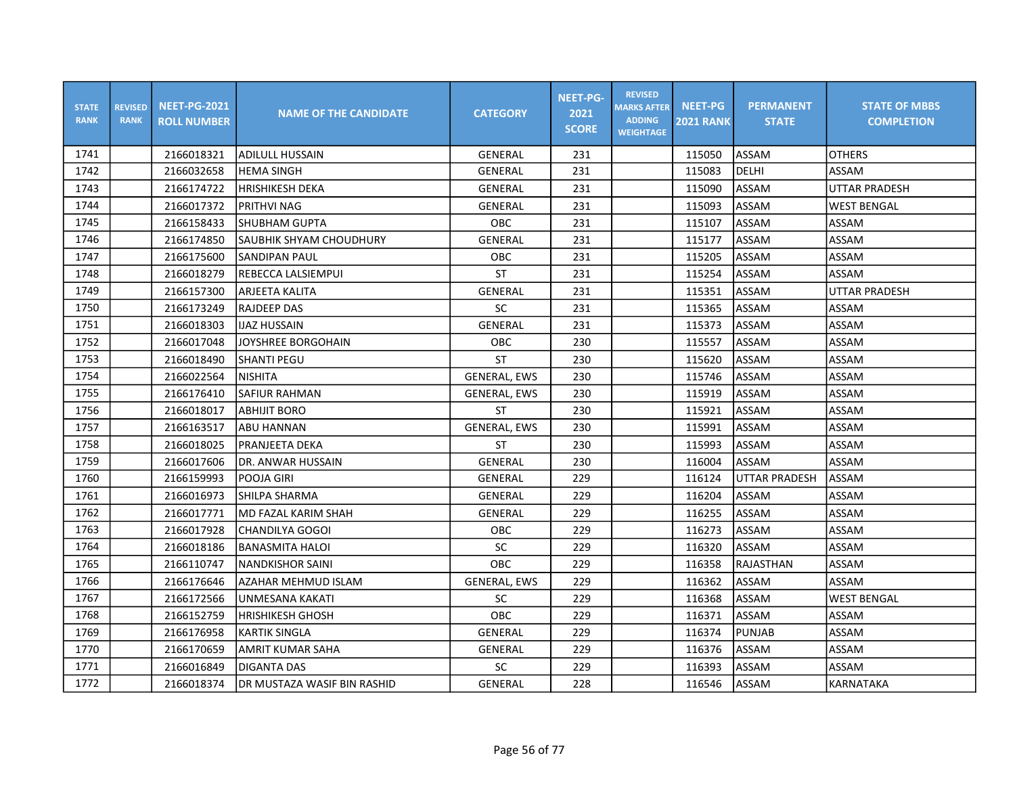| <b>STATE</b><br><b>RANK</b> | <b>REVISED</b><br><b>RANK</b> | <b>NEET-PG-2021</b><br><b>ROLL NUMBER</b> | <b>NAME OF THE CANDIDATE</b> | <b>CATEGORY</b>     | <b>NEET-PG-</b><br>2021<br><b>SCORE</b> | <b>REVISED</b><br><b>MARKS AFTER</b><br><b>ADDING</b><br><b>WEIGHTAGE</b> | <b>NEET-PG</b><br><b>2021 RANK</b> | <b>PERMANENT</b><br><b>STATE</b> | <b>STATE OF MBBS</b><br><b>COMPLETION</b> |
|-----------------------------|-------------------------------|-------------------------------------------|------------------------------|---------------------|-----------------------------------------|---------------------------------------------------------------------------|------------------------------------|----------------------------------|-------------------------------------------|
| 1741                        |                               | 2166018321                                | <b>ADILULL HUSSAIN</b>       | GENERAL             | 231                                     |                                                                           | 115050                             | ASSAM                            | <b>OTHERS</b>                             |
| 1742                        |                               | 2166032658                                | <b>HEMA SINGH</b>            | GENERAL             | 231                                     |                                                                           | 115083                             | DELHI                            | ASSAM                                     |
| 1743                        |                               | 2166174722                                | <b>HRISHIKESH DEKA</b>       | GENERAL             | 231                                     |                                                                           | 115090                             | ASSAM                            | <b>UTTAR PRADESH</b>                      |
| 1744                        |                               | 2166017372                                | PRITHVI NAG                  | GENERAL             | 231                                     |                                                                           | 115093                             | ASSAM                            | <b>WEST BENGAL</b>                        |
| 1745                        |                               | 2166158433                                | ISHUBHAM GUPTA               | <b>OBC</b>          | 231                                     |                                                                           | 115107                             | ASSAM                            | ASSAM                                     |
| 1746                        |                               | 2166174850                                | SAUBHIK SHYAM CHOUDHURY      | <b>GENERAL</b>      | 231                                     |                                                                           | 115177                             | ASSAM                            | ASSAM                                     |
| 1747                        |                               | 2166175600                                | SANDIPAN PAUL                | OBC                 | 231                                     |                                                                           | 115205                             | <b>ASSAM</b>                     | ASSAM                                     |
| 1748                        |                               | 2166018279                                | REBECCA LALSIEMPUI           | <b>ST</b>           | 231                                     |                                                                           | 115254                             | ASSAM                            | ASSAM                                     |
| 1749                        |                               | 2166157300                                | ARJEETA KALITA               | GENERAL             | 231                                     |                                                                           | 115351                             | ASSAM                            | <b>UTTAR PRADESH</b>                      |
| 1750                        |                               | 2166173249                                | <b>RAJDEEP DAS</b>           | SC                  | 231                                     |                                                                           | 115365                             | <b>ASSAM</b>                     | ASSAM                                     |
| 1751                        |                               | 2166018303                                | <b>IJAZ HUSSAIN</b>          | <b>GENERAL</b>      | 231                                     |                                                                           | 115373                             | ASSAM                            | ASSAM                                     |
| 1752                        |                               | 2166017048                                | JOYSHREE BORGOHAIN           | <b>OBC</b>          | 230                                     |                                                                           | 115557                             | ASSAM                            | ASSAM                                     |
| 1753                        |                               | 2166018490                                | <b>SHANTI PEGU</b>           | <b>ST</b>           | 230                                     |                                                                           | 115620                             | ASSAM                            | ASSAM                                     |
| 1754                        |                               | 2166022564                                | <b>NISHITA</b>               | <b>GENERAL, EWS</b> | 230                                     |                                                                           | 115746                             | ASSAM                            | ASSAM                                     |
| 1755                        |                               | 2166176410                                | <b>SAFIUR RAHMAN</b>         | <b>GENERAL, EWS</b> | 230                                     |                                                                           | 115919                             | ASSAM                            | ASSAM                                     |
| 1756                        |                               | 2166018017                                | <b>ABHIJIT BORO</b>          | <b>ST</b>           | 230                                     |                                                                           | 115921                             | ASSAM                            | ASSAM                                     |
| 1757                        |                               | 2166163517                                | <b>ABU HANNAN</b>            | <b>GENERAL, EWS</b> | 230                                     |                                                                           | 115991                             | ASSAM                            | ASSAM                                     |
| 1758                        |                               | 2166018025                                | PRANJEETA DEKA               | <b>ST</b>           | 230                                     |                                                                           | 115993                             | <b>ASSAM</b>                     | ASSAM                                     |
| 1759                        |                               | 2166017606                                | <b>DR. ANWAR HUSSAIN</b>     | <b>GENERAL</b>      | 230                                     |                                                                           | 116004                             | ASSAM                            | ASSAM                                     |
| 1760                        |                               | 2166159993                                | POOJA GIRI                   | <b>GENERAL</b>      | 229                                     |                                                                           | 116124                             | <b>UTTAR PRADESH</b>             | ASSAM                                     |
| 1761                        |                               | 2166016973                                | ISHILPA SHARMA               | GENERAL             | 229                                     |                                                                           | 116204                             | ASSAM                            | ASSAM                                     |
| 1762                        |                               | 2166017771                                | lMD FAZAL KARIM SHAH         | GENERAL             | 229                                     |                                                                           | 116255                             | ASSAM                            | ASSAM                                     |
| 1763                        |                               | 2166017928                                | CHANDILYA GOGOI              | OBC                 | 229                                     |                                                                           | 116273                             | ASSAM                            | ASSAM                                     |
| 1764                        |                               | 2166018186                                | BANASMITA HALOI              | SC                  | 229                                     |                                                                           | 116320                             | ASSAM                            | ASSAM                                     |
| 1765                        |                               | 2166110747                                | INANDKISHOR SAINI            | OBC                 | 229                                     |                                                                           | 116358                             | RAJASTHAN                        | ASSAM                                     |
| 1766                        |                               | 2166176646                                | AZAHAR MEHMUD ISLAM          | <b>GENERAL, EWS</b> | 229                                     |                                                                           | 116362                             | ASSAM                            | ASSAM                                     |
| 1767                        |                               | 2166172566                                | UNMESANA KAKATI              | <b>SC</b>           | 229                                     |                                                                           | 116368                             | ASSAM                            | <b>WEST BENGAL</b>                        |
| 1768                        |                               | 2166152759                                | <b>HRISHIKESH GHOSH</b>      | <b>OBC</b>          | 229                                     |                                                                           | 116371                             | ASSAM                            | ASSAM                                     |
| 1769                        |                               | 2166176958                                | <b>KARTIK SINGLA</b>         | GENERAL             | 229                                     |                                                                           | 116374                             | <b>PUNJAB</b>                    | ASSAM                                     |
| 1770                        |                               | 2166170659                                | AMRIT KUMAR SAHA             | GENERAL             | 229                                     |                                                                           | 116376                             | ASSAM                            | ASSAM                                     |
| 1771                        |                               | 2166016849                                | <b>DIGANTA DAS</b>           | $\sf SC$            | 229                                     |                                                                           | 116393                             | ASSAM                            | ASSAM                                     |
| 1772                        |                               | 2166018374                                | DR MUSTAZA WASIF BIN RASHID  | GENERAL             | 228                                     |                                                                           | 116546                             | <b>ASSAM</b>                     | KARNATAKA                                 |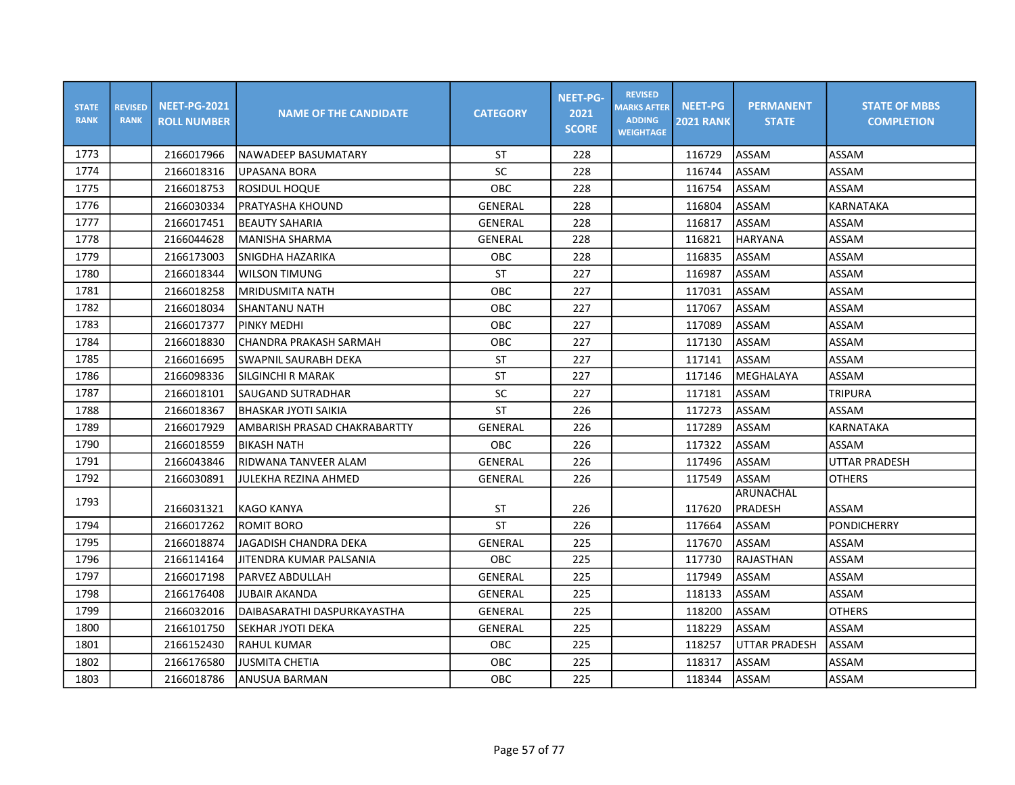| <b>STATE</b><br><b>RANK</b> | <b>REVISED</b><br><b>RANK</b> | <b>NEET-PG-2021</b><br><b>ROLL NUMBER</b> | <b>NAME OF THE CANDIDATE</b> | <b>CATEGORY</b> | <b>NEET-PG-</b><br>2021<br><b>SCORE</b> | <b>REVISED</b><br><b>MARKS AFTER</b><br><b>ADDING</b><br><b>WEIGHTAGE</b> | <b>NEET-PG</b><br><b>2021 RANK</b> | <b>PERMANENT</b><br><b>STATE</b> | <b>STATE OF MBBS</b><br><b>COMPLETION</b> |
|-----------------------------|-------------------------------|-------------------------------------------|------------------------------|-----------------|-----------------------------------------|---------------------------------------------------------------------------|------------------------------------|----------------------------------|-------------------------------------------|
| 1773                        |                               | 2166017966                                | NAWADEEP BASUMATARY          | ST              | 228                                     |                                                                           | 116729                             | <b>ASSAM</b>                     | <b>ASSAM</b>                              |
| 1774                        |                               | 2166018316                                | <b>UPASANA BORA</b>          | <b>SC</b>       | 228                                     |                                                                           | 116744                             | ASSAM                            | ASSAM                                     |
| 1775                        |                               | 2166018753                                | <b>ROSIDUL HOQUE</b>         | OBC             | 228                                     |                                                                           | 116754                             | ASSAM                            | ASSAM                                     |
| 1776                        |                               | 2166030334                                | <b>PRATYASHA KHOUND</b>      | GENERAL         | 228                                     |                                                                           | 116804                             | <b>ASSAM</b>                     | <b>KARNATAKA</b>                          |
| 1777                        |                               | 2166017451                                | <b>BEAUTY SAHARIA</b>        | <b>GENERAL</b>  | 228                                     |                                                                           | 116817                             | ASSAM                            | ASSAM                                     |
| 1778                        |                               | 2166044628                                | MANISHA SHARMA               | GENERAL         | 228                                     |                                                                           | 116821                             | HARYANA                          | ASSAM                                     |
| 1779                        |                               | 2166173003                                | ISNIGDHA HAZARIKA            | <b>OBC</b>      | 228                                     |                                                                           | 116835                             | <b>ASSAM</b>                     | ASSAM                                     |
| 1780                        |                               | 2166018344                                | <b>WILSON TIMUNG</b>         | <b>ST</b>       | 227                                     |                                                                           | 116987                             | ASSAM                            | ASSAM                                     |
| 1781                        |                               | 2166018258                                | <b>MRIDUSMITA NATH</b>       | OBC             | 227                                     |                                                                           | 117031                             | ASSAM                            | ASSAM                                     |
| 1782                        |                               | 2166018034                                | SHANTANU NATH                | OBC             | 227                                     |                                                                           | 117067                             | ASSAM                            | ASSAM                                     |
| 1783                        |                               | 2166017377                                | <b>PINKY MEDHI</b>           | OBC             | 227                                     |                                                                           | 117089                             | <b>ASSAM</b>                     | ASSAM                                     |
| 1784                        |                               | 2166018830                                | CHANDRA PRAKASH SARMAH       | OBC             | 227                                     |                                                                           | 117130                             | <b>ASSAM</b>                     | ASSAM                                     |
| 1785                        |                               | 2166016695                                | SWAPNIL SAURABH DEKA         | <b>ST</b>       | 227                                     |                                                                           | 117141                             | ASSAM                            | ASSAM                                     |
| 1786                        |                               | 2166098336                                | <b>SILGINCHI R MARAK</b>     | <b>ST</b>       | 227                                     |                                                                           | 117146                             | MEGHALAYA                        | ASSAM                                     |
| 1787                        |                               | 2166018101                                | <b>SAUGAND SUTRADHAR</b>     | SC              | 227                                     |                                                                           | 117181                             | <b>ASSAM</b>                     | <b>TRIPURA</b>                            |
| 1788                        |                               | 2166018367                                | <b>BHASKAR JYOTI SAIKIA</b>  | <b>ST</b>       | 226                                     |                                                                           | 117273                             | <b>ASSAM</b>                     | ASSAM                                     |
| 1789                        |                               | 2166017929                                | AMBARISH PRASAD CHAKRABARTTY | GENERAL         | 226                                     |                                                                           | 117289                             | <b>ASSAM</b>                     | <b>KARNATAKA</b>                          |
| 1790                        |                               | 2166018559                                | Ibikash nath                 | OBC             | 226                                     |                                                                           | 117322                             | ASSAM                            | ASSAM                                     |
| 1791                        |                               | 2166043846                                | RIDWANA TANVEER ALAM         | GENERAL         | 226                                     |                                                                           | 117496                             | ASSAM                            | <b>UTTAR PRADESH</b>                      |
| 1792                        |                               | 2166030891                                | JULEKHA REZINA AHMED         | <b>GENERAL</b>  | 226                                     |                                                                           | 117549                             | ASSAM                            | <b>OTHERS</b>                             |
| 1793                        |                               | 2166031321                                | <b>KAGO KANYA</b>            | ST              | 226                                     |                                                                           | 117620                             | ARUNACHAL<br>PRADESH             | ASSAM                                     |
| 1794                        |                               | 2166017262                                | IROMIT BORO                  | <b>ST</b>       | 226                                     |                                                                           | 117664                             | <b>ASSAM</b>                     | <b>PONDICHERRY</b>                        |
| 1795                        |                               | 2166018874                                | JAGADISH CHANDRA DEKA        | GENERAL         | 225                                     |                                                                           | 117670                             | <b>ASSAM</b>                     | ASSAM                                     |
| 1796                        |                               | 2166114164                                | JITENDRA KUMAR PALSANIA      | <b>OBC</b>      | 225                                     |                                                                           | 117730                             | RAJASTHAN                        | ASSAM                                     |
| 1797                        |                               | 2166017198                                | <b>PARVEZ ABDULLAH</b>       | <b>GENERAL</b>  | 225                                     |                                                                           | 117949                             | ASSAM                            | ASSAM                                     |
| 1798                        |                               | 2166176408                                | <b>JUBAIR AKANDA</b>         | GENERAL         | 225                                     |                                                                           | 118133                             | ASSAM                            | ASSAM                                     |
| 1799                        |                               | 2166032016                                | DAIBASARATHI DASPURKAYASTHA  | <b>GENERAL</b>  | 225                                     |                                                                           | 118200                             | ASSAM                            | <b>OTHERS</b>                             |
| 1800                        |                               | 2166101750                                | SEKHAR JYOTI DEKA            | <b>GENERAL</b>  | 225                                     |                                                                           | 118229                             | <b>ASSAM</b>                     | ASSAM                                     |
| 1801                        |                               | 2166152430                                | <b>RAHUL KUMAR</b>           | <b>OBC</b>      | 225                                     |                                                                           | 118257                             | <b>UTTAR PRADESH</b>             | ASSAM                                     |
| 1802                        |                               | 2166176580                                | <b>JUSMITA CHETIA</b>        | OBC             | 225                                     |                                                                           | 118317                             | <b>ASSAM</b>                     | ASSAM                                     |
| 1803                        |                               | 2166018786                                | ANUSUA BARMAN                | OBC             | 225                                     |                                                                           | 118344                             | ASSAM                            | ASSAM                                     |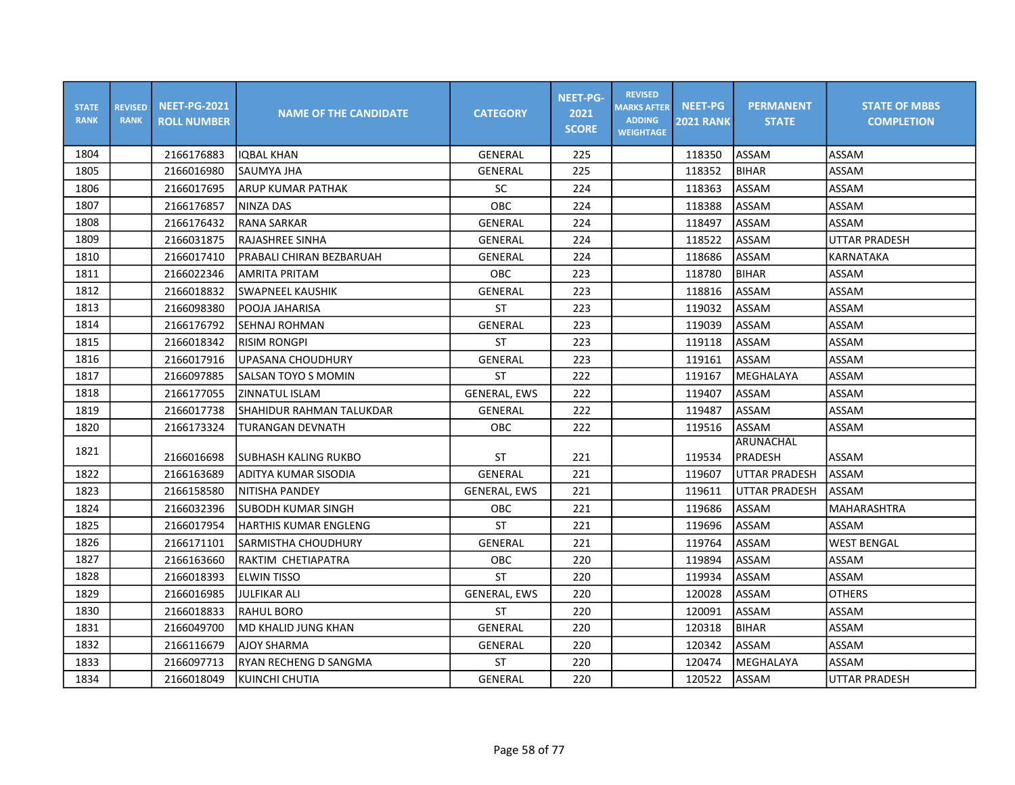| <b>STATE</b><br><b>RANK</b> | <b>REVISED</b><br><b>RANK</b> | <b>NEET-PG-2021</b><br><b>ROLL NUMBER</b> | <b>NAME OF THE CANDIDATE</b> | <b>CATEGORY</b>     | <b>NEET-PG-</b><br>2021<br><b>SCORE</b> | <b>REVISED</b><br><b>MARKS AFTER</b><br><b>ADDING</b><br><b>WEIGHTAGE</b> | <b>NEET-PG</b><br><b>2021 RANK</b> | <b>PERMANENT</b><br><b>STATE</b> | <b>STATE OF MBBS</b><br><b>COMPLETION</b> |
|-----------------------------|-------------------------------|-------------------------------------------|------------------------------|---------------------|-----------------------------------------|---------------------------------------------------------------------------|------------------------------------|----------------------------------|-------------------------------------------|
| 1804                        |                               | 2166176883                                | <b>IOBAL KHAN</b>            | GENERAL             | 225                                     |                                                                           | 118350                             | ASSAM                            | ASSAM                                     |
| 1805                        |                               | 2166016980                                | SAUMYA JHA                   | GENERAL             | 225                                     |                                                                           | 118352                             | <b>BIHAR</b>                     | ASSAM                                     |
| 1806                        |                               | 2166017695                                | ARUP KUMAR PATHAK            | SC                  | 224                                     |                                                                           | 118363                             | ASSAM                            | ASSAM                                     |
| 1807                        |                               | 2166176857                                | NINZA DAS                    | <b>OBC</b>          | 224                                     |                                                                           | 118388                             | ASSAM                            | ASSAM                                     |
| 1808                        |                               | 2166176432                                | <b>RANA SARKAR</b>           | <b>GENERAL</b>      | 224                                     |                                                                           | 118497                             | ASSAM                            | ASSAM                                     |
| 1809                        |                               | 2166031875                                | IRAJASHREE SINHA             | GENERAL             | 224                                     |                                                                           | 118522                             | ASSAM                            | <b>UTTAR PRADESH</b>                      |
| 1810                        |                               | 2166017410                                | PRABALI CHIRAN BEZBARUAH     | GENERAL             | 224                                     |                                                                           | 118686                             | ASSAM                            | KARNATAKA                                 |
| 1811                        |                               | 2166022346                                | <b>AMRITA PRITAM</b>         | <b>OBC</b>          | 223                                     |                                                                           | 118780                             | <b>BIHAR</b>                     | ASSAM                                     |
| 1812                        |                               | 2166018832                                | <b>SWAPNEEL KAUSHIK</b>      | GENERAL             | 223                                     |                                                                           | 118816                             | ASSAM                            | ASSAM                                     |
| 1813                        |                               | 2166098380                                | POOJA JAHARISA               | ST                  | 223                                     |                                                                           | 119032                             | ASSAM                            | ASSAM                                     |
| 1814                        |                               | 2166176792                                | SEHNAJ ROHMAN                | GENERAL             | 223                                     |                                                                           | 119039                             | ASSAM                            | ASSAM                                     |
| 1815                        |                               | 2166018342                                | <b>RISIM RONGPI</b>          | <b>ST</b>           | 223                                     |                                                                           | 119118                             | ASSAM                            | ASSAM                                     |
| 1816                        |                               | 2166017916                                | <b>UPASANA CHOUDHURY</b>     | <b>GENERAL</b>      | 223                                     |                                                                           | 119161                             | <b>ASSAM</b>                     | ASSAM                                     |
| 1817                        |                               | 2166097885                                | SALSAN TOYO S MOMIN          | <b>ST</b>           | 222                                     |                                                                           | 119167                             | MEGHALAYA                        | ASSAM                                     |
| 1818                        |                               | 2166177055                                | ZINNATUL ISLAM               | <b>GENERAL, EWS</b> | 222                                     |                                                                           | 119407                             | ASSAM                            | ASSAM                                     |
| 1819                        |                               | 2166017738                                | SHAHIDUR RAHMAN TALUKDAR     | GENERAL             | 222                                     |                                                                           | 119487                             | ASSAM                            | ASSAM                                     |
| 1820                        |                               | 2166173324                                | TURANGAN DEVNATH             | <b>OBC</b>          | 222                                     |                                                                           | 119516                             | <b>ASSAM</b>                     | ASSAM                                     |
| 1821                        |                               | 2166016698                                | SUBHASH KALING RUKBO         | ST                  | 221                                     |                                                                           | 119534                             | ARUNACHAL<br>PRADESH             | ASSAM                                     |
| 1822                        |                               | 2166163689                                | ADITYA KUMAR SISODIA         | GENERAL             | 221                                     |                                                                           | 119607                             | <b>UTTAR PRADESH</b>             | ASSAM                                     |
| 1823                        |                               | 2166158580                                | NITISHA PANDEY               | <b>GENERAL, EWS</b> | 221                                     |                                                                           | 119611                             | <b>UTTAR PRADESH</b>             | ASSAM                                     |
| 1824                        |                               | 2166032396                                | ISUBODH KUMAR SINGH          | OBC                 | 221                                     |                                                                           | 119686                             | ASSAM                            | <b>MAHARASHTRA</b>                        |
| 1825                        |                               | 2166017954                                | IHARTHIS KUMAR ENGLENG       | <b>ST</b>           | 221                                     |                                                                           | 119696                             | ASSAM                            | ASSAM                                     |
| 1826                        |                               | 2166171101                                | <b>SARMISTHA CHOUDHURY</b>   | GENERAL             | 221                                     |                                                                           | 119764                             | ASSAM                            | <b>WEST BENGAL</b>                        |
| 1827                        |                               | 2166163660                                | RAKTIM CHETIAPATRA           | OBC                 | 220                                     |                                                                           | 119894                             | ASSAM                            | ASSAM                                     |
| 1828                        |                               | 2166018393                                | <b>ELWIN TISSO</b>           | <b>ST</b>           | 220                                     |                                                                           | 119934                             | ASSAM                            | ASSAM                                     |
| 1829                        |                               | 2166016985                                | <b>JULFIKAR ALI</b>          | <b>GENERAL, EWS</b> | 220                                     |                                                                           | 120028                             | ASSAM                            | <b>OTHERS</b>                             |
| 1830                        |                               | 2166018833                                | RAHUL BORO                   | ST                  | 220                                     |                                                                           | 120091                             | ASSAM                            | ASSAM                                     |
| 1831                        |                               | 2166049700                                | MD KHALID JUNG KHAN          | GENERAL             | 220                                     |                                                                           | 120318                             | <b>BIHAR</b>                     | ASSAM                                     |
| 1832                        |                               | 2166116679                                | <b>AJOY SHARMA</b>           | GENERAL             | 220                                     |                                                                           | 120342                             | ASSAM                            | ASSAM                                     |
| 1833                        |                               | 2166097713                                | RYAN RECHENG D SANGMA        | ST                  | 220                                     |                                                                           | 120474                             | MEGHALAYA                        | ASSAM                                     |
| 1834                        |                               | 2166018049                                | KUINCHI CHUTIA               | GENERAL             | 220                                     |                                                                           | 120522                             | <b>ASSAM</b>                     | <b>UTTAR PRADESH</b>                      |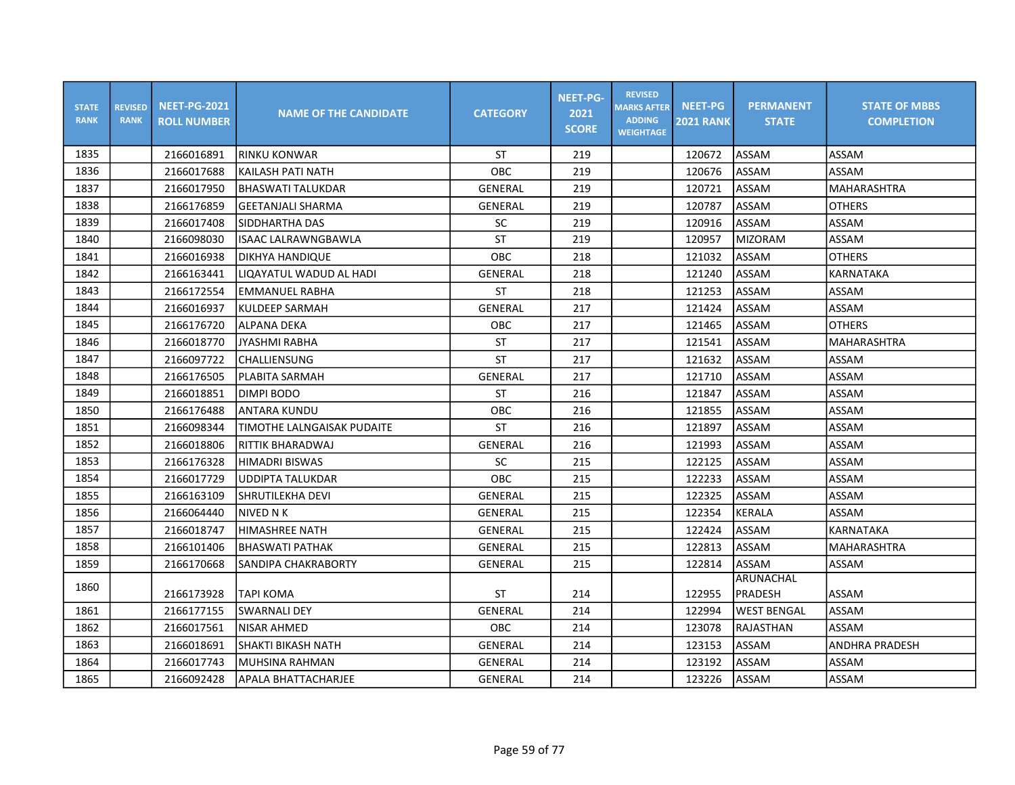| <b>STATE</b><br><b>RANK</b> | <b>REVISED</b><br><b>RANK</b> | <b>NEET-PG-2021</b><br><b>ROLL NUMBER</b> | <b>NAME OF THE CANDIDATE</b> | <b>CATEGORY</b> | <b>NEET-PG-</b><br>2021<br><b>SCORE</b> | <b>REVISED</b><br><b>MARKS AFTER</b><br><b>ADDING</b><br><b>WEIGHTAGE</b> | <b>NEET-PG</b><br><b>2021 RANK</b> | <b>PERMANENT</b><br><b>STATE</b> | <b>STATE OF MBBS</b><br><b>COMPLETION</b> |
|-----------------------------|-------------------------------|-------------------------------------------|------------------------------|-----------------|-----------------------------------------|---------------------------------------------------------------------------|------------------------------------|----------------------------------|-------------------------------------------|
| 1835                        |                               | 2166016891                                | IRINKU KONWAR                | ST              | 219                                     |                                                                           | 120672                             | <b>ASSAM</b>                     | ASSAM                                     |
| 1836                        |                               | 2166017688                                | KAILASH PATI NATH            | OBC             | 219                                     |                                                                           | 120676                             | <b>ASSAM</b>                     | ASSAM                                     |
| 1837                        |                               | 2166017950                                | <b>BHASWATI TALUKDAR</b>     | <b>GENERAL</b>  | 219                                     |                                                                           | 120721                             | ASSAM                            | <b>MAHARASHTRA</b>                        |
| 1838                        |                               | 2166176859                                | <b>GEETANJALI SHARMA</b>     | GENERAL         | 219                                     |                                                                           | 120787                             | <b>ASSAM</b>                     | <b>OTHERS</b>                             |
| 1839                        |                               | 2166017408                                | SIDDHARTHA DAS               | <b>SC</b>       | 219                                     |                                                                           | 120916                             | ASSAM                            | ASSAM                                     |
| 1840                        |                               | 2166098030                                | ISAAC LALRAWNGBAWLA          | <b>ST</b>       | 219                                     |                                                                           | 120957                             | <b>MIZORAM</b>                   | ASSAM                                     |
| 1841                        |                               | 2166016938                                | DIKHYA HANDIQUE              | OBC             | 218                                     |                                                                           | 121032                             | <b>ASSAM</b>                     | <b>OTHERS</b>                             |
| 1842                        |                               | 2166163441                                | LIQAYATUL WADUD AL HADI      | <b>GENERAL</b>  | 218                                     |                                                                           | 121240                             | ASSAM                            | <b>KARNATAKA</b>                          |
| 1843                        |                               | 2166172554                                | EMMANUEL RABHA               | ST              | 218                                     |                                                                           | 121253                             | ASSAM                            | ASSAM                                     |
| 1844                        |                               | 2166016937                                | <b>KULDEEP SARMAH</b>        | <b>GENERAL</b>  | 217                                     |                                                                           | 121424                             | ASSAM                            | ASSAM                                     |
| 1845                        |                               | 2166176720                                | lALPANA DEKA                 | OBC             | 217                                     |                                                                           | 121465                             | ASSAM                            | <b>OTHERS</b>                             |
| 1846                        |                               | 2166018770                                | <b>JYASHMI RABHA</b>         | <b>ST</b>       | 217                                     |                                                                           | 121541                             | <b>ASSAM</b>                     | <b>MAHARASHTRA</b>                        |
| 1847                        |                               | 2166097722                                | CHALLIENSUNG                 | <b>ST</b>       | 217                                     |                                                                           | 121632                             | ASSAM                            | ASSAM                                     |
| 1848                        |                               | 2166176505                                | PLABITA SARMAH               | GENERAL         | 217                                     |                                                                           | 121710                             | <b>ASSAM</b>                     | ASSAM                                     |
| 1849                        |                               | 2166018851                                | DIMPI BODO                   | <b>ST</b>       | 216                                     |                                                                           | 121847                             | ASSAM                            | ASSAM                                     |
| 1850                        |                               | 2166176488                                | <b>ANTARA KUNDU</b>          | OBC             | 216                                     |                                                                           | 121855                             | ASSAM                            | ASSAM                                     |
| 1851                        |                               | 2166098344                                | TIMOTHE LALNGAISAK PUDAITE   | <b>ST</b>       | 216                                     |                                                                           | 121897                             | ASSAM                            | ASSAM                                     |
| 1852                        |                               | 2166018806                                | RITTIK BHARADWAJ             | GENERAL         | 216                                     |                                                                           | 121993                             | ASSAM                            | ASSAM                                     |
| 1853                        |                               | 2166176328                                | <b>HIMADRI BISWAS</b>        | <b>SC</b>       | 215                                     |                                                                           | 122125                             | <b>ASSAM</b>                     | ASSAM                                     |
| 1854                        |                               | 2166017729                                | <b>UDDIPTA TALUKDAR</b>      | OBC             | 215                                     |                                                                           | 122233                             | <b>ASSAM</b>                     | ASSAM                                     |
| 1855                        |                               | 2166163109                                | SHRUTILEKHA DEVI             | <b>GENERAL</b>  | 215                                     |                                                                           | 122325                             | ASSAM                            | ASSAM                                     |
| 1856                        |                               | 2166064440                                | NIVED N K                    | GENERAL         | 215                                     |                                                                           | 122354                             | <b>KERALA</b>                    | ASSAM                                     |
| 1857                        |                               | 2166018747                                | <b>HIMASHREE NATH</b>        | <b>GENERAL</b>  | 215                                     |                                                                           | 122424                             | <b>ASSAM</b>                     | <b>KARNATAKA</b>                          |
| 1858                        |                               | 2166101406                                | <b>BHASWATI PATHAK</b>       | GENERAL         | 215                                     |                                                                           | 122813                             | <b>ASSAM</b>                     | <b>MAHARASHTRA</b>                        |
| 1859                        |                               | 2166170668                                | SANDIPA CHAKRABORTY          | GENERAL         | 215                                     |                                                                           | 122814                             | <b>ASSAM</b>                     | ASSAM                                     |
| 1860                        |                               |                                           |                              |                 |                                         |                                                                           |                                    | ARUNACHAL                        |                                           |
|                             |                               | 2166173928                                | TAPI KOMA                    | <b>ST</b>       | 214                                     |                                                                           | 122955                             | PRADESH                          | ASSAM                                     |
| 1861                        |                               | 2166177155                                | SWARNALI DEY                 | GENERAL         | 214                                     |                                                                           | 122994                             | <b>WEST BENGAL</b>               | ASSAM                                     |
| 1862                        |                               | 2166017561                                | NISAR AHMED                  | OBC             | 214                                     |                                                                           | 123078                             | RAJASTHAN                        | ASSAM                                     |
| 1863                        |                               | 2166018691                                | İSHAKTI BIKASH NATH          | GENERAL         | 214                                     |                                                                           | 123153                             | ASSAM                            | <b>ANDHRA PRADESH</b>                     |
| 1864                        |                               | 2166017743                                | <b>MUHSINA RAHMAN</b>        | <b>GENERAL</b>  | 214                                     |                                                                           | 123192                             | <b>ASSAM</b>                     | ASSAM                                     |
| 1865                        |                               | 2166092428                                | APALA BHATTACHARJEE          | <b>GENERAL</b>  | 214                                     |                                                                           | 123226                             | ASSAM                            | ASSAM                                     |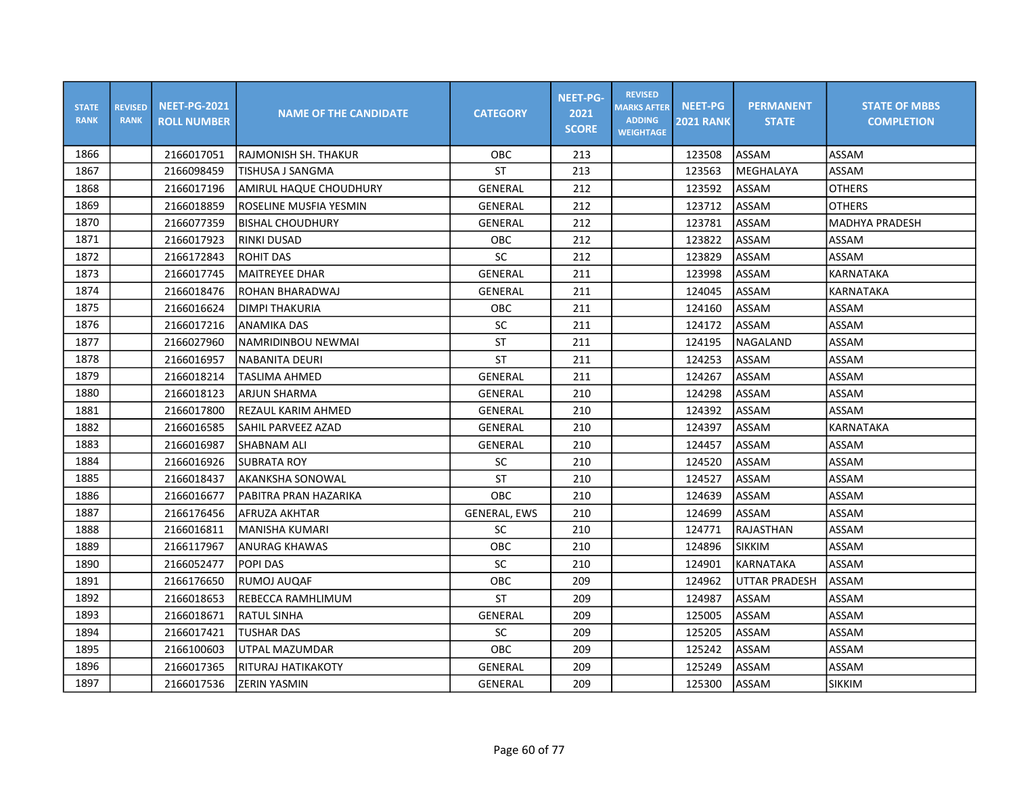| <b>STATE</b><br><b>RANK</b> | <b>REVISED</b><br><b>RANK</b> | <b>NEET-PG-2021</b><br><b>ROLL NUMBER</b> | <b>NAME OF THE CANDIDATE</b> | <b>CATEGORY</b>     | <b>NEET-PG-</b><br>2021<br><b>SCORE</b> | <b>REVISED</b><br><b>MARKS AFTER</b><br><b>ADDING</b><br><b>WEIGHTAGE</b> | <b>NEET-PG</b><br><b>2021 RANK</b> | <b>PERMANENT</b><br><b>STATE</b> | <b>STATE OF MBBS</b><br><b>COMPLETION</b> |
|-----------------------------|-------------------------------|-------------------------------------------|------------------------------|---------------------|-----------------------------------------|---------------------------------------------------------------------------|------------------------------------|----------------------------------|-------------------------------------------|
| 1866                        |                               | 2166017051                                | IRAJMONISH SH. THAKUR        | <b>OBC</b>          | 213                                     |                                                                           | 123508                             | <b>ASSAM</b>                     | ASSAM                                     |
| 1867                        |                               | 2166098459                                | TISHUSA J SANGMA             | <b>ST</b>           | 213                                     |                                                                           | 123563                             | MEGHALAYA                        | ASSAM                                     |
| 1868                        |                               | 2166017196                                | AMIRUL HAQUE CHOUDHURY       | GENERAL             | 212                                     |                                                                           | 123592                             | ASSAM                            | <b>OTHERS</b>                             |
| 1869                        |                               | 2166018859                                | ROSELINE MUSFIA YESMIN       | GENERAL             | 212                                     |                                                                           | 123712                             | ASSAM                            | <b>OTHERS</b>                             |
| 1870                        |                               | 2166077359                                | <b>BISHAL CHOUDHURY</b>      | <b>GENERAL</b>      | 212                                     |                                                                           | 123781                             | ASSAM                            | <b>MADHYA PRADESH</b>                     |
| 1871                        |                               | 2166017923                                | <b>RINKI DUSAD</b>           | <b>OBC</b>          | 212                                     |                                                                           | 123822                             | ASSAM                            | ASSAM                                     |
| 1872                        |                               | 2166172843                                | <b>ROHIT DAS</b>             | SC                  | 212                                     |                                                                           | 123829                             | <b>ASSAM</b>                     | <b>ASSAM</b>                              |
| 1873                        |                               | 2166017745                                | MAITREYEE DHAR               | GENERAL             | 211                                     |                                                                           | 123998                             | ASSAM                            | KARNATAKA                                 |
| 1874                        |                               | 2166018476                                | ROHAN BHARADWAJ              | <b>GENERAL</b>      | 211                                     |                                                                           | 124045                             | ASSAM                            | KARNATAKA                                 |
| 1875                        |                               | 2166016624                                | <b>DIMPITHAKURIA</b>         | OBC                 | 211                                     |                                                                           | 124160                             | <b>ASSAM</b>                     | ASSAM                                     |
| 1876                        |                               | 2166017216                                | <b>ANAMIKA DAS</b>           | <b>SC</b>           | 211                                     |                                                                           | 124172                             | ASSAM                            | ASSAM                                     |
| 1877                        |                               | 2166027960                                | INAMRIDINBOU NEWMAI          | <b>ST</b>           | 211                                     |                                                                           | 124195                             | NAGALAND                         | ASSAM                                     |
| 1878                        |                               | 2166016957                                | <b>NABANITA DEURI</b>        | <b>ST</b>           | 211                                     |                                                                           | 124253                             | ASSAM                            | ASSAM                                     |
| 1879                        |                               | 2166018214                                | <b>TASLIMA AHMED</b>         | GENERAL             | 211                                     |                                                                           | 124267                             | <b>ASSAM</b>                     | ASSAM                                     |
| 1880                        |                               | 2166018123                                | ARJUN SHARMA                 | GENERAL             | 210                                     |                                                                           | 124298                             | ASSAM                            | ASSAM                                     |
| 1881                        |                               | 2166017800                                | REZAUL KARIM AHMED           | GENERAL             | 210                                     |                                                                           | 124392                             | ASSAM                            | ASSAM                                     |
| 1882                        |                               | 2166016585                                | SAHIL PARVEEZ AZAD           | <b>GENERAL</b>      | 210                                     |                                                                           | 124397                             | ASSAM                            | <b>KARNATAKA</b>                          |
| 1883                        |                               | 2166016987                                | <b>SHABNAM ALI</b>           | <b>GENERAL</b>      | 210                                     |                                                                           | 124457                             | <b>ASSAM</b>                     | ASSAM                                     |
| 1884                        |                               | 2166016926                                | <b>SUBRATA ROY</b>           | $\sf SC$            | 210                                     |                                                                           | 124520                             | ASSAM                            | ASSAM                                     |
| 1885                        |                               | 2166018437                                | AKANKSHA SONOWAL             | <b>ST</b>           | 210                                     |                                                                           | 124527                             | <b>ASSAM</b>                     | ASSAM                                     |
| 1886                        |                               | 2166016677                                | IPABITRA PRAN HAZARIKA       | <b>OBC</b>          | 210                                     |                                                                           | 124639                             | ASSAM                            | ASSAM                                     |
| 1887                        |                               | 2166176456                                | AFRUZA AKHTAR                | <b>GENERAL, EWS</b> | 210                                     |                                                                           | 124699                             | <b>ASSAM</b>                     | ASSAM                                     |
| 1888                        |                               | 2166016811                                | lMANISHA KUMARI              | <b>SC</b>           | 210                                     |                                                                           | 124771                             | RAJASTHAN                        | ASSAM                                     |
| 1889                        |                               | 2166117967                                | ANURAG KHAWAS                | OBC                 | 210                                     |                                                                           | 124896                             | <b>SIKKIM</b>                    | ASSAM                                     |
| 1890                        |                               | 2166052477                                | <b>POPI DAS</b>              | SC                  | 210                                     |                                                                           | 124901                             | KARNATAKA                        | ASSAM                                     |
| 1891                        |                               | 2166176650                                | RUMOJ AUQAF                  | OBC                 | 209                                     |                                                                           | 124962                             | <b>UTTAR PRADESH</b>             | ASSAM                                     |
| 1892                        |                               | 2166018653                                | REBECCA RAMHLIMUM            | <b>ST</b>           | 209                                     |                                                                           | 124987                             | <b>ASSAM</b>                     | ASSAM                                     |
| 1893                        |                               | 2166018671                                | <b>RATUL SINHA</b>           | GENERAL             | 209                                     |                                                                           | 125005                             | ASSAM                            | ASSAM                                     |
| 1894                        |                               | 2166017421                                | <b>TUSHAR DAS</b>            | SC                  | 209                                     |                                                                           | 125205                             | ASSAM                            | ASSAM                                     |
| 1895                        |                               | 2166100603                                | UTPAL MAZUMDAR               | <b>OBC</b>          | 209                                     |                                                                           | 125242                             | ASSAM                            | ASSAM                                     |
| 1896                        |                               | 2166017365                                | RITURAJ HATIKAKOTY           | GENERAL             | 209                                     |                                                                           | 125249                             | ASSAM                            | ASSAM                                     |
| 1897                        |                               | 2166017536                                | <b>ZERIN YASMIN</b>          | <b>GENERAL</b>      | 209                                     |                                                                           | 125300                             | ASSAM                            | <b>SIKKIM</b>                             |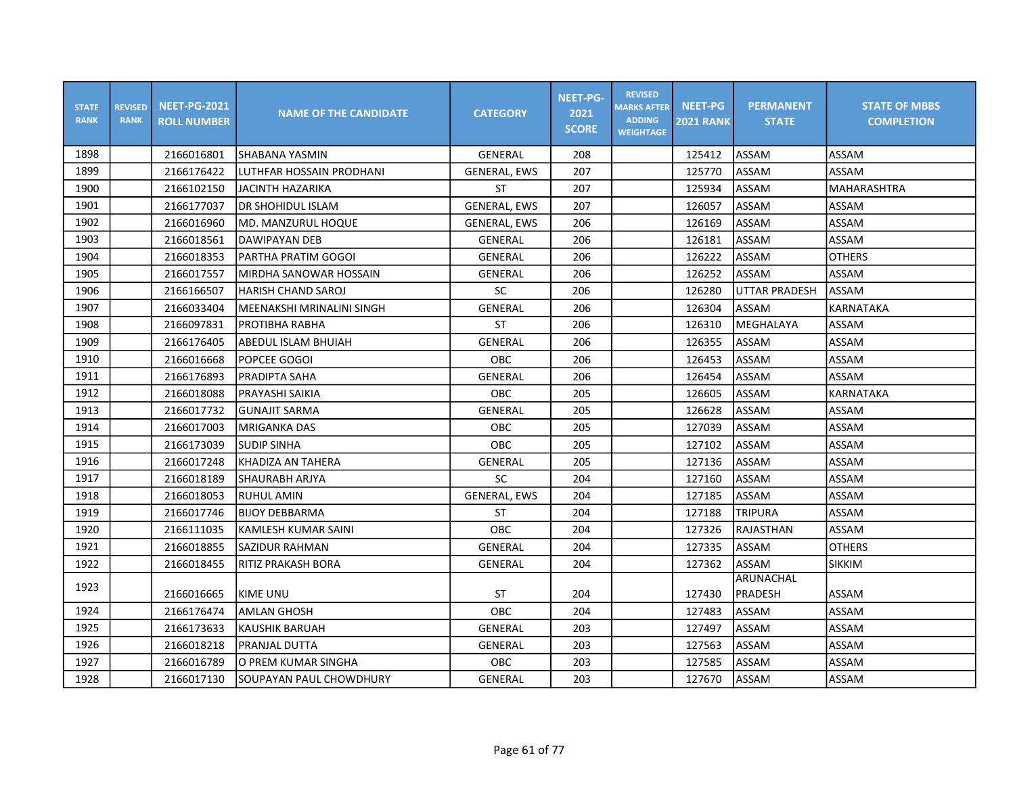| <b>STATE</b><br><b>RANK</b> | <b>REVISED</b><br><b>RANK</b> | <b>NEET-PG-2021</b><br><b>ROLL NUMBER</b> | <b>NAME OF THE CANDIDATE</b> | <b>CATEGORY</b>     | <b>NEET-PG-</b><br>2021<br><b>SCORE</b> | <b>REVISED</b><br><b>MARKS AFTER</b><br><b>ADDING</b><br><b>WEIGHTAGE</b> | <b>NEET-PG</b><br><b>2021 RANK</b> | <b>PERMANENT</b><br><b>STATE</b> | <b>STATE OF MBBS</b><br><b>COMPLETION</b> |
|-----------------------------|-------------------------------|-------------------------------------------|------------------------------|---------------------|-----------------------------------------|---------------------------------------------------------------------------|------------------------------------|----------------------------------|-------------------------------------------|
| 1898                        |                               | 2166016801                                | ISHABANA YASMIN              | <b>GENERAL</b>      | 208                                     |                                                                           | 125412                             | <b>ASSAM</b>                     | ASSAM                                     |
| 1899                        |                               | 2166176422                                | LUTHFAR HOSSAIN PRODHANI     | <b>GENERAL, EWS</b> | 207                                     |                                                                           | 125770                             | ASSAM                            | ASSAM                                     |
| 1900                        |                               | 2166102150                                | <b>JACINTH HAZARIKA</b>      | <b>ST</b>           | 207                                     |                                                                           | 125934                             | ASSAM                            | <b>MAHARASHTRA</b>                        |
| 1901                        |                               | 2166177037                                | DR SHOHIDUL ISLAM            | <b>GENERAL, EWS</b> | 207                                     |                                                                           | 126057                             | ASSAM                            | ASSAM                                     |
| 1902                        |                               | 2166016960                                | MD. MANZURUL HOQUE           | <b>GENERAL, EWS</b> | 206                                     |                                                                           | 126169                             | ASSAM                            | ASSAM                                     |
| 1903                        |                               | 2166018561                                | DAWIPAYAN DEB                | GENERAL             | 206                                     |                                                                           | 126181                             | ASSAM                            | ASSAM                                     |
| 1904                        |                               | 2166018353                                | IPARTHA PRATIM GOGOI         | GENERAL             | 206                                     |                                                                           | 126222                             | ASSAM                            | <b>OTHERS</b>                             |
| 1905                        |                               | 2166017557                                | MIRDHA SANOWAR HOSSAIN       | GENERAL             | 206                                     |                                                                           | 126252                             | ASSAM                            | ASSAM                                     |
| 1906                        |                               | 2166166507                                | HARISH CHAND SAROJ           | SC                  | 206                                     |                                                                           | 126280                             | <b>UTTAR PRADESH</b>             | ASSAM                                     |
| 1907                        |                               | 2166033404                                | MEENAKSHI MRINALINI SINGH    | <b>GENERAL</b>      | 206                                     |                                                                           | 126304                             | ASSAM                            | <b>KARNATAKA</b>                          |
| 1908                        |                               | 2166097831                                | PROTIBHA RABHA               | <b>ST</b>           | 206                                     |                                                                           | 126310                             | MEGHALAYA                        | ASSAM                                     |
| 1909                        |                               | 2166176405                                | ABEDUL ISLAM BHUIAH          | <b>GENERAL</b>      | 206                                     |                                                                           | 126355                             | ASSAM                            | ASSAM                                     |
| 1910                        |                               | 2166016668                                | POPCEE GOGOI                 | OBC                 | 206                                     |                                                                           | 126453                             | ASSAM                            | ASSAM                                     |
| 1911                        |                               | 2166176893                                | PRADIPTA SAHA                | GENERAL             | 206                                     |                                                                           | 126454                             | ASSAM                            | ASSAM                                     |
| 1912                        |                               | 2166018088                                | PRAYASHI SAIKIA              | <b>OBC</b>          | 205                                     |                                                                           | 126605                             | ASSAM                            | <b>KARNATAKA</b>                          |
| 1913                        |                               | 2166017732                                | <b>GUNAJIT SARMA</b>         | <b>GENERAL</b>      | 205                                     |                                                                           | 126628                             | ASSAM                            | ASSAM                                     |
| 1914                        |                               | 2166017003                                | IMRIGANKA DAS                | <b>OBC</b>          | 205                                     |                                                                           | 127039                             | ASSAM                            | ASSAM                                     |
| 1915                        |                               | 2166173039                                | <b>SUDIP SINHA</b>           | OBC                 | 205                                     |                                                                           | 127102                             | ASSAM                            | ASSAM                                     |
| 1916                        |                               | 2166017248                                | KHADIZA AN TAHERA            | GENERAL             | 205                                     |                                                                           | 127136                             | ASSAM                            | ASSAM                                     |
| 1917                        |                               | 2166018189                                | <b>SHAURABH ARJYA</b>        | SC                  | 204                                     |                                                                           | 127160                             | ASSAM                            | ASSAM                                     |
| 1918                        |                               | 2166018053                                | <b>RUHUL AMIN</b>            | <b>GENERAL, EWS</b> | 204                                     |                                                                           | 127185                             | ASSAM                            | ASSAM                                     |
| 1919                        |                               | 2166017746                                | <b>BIJOY DEBBARMA</b>        | <b>ST</b>           | 204                                     |                                                                           | 127188                             | <b>TRIPURA</b>                   | ASSAM                                     |
| 1920                        |                               | 2166111035                                | KAMLESH KUMAR SAINI          | <b>OBC</b>          | 204                                     |                                                                           | 127326                             | RAJASTHAN                        | ASSAM                                     |
| 1921                        |                               | 2166018855                                | SAZIDUR RAHMAN               | <b>GENERAL</b>      | 204                                     |                                                                           | 127335                             | <b>ASSAM</b>                     | <b>OTHERS</b>                             |
| 1922                        |                               | 2166018455                                | RITIZ PRAKASH BORA           | GENERAL             | 204                                     |                                                                           | 127362                             | <b>ASSAM</b>                     | <b>SIKKIM</b>                             |
| 1923                        |                               |                                           |                              |                     |                                         |                                                                           |                                    | ARUNACHAL                        |                                           |
|                             |                               | 2166016665                                | KIME UNU                     | ST                  | 204                                     |                                                                           | 127430                             | PRADESH                          | ASSAM                                     |
| 1924                        |                               | 2166176474                                | <b>AMLAN GHOSH</b>           | OBC                 | 204                                     |                                                                           | 127483                             | ASSAM                            | ASSAM                                     |
| 1925                        |                               | 2166173633                                | KAUSHIK BARUAH               | <b>GENERAL</b>      | 203                                     |                                                                           | 127497                             | ASSAM                            | ASSAM                                     |
| 1926                        |                               | 2166018218                                | PRANJAL DUTTA                | GENERAL             | 203                                     |                                                                           | 127563                             | ASSAM                            | ASSAM                                     |
| 1927                        |                               | 2166016789                                | lO PREM KUMAR SINGHA         | OBC                 | 203                                     |                                                                           | 127585                             | ASSAM                            | ASSAM                                     |
| 1928                        |                               | 2166017130                                | SOUPAYAN PAUL CHOWDHURY      | GENERAL             | 203                                     |                                                                           | 127670                             | ASSAM                            | ASSAM                                     |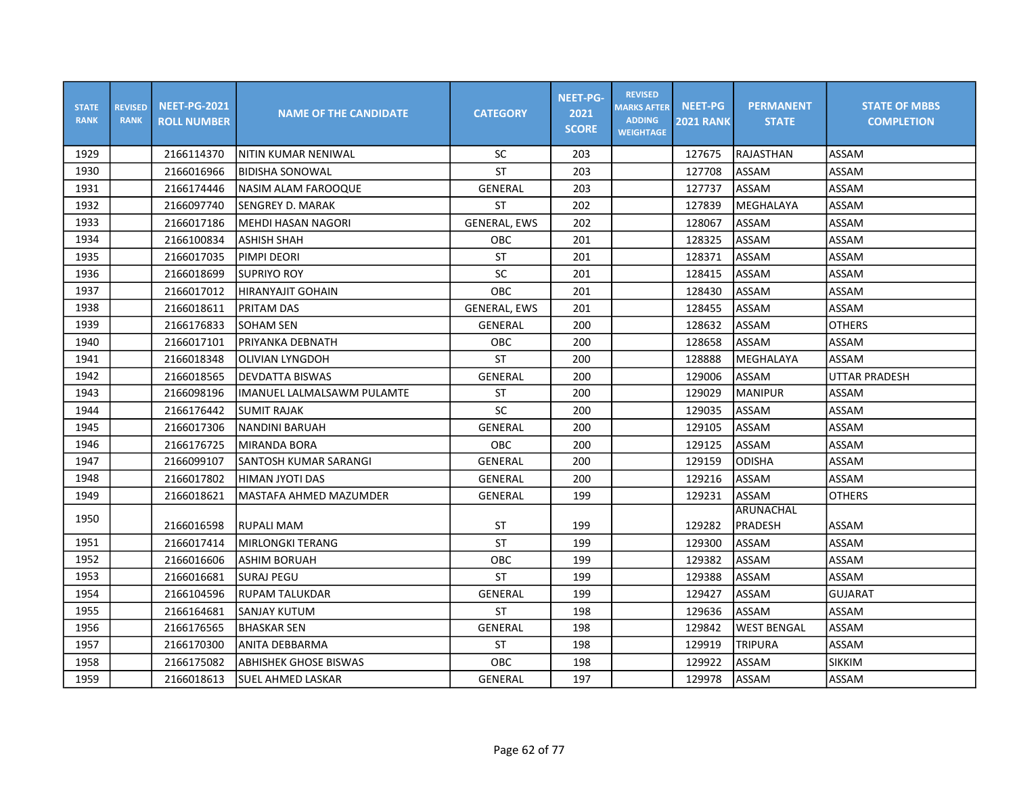| <b>STATE</b><br><b>RANK</b> | <b>REVISED</b><br><b>RANK</b> | <b>NEET-PG-2021</b><br><b>ROLL NUMBER</b> | <b>NAME OF THE CANDIDATE</b> | <b>CATEGORY</b>     | <b>NEET-PG-</b><br>2021<br><b>SCORE</b> | <b>REVISED</b><br><b>MARKS AFTER</b><br><b>ADDING</b><br><b>WEIGHTAGE</b> | <b>NEET-PG</b><br><b>2021 RANK</b> | <b>PERMANENT</b><br><b>STATE</b> | <b>STATE OF MBBS</b><br><b>COMPLETION</b> |
|-----------------------------|-------------------------------|-------------------------------------------|------------------------------|---------------------|-----------------------------------------|---------------------------------------------------------------------------|------------------------------------|----------------------------------|-------------------------------------------|
| 1929                        |                               | 2166114370                                | NITIN KUMAR NENIWAL          | SC                  | 203                                     |                                                                           | 127675                             | RAJASTHAN                        | ASSAM                                     |
| 1930                        |                               | 2166016966                                | <b>BIDISHA SONOWAL</b>       | <b>ST</b>           | 203                                     |                                                                           | 127708                             | <b>ASSAM</b>                     | ASSAM                                     |
| 1931                        |                               | 2166174446                                | NASIM ALAM FAROOQUE          | GENERAL             | 203                                     |                                                                           | 127737                             | ASSAM                            | ASSAM                                     |
| 1932                        |                               | 2166097740                                | ISENGREY D. MARAK            | <b>ST</b>           | 202                                     |                                                                           | 127839                             | MEGHALAYA                        | ASSAM                                     |
| 1933                        |                               | 2166017186                                | <b>MEHDI HASAN NAGORI</b>    | <b>GENERAL, EWS</b> | 202                                     |                                                                           | 128067                             | ASSAM                            | ASSAM                                     |
| 1934                        |                               | 2166100834                                | <b>ASHISH SHAH</b>           | <b>OBC</b>          | 201                                     |                                                                           | 128325                             | ASSAM                            | ASSAM                                     |
| 1935                        |                               | 2166017035                                | PIMPI DEORI                  | <b>ST</b>           | 201                                     |                                                                           | 128371                             | ASSAM                            | ASSAM                                     |
| 1936                        |                               | 2166018699                                | <b>SUPRIYO ROY</b>           | SC                  | 201                                     |                                                                           | 128415                             | ASSAM                            | ASSAM                                     |
| 1937                        |                               | 2166017012                                | <b>HIRANYAJIT GOHAIN</b>     | OBC                 | 201                                     |                                                                           | 128430                             | ASSAM                            | ASSAM                                     |
| 1938                        |                               | 2166018611                                | PRITAM DAS                   | <b>GENERAL, EWS</b> | 201                                     |                                                                           | 128455                             | ASSAM                            | ASSAM                                     |
| 1939                        |                               | 2166176833                                | SOHAM SEN                    | GENERAL             | 200                                     |                                                                           | 128632                             | ASSAM                            | <b>OTHERS</b>                             |
| 1940                        |                               | 2166017101                                | PRIYANKA DEBNATH             | OBC                 | 200                                     |                                                                           | 128658                             | ASSAM                            | ASSAM                                     |
| 1941                        |                               | 2166018348                                | OLIVIAN LYNGDOH              | <b>ST</b>           | 200                                     |                                                                           | 128888                             | <b>MEGHALAYA</b>                 | ASSAM                                     |
| 1942                        |                               | 2166018565                                | DEVDATTA BISWAS              | GENERAL             | 200                                     |                                                                           | 129006                             | <b>ASSAM</b>                     | <b>UTTAR PRADESH</b>                      |
| 1943                        |                               | 2166098196                                | IMANUEL LALMALSAWM PULAMTE   | <b>ST</b>           | 200                                     |                                                                           | 129029                             | <b>MANIPUR</b>                   | ASSAM                                     |
| 1944                        |                               | 2166176442                                | <b>SUMIT RAJAK</b>           | SC                  | 200                                     |                                                                           | 129035                             | ASSAM                            | ASSAM                                     |
| 1945                        |                               | 2166017306                                | INANDINI BARUAH              | GENERAL             | 200                                     |                                                                           | 129105                             | ASSAM                            | ASSAM                                     |
| 1946                        |                               | 2166176725                                | MIRANDA BORA                 | OBC                 | 200                                     |                                                                           | 129125                             | ASSAM                            | ASSAM                                     |
| 1947                        |                               | 2166099107                                | SANTOSH KUMAR SARANGI        | GENERAL             | 200                                     |                                                                           | 129159                             | <b>ODISHA</b>                    | ASSAM                                     |
| 1948                        |                               | 2166017802                                | HIMAN JYOTI DAS              | GENERAL             | 200                                     |                                                                           | 129216                             | ASSAM                            | ASSAM                                     |
| 1949                        |                               | 2166018621                                | MASTAFA AHMED MAZUMDER       | GENERAL             | 199                                     |                                                                           | 129231                             | ASSAM                            | <b>OTHERS</b>                             |
| 1950                        |                               |                                           |                              |                     |                                         |                                                                           |                                    | ARUNACHAL                        |                                           |
|                             |                               | 2166016598                                | <b>RUPALI MAM</b>            | ST                  | 199                                     |                                                                           | 129282                             | PRADESH                          | ASSAM                                     |
| 1951                        |                               | 2166017414                                | MIRLONGKI TERANG             | <b>ST</b>           | 199                                     |                                                                           | 129300                             | ASSAM                            | ASSAM                                     |
| 1952                        |                               | 2166016606                                | ASHIM BORUAH                 | OBC                 | 199                                     |                                                                           | 129382                             | <b>ASSAM</b>                     | ASSAM                                     |
| 1953                        |                               | 2166016681                                | <b>SURAJ PEGU</b>            | <b>ST</b>           | 199                                     |                                                                           | 129388                             | ASSAM                            | ASSAM                                     |
| 1954                        |                               | 2166104596                                | <b>RUPAM TALUKDAR</b>        | GENERAL             | 199                                     |                                                                           | 129427                             | ASSAM                            | <b>GUJARAT</b>                            |
| 1955                        |                               | 2166164681                                | <b>SANJAY KUTUM</b>          | <b>ST</b>           | 198                                     |                                                                           | 129636                             | <b>ASSAM</b>                     | ASSAM                                     |
| 1956                        |                               | 2166176565                                | <b>BHASKAR SEN</b>           | GENERAL             | 198                                     |                                                                           | 129842                             | <b>WEST BENGAL</b>               | ASSAM                                     |
| 1957                        |                               | 2166170300                                | ANITA DEBBARMA               | <b>ST</b>           | 198                                     |                                                                           | 129919                             | <b>TRIPURA</b>                   | ASSAM                                     |
| 1958                        |                               | 2166175082                                | <b>ABHISHEK GHOSE BISWAS</b> | OBC                 | 198                                     |                                                                           | 129922                             | ASSAM                            | <b>SIKKIM</b>                             |
| 1959                        |                               | 2166018613                                | SUEL AHMED LASKAR            | GENERAL             | 197                                     |                                                                           | 129978                             | ASSAM                            | ASSAM                                     |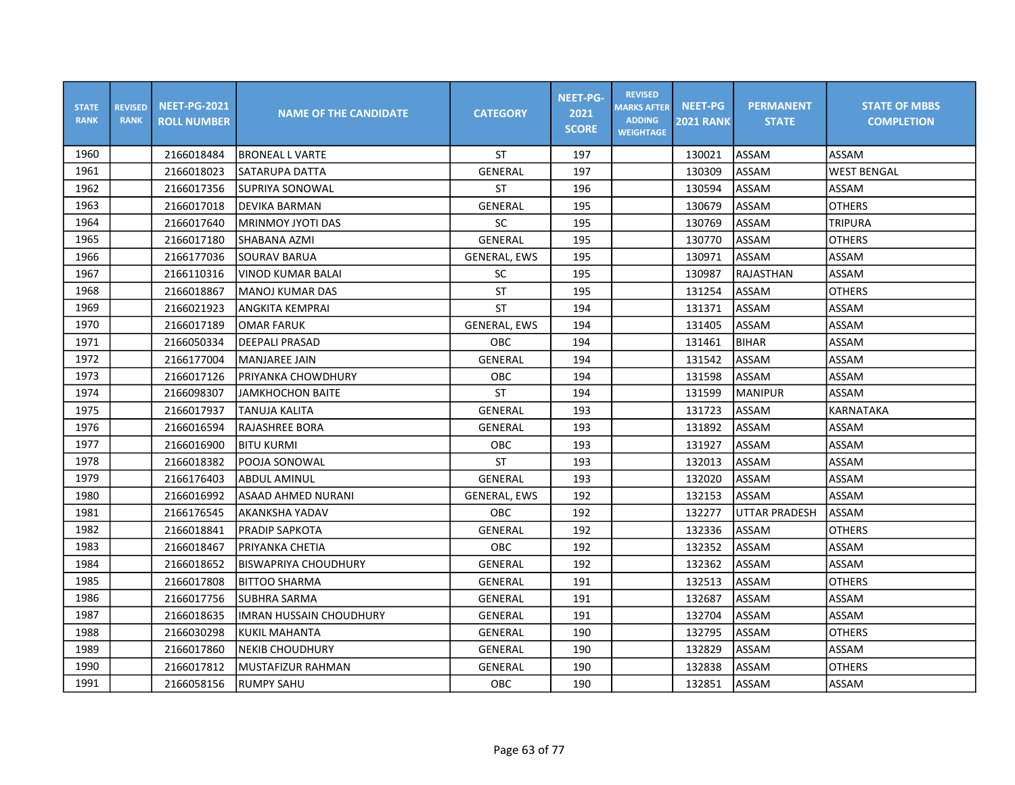| <b>STATE</b><br><b>RANK</b> | <b>REVISED</b><br><b>RANK</b> | <b>NEET-PG-2021</b><br><b>ROLL NUMBER</b> | <b>NAME OF THE CANDIDATE</b>   | <b>CATEGORY</b>     | <b>NEET-PG-</b><br>2021<br><b>SCORE</b> | <b>REVISED</b><br><b>MARKS AFTER</b><br><b>ADDING</b><br><b>WEIGHTAGE</b> | <b>NEET-PG</b><br><b>2021 RANK</b> | <b>PERMANENT</b><br><b>STATE</b> | <b>STATE OF MBBS</b><br><b>COMPLETION</b> |
|-----------------------------|-------------------------------|-------------------------------------------|--------------------------------|---------------------|-----------------------------------------|---------------------------------------------------------------------------|------------------------------------|----------------------------------|-------------------------------------------|
| 1960                        |                               | 2166018484                                | <b>BRONEAL L VARTE</b>         | <b>ST</b>           | 197                                     |                                                                           | 130021                             | <b>ASSAM</b>                     | <b>ASSAM</b>                              |
| 1961                        |                               | 2166018023                                | SATARUPA DATTA                 | GENERAL             | 197                                     |                                                                           | 130309                             | <b>ASSAM</b>                     | <b>WEST BENGAL</b>                        |
| 1962                        |                               | 2166017356                                | SUPRIYA SONOWAL                | <b>ST</b>           | 196                                     |                                                                           | 130594                             | ASSAM                            | ASSAM                                     |
| 1963                        |                               | 2166017018                                | DEVIKA BARMAN                  | <b>GENERAL</b>      | 195                                     |                                                                           | 130679                             | ASSAM                            | <b>OTHERS</b>                             |
| 1964                        |                               | 2166017640                                | MRINMOY JYOTI DAS              | SC                  | 195                                     |                                                                           | 130769                             | ASSAM                            | <b>TRIPURA</b>                            |
| 1965                        |                               | 2166017180                                | SHABANA AZMI                   | <b>GENERAL</b>      | 195                                     |                                                                           | 130770                             | ASSAM                            | <b>OTHERS</b>                             |
| 1966                        |                               | 2166177036                                | <b>SOURAV BARUA</b>            | <b>GENERAL, EWS</b> | 195                                     |                                                                           | 130971                             | ASSAM                            | ASSAM                                     |
| 1967                        |                               | 2166110316                                | <b>VINOD KUMAR BALAI</b>       | <b>SC</b>           | 195                                     |                                                                           | 130987                             | RAJASTHAN                        | ASSAM                                     |
| 1968                        |                               | 2166018867                                | lMANOJ KUMAR DAS               | <b>ST</b>           | 195                                     |                                                                           | 131254                             | <b>ASSAM</b>                     | <b>OTHERS</b>                             |
| 1969                        |                               | 2166021923                                | <b>ANGKITA KEMPRAI</b>         | <b>ST</b>           | 194                                     |                                                                           | 131371                             | <b>ASSAM</b>                     | ASSAM                                     |
| 1970                        |                               | 2166017189                                | <b>OMAR FARUK</b>              | <b>GENERAL, EWS</b> | 194                                     |                                                                           | 131405                             | ASSAM                            | ASSAM                                     |
| 1971                        |                               | 2166050334                                | <b>DEEPALI PRASAD</b>          | OBC                 | 194                                     |                                                                           | 131461                             | <b>BIHAR</b>                     | ASSAM                                     |
| 1972                        |                               | 2166177004                                | <b>MANJAREE JAIN</b>           | GENERAL             | 194                                     |                                                                           | 131542                             | ASSAM                            | ASSAM                                     |
| 1973                        |                               | 2166017126                                | PRIYANKA CHOWDHURY             | OBC                 | 194                                     |                                                                           | 131598                             | <b>ASSAM</b>                     | ASSAM                                     |
| 1974                        |                               | 2166098307                                | <b>JAMKHOCHON BAITE</b>        | <b>ST</b>           | 194                                     |                                                                           | 131599                             | <b>MANIPUR</b>                   | ASSAM                                     |
| 1975                        |                               | 2166017937                                | TANUJA KALITA                  | GENERAL             | 193                                     |                                                                           | 131723                             | ASSAM                            | <b>KARNATAKA</b>                          |
| 1976                        |                               | 2166016594                                | <b>RAJASHREE BORA</b>          | GENERAL             | 193                                     |                                                                           | 131892                             | ASSAM                            | ASSAM                                     |
| 1977                        |                               | 2166016900                                | <b>BITU KURMI</b>              | <b>OBC</b>          | 193                                     |                                                                           | 131927                             | <b>ASSAM</b>                     | ASSAM                                     |
| 1978                        |                               | 2166018382                                | POOJA SONOWAL                  | <b>ST</b>           | 193                                     |                                                                           | 132013                             | ASSAM                            | ASSAM                                     |
| 1979                        |                               | 2166176403                                | ABDUL AMINUL                   | GENERAL             | 193                                     |                                                                           | 132020                             | ASSAM                            | ASSAM                                     |
| 1980                        |                               | 2166016992                                | ASAAD AHMED NURANI             | <b>GENERAL, EWS</b> | 192                                     |                                                                           | 132153                             | <b>ASSAM</b>                     | ASSAM                                     |
| 1981                        |                               | 2166176545                                | lAKANKSHA YADAV                | <b>OBC</b>          | 192                                     |                                                                           | 132277                             | UTTAR PRADESH                    | ASSAM                                     |
| 1982                        |                               | 2166018841                                | <b>PRADIP SAPKOTA</b>          | GENERAL             | 192                                     |                                                                           | 132336                             | ASSAM                            | <b>OTHERS</b>                             |
| 1983                        |                               | 2166018467                                | IPRIYANKA CHETIA               | OBC                 | 192                                     |                                                                           | 132352                             | ASSAM                            | ASSAM                                     |
| 1984                        |                               | 2166018652                                | BISWAPRIYA CHOUDHURY           | <b>GENERAL</b>      | 192                                     |                                                                           | 132362                             | ASSAM                            | ASSAM                                     |
| 1985                        |                               | 2166017808                                | <b>BITTOO SHARMA</b>           | GENERAL             | 191                                     |                                                                           | 132513                             | ASSAM                            | <b>OTHERS</b>                             |
| 1986                        |                               | 2166017756                                | SUBHRA SARMA                   | GENERAL             | 191                                     |                                                                           | 132687                             | ASSAM                            | ASSAM                                     |
| 1987                        |                               | 2166018635                                | <b>IMRAN HUSSAIN CHOUDHURY</b> | GENERAL             | 191                                     |                                                                           | 132704                             | ASSAM                            | ASSAM                                     |
| 1988                        |                               | 2166030298                                | <b>KUKIL MAHANTA</b>           | GENERAL             | 190                                     |                                                                           | 132795                             | ASSAM                            | <b>OTHERS</b>                             |
| 1989                        |                               | 2166017860                                | <b>NEKIB CHOUDHURY</b>         | GENERAL             | 190                                     |                                                                           | 132829                             | ASSAM                            | ASSAM                                     |
| 1990                        |                               | 2166017812                                | MUSTAFIZUR RAHMAN              | GENERAL             | 190                                     |                                                                           | 132838                             | ASSAM                            | <b>OTHERS</b>                             |
| 1991                        |                               | 2166058156                                | <b>RUMPY SAHU</b>              | OBC                 | 190                                     |                                                                           | 132851                             | <b>ASSAM</b>                     | ASSAM                                     |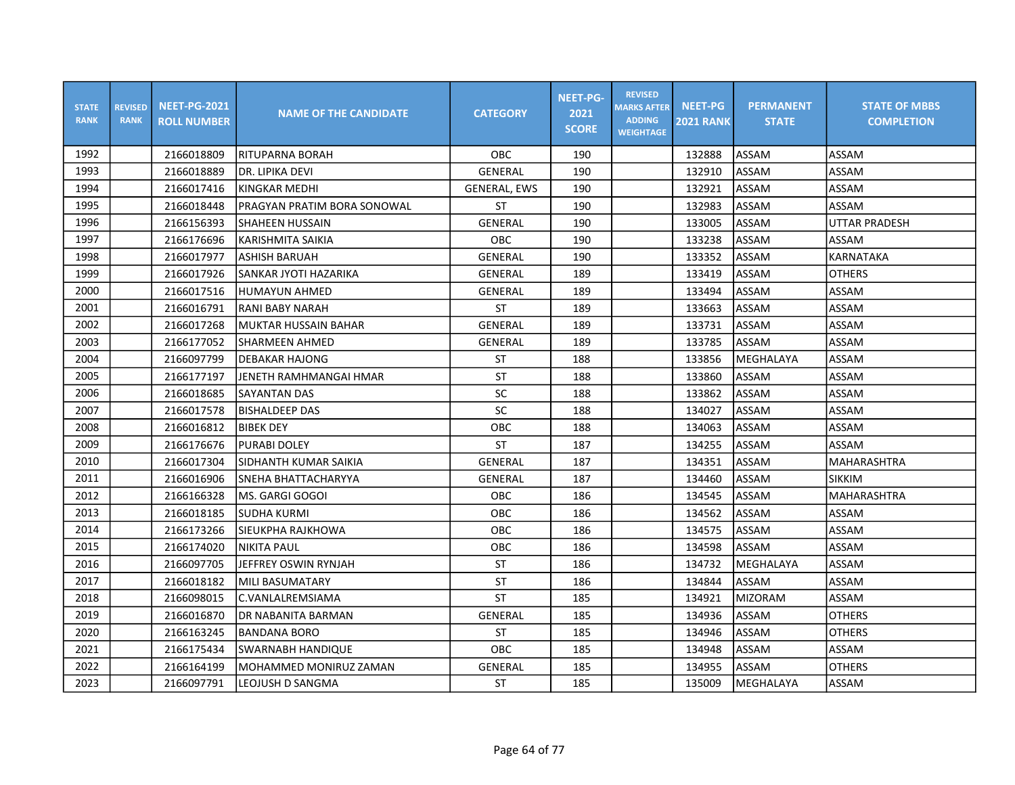| <b>STATE</b><br><b>RANK</b> | <b>REVISED</b><br><b>RANK</b> | <b>NEET-PG-2021</b><br><b>ROLL NUMBER</b> | <b>NAME OF THE CANDIDATE</b> | <b>CATEGORY</b>     | <b>NEET-PG-</b><br>2021<br><b>SCORE</b> | <b>REVISED</b><br><b>MARKS AFTER</b><br><b>ADDING</b><br><b>WEIGHTAGE</b> | <b>NEET-PG</b><br><b>2021 RANK</b> | <b>PERMANENT</b><br><b>STATE</b> | <b>STATE OF MBBS</b><br><b>COMPLETION</b> |
|-----------------------------|-------------------------------|-------------------------------------------|------------------------------|---------------------|-----------------------------------------|---------------------------------------------------------------------------|------------------------------------|----------------------------------|-------------------------------------------|
| 1992                        |                               | 2166018809                                | RITUPARNA BORAH              | <b>OBC</b>          | 190                                     |                                                                           | 132888                             | ASSAM                            | ASSAM                                     |
| 1993                        |                               | 2166018889                                | DR. LIPIKA DEVI              | <b>GENERAL</b>      | 190                                     |                                                                           | 132910                             | <b>ASSAM</b>                     | ASSAM                                     |
| 1994                        |                               | 2166017416                                | KINGKAR MEDHI                | <b>GENERAL, EWS</b> | 190                                     |                                                                           | 132921                             | ASSAM                            | ASSAM                                     |
| 1995                        |                               | 2166018448                                | PRAGYAN PRATIM BORA SONOWAL  | <b>ST</b>           | 190                                     |                                                                           | 132983                             | ASSAM                            | ASSAM                                     |
| 1996                        |                               | 2166156393                                | <b>SHAHEEN HUSSAIN</b>       | <b>GENERAL</b>      | 190                                     |                                                                           | 133005                             | ASSAM                            | <b>UTTAR PRADESH</b>                      |
| 1997                        |                               | 2166176696                                | KARISHMITA SAIKIA            | <b>OBC</b>          | 190                                     |                                                                           | 133238                             | ASSAM                            | <b>ASSAM</b>                              |
| 1998                        |                               | 2166017977                                | <b>ASHISH BARUAH</b>         | <b>GENERAL</b>      | 190                                     |                                                                           | 133352                             | ASSAM                            | <b>KARNATAKA</b>                          |
| 1999                        |                               | 2166017926                                | SANKAR JYOTI HAZARIKA        | GENERAL             | 189                                     |                                                                           | 133419                             | ASSAM                            | <b>OTHERS</b>                             |
| 2000                        |                               | 2166017516                                | IHUMAYUN AHMED               | GENERAL             | 189                                     |                                                                           | 133494                             | ASSAM                            | ASSAM                                     |
| 2001                        |                               | 2166016791                                | <b>RANI BABY NARAH</b>       | <b>ST</b>           | 189                                     |                                                                           | 133663                             | ASSAM                            | ASSAM                                     |
| 2002                        |                               | 2166017268                                | MUKTAR HUSSAIN BAHAR         | GENERAL             | 189                                     |                                                                           | 133731                             | ASSAM                            | ASSAM                                     |
| 2003                        |                               | 2166177052                                | <b>SHARMEEN AHMED</b>        | GENERAL             | 189                                     |                                                                           | 133785                             | ASSAM                            | ASSAM                                     |
| 2004                        |                               | 2166097799                                | DEBAKAR HAJONG               | <b>ST</b>           | 188                                     |                                                                           | 133856                             | MEGHALAYA                        | ASSAM                                     |
| 2005                        |                               | 2166177197                                | JENETH RAMHMANGAI HMAR       | <b>ST</b>           | 188                                     |                                                                           | 133860                             | ASSAM                            | ASSAM                                     |
| 2006                        |                               | 2166018685                                | <b>SAYANTAN DAS</b>          | SC                  | 188                                     |                                                                           | 133862                             | ASSAM                            | ASSAM                                     |
| 2007                        |                               | 2166017578                                | <b>BISHALDEEP DAS</b>        | SC                  | 188                                     |                                                                           | 134027                             | ASSAM                            | ASSAM                                     |
| 2008                        |                               | 2166016812                                | <b>BIBEK DEY</b>             | OBC                 | 188                                     |                                                                           | 134063                             | ASSAM                            | ASSAM                                     |
| 2009                        |                               | 2166176676                                | <b>PURABI DOLEY</b>          | <b>ST</b>           | 187                                     |                                                                           | 134255                             | <b>ASSAM</b>                     | ASSAM                                     |
| 2010                        |                               | 2166017304                                | SIDHANTH KUMAR SAIKIA        | <b>GENERAL</b>      | 187                                     |                                                                           | 134351                             | ASSAM                            | <b>MAHARASHTRA</b>                        |
| 2011                        |                               | 2166016906                                | SNEHA BHATTACHARYYA          | GENERAL             | 187                                     |                                                                           | 134460                             | ASSAM                            | <b>SIKKIM</b>                             |
| 2012                        |                               | 2166166328                                | lMS. GARGI GOGOI             | <b>OBC</b>          | 186                                     |                                                                           | 134545                             | ASSAM                            | <b>MAHARASHTRA</b>                        |
| 2013                        |                               | 2166018185                                | <b>SUDHA KURMI</b>           | OBC                 | 186                                     |                                                                           | 134562                             | ASSAM                            | <b>ASSAM</b>                              |
| 2014                        |                               | 2166173266                                | SIEUKPHA RAJKHOWA            | OBC                 | 186                                     |                                                                           | 134575                             | ASSAM                            | ASSAM                                     |
| 2015                        |                               | 2166174020                                | NIKITA PAUL                  | OBC                 | 186                                     |                                                                           | 134598                             | <b>ASSAM</b>                     | ASSAM                                     |
| 2016                        |                               | 2166097705                                | JEFFREY OSWIN RYNJAH         | <b>ST</b>           | 186                                     |                                                                           | 134732                             | MEGHALAYA                        | ASSAM                                     |
| 2017                        |                               | 2166018182                                | <b>MILI BASUMATARY</b>       | <b>ST</b>           | 186                                     |                                                                           | 134844                             | ASSAM                            | ASSAM                                     |
| 2018                        |                               | 2166098015                                | C.VANLALREMSIAMA             | <b>ST</b>           | 185                                     |                                                                           | 134921                             | <b>MIZORAM</b>                   | ASSAM                                     |
| 2019                        |                               | 2166016870                                | DR NABANITA BARMAN           | GENERAL             | 185                                     |                                                                           | 134936                             | ASSAM                            | <b>OTHERS</b>                             |
| 2020                        |                               | 2166163245                                | <b>BANDANA BORO</b>          | <b>ST</b>           | 185                                     |                                                                           | 134946                             | ASSAM                            | <b>OTHERS</b>                             |
| 2021                        |                               | 2166175434                                | <b>SWARNABH HANDIQUE</b>     | OBC                 | 185                                     |                                                                           | 134948                             | ASSAM                            | ASSAM                                     |
| 2022                        |                               | 2166164199                                | MOHAMMED MONIRUZ ZAMAN       | <b>GENERAL</b>      | 185                                     |                                                                           | 134955                             | ASSAM                            | <b>OTHERS</b>                             |
| 2023                        |                               | 2166097791                                | LEOJUSH D SANGMA             | <b>ST</b>           | 185                                     |                                                                           | 135009                             | MEGHALAYA                        | ASSAM                                     |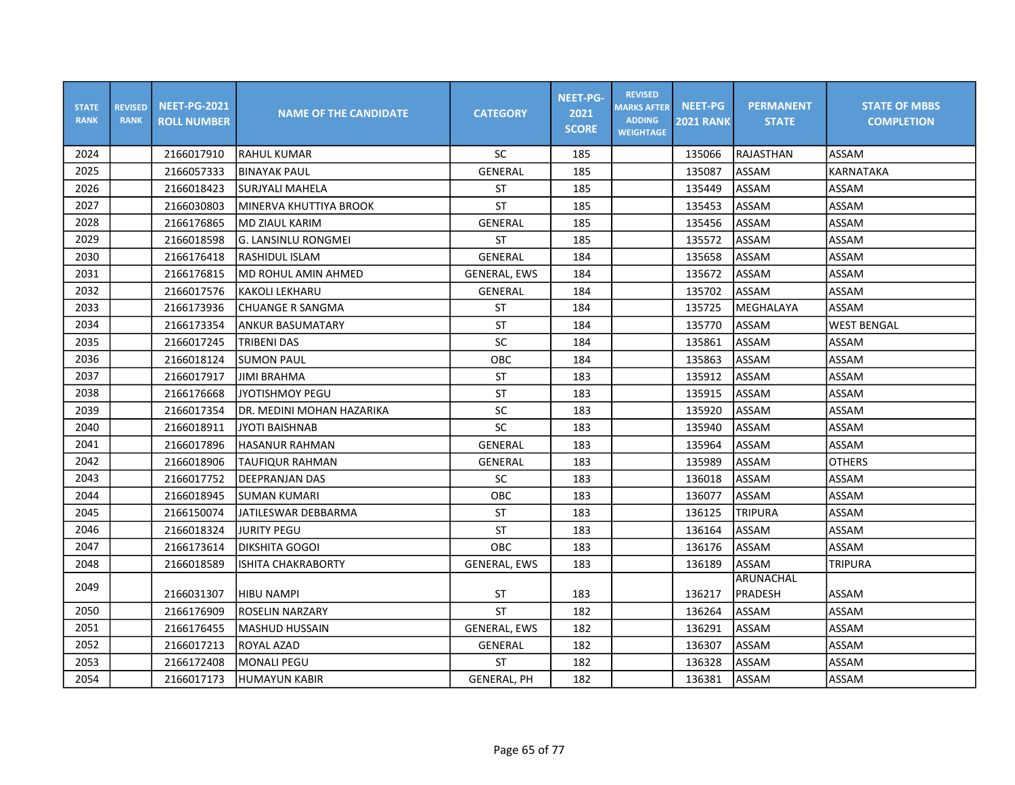| <b>STATE</b><br><b>RANK</b> | <b>REVISED</b><br><b>RANK</b> | <b>NEET-PG-2021</b><br><b>ROLL NUMBER</b> | <b>NAME OF THE CANDIDATE</b> | <b>CATEGORY</b>     | <b>NEET-PG-</b><br>2021<br><b>SCORE</b> | <b>REVISED</b><br><b>MARKS AFTER</b><br><b>ADDING</b><br><b>WEIGHTAGE</b> | <b>NEET-PG</b><br><b>2021 RANK</b> | <b>PERMANENT</b><br><b>STATE</b> | <b>STATE OF MBBS</b><br><b>COMPLETION</b> |
|-----------------------------|-------------------------------|-------------------------------------------|------------------------------|---------------------|-----------------------------------------|---------------------------------------------------------------------------|------------------------------------|----------------------------------|-------------------------------------------|
| 2024                        |                               | 2166017910                                | <b>RAHUL KUMAR</b>           | SC                  | 185                                     |                                                                           | 135066                             | RAJASTHAN                        | ASSAM                                     |
| 2025                        |                               | 2166057333                                | <b>BINAYAK PAUL</b>          | <b>GENERAL</b>      | 185                                     |                                                                           | 135087                             | <b>ASSAM</b>                     | <b>KARNATAKA</b>                          |
| 2026                        |                               | 2166018423                                | SURJYALI MAHELA              | <b>ST</b>           | 185                                     |                                                                           | 135449                             | ASSAM                            | ASSAM                                     |
| 2027                        |                               | 2166030803                                | MINERVA KHUTTIYA BROOK       | <b>ST</b>           | 185                                     |                                                                           | 135453                             | ASSAM                            | ASSAM                                     |
| 2028                        |                               | 2166176865                                | <b>MD ZIAUL KARIM</b>        | <b>GENERAL</b>      | 185                                     |                                                                           | 135456                             | ASSAM                            | ASSAM                                     |
| 2029                        |                               | 2166018598                                | lg. LANSINLU RONGMEI         | <b>ST</b>           | 185                                     |                                                                           | 135572                             | ASSAM                            | ASSAM                                     |
| 2030                        |                               | 2166176418                                | RASHIDUL ISLAM               | GENERAL             | 184                                     |                                                                           | 135658                             | ASSAM                            | ASSAM                                     |
| 2031                        |                               | 2166176815                                | MD ROHUL AMIN AHMED          | <b>GENERAL, EWS</b> | 184                                     |                                                                           | 135672                             | <b>ASSAM</b>                     | ASSAM                                     |
| 2032                        |                               | 2166017576                                | <b>KAKOLI LEKHARU</b>        | GENERAL             | 184                                     |                                                                           | 135702                             | ASSAM                            | ASSAM                                     |
| 2033                        |                               | 2166173936                                | <b>CHUANGE R SANGMA</b>      | <b>ST</b>           | 184                                     |                                                                           | 135725                             | MEGHALAYA                        | ASSAM                                     |
| 2034                        |                               | 2166173354                                | ANKUR BASUMATARY             | ST                  | 184                                     |                                                                           | 135770                             | ASSAM                            | <b>WEST BENGAL</b>                        |
| 2035                        |                               | 2166017245                                | TRIBENI DAS                  | SC                  | 184                                     |                                                                           | 135861                             | ASSAM                            | ASSAM                                     |
| 2036                        |                               | 2166018124                                | <b>SUMON PAUL</b>            | OBC                 | 184                                     |                                                                           | 135863                             | ASSAM                            | ASSAM                                     |
| 2037                        |                               | 2166017917                                | <b>JIMI BRAHMA</b>           | ST                  | 183                                     |                                                                           | 135912                             | <b>ASSAM</b>                     | ASSAM                                     |
| 2038                        |                               | 2166176668                                | <b>JYOTISHMOY PEGU</b>       | <b>ST</b>           | 183                                     |                                                                           | 135915                             | <b>ASSAM</b>                     | ASSAM                                     |
| 2039                        |                               | 2166017354                                | DR. MEDINI MOHAN HAZARIKA    | SC                  | 183                                     |                                                                           | 135920                             | <b>ASSAM</b>                     | ASSAM                                     |
| 2040                        |                               | 2166018911                                | JYOTI BAISHNAB               | SC                  | 183                                     |                                                                           | 135940                             | <b>ASSAM</b>                     | ASSAM                                     |
| 2041                        |                               | 2166017896                                | HASANUR RAHMAN               | <b>GENERAL</b>      | 183                                     |                                                                           | 135964                             | ASSAM                            | ASSAM                                     |
| 2042                        |                               | 2166018906                                | <b>TAUFIQUR RAHMAN</b>       | GENERAL             | 183                                     |                                                                           | 135989                             | ASSAM                            | <b>OTHERS</b>                             |
| 2043                        |                               | 2166017752                                | <b>DEEPRANJAN DAS</b>        | SC                  | 183                                     |                                                                           | 136018                             | <b>ASSAM</b>                     | ASSAM                                     |
| 2044                        |                               | 2166018945                                | SUMAN KUMARI                 | OBC                 | 183                                     |                                                                           | 136077                             | <b>ASSAM</b>                     | ASSAM                                     |
| 2045                        |                               | 2166150074                                | JATILESWAR DEBBARMA          | <b>ST</b>           | 183                                     |                                                                           | 136125                             | <b>TRIPURA</b>                   | ASSAM                                     |
| 2046                        |                               | 2166018324                                | <b>JURITY PEGU</b>           | ST                  | 183                                     |                                                                           | 136164                             | <b>ASSAM</b>                     | ASSAM                                     |
| 2047                        |                               | 2166173614                                | DIKSHITA GOGOI               | OBC                 | 183                                     |                                                                           | 136176                             | ASSAM                            | ASSAM                                     |
| 2048                        |                               | 2166018589                                | <b>ISHITA CHAKRABORTY</b>    | <b>GENERAL, EWS</b> | 183                                     |                                                                           | 136189                             | ASSAM                            | <b>TRIPURA</b>                            |
| 2049                        |                               |                                           |                              |                     |                                         |                                                                           |                                    | ARUNACHAL                        |                                           |
|                             |                               | 2166031307                                | <b>HIBU NAMPI</b>            | <b>ST</b>           | 183                                     |                                                                           | 136217                             | PRADESH                          | ASSAM                                     |
| 2050                        |                               | 2166176909                                | <b>ROSELIN NARZARY</b>       | <b>ST</b>           | 182                                     |                                                                           | 136264                             | ASSAM                            | ASSAM                                     |
| 2051                        |                               | 2166176455                                | <b>MASHUD HUSSAIN</b>        | <b>GENERAL, EWS</b> | 182                                     |                                                                           | 136291                             | <b>ASSAM</b>                     | ASSAM                                     |
| 2052                        |                               | 2166017213                                | ROYAL AZAD                   | <b>GENERAL</b>      | 182                                     |                                                                           | 136307                             | <b>ASSAM</b>                     | ASSAM                                     |
| 2053                        |                               | 2166172408                                | <b>MONALI PEGU</b>           | ST                  | 182                                     |                                                                           | 136328                             | ASSAM                            | ASSAM                                     |
| 2054                        |                               | 2166017173                                | <b>HUMAYUN KABIR</b>         | <b>GENERAL, PH</b>  | 182                                     |                                                                           | 136381                             | ASSAM                            | ASSAM                                     |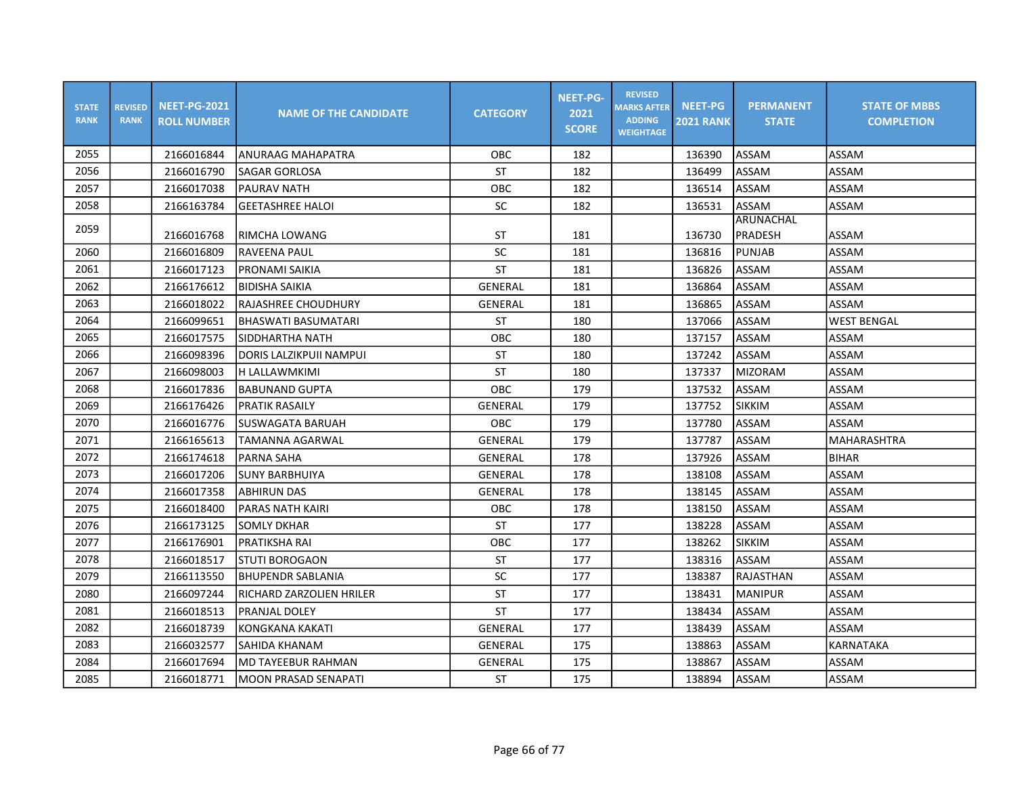| <b>STATE</b><br><b>RANK</b> | <b>REVISED</b><br><b>RANK</b> | <b>NEET-PG-2021</b><br><b>ROLL NUMBER</b> | <b>NAME OF THE CANDIDATE</b> | <b>CATEGORY</b> | <b>NEET-PG-</b><br>2021<br><b>SCORE</b> | <b>REVISED</b><br><b>MARKS AFTER</b><br><b>ADDING</b><br><b>WEIGHTAGE</b> | <b>NEET-PG</b><br><b>2021 RANK</b> | <b>PERMANENT</b><br><b>STATE</b> | <b>STATE OF MBBS</b><br><b>COMPLETION</b> |
|-----------------------------|-------------------------------|-------------------------------------------|------------------------------|-----------------|-----------------------------------------|---------------------------------------------------------------------------|------------------------------------|----------------------------------|-------------------------------------------|
| 2055                        |                               | 2166016844                                | ANURAAG MAHAPATRA            | OBC             | 182                                     |                                                                           | 136390                             | ASSAM                            | ASSAM                                     |
| 2056                        |                               | 2166016790                                | SAGAR GORLOSA                | ST              | 182                                     |                                                                           | 136499                             | ASSAM                            | ASSAM                                     |
| 2057                        |                               | 2166017038                                | <b>PAURAV NATH</b>           | OBC             | 182                                     |                                                                           | 136514                             | ASSAM                            | ASSAM                                     |
| 2058                        |                               | 2166163784                                | <b>GEETASHREE HALOI</b>      | SC              | 182                                     |                                                                           | 136531                             | ASSAM                            | ASSAM                                     |
| 2059                        |                               | 2166016768                                | RIMCHA LOWANG                | <b>ST</b>       | 181                                     |                                                                           | 136730                             | ARUNACHAL<br>PRADESH             | ASSAM                                     |
| 2060                        |                               | 2166016809                                | RAVEENA PAUL                 | SC              | 181                                     |                                                                           | 136816                             | <b>PUNJAB</b>                    | ASSAM                                     |
| 2061                        |                               | 2166017123                                | PRONAMI SAIKIA               | <b>ST</b>       | 181                                     |                                                                           | 136826                             | ASSAM                            | ASSAM                                     |
| 2062                        |                               | 2166176612                                | <b>BIDISHA SAIKIA</b>        | <b>GENERAL</b>  | 181                                     |                                                                           | 136864                             | ASSAM                            | ASSAM                                     |
| 2063                        |                               | 2166018022                                | RAJASHREE CHOUDHURY          | GENERAL         | 181                                     |                                                                           | 136865                             | ASSAM                            | ASSAM                                     |
| 2064                        |                               | 2166099651                                | BHASWATI BASUMATARI          | ST              | 180                                     |                                                                           | 137066                             | ASSAM                            | <b>WEST BENGAL</b>                        |
| 2065                        |                               | 2166017575                                | SIDDHARTHA NATH              | OBC             | 180                                     |                                                                           | 137157                             | ASSAM                            | ASSAM                                     |
| 2066                        |                               | 2166098396                                | DORIS LALZIKPUII NAMPUI      | <b>ST</b>       | 180                                     |                                                                           | 137242                             | ASSAM                            | ASSAM                                     |
| 2067                        |                               | 2166098003                                | H LALLAWMKIMI                | ST              | 180                                     |                                                                           | 137337                             | <b>MIZORAM</b>                   | ASSAM                                     |
| 2068                        |                               | 2166017836                                | BABUNAND GUPTA               | OBC             | 179                                     |                                                                           | 137532                             | <b>ASSAM</b>                     | ASSAM                                     |
| 2069                        |                               | 2166176426                                | <b>PRATIK RASAILY</b>        | GENERAL         | 179                                     |                                                                           | 137752                             | <b>SIKKIM</b>                    | ASSAM                                     |
| 2070                        |                               | 2166016776                                | SUSWAGATA BARUAH             | OBC             | 179                                     |                                                                           | 137780                             | ASSAM                            | ASSAM                                     |
| 2071                        |                               | 2166165613                                | TAMANNA AGARWAL              | GENERAL         | 179                                     |                                                                           | 137787                             | <b>ASSAM</b>                     | MAHARASHTRA                               |
| 2072                        |                               | 2166174618                                | PARNA SAHA                   | <b>GENERAL</b>  | 178                                     |                                                                           | 137926                             | <b>ASSAM</b>                     | <b>BIHAR</b>                              |
| 2073                        |                               | 2166017206                                | <b>SUNY BARBHUIYA</b>        | <b>GENERAL</b>  | 178                                     |                                                                           | 138108                             | <b>ASSAM</b>                     | ASSAM                                     |
| 2074                        |                               | 2166017358                                | <b>ABHIRUN DAS</b>           | <b>GENERAL</b>  | 178                                     |                                                                           | 138145                             | ASSAM                            | ASSAM                                     |
| 2075                        |                               | 2166018400                                | PARAS NATH KAIRI             | OBC             | 178                                     |                                                                           | 138150                             | ASSAM                            | ASSAM                                     |
| 2076                        |                               | 2166173125                                | <b>SOMLY DKHAR</b>           | <b>ST</b>       | 177                                     |                                                                           | 138228                             | <b>ASSAM</b>                     | ASSAM                                     |
| 2077                        |                               | 2166176901                                | <b>PRATIKSHA RAI</b>         | OBC             | 177                                     |                                                                           | 138262                             | <b>SIKKIM</b>                    | ASSAM                                     |
| 2078                        |                               | 2166018517                                | ISTUTI BOROGAON              | <b>ST</b>       | 177                                     |                                                                           | 138316                             | <b>ASSAM</b>                     | ASSAM                                     |
| 2079                        |                               | 2166113550                                | BHUPENDR SABLANIA            | SC              | 177                                     |                                                                           | 138387                             | RAJASTHAN                        | ASSAM                                     |
| 2080                        |                               | 2166097244                                | RICHARD ZARZOLIEN HRILER     | <b>ST</b>       | 177                                     |                                                                           | 138431                             | <b>MANIPUR</b>                   | ASSAM                                     |
| 2081                        |                               | 2166018513                                | PRANJAL DOLEY                | <b>ST</b>       | 177                                     |                                                                           | 138434                             | ASSAM                            | ASSAM                                     |
| 2082                        |                               | 2166018739                                | KONGKANA KAKATI              | GENERAL         | 177                                     |                                                                           | 138439                             | ASSAM                            | ASSAM                                     |
| 2083                        |                               | 2166032577                                | SAHIDA KHANAM                | GENERAL         | 175                                     |                                                                           | 138863                             | ASSAM                            | KARNATAKA                                 |
| 2084                        |                               | 2166017694                                | MD TAYEEBUR RAHMAN           | GENERAL         | 175                                     |                                                                           | 138867                             | ASSAM                            | ASSAM                                     |
| 2085                        |                               | 2166018771                                | MOON PRASAD SENAPATI         | ST              | 175                                     |                                                                           | 138894                             | ASSAM                            | ASSAM                                     |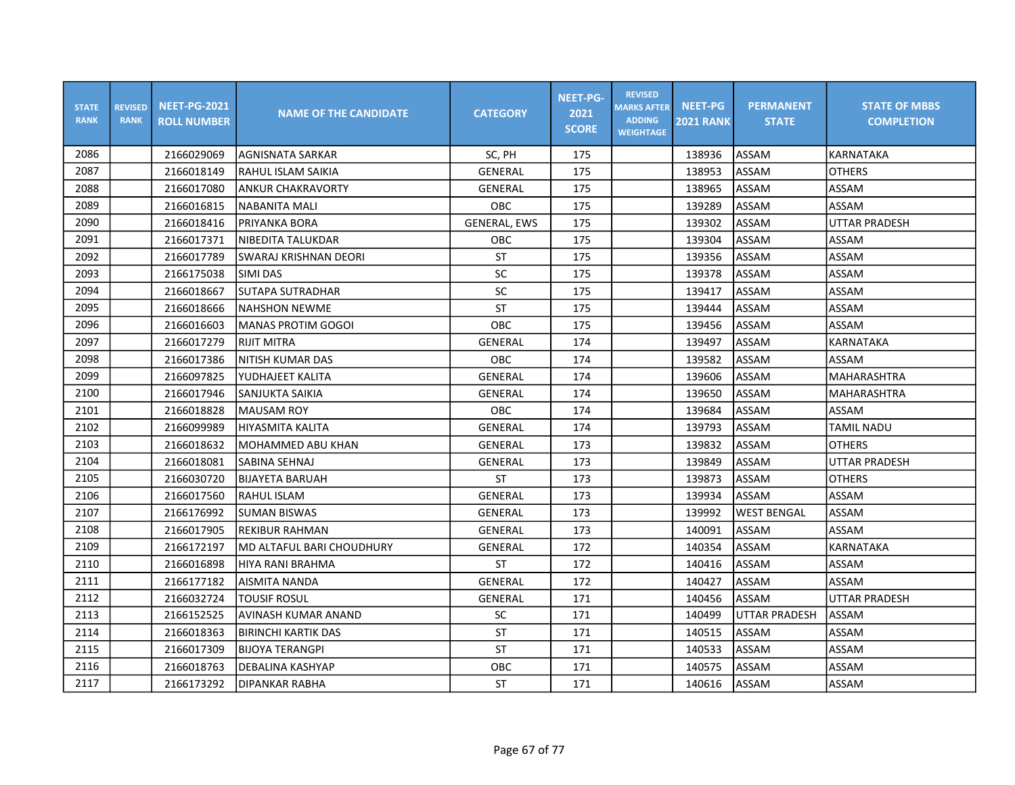| <b>STATE</b><br><b>RANK</b> | <b>REVISED</b><br><b>RANK</b> | <b>NEET-PG-2021</b><br><b>ROLL NUMBER</b> | <b>NAME OF THE CANDIDATE</b>     | <b>CATEGORY</b>     | <b>NEET-PG-</b><br>2021<br><b>SCORE</b> | <b>REVISED</b><br><b>MARKS AFTER</b><br><b>ADDING</b><br><b>WEIGHTAGE</b> | <b>NEET-PG</b><br><b>2021 RANK</b> | <b>PERMANENT</b><br><b>STATE</b> | <b>STATE OF MBBS</b><br><b>COMPLETION</b> |
|-----------------------------|-------------------------------|-------------------------------------------|----------------------------------|---------------------|-----------------------------------------|---------------------------------------------------------------------------|------------------------------------|----------------------------------|-------------------------------------------|
| 2086                        |                               | 2166029069                                | AGNISNATA SARKAR                 | SC, PH              | 175                                     |                                                                           | 138936                             | ASSAM                            | <b>KARNATAKA</b>                          |
| 2087                        |                               | 2166018149                                | RAHUL ISLAM SAIKIA               | GENERAL             | 175                                     |                                                                           | 138953                             | ASSAM                            | <b>OTHERS</b>                             |
| 2088                        |                               | 2166017080                                | <b>ANKUR CHAKRAVORTY</b>         | <b>GENERAL</b>      | 175                                     |                                                                           | 138965                             | ASSAM                            | ASSAM                                     |
| 2089                        |                               | 2166016815                                | <b>NABANITA MALI</b>             | <b>OBC</b>          | 175                                     |                                                                           | 139289                             | ASSAM                            | ASSAM                                     |
| 2090                        |                               | 2166018416                                | PRIYANKA BORA                    | <b>GENERAL, EWS</b> | 175                                     |                                                                           | 139302                             | ASSAM                            | <b>UTTAR PRADESH</b>                      |
| 2091                        |                               | 2166017371                                | NIBEDITA TALUKDAR                | OBC                 | 175                                     |                                                                           | 139304                             | ASSAM                            | ASSAM                                     |
| 2092                        |                               | 2166017789                                | SWARAJ KRISHNAN DEORI            | ST                  | 175                                     |                                                                           | 139356                             | ASSAM                            | ASSAM                                     |
| 2093                        |                               | 2166175038                                | SIMI DAS                         | SC                  | 175                                     |                                                                           | 139378                             | ASSAM                            | ASSAM                                     |
| 2094                        |                               | 2166018667                                | <b>SUTAPA SUTRADHAR</b>          | SC                  | 175                                     |                                                                           | 139417                             | ASSAM                            | ASSAM                                     |
| 2095                        |                               | 2166018666                                | <b>NAHSHON NEWME</b>             | <b>ST</b>           | 175                                     |                                                                           | 139444                             | ASSAM                            | ASSAM                                     |
| 2096                        |                               | 2166016603                                | <b>MANAS PROTIM GOGOI</b>        | OBC                 | 175                                     |                                                                           | 139456                             | ASSAM                            | ASSAM                                     |
| 2097                        |                               | 2166017279                                | <b>RIJIT MITRA</b>               | <b>GENERAL</b>      | 174                                     |                                                                           | 139497                             | ASSAM                            | <b>KARNATAKA</b>                          |
| 2098                        |                               | 2166017386                                | <b>NITISH KUMAR DAS</b>          | OBC                 | 174                                     |                                                                           | 139582                             | ASSAM                            | ASSAM                                     |
| 2099                        |                               | 2166097825                                | YUDHAJEET KALITA                 | <b>GENERAL</b>      | 174                                     |                                                                           | 139606                             | ASSAM                            | <b>MAHARASHTRA</b>                        |
| 2100                        |                               | 2166017946                                | SANJUKTA SAIKIA                  | GENERAL             | 174                                     |                                                                           | 139650                             | ASSAM                            | MAHARASHTRA                               |
| 2101                        |                               | 2166018828                                | <b>MAUSAM ROY</b>                | <b>OBC</b>          | 174                                     |                                                                           | 139684                             | ASSAM                            | ASSAM                                     |
| 2102                        |                               | 2166099989                                | <b>HIYASMITA KALITA</b>          | <b>GENERAL</b>      | 174                                     |                                                                           | 139793                             | ASSAM                            | <b>TAMIL NADU</b>                         |
| 2103                        |                               | 2166018632                                | <b>MOHAMMED ABU KHAN</b>         | <b>GENERAL</b>      | 173                                     |                                                                           | 139832                             | <b>ASSAM</b>                     | <b>OTHERS</b>                             |
| 2104                        |                               | 2166018081                                | SABINA SEHNAJ                    | <b>GENERAL</b>      | 173                                     |                                                                           | 139849                             | ASSAM                            | <b>UTTAR PRADESH</b>                      |
| 2105                        |                               | 2166030720                                | <b>BIJAYETA BARUAH</b>           | <b>ST</b>           | 173                                     |                                                                           | 139873                             | ASSAM                            | <b>OTHERS</b>                             |
| 2106                        |                               | 2166017560                                | IRAHUL ISLAM                     | GENERAL             | 173                                     |                                                                           | 139934                             | ASSAM                            | ASSAM                                     |
| 2107                        |                               | 2166176992                                | <b>SUMAN BISWAS</b>              | GENERAL             | 173                                     |                                                                           | 139992                             | <b>WEST BENGAL</b>               | ASSAM                                     |
| 2108                        |                               | 2166017905                                | <b>REKIBUR RAHMAN</b>            | GENERAL             | 173                                     |                                                                           | 140091                             | ASSAM                            | ASSAM                                     |
| 2109                        |                               | 2166172197                                | <b>MD ALTAFUL BARI CHOUDHURY</b> | <b>GENERAL</b>      | 172                                     |                                                                           | 140354                             | ASSAM                            | KARNATAKA                                 |
| 2110                        |                               | 2166016898                                | HIYA RANI BRAHMA                 | <b>ST</b>           | 172                                     |                                                                           | 140416                             | ASSAM                            | ASSAM                                     |
| 2111                        |                               | 2166177182                                | AISMITA NANDA                    | <b>GENERAL</b>      | 172                                     |                                                                           | 140427                             | ASSAM                            | ASSAM                                     |
| 2112                        |                               | 2166032724                                | TOUSIF ROSUL                     | GENERAL             | 171                                     |                                                                           | 140456                             | ASSAM                            | <b>UTTAR PRADESH</b>                      |
| 2113                        |                               | 2166152525                                | AVINASH KUMAR ANAND              | <b>SC</b>           | 171                                     |                                                                           | 140499                             | <b>UTTAR PRADESH</b>             | ASSAM                                     |
| 2114                        |                               | 2166018363                                | <b>BIRINCHI KARTIK DAS</b>       | <b>ST</b>           | 171                                     |                                                                           | 140515                             | ASSAM                            | ASSAM                                     |
| 2115                        |                               | 2166017309                                | <b>BIJOYA TERANGPI</b>           | <b>ST</b>           | 171                                     |                                                                           | 140533                             | ASSAM                            | ASSAM                                     |
| 2116                        |                               | 2166018763                                | DEBALINA KASHYAP                 | OBC                 | 171                                     |                                                                           | 140575                             | ASSAM                            | ASSAM                                     |
| 2117                        |                               | 2166173292                                | DIPANKAR RABHA                   | <b>ST</b>           | 171                                     |                                                                           | 140616                             | ASSAM                            | ASSAM                                     |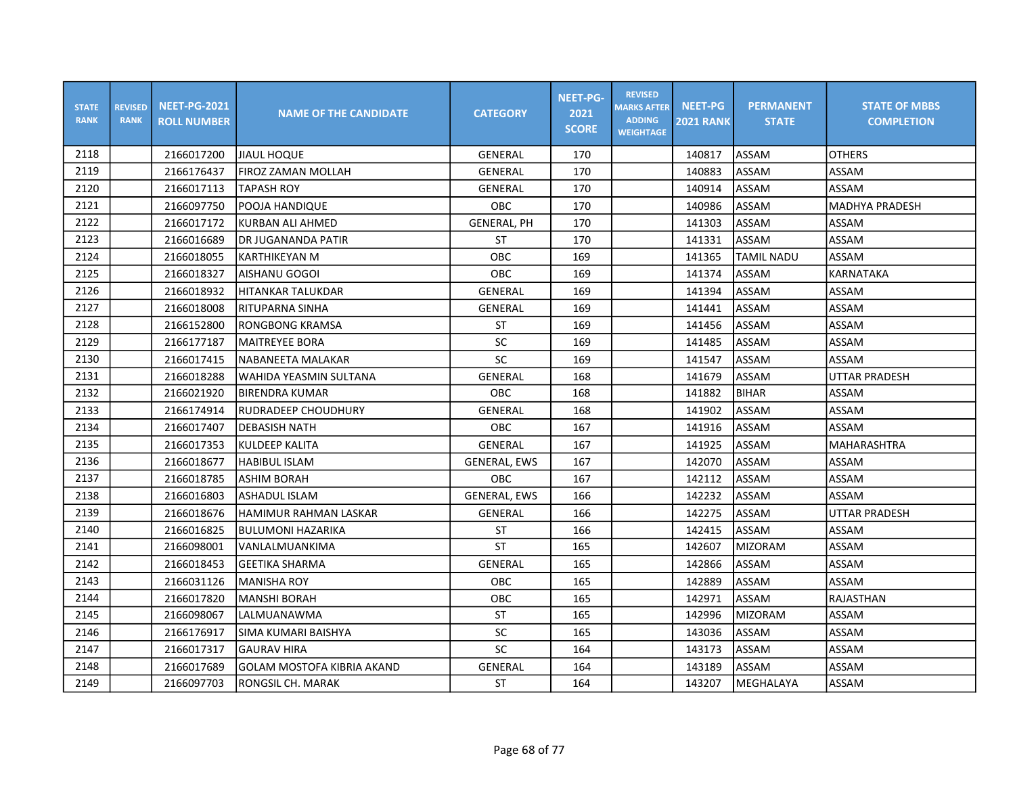| <b>STATE</b><br><b>RANK</b> | <b>REVISED</b><br><b>RANK</b> | <b>NEET-PG-2021</b><br><b>ROLL NUMBER</b> | <b>NAME OF THE CANDIDATE</b>      | <b>CATEGORY</b>     | <b>NEET-PG-</b><br>2021<br><b>SCORE</b> | <b>REVISED</b><br><b>MARKS AFTER</b><br><b>ADDING</b><br><b>WEIGHTAGE</b> | <b>NEET-PG</b><br><b>2021 RANK</b> | <b>PERMANENT</b><br><b>STATE</b> | <b>STATE OF MBBS</b><br><b>COMPLETION</b> |
|-----------------------------|-------------------------------|-------------------------------------------|-----------------------------------|---------------------|-----------------------------------------|---------------------------------------------------------------------------|------------------------------------|----------------------------------|-------------------------------------------|
| 2118                        |                               | 2166017200                                | JIAUL HOQUE                       | GENERAL             | 170                                     |                                                                           | 140817                             | ASSAM                            | <b>OTHERS</b>                             |
| 2119                        |                               | 2166176437                                | FIROZ ZAMAN MOLLAH                | GENERAL             | 170                                     |                                                                           | 140883                             | ASSAM                            | ASSAM                                     |
| 2120                        |                               | 2166017113                                | <b>TAPASH ROY</b>                 | <b>GENERAL</b>      | 170                                     |                                                                           | 140914                             | ASSAM                            | ASSAM                                     |
| 2121                        |                               | 2166097750                                | POOJA HANDIQUE                    | <b>OBC</b>          | 170                                     |                                                                           | 140986                             | ASSAM                            | <b>MADHYA PRADESH</b>                     |
| 2122                        |                               | 2166017172                                | KURBAN ALI AHMED                  | <b>GENERAL, PH</b>  | 170                                     |                                                                           | 141303                             | ASSAM                            | ASSAM                                     |
| 2123                        |                               | 2166016689                                | DR JUGANANDA PATIR                | <b>ST</b>           | 170                                     |                                                                           | 141331                             | ASSAM                            | <b>ASSAM</b>                              |
| 2124                        |                               | 2166018055                                | <b>KARTHIKEYAN M</b>              | OBC                 | 169                                     |                                                                           | 141365                             | <b>TAMIL NADU</b>                | ASSAM                                     |
| 2125                        |                               | 2166018327                                | AISHANU GOGOI                     | OBC                 | 169                                     |                                                                           | 141374                             | ASSAM                            | KARNATAKA                                 |
| 2126                        |                               | 2166018932                                | HITANKAR TALUKDAR                 | GENERAL             | 169                                     |                                                                           | 141394                             | ASSAM                            | ASSAM                                     |
| 2127                        |                               | 2166018008                                | IRITUPARNA SINHA                  | GENERAL             | 169                                     |                                                                           | 141441                             | ASSAM                            | ASSAM                                     |
| 2128                        |                               | 2166152800                                | <b>RONGBONG KRAMSA</b>            | ST                  | 169                                     |                                                                           | 141456                             | ASSAM                            | ASSAM                                     |
| 2129                        |                               | 2166177187                                | lMAITREYEE BORA                   | SC                  | 169                                     |                                                                           | 141485                             | ASSAM                            | ASSAM                                     |
| 2130                        |                               | 2166017415                                | NABANEETA MALAKAR                 | SC                  | 169                                     |                                                                           | 141547                             | ASSAM                            | ASSAM                                     |
| 2131                        |                               | 2166018288                                | <b>WAHIDA YEASMIN SULTANA</b>     | GENERAL             | 168                                     |                                                                           | 141679                             | ASSAM                            | <b>UTTAR PRADESH</b>                      |
| 2132                        |                               | 2166021920                                | BIRENDRA KUMAR                    | OBC                 | 168                                     |                                                                           | 141882                             | <b>BIHAR</b>                     | ASSAM                                     |
| 2133                        |                               | 2166174914                                | RUDRADEEP CHOUDHURY               | GENERAL             | 168                                     |                                                                           | 141902                             | ASSAM                            | ASSAM                                     |
| 2134                        |                               | 2166017407                                | <b>DEBASISH NATH</b>              | OBC                 | 167                                     |                                                                           | 141916                             | ASSAM                            | ASSAM                                     |
| 2135                        |                               | 2166017353                                | <b>KULDEEP KALITA</b>             | <b>GENERAL</b>      | 167                                     |                                                                           | 141925                             | <b>ASSAM</b>                     | <b>MAHARASHTRA</b>                        |
| 2136                        |                               | 2166018677                                | <b>HABIBUL ISLAM</b>              | <b>GENERAL, EWS</b> | 167                                     |                                                                           | 142070                             | ASSAM                            | ASSAM                                     |
| 2137                        |                               | 2166018785                                | <b>ASHIM BORAH</b>                | OBC                 | 167                                     |                                                                           | 142112                             | <b>ASSAM</b>                     | ASSAM                                     |
| 2138                        |                               | 2166016803                                | lASHADUL ISLAM                    | <b>GENERAL, EWS</b> | 166                                     |                                                                           | 142232                             | ASSAM                            | ASSAM                                     |
| 2139                        |                               | 2166018676                                | HAMIMUR RAHMAN LASKAR             | <b>GENERAL</b>      | 166                                     |                                                                           | 142275                             | ASSAM                            | <b>UTTAR PRADESH</b>                      |
| 2140                        |                               | 2166016825                                | <b>BULUMONI HAZARIKA</b>          | <b>ST</b>           | 166                                     |                                                                           | 142415                             | ASSAM                            | ASSAM                                     |
| 2141                        |                               | 2166098001                                | VANLALMUANKIMA                    | <b>ST</b>           | 165                                     |                                                                           | 142607                             | <b>MIZORAM</b>                   | ASSAM                                     |
| 2142                        |                               | 2166018453                                | <b>GEETIKA SHARMA</b>             | <b>GENERAL</b>      | 165                                     |                                                                           | 142866                             | ASSAM                            | ASSAM                                     |
| 2143                        |                               | 2166031126                                | <b>MANISHA ROY</b>                | <b>OBC</b>          | 165                                     |                                                                           | 142889                             | ASSAM                            | ASSAM                                     |
| 2144                        |                               | 2166017820                                | <b>MANSHI BORAH</b>               | OBC                 | 165                                     |                                                                           | 142971                             | ASSAM                            | <b>RAJASTHAN</b>                          |
| 2145                        |                               | 2166098067                                | LALMUANAWMA                       | ST                  | 165                                     |                                                                           | 142996                             | <b>MIZORAM</b>                   | ASSAM                                     |
| 2146                        |                               | 2166176917                                | SIMA KUMARI BAISHYA               | SC                  | 165                                     |                                                                           | 143036                             | ASSAM                            | ASSAM                                     |
| 2147                        |                               | 2166017317                                | <b>GAURAV HIRA</b>                | SC                  | 164                                     |                                                                           | 143173                             | ASSAM                            | ASSAM                                     |
| 2148                        |                               | 2166017689                                | <b>GOLAM MOSTOFA KIBRIA AKAND</b> | GENERAL             | 164                                     |                                                                           | 143189                             | ASSAM                            | ASSAM                                     |
| 2149                        |                               | 2166097703                                | RONGSIL CH. MARAK                 | <b>ST</b>           | 164                                     |                                                                           | 143207                             | MEGHALAYA                        | ASSAM                                     |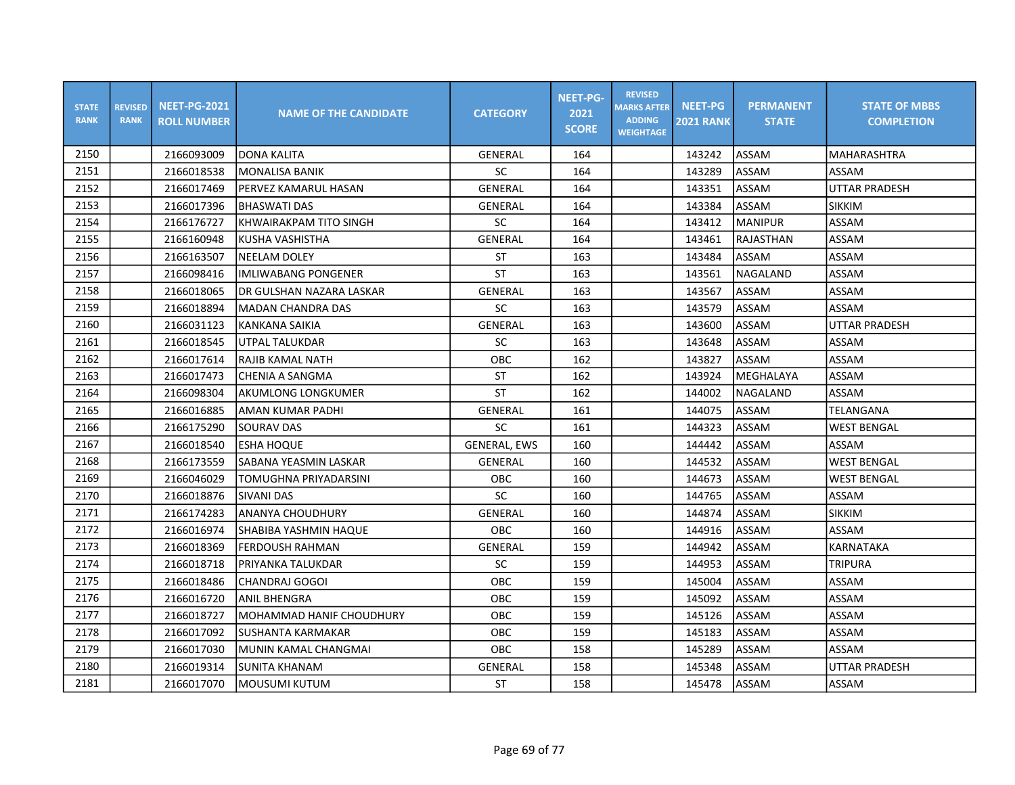| <b>STATE</b><br><b>RANK</b> | <b>REVISED</b><br><b>RANK</b> | <b>NEET-PG-2021</b><br><b>ROLL NUMBER</b> | <b>NAME OF THE CANDIDATE</b> | <b>CATEGORY</b>     | NEET-PG-<br>2021<br><b>SCORE</b> | <b>REVISED</b><br><b>MARKS AFTER</b><br><b>ADDING</b><br><b>WEIGHTAGE</b> | <b>NEET-PG</b><br><b>2021 RANK</b> | <b>PERMANENT</b><br><b>STATE</b> | <b>STATE OF MBBS</b><br><b>COMPLETION</b> |
|-----------------------------|-------------------------------|-------------------------------------------|------------------------------|---------------------|----------------------------------|---------------------------------------------------------------------------|------------------------------------|----------------------------------|-------------------------------------------|
| 2150                        |                               | 2166093009                                | <b>DONA KALITA</b>           | GENERAL             | 164                              |                                                                           | 143242                             | <b>ASSAM</b>                     | MAHARASHTRA                               |
| 2151                        |                               | 2166018538                                | <b>MONALISA BANIK</b>        | SC                  | 164                              |                                                                           | 143289                             | <b>ASSAM</b>                     | ASSAM                                     |
| 2152                        |                               | 2166017469                                | PERVEZ KAMARUL HASAN         | GENERAL             | 164                              |                                                                           | 143351                             | <b>ASSAM</b>                     | <b>UTTAR PRADESH</b>                      |
| 2153                        |                               | 2166017396                                | <b>BHASWATI DAS</b>          | GENERAL             | 164                              |                                                                           | 143384                             | ASSAM                            | <b>SIKKIM</b>                             |
| 2154                        |                               | 2166176727                                | KHWAIRAKPAM TITO SINGH       | <b>SC</b>           | 164                              |                                                                           | 143412                             | <b>MANIPUR</b>                   | ASSAM                                     |
| 2155                        |                               | 2166160948                                | KUSHA VASHISTHA              | <b>GENERAL</b>      | 164                              |                                                                           | 143461                             | <b>RAJASTHAN</b>                 | ASSAM                                     |
| 2156                        |                               | 2166163507                                | <b>NEELAM DOLEY</b>          | ST                  | 163                              |                                                                           | 143484                             | lASSAM                           | ASSAM                                     |
| 2157                        |                               | 2166098416                                | IMLIWABANG PONGENER          | <b>ST</b>           | 163                              |                                                                           | 143561                             | NAGALAND                         | ASSAM                                     |
| 2158                        |                               | 2166018065                                | IDR GULSHAN NAZARA LASKAR    | GENERAL             | 163                              |                                                                           | 143567                             | <b>ASSAM</b>                     | ASSAM                                     |
| 2159                        |                               | 2166018894                                | <b>MADAN CHANDRA DAS</b>     | SC                  | 163                              |                                                                           | 143579                             | ASSAM                            | ASSAM                                     |
| 2160                        |                               | 2166031123                                | KANKANA SAIKIA               | GENERAL             | 163                              |                                                                           | 143600                             | <b>ASSAM</b>                     | UTTAR PRADESH                             |
| 2161                        |                               | 2166018545                                | UTPAL TALUKDAR               | SC                  | 163                              |                                                                           | 143648                             | ASSAM                            | ASSAM                                     |
| 2162                        |                               | 2166017614                                | RAJIB KAMAL NATH             | OBC                 | 162                              |                                                                           | 143827                             | ASSAM                            | ASSAM                                     |
| 2163                        |                               | 2166017473                                | CHENIA A SANGMA              | <b>ST</b>           | 162                              |                                                                           | 143924                             | MEGHALAYA                        | ASSAM                                     |
| 2164                        |                               | 2166098304                                | <b>AKUMLONG LONGKUMER</b>    | <b>ST</b>           | 162                              |                                                                           | 144002                             | lNAGALAND                        | ASSAM                                     |
| 2165                        |                               | 2166016885                                | AMAN KUMAR PADHI             | GENERAL             | 161                              |                                                                           | 144075                             | ASSAM                            | TELANGANA                                 |
| 2166                        |                               | 2166175290                                | <b>SOURAV DAS</b>            | <b>SC</b>           | 161                              |                                                                           | 144323                             | ASSAM                            | <b>WEST BENGAL</b>                        |
| 2167                        |                               | 2166018540                                | lesha hoque                  | <b>GENERAL, EWS</b> | 160                              |                                                                           | 144442                             | ASSAM                            | <b>ASSAM</b>                              |
| 2168                        |                               | 2166173559                                | SABANA YEASMIN LASKAR        | GENERAL             | 160                              |                                                                           | 144532                             | <b>ASSAM</b>                     | <b>WEST BENGAL</b>                        |
| 2169                        |                               | 2166046029                                | TOMUGHNA PRIYADARSINI        | ОВС                 | 160                              |                                                                           | 144673                             | ASSAM                            | <b>WEST BENGAL</b>                        |
| 2170                        |                               | 2166018876                                | İSIVANI DAS                  | SC                  | 160                              |                                                                           | 144765                             | <b>ASSAM</b>                     | ASSAM                                     |
| 2171                        |                               | 2166174283                                | lananya choudhury            | GENERAL             | 160                              |                                                                           | 144874                             | ASSAM                            | <b>SIKKIM</b>                             |
| 2172                        |                               | 2166016974                                | SHABIBA YASHMIN HAQUE        | OBC                 | 160                              |                                                                           | 144916                             | ASSAM                            | ASSAM                                     |
| 2173                        |                               | 2166018369                                | lFERDOUSH RAHMAN             | GENERAL             | 159                              |                                                                           | 144942                             | ASSAM                            | KARNATAKA                                 |
| 2174                        |                               | 2166018718                                | PRIYANKA TALUKDAR            | SC                  | 159                              |                                                                           | 144953                             | <b>ASSAM</b>                     | <b>TRIPURA</b>                            |
| 2175                        |                               | 2166018486                                | <b>CHANDRAJ GOGOI</b>        | OBC                 | 159                              |                                                                           | 145004                             | ASSAM                            | ASSAM                                     |
| 2176                        |                               | 2166016720                                | <b>ANIL BHENGRA</b>          | <b>OBC</b>          | 159                              |                                                                           | 145092                             | <b>ASSAM</b>                     | ASSAM                                     |
| 2177                        |                               | 2166018727                                | MOHAMMAD HANIF CHOUDHURY     | <b>OBC</b>          | 159                              |                                                                           | 145126                             | ASSAM                            | ASSAM                                     |
| 2178                        |                               | 2166017092                                | SUSHANTA KARMAKAR            | OBC                 | 159                              |                                                                           | 145183                             | ASSAM                            | ASSAM                                     |
| 2179                        |                               | 2166017030                                | MUNIN KAMAL CHANGMAI         | <b>OBC</b>          | 158                              |                                                                           | 145289                             | ASSAM                            | ASSAM                                     |
| 2180                        |                               | 2166019314                                | SUNITA KHANAM                | GENERAL             | 158                              |                                                                           | 145348                             | <b>ASSAM</b>                     | <b>UTTAR PRADESH</b>                      |
| 2181                        |                               | 2166017070                                | MOUSUMI KUTUM                | <b>ST</b>           | 158                              |                                                                           | 145478                             | ASSAM                            | ASSAM                                     |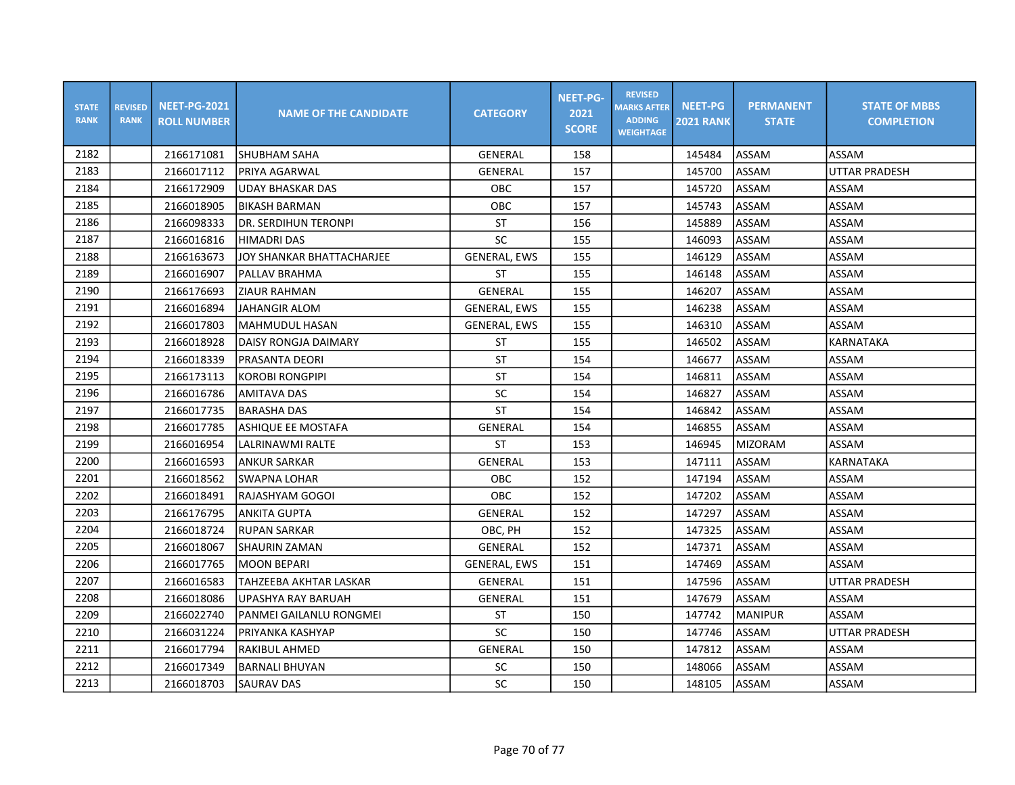| <b>STATE</b><br><b>RANK</b> | <b>REVISED</b><br><b>RANK</b> | <b>NEET-PG-2021</b><br><b>ROLL NUMBER</b> | <b>NAME OF THE CANDIDATE</b> | <b>CATEGORY</b>     | <b>NEET-PG-</b><br>2021<br><b>SCORE</b> | <b>REVISED</b><br><b>MARKS AFTER</b><br><b>ADDING</b><br><b>WEIGHTAGE</b> | <b>NEET-PG</b><br><b>2021 RANK</b> | <b>PERMANENT</b><br><b>STATE</b> | <b>STATE OF MBBS</b><br><b>COMPLETION</b> |
|-----------------------------|-------------------------------|-------------------------------------------|------------------------------|---------------------|-----------------------------------------|---------------------------------------------------------------------------|------------------------------------|----------------------------------|-------------------------------------------|
| 2182                        |                               | 2166171081                                | ISHUBHAM SAHA                | GENERAL             | 158                                     |                                                                           | 145484                             | <b>ASSAM</b>                     | <b>ASSAM</b>                              |
| 2183                        |                               | 2166017112                                | PRIYA AGARWAL                | GENERAL             | 157                                     |                                                                           | 145700                             | <b>ASSAM</b>                     | <b>UTTAR PRADESH</b>                      |
| 2184                        |                               | 2166172909                                | <b>UDAY BHASKAR DAS</b>      | OBC                 | 157                                     |                                                                           | 145720                             | ASSAM                            | ASSAM                                     |
| 2185                        |                               | 2166018905                                | <b>BIKASH BARMAN</b>         | OBC                 | 157                                     |                                                                           | 145743                             | ASSAM                            | ASSAM                                     |
| 2186                        |                               | 2166098333                                | DR. SERDIHUN TERONPI         | <b>ST</b>           | 156                                     |                                                                           | 145889                             | ASSAM                            | ASSAM                                     |
| 2187                        |                               | 2166016816                                | <b>HIMADRI DAS</b>           | SC                  | 155                                     |                                                                           | 146093                             | ASSAM                            | ASSAM                                     |
| 2188                        |                               | 2166163673                                | JOY SHANKAR BHATTACHARJEE    | <b>GENERAL, EWS</b> | 155                                     |                                                                           | 146129                             | ASSAM                            | ASSAM                                     |
| 2189                        |                               | 2166016907                                | PALLAV BRAHMA                | ST                  | 155                                     |                                                                           | 146148                             | ASSAM                            | ASSAM                                     |
| 2190                        |                               | 2166176693                                | <b>ZIAUR RAHMAN</b>          | GENERAL             | 155                                     |                                                                           | 146207                             | ASSAM                            | ASSAM                                     |
| 2191                        |                               | 2166016894                                | <b>JAHANGIR ALOM</b>         | <b>GENERAL, EWS</b> | 155                                     |                                                                           | 146238                             | ASSAM                            | ASSAM                                     |
| 2192                        |                               | 2166017803                                | MAHMUDUL HASAN               | <b>GENERAL, EWS</b> | 155                                     |                                                                           | 146310                             | ASSAM                            | ASSAM                                     |
| 2193                        |                               | 2166018928                                | DAISY RONGJA DAIMARY         | ST                  | 155                                     |                                                                           | 146502                             | ASSAM                            | <b>KARNATAKA</b>                          |
| 2194                        |                               | 2166018339                                | PRASANTA DEORI               | <b>ST</b>           | 154                                     |                                                                           | 146677                             | ASSAM                            | ASSAM                                     |
| 2195                        |                               | 2166173113                                | <b>KOROBI RONGPIPI</b>       | <b>ST</b>           | 154                                     |                                                                           | 146811                             | ASSAM                            | ASSAM                                     |
| 2196                        |                               | 2166016786                                | <b>AMITAVA DAS</b>           | SC                  | 154                                     |                                                                           | 146827                             | ASSAM                            | ASSAM                                     |
| 2197                        |                               | 2166017735                                | <b>BARASHA DAS</b>           | <b>ST</b>           | 154                                     |                                                                           | 146842                             | ASSAM                            | ASSAM                                     |
| 2198                        |                               | 2166017785                                | ASHIQUE EE MOSTAFA           | GENERAL             | 154                                     |                                                                           | 146855                             | ASSAM                            | ASSAM                                     |
| 2199                        |                               | 2166016954                                | LALRINAWMI RALTE             | <b>ST</b>           | 153                                     |                                                                           | 146945                             | <b>MIZORAM</b>                   | ASSAM                                     |
| 2200                        |                               | 2166016593                                | <b>ANKUR SARKAR</b>          | <b>GENERAL</b>      | 153                                     |                                                                           | 147111                             | ASSAM                            | <b>KARNATAKA</b>                          |
| 2201                        |                               | 2166018562                                | SWAPNA LOHAR                 | OBC                 | 152                                     |                                                                           | 147194                             | ASSAM                            | ASSAM                                     |
| 2202                        |                               | 2166018491                                | IRAJASHYAM GOGOI             | <b>OBC</b>          | 152                                     |                                                                           | 147202                             | ASSAM                            | ASSAM                                     |
| 2203                        |                               | 2166176795                                | <b>ANKITA GUPTA</b>          | GENERAL             | 152                                     |                                                                           | 147297                             | ASSAM                            | ASSAM                                     |
| 2204                        |                               | 2166018724                                | <b>RUPAN SARKAR</b>          | OBC, PH             | 152                                     |                                                                           | 147325                             | ASSAM                            | ASSAM                                     |
| 2205                        |                               | 2166018067                                | SHAURIN ZAMAN                | GENERAL             | 152                                     |                                                                           | 147371                             | ASSAM                            | ASSAM                                     |
| 2206                        |                               | 2166017765                                | <b>MOON BEPARI</b>           | <b>GENERAL, EWS</b> | 151                                     |                                                                           | 147469                             | ASSAM                            | ASSAM                                     |
| 2207                        |                               | 2166016583                                | TAHZEEBA AKHTAR LASKAR       | GENERAL             | 151                                     |                                                                           | 147596                             | ASSAM                            | <b>UTTAR PRADESH</b>                      |
| 2208                        |                               | 2166018086                                | <b>UPASHYA RAY BARUAH</b>    | GENERAL             | 151                                     |                                                                           | 147679                             | <b>ASSAM</b>                     | ASSAM                                     |
| 2209                        |                               | 2166022740                                | PANMEI GAILANLU RONGMEI      | <b>ST</b>           | 150                                     |                                                                           | 147742                             | <b>MANIPUR</b>                   | ASSAM                                     |
| 2210                        |                               | 2166031224                                | PRIYANKA KASHYAP             | SC                  | 150                                     |                                                                           | 147746                             | ASSAM                            | <b>UTTAR PRADESH</b>                      |
| 2211                        |                               | 2166017794                                | <b>RAKIBUL AHMED</b>         | GENERAL             | 150                                     |                                                                           | 147812                             | ASSAM                            | ASSAM                                     |
| 2212                        |                               | 2166017349                                | <b>BARNALI BHUYAN</b>        | SC                  | 150                                     |                                                                           | 148066                             | ASSAM                            | ASSAM                                     |
| 2213                        |                               | 2166018703                                | <b>SAURAV DAS</b>            | SC                  | 150                                     |                                                                           | 148105                             | <b>ASSAM</b>                     | ASSAM                                     |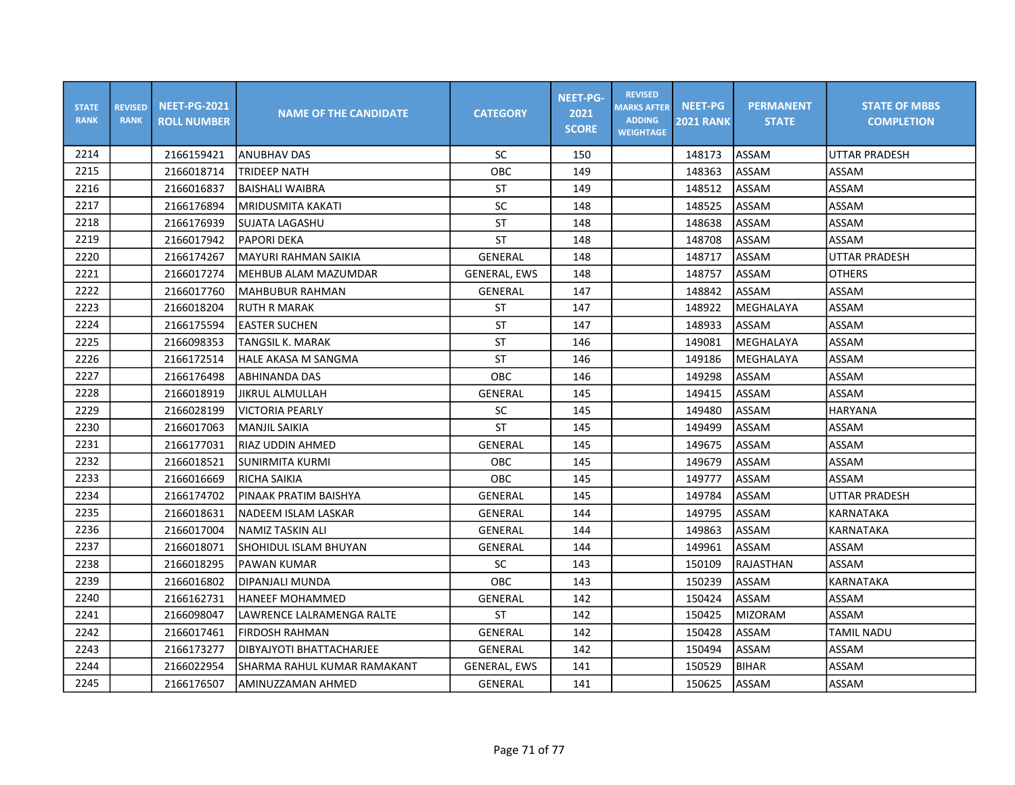| <b>STATE</b><br><b>RANK</b> | <b>REVISED</b><br><b>RANK</b> | <b>NEET-PG-2021</b><br><b>ROLL NUMBER</b> | <b>NAME OF THE CANDIDATE</b> | <b>CATEGORY</b>     | <b>NEET-PG-</b><br>2021<br><b>SCORE</b> | <b>REVISED</b><br><b>MARKS AFTER</b><br><b>ADDING</b><br><b>WEIGHTAGE</b> | <b>NEET-PG</b><br><b>2021 RANK</b> | <b>PERMANENT</b><br><b>STATE</b> | <b>STATE OF MBBS</b><br><b>COMPLETION</b> |
|-----------------------------|-------------------------------|-------------------------------------------|------------------------------|---------------------|-----------------------------------------|---------------------------------------------------------------------------|------------------------------------|----------------------------------|-------------------------------------------|
| 2214                        |                               | 2166159421                                | ANUBHAV DAS                  | SC                  | 150                                     |                                                                           | 148173                             | ASSAM                            | UTTAR PRADESH                             |
| 2215                        |                               | 2166018714                                | TRIDEEP NATH                 | OBC                 | 149                                     |                                                                           | 148363                             | ASSAM                            | ASSAM                                     |
| 2216                        |                               | 2166016837                                | <b>BAISHALI WAIBRA</b>       | ST                  | 149                                     |                                                                           | 148512                             | ASSAM                            | ASSAM                                     |
| 2217                        |                               | 2166176894                                | MRIDUSMITA KAKATI            | SC                  | 148                                     |                                                                           | 148525                             | ASSAM                            | ASSAM                                     |
| 2218                        |                               | 2166176939                                | <b>SUJATA LAGASHU</b>        | ST                  | 148                                     |                                                                           | 148638                             | ASSAM                            | ASSAM                                     |
| 2219                        |                               | 2166017942                                | <b>PAPORI DEKA</b>           | <b>ST</b>           | 148                                     |                                                                           | 148708                             | ASSAM                            | ASSAM                                     |
| 2220                        |                               | 2166174267                                | <b>MAYURI RAHMAN SAIKIA</b>  | GENERAL             | 148                                     |                                                                           | 148717                             | ASSAM                            | <b>UTTAR PRADESH</b>                      |
| 2221                        |                               | 2166017274                                | IMEHBUB ALAM MAZUMDAR        | GENERAL, EWS        | 148                                     |                                                                           | 148757                             | ASSAM                            | <b>OTHERS</b>                             |
| 2222                        |                               | 2166017760                                | lMAHBUBUR RAHMAN             | GENERAL             | 147                                     |                                                                           | 148842                             | ASSAM                            | <b>ASSAM</b>                              |
| 2223                        |                               | 2166018204                                | <b>RUTH R MARAK</b>          | <b>ST</b>           | 147                                     |                                                                           | 148922                             | MEGHALAYA                        | ASSAM                                     |
| 2224                        |                               | 2166175594                                | <b>EASTER SUCHEN</b>         | <b>ST</b>           | 147                                     |                                                                           | 148933                             | ASSAM                            | ASSAM                                     |
| 2225                        |                               | 2166098353                                | TANGSIL K. MARAK             | <b>ST</b>           | 146                                     |                                                                           | 149081                             | MEGHALAYA                        | ASSAM                                     |
| 2226                        |                               | 2166172514                                | <b>HALE AKASA M SANGMA</b>   | <b>ST</b>           | 146                                     |                                                                           | 149186                             | MEGHALAYA                        | ASSAM                                     |
| 2227                        |                               | 2166176498                                | ABHINANDA DAS                | OBC                 | 146                                     |                                                                           | 149298                             | ASSAM                            | ASSAM                                     |
| 2228                        |                               | 2166018919                                | JIKRUL ALMULLAH              | GENERAL             | 145                                     |                                                                           | 149415                             | ASSAM                            | ASSAM                                     |
| 2229                        |                               | 2166028199                                | <b>VICTORIA PEARLY</b>       | SC                  | 145                                     |                                                                           | 149480                             | ASSAM                            | HARYANA                                   |
| 2230                        |                               | 2166017063                                | <b>MANJIL SAIKIA</b>         | ST                  | 145                                     |                                                                           | 149499                             | ASSAM                            | ASSAM                                     |
| 2231                        |                               | 2166177031                                | <b>RIAZ UDDIN AHMED</b>      | GENERAL             | 145                                     |                                                                           | 149675                             | ASSAM                            | ASSAM                                     |
| 2232                        |                               | 2166018521                                | <b>SUNIRMITA KURMI</b>       | OBC                 | 145                                     |                                                                           | 149679                             | ASSAM                            | ASSAM                                     |
| 2233                        |                               | 2166016669                                | RICHA SAIKIA                 | OBC                 | 145                                     |                                                                           | 149777                             | ASSAM                            | <b>ASSAM</b>                              |
| 2234                        |                               | 2166174702                                | PINAAK PRATIM BAISHYA        | GENERAL             | 145                                     |                                                                           | 149784                             | ASSAM                            | UTTAR PRADESH                             |
| 2235                        |                               | 2166018631                                | NADEEM ISLAM LASKAR          | GENERAL             | 144                                     |                                                                           | 149795                             | ASSAM                            | KARNATAKA                                 |
| 2236                        |                               | 2166017004                                | <b>NAMIZ TASKIN ALI</b>      | GENERAL             | 144                                     |                                                                           | 149863                             | ASSAM                            | KARNATAKA                                 |
| 2237                        |                               | 2166018071                                | SHOHIDUL ISLAM BHUYAN        | GENERAL             | 144                                     |                                                                           | 149961                             | <b>ASSAM</b>                     | ASSAM                                     |
| 2238                        |                               | 2166018295                                | <b>PAWAN KUMAR</b>           | SC                  | 143                                     |                                                                           | 150109                             | RAJASTHAN                        | ASSAM                                     |
| 2239                        |                               | 2166016802                                | DIPANJALI MUNDA              | OBC                 | 143                                     |                                                                           | 150239                             | ASSAM                            | KARNATAKA                                 |
| 2240                        |                               | 2166162731                                | <b>HANEEF MOHAMMED</b>       | GENERAL             | 142                                     |                                                                           | 150424                             | ASSAM                            | ASSAM                                     |
| 2241                        |                               | 2166098047                                | LAWRENCE LALRAMENGA RALTE    | ST                  | 142                                     |                                                                           | 150425                             | MIZORAM                          | ASSAM                                     |
| 2242                        |                               | 2166017461                                | FIRDOSH RAHMAN               | GENERAL             | 142                                     |                                                                           | 150428                             | ASSAM                            | <b>TAMIL NADU</b>                         |
| 2243                        |                               | 2166173277                                | DIBYAJYOTI BHATTACHARJEE     | GENERAL             | 142                                     |                                                                           | 150494                             | ASSAM                            | ASSAM                                     |
| 2244                        |                               | 2166022954                                | SHARMA RAHUL KUMAR RAMAKANT  | <b>GENERAL, EWS</b> | 141                                     |                                                                           | 150529                             | <b>BIHAR</b>                     | ASSAM                                     |
| 2245                        |                               | 2166176507                                | AMINUZZAMAN AHMED            | <b>GENERAL</b>      | 141                                     |                                                                           | 150625                             | ASSAM                            | ASSAM                                     |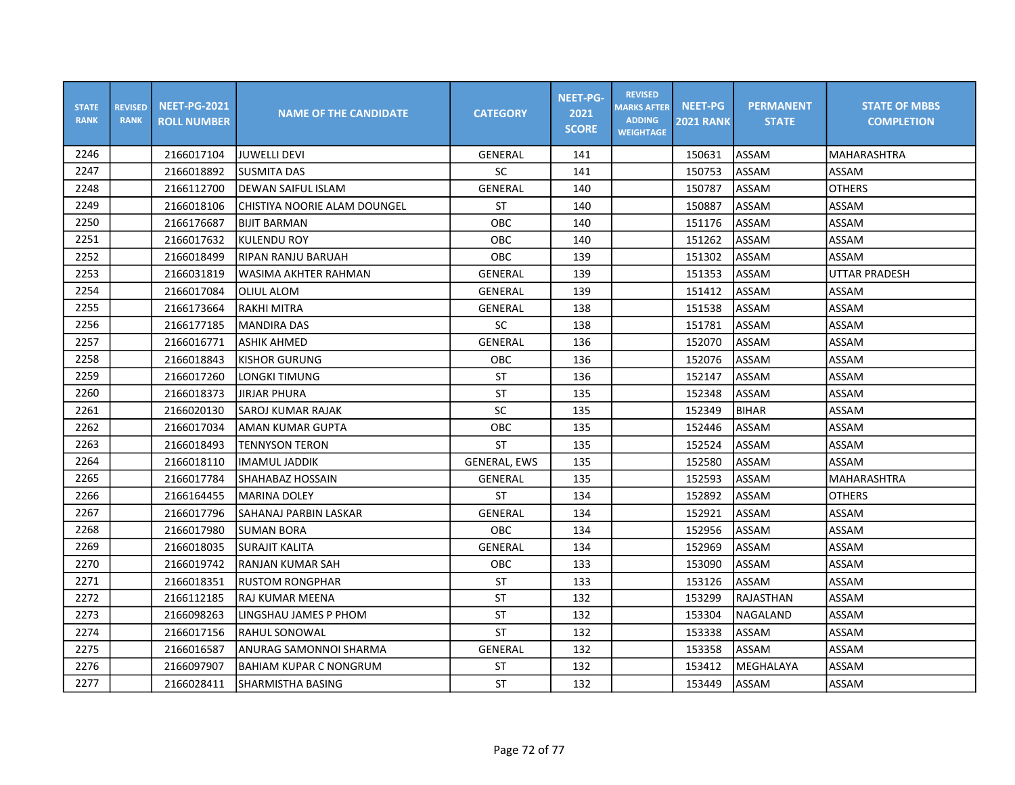| <b>STATE</b><br><b>RANK</b> | <b>REVISED</b><br><b>RANK</b> | <b>NEET-PG-2021</b><br><b>ROLL NUMBER</b> | <b>NAME OF THE CANDIDATE</b>  | <b>CATEGORY</b>     | <b>NEET-PG-</b><br>2021<br><b>SCORE</b> | <b>REVISED</b><br><b>MARKS AFTER</b><br><b>ADDING</b><br><b>WEIGHTAGE</b> | <b>NEET-PG</b><br><b>2021 RANK</b> | <b>PERMANENT</b><br><b>STATE</b> | <b>STATE OF MBBS</b><br><b>COMPLETION</b> |
|-----------------------------|-------------------------------|-------------------------------------------|-------------------------------|---------------------|-----------------------------------------|---------------------------------------------------------------------------|------------------------------------|----------------------------------|-------------------------------------------|
| 2246                        |                               | 2166017104                                | IJUWELLI DEVI                 | GENERAL             | 141                                     |                                                                           | 150631                             | <b>ASSAM</b>                     | <b>MAHARASHTRA</b>                        |
| 2247                        |                               | 2166018892                                | <b>SUSMITA DAS</b>            | <b>SC</b>           | 141                                     |                                                                           | 150753                             | <b>ASSAM</b>                     | ASSAM                                     |
| 2248                        |                               | 2166112700                                | <b>DEWAN SAIFUL ISLAM</b>     | <b>GENERAL</b>      | 140                                     |                                                                           | 150787                             | ASSAM                            | <b>OTHERS</b>                             |
| 2249                        |                               | 2166018106                                | CHISTIYA NOORIE ALAM DOUNGEL  | <b>ST</b>           | 140                                     |                                                                           | 150887                             | ASSAM                            | ASSAM                                     |
| 2250                        |                               | 2166176687                                | <b>BIJIT BARMAN</b>           | <b>OBC</b>          | 140                                     |                                                                           | 151176                             | ASSAM                            | ASSAM                                     |
| 2251                        |                               | 2166017632                                | <b>KULENDU ROY</b>            | OBC                 | 140                                     |                                                                           | 151262                             | ASSAM                            | ASSAM                                     |
| 2252                        |                               | 2166018499                                | RIPAN RANJU BARUAH            | OBC                 | 139                                     |                                                                           | 151302                             | ASSAM                            | <b>ASSAM</b>                              |
| 2253                        |                               | 2166031819                                | WASIMA AKHTER RAHMAN          | <b>GENERAL</b>      | 139                                     |                                                                           | 151353                             | ASSAM                            | UTTAR PRADESH                             |
| 2254                        |                               | 2166017084                                | IOLIUL ALOM                   | GENERAL             | 139                                     |                                                                           | 151412                             | <b>ASSAM</b>                     | ASSAM                                     |
| 2255                        |                               | 2166173664                                | RAKHI MITRA                   | GENERAL             | 138                                     |                                                                           | 151538                             | <b>ASSAM</b>                     | ASSAM                                     |
| 2256                        |                               | 2166177185                                | <b>MANDIRA DAS</b>            | SC                  | 138                                     |                                                                           | 151781                             | ASSAM                            | ASSAM                                     |
| 2257                        |                               | 2166016771                                | <b>ASHIK AHMED</b>            | <b>GENERAL</b>      | 136                                     |                                                                           | 152070                             | ASSAM                            | ASSAM                                     |
| 2258                        |                               | 2166018843                                | <b>KISHOR GURUNG</b>          | <b>OBC</b>          | 136                                     |                                                                           | 152076                             | ASSAM                            | ASSAM                                     |
| 2259                        |                               | 2166017260                                | LONGKI TIMUNG                 | ST                  | 136                                     |                                                                           | 152147                             | ASSAM                            | ASSAM                                     |
| 2260                        |                               | 2166018373                                | <b>JIRJAR PHURA</b>           | ST                  | 135                                     |                                                                           | 152348                             | <b>ASSAM</b>                     | ASSAM                                     |
| 2261                        |                               | 2166020130                                | SAROJ KUMAR RAJAK             | SC                  | 135                                     |                                                                           | 152349                             | <b>BIHAR</b>                     | ASSAM                                     |
| 2262                        |                               | 2166017034                                | AMAN KUMAR GUPTA              | OBC                 | 135                                     |                                                                           | 152446                             | ASSAM                            | ASSAM                                     |
| 2263                        |                               | 2166018493                                | <b>TENNYSON TERON</b>         | <b>ST</b>           | 135                                     |                                                                           | 152524                             | <b>ASSAM</b>                     | ASSAM                                     |
| 2264                        |                               | 2166018110                                | <b>IMAMUL JADDIK</b>          | <b>GENERAL, EWS</b> | 135                                     |                                                                           | 152580                             | ASSAM                            | ASSAM                                     |
| 2265                        |                               | 2166017784                                | SHAHABAZ HOSSAIN              | GENERAL             | 135                                     |                                                                           | 152593                             | ASSAM                            | <b>MAHARASHTRA</b>                        |
| 2266                        |                               | 2166164455                                | lMARINA DOLEY                 | ST                  | 134                                     |                                                                           | 152892                             | ASSAM                            | <b>OTHERS</b>                             |
| 2267                        |                               | 2166017796                                | SAHANAJ PARBIN LASKAR         | GENERAL             | 134                                     |                                                                           | 152921                             | ASSAM                            | ASSAM                                     |
| 2268                        |                               | 2166017980                                | <b>SUMAN BORA</b>             | <b>OBC</b>          | 134                                     |                                                                           | 152956                             | ASSAM                            | ASSAM                                     |
| 2269                        |                               | 2166018035                                | SURAJIT KALITA                | GENERAL             | 134                                     |                                                                           | 152969                             | <b>ASSAM</b>                     | ASSAM                                     |
| 2270                        |                               | 2166019742                                | IRANJAN KUMAR SAH             | <b>OBC</b>          | 133                                     |                                                                           | 153090                             | ASSAM                            | ASSAM                                     |
| 2271                        |                               | 2166018351                                | <b>RUSTOM RONGPHAR</b>        | <b>ST</b>           | 133                                     |                                                                           | 153126                             | ASSAM                            | ASSAM                                     |
| 2272                        |                               | 2166112185                                | RAJ KUMAR MEENA               | <b>ST</b>           | 132                                     |                                                                           | 153299                             | RAJASTHAN                        | ASSAM                                     |
| 2273                        |                               | 2166098263                                | LINGSHAU JAMES P PHOM         | ST                  | 132                                     |                                                                           | 153304                             | NAGALAND                         | ASSAM                                     |
| 2274                        |                               | 2166017156                                | RAHUL SONOWAL                 | <b>ST</b>           | 132                                     |                                                                           | 153338                             | ASSAM                            | ASSAM                                     |
| 2275                        |                               | 2166016587                                | ANURAG SAMONNOI SHARMA        | GENERAL             | 132                                     |                                                                           | 153358                             | ASSAM                            | ASSAM                                     |
| 2276                        |                               | 2166097907                                | <b>BAHIAM KUPAR C NONGRUM</b> | <b>ST</b>           | 132                                     |                                                                           | 153412                             | MEGHALAYA                        | ASSAM                                     |
| 2277                        |                               | 2166028411                                | SHARMISTHA BASING             | ST                  | 132                                     |                                                                           | 153449                             | <b>ASSAM</b>                     | ASSAM                                     |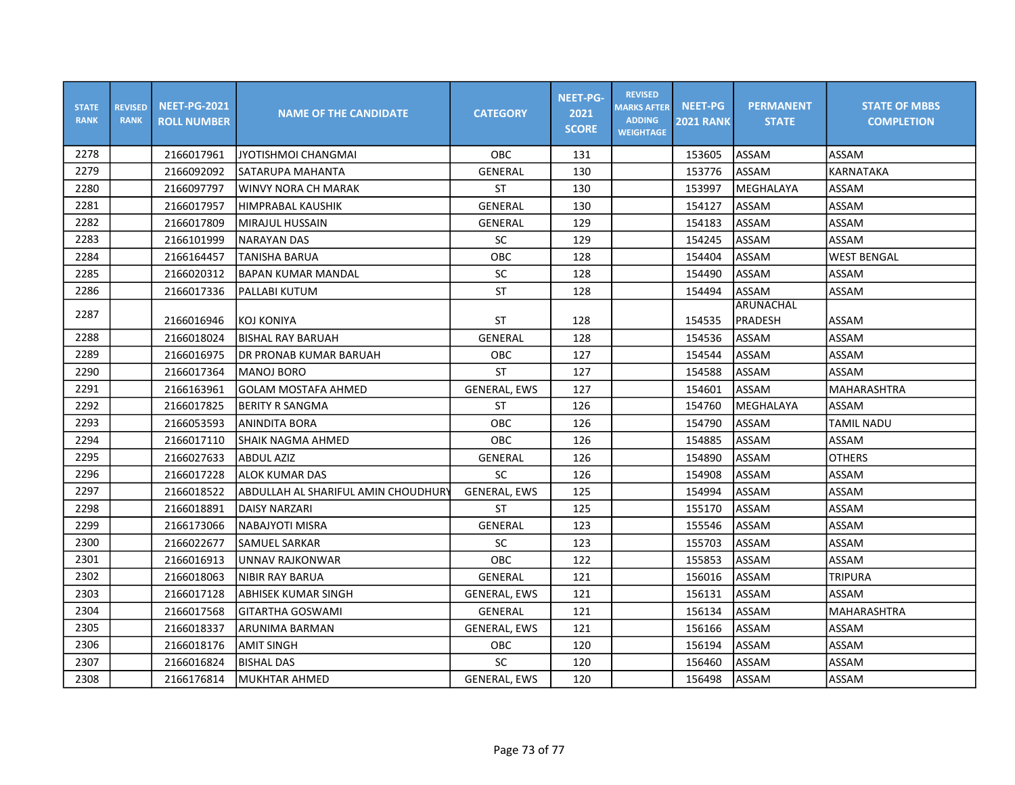| <b>STATE</b><br><b>RANK</b> | <b>REVISED</b><br><b>RANK</b> | <b>NEET-PG-2021</b><br><b>ROLL NUMBER</b> | <b>NAME OF THE CANDIDATE</b>        | <b>CATEGORY</b>     | <b>NEET-PG-</b><br>2021<br><b>SCORE</b> | <b>REVISED</b><br><b>MARKS AFTER</b><br><b>ADDING</b><br><b>WEIGHTAGE</b> | <b>NEET-PG</b><br><b>2021 RANK</b> | <b>PERMANENT</b><br><b>STATE</b> | <b>STATE OF MBBS</b><br><b>COMPLETION</b> |
|-----------------------------|-------------------------------|-------------------------------------------|-------------------------------------|---------------------|-----------------------------------------|---------------------------------------------------------------------------|------------------------------------|----------------------------------|-------------------------------------------|
| 2278                        |                               | 2166017961                                | <b>JYOTISHMOI CHANGMAI</b>          | <b>OBC</b>          | 131                                     |                                                                           | 153605                             | <b>ASSAM</b>                     | ASSAM                                     |
| 2279                        |                               | 2166092092                                | SATARUPA MAHANTA                    | GENERAL             | 130                                     |                                                                           | 153776                             | <b>ASSAM</b>                     | <b>KARNATAKA</b>                          |
| 2280                        |                               | 2166097797                                | <b>WINVY NORA CH MARAK</b>          | <b>ST</b>           | 130                                     |                                                                           | 153997                             | MEGHALAYA                        | ASSAM                                     |
| 2281                        |                               | 2166017957                                | <b>HIMPRABAL KAUSHIK</b>            | <b>GENERAL</b>      | 130                                     |                                                                           | 154127                             | <b>ASSAM</b>                     | ASSAM                                     |
| 2282                        |                               | 2166017809                                | MIRAJUL HUSSAIN                     | GENERAL             | 129                                     |                                                                           | 154183                             | ASSAM                            | ASSAM                                     |
| 2283                        |                               | 2166101999                                | <b>NARAYAN DAS</b>                  | <b>SC</b>           | 129                                     |                                                                           | 154245                             | <b>ASSAM</b>                     | ASSAM                                     |
| 2284                        |                               | 2166164457                                | <b>TANISHA BARUA</b>                | OBC                 | 128                                     |                                                                           | 154404                             | ASSAM                            | <b>WEST BENGAL</b>                        |
| 2285                        |                               | 2166020312                                | <b>BAPAN KUMAR MANDAL</b>           | SC                  | 128                                     |                                                                           | 154490                             | ASSAM                            | ASSAM                                     |
| 2286                        |                               | 2166017336                                | PALLABI KUTUM                       | <b>ST</b>           | 128                                     |                                                                           | 154494                             | <b>ASSAM</b>                     | ASSAM                                     |
| 2287                        |                               |                                           |                                     |                     |                                         |                                                                           |                                    | ARUNACHAL                        |                                           |
|                             |                               | 2166016946                                | <b>KOJ KONIYA</b>                   | <b>ST</b>           | 128                                     |                                                                           | 154535                             | PRADESH                          | ASSAM                                     |
| 2288                        |                               | 2166018024                                | <b>BISHAL RAY BARUAH</b>            | <b>GENERAL</b>      | 128                                     |                                                                           | 154536                             | ASSAM                            | <b>ASSAM</b>                              |
| 2289                        |                               | 2166016975                                | IDR PRONAB KUMAR BARUAH             | OBC                 | 127                                     |                                                                           | 154544                             | ASSAM                            | ASSAM                                     |
| 2290                        |                               | 2166017364                                | <b>MANOJ BORO</b>                   | <b>ST</b>           | 127                                     |                                                                           | 154588                             | <b>ASSAM</b>                     | ASSAM                                     |
| 2291                        |                               | 2166163961                                | <b>GOLAM MOSTAFA AHMED</b>          | <b>GENERAL, EWS</b> | 127                                     |                                                                           | 154601                             | <b>ASSAM</b>                     | <b>MAHARASHTRA</b>                        |
| 2292                        |                               | 2166017825                                | <b>BERITY R SANGMA</b>              | ST                  | 126                                     |                                                                           | 154760                             | MEGHALAYA                        | ASSAM                                     |
| 2293                        |                               | 2166053593                                | <b>ANINDITA BORA</b>                | <b>OBC</b>          | 126                                     |                                                                           | 154790                             | <b>ASSAM</b>                     | <b>TAMIL NADU</b>                         |
| 2294                        |                               | 2166017110                                | <b>SHAIK NAGMA AHMED</b>            | OBC                 | 126                                     |                                                                           | 154885                             | <b>ASSAM</b>                     | ASSAM                                     |
| 2295                        |                               | 2166027633                                | <b>ABDUL AZIZ</b>                   | GENERAL             | 126                                     |                                                                           | 154890                             | <b>ASSAM</b>                     | <b>OTHERS</b>                             |
| 2296                        |                               | 2166017228                                | <b>ALOK KUMAR DAS</b>               | SC                  | 126                                     |                                                                           | 154908                             | <b>ASSAM</b>                     | ASSAM                                     |
| 2297                        |                               | 2166018522                                | ABDULLAH AL SHARIFUL AMIN CHOUDHURY | <b>GENERAL, EWS</b> | 125                                     |                                                                           | 154994                             | ASSAM                            | ASSAM                                     |
| 2298                        |                               | 2166018891                                | <b>DAISY NARZARI</b>                | <b>ST</b>           | 125                                     |                                                                           | 155170                             | ASSAM                            | ASSAM                                     |
| 2299                        |                               | 2166173066                                | <b>NABAJYOTI MISRA</b>              | <b>GENERAL</b>      | 123                                     |                                                                           | 155546                             | ASSAM                            | <b>ASSAM</b>                              |
| 2300                        |                               | 2166022677                                | SAMUEL SARKAR                       | SC                  | 123                                     |                                                                           | 155703                             | ASSAM                            | ASSAM                                     |
| 2301                        |                               | 2166016913                                | UNNAV RAJKONWAR                     | OBC                 | 122                                     |                                                                           | 155853                             | ASSAM                            | ASSAM                                     |
| 2302                        |                               | 2166018063                                | <b>NIBIR RAY BARUA</b>              | <b>GENERAL</b>      | 121                                     |                                                                           | 156016                             | <b>ASSAM</b>                     | <b>TRIPURA</b>                            |
| 2303                        |                               | 2166017128                                | ABHISEK KUMAR SINGH                 | <b>GENERAL, EWS</b> | 121                                     |                                                                           | 156131                             | ASSAM                            | ASSAM                                     |
| 2304                        |                               | 2166017568                                | <b>GITARTHA GOSWAMI</b>             | <b>GENERAL</b>      | 121                                     |                                                                           | 156134                             | ASSAM                            | MAHARASHTRA                               |
| 2305                        |                               | 2166018337                                | ARUNIMA BARMAN                      | <b>GENERAL, EWS</b> | 121                                     |                                                                           | 156166                             | ASSAM                            | ASSAM                                     |
| 2306                        |                               | 2166018176                                | <b>AMIT SINGH</b>                   | <b>OBC</b>          | 120                                     |                                                                           | 156194                             | ASSAM                            | ASSAM                                     |
| 2307                        |                               | 2166016824                                | <b>BISHAL DAS</b>                   | SC                  | 120                                     |                                                                           | 156460                             | ASSAM                            | ASSAM                                     |
| 2308                        |                               | 2166176814                                | MUKHTAR AHMED                       | <b>GENERAL, EWS</b> | 120                                     |                                                                           | 156498                             | ASSAM                            | ASSAM                                     |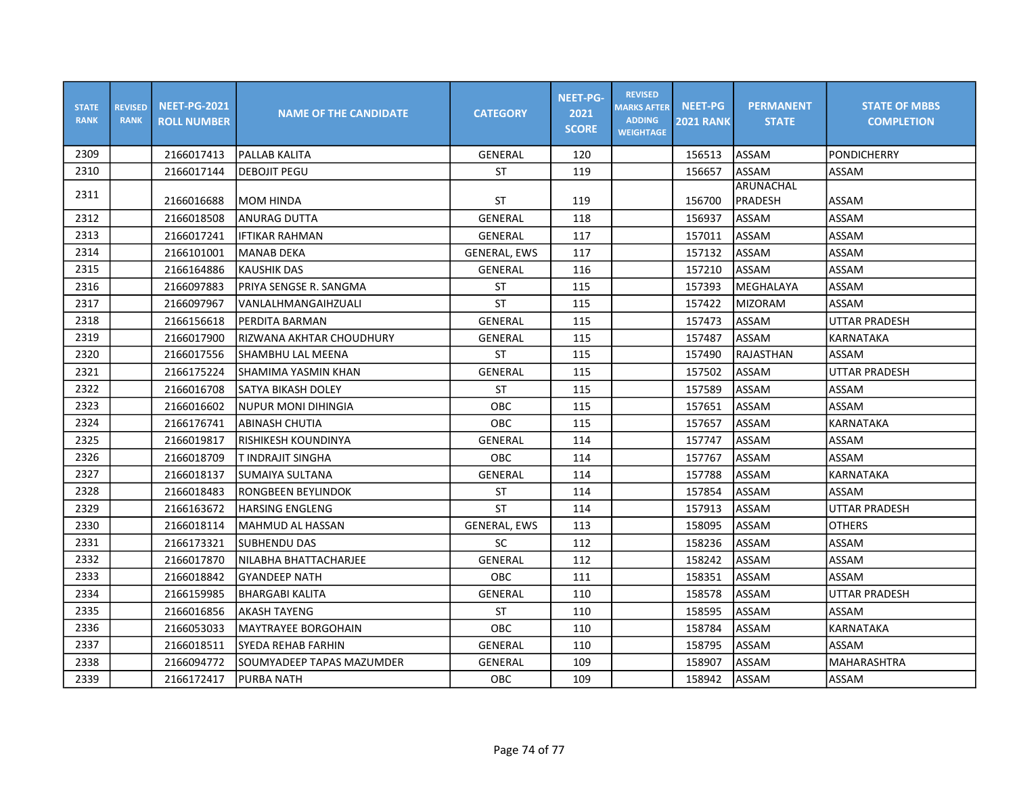| <b>STATE</b><br><b>RANK</b> | <b>REVISED</b><br><b>RANK</b> | <b>NEET-PG-2021</b><br><b>ROLL NUMBER</b> | <b>NAME OF THE CANDIDATE</b> | <b>CATEGORY</b>     | <b>NEET-PG-</b><br>2021<br><b>SCORE</b> | <b>REVISED</b><br><b>MARKS AFTER</b><br><b>ADDING</b><br><b>WEIGHTAGE</b> | <b>NEET-PG</b><br><b>2021 RANK</b> | <b>PERMANENT</b><br><b>STATE</b> | <b>STATE OF MBBS</b><br><b>COMPLETION</b> |
|-----------------------------|-------------------------------|-------------------------------------------|------------------------------|---------------------|-----------------------------------------|---------------------------------------------------------------------------|------------------------------------|----------------------------------|-------------------------------------------|
| 2309                        |                               | 2166017413                                | PALLAB KALITA                | GENERAL             | 120                                     |                                                                           | 156513                             | ASSAM                            | <b>PONDICHERRY</b>                        |
| 2310                        |                               | 2166017144                                | <b>DEBOJIT PEGU</b>          | ST                  | 119                                     |                                                                           | 156657                             | <b>ASSAM</b>                     | ASSAM                                     |
| 2311                        |                               | 2166016688                                | IMOM HINDA                   | ST                  | 119                                     |                                                                           | 156700                             | <b>ARUNACHAL</b><br>PRADESH      | ASSAM                                     |
| 2312                        |                               | 2166018508                                | lanurag dutta                | <b>GENERAL</b>      | 118                                     |                                                                           | 156937                             | ASSAM                            | ASSAM                                     |
| 2313                        |                               | 2166017241                                | <b>IFTIKAR RAHMAN</b>        | GENERAL             | 117                                     |                                                                           | 157011                             | ASSAM                            | ASSAM                                     |
| 2314                        |                               | 2166101001                                | <b>MANAB DEKA</b>            | <b>GENERAL, EWS</b> | 117                                     |                                                                           | 157132                             | ASSAM                            | ASSAM                                     |
| 2315                        |                               | 2166164886                                | <b>KAUSHIK DAS</b>           | GENERAL             | 116                                     |                                                                           | 157210                             | ASSAM                            | ASSAM                                     |
| 2316                        |                               | 2166097883                                | PRIYA SENGSE R. SANGMA       | <b>ST</b>           | 115                                     |                                                                           | 157393                             | MEGHALAYA                        | ASSAM                                     |
| 2317                        |                               | 2166097967                                | VANLALHMANGAIHZUALI          | <b>ST</b>           | 115                                     |                                                                           | 157422                             | <b>MIZORAM</b>                   | ASSAM                                     |
| 2318                        |                               | 2166156618                                | PERDITA BARMAN               | <b>GENERAL</b>      | 115                                     |                                                                           | 157473                             | ASSAM                            | <b>UTTAR PRADESH</b>                      |
| 2319                        |                               | 2166017900                                | IRIZWANA AKHTAR CHOUDHURY    | <b>GENERAL</b>      | 115                                     |                                                                           | 157487                             | ASSAM                            | KARNATAKA                                 |
| 2320                        |                               | 2166017556                                | ISHAMBHU LAL MEENA           | <b>ST</b>           | 115                                     |                                                                           | 157490                             | RAJASTHAN                        | ASSAM                                     |
| 2321                        |                               | 2166175224                                | SHAMIMA YASMIN KHAN          | GENERAL             | 115                                     |                                                                           | 157502                             | ASSAM                            | UTTAR PRADESH                             |
| 2322                        |                               | 2166016708                                | SATYA BIKASH DOLEY           | <b>ST</b>           | 115                                     |                                                                           | 157589                             | ASSAM                            | ASSAM                                     |
| 2323                        |                               | 2166016602                                | <b>NUPUR MONI DIHINGIA</b>   | OBC                 | 115                                     |                                                                           | 157651                             | ASSAM                            | ASSAM                                     |
| 2324                        |                               | 2166176741                                | <b>ABINASH CHUTIA</b>        | OBC                 | 115                                     |                                                                           | 157657                             | ASSAM                            | KARNATAKA                                 |
| 2325                        |                               | 2166019817                                | RISHIKESH KOUNDINYA          | <b>GENERAL</b>      | 114                                     |                                                                           | 157747                             | ASSAM                            | ASSAM                                     |
| 2326                        |                               | 2166018709                                | T INDRAJIT SINGHA            | OBC                 | 114                                     |                                                                           | 157767                             | <b>ASSAM</b>                     | <b>ASSAM</b>                              |
| 2327                        |                               | 2166018137                                | İSUMAIYA SULTANA             | <b>GENERAL</b>      | 114                                     |                                                                           | 157788                             | <b>ASSAM</b>                     | <b>KARNATAKA</b>                          |
| 2328                        |                               | 2166018483                                | <b>RONGBEEN BEYLINDOK</b>    | <b>ST</b>           | 114                                     |                                                                           | 157854                             | ASSAM                            | <b>ASSAM</b>                              |
| 2329                        |                               | 2166163672                                | HARSING ENGLENG              | <b>ST</b>           | 114                                     |                                                                           | 157913                             | ASSAM                            | <b>UTTAR PRADESH</b>                      |
| 2330                        |                               | 2166018114                                | lMAHMUD AL HASSAN            | <b>GENERAL, EWS</b> | 113                                     |                                                                           | 158095                             | <b>ASSAM</b>                     | <b>OTHERS</b>                             |
| 2331                        |                               | 2166173321                                | <b>SUBHENDU DAS</b>          | SC                  | 112                                     |                                                                           | 158236                             | ASSAM                            | ASSAM                                     |
| 2332                        |                               | 2166017870                                | NILABHA BHATTACHARJEE        | <b>GENERAL</b>      | 112                                     |                                                                           | 158242                             | ASSAM                            | ASSAM                                     |
| 2333                        |                               | 2166018842                                | <b>GYANDEEP NATH</b>         | <b>OBC</b>          | 111                                     |                                                                           | 158351                             | ASSAM                            | ASSAM                                     |
| 2334                        |                               | 2166159985                                | <b>BHARGABI KALITA</b>       | GENERAL             | 110                                     |                                                                           | 158578                             | ASSAM                            | <b>UTTAR PRADESH</b>                      |
| 2335                        |                               | 2166016856                                | <b>AKASH TAYENG</b>          | <b>ST</b>           | 110                                     |                                                                           | 158595                             | ASSAM                            | ASSAM                                     |
| 2336                        |                               | 2166053033                                | <b>MAYTRAYEE BORGOHAIN</b>   | OBC                 | 110                                     |                                                                           | 158784                             | ASSAM                            | KARNATAKA                                 |
| 2337                        |                               | 2166018511                                | <b>SYEDA REHAB FARHIN</b>    | <b>GENERAL</b>      | 110                                     |                                                                           | 158795                             | ASSAM                            | ASSAM                                     |
| 2338                        |                               | 2166094772                                | SOUMYADEEP TAPAS MAZUMDER    | <b>GENERAL</b>      | 109                                     |                                                                           | 158907                             | ASSAM                            | <b>MAHARASHTRA</b>                        |
| 2339                        |                               | 2166172417                                | PURBA NATH                   | OBC                 | 109                                     |                                                                           | 158942                             | <b>ASSAM</b>                     | ASSAM                                     |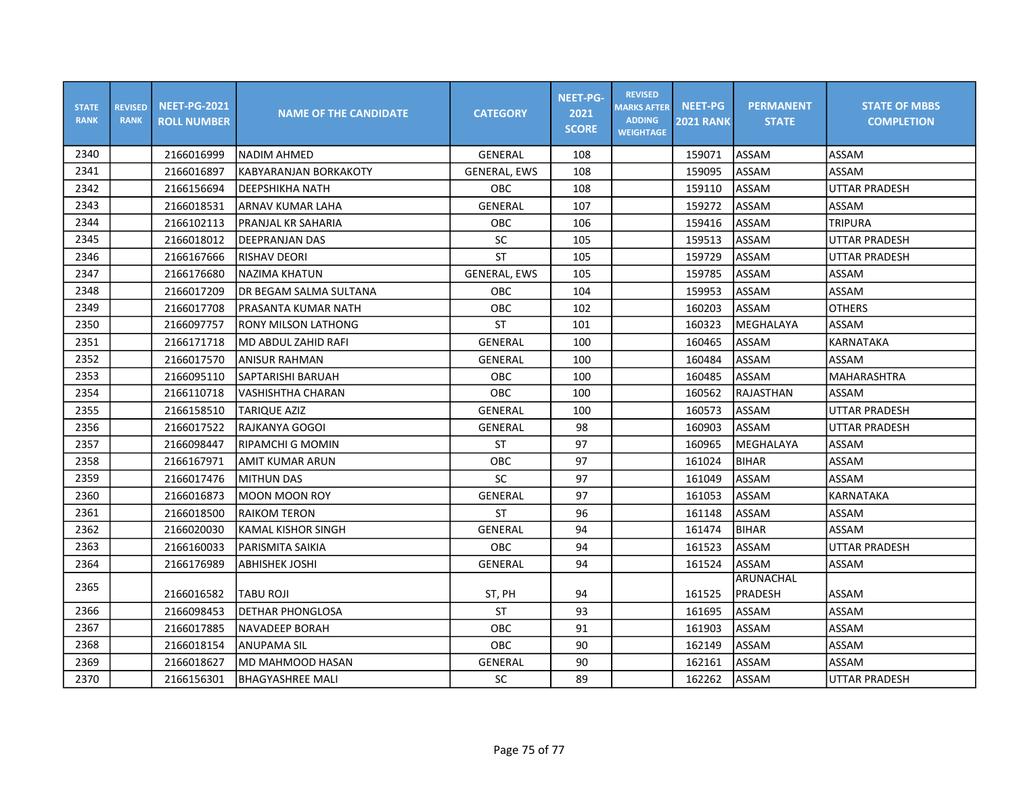| <b>STATE</b><br><b>RANK</b> | <b>REVISED</b><br><b>RANK</b> | <b>NEET-PG-2021</b><br><b>ROLL NUMBER</b> | <b>NAME OF THE CANDIDATE</b> | <b>CATEGORY</b>     | <b>NEET-PG-</b><br>2021<br><b>SCORE</b> | <b>REVISED</b><br><b>MARKS AFTER</b><br><b>ADDING</b><br><b>WEIGHTAGE</b> | <b>NEET-PG</b><br><b>2021 RANK</b> | <b>PERMANENT</b><br><b>STATE</b> | <b>STATE OF MBBS</b><br><b>COMPLETION</b> |
|-----------------------------|-------------------------------|-------------------------------------------|------------------------------|---------------------|-----------------------------------------|---------------------------------------------------------------------------|------------------------------------|----------------------------------|-------------------------------------------|
| 2340                        |                               | 2166016999                                | <b>NADIM AHMED</b>           | <b>GENERAL</b>      | 108                                     |                                                                           | 159071                             | ASSAM                            | ASSAM                                     |
| 2341                        |                               | 2166016897                                | <b>KABYARANJAN BORKAKOTY</b> | <b>GENERAL, EWS</b> | 108                                     |                                                                           | 159095                             | ASSAM                            | ASSAM                                     |
| 2342                        |                               | 2166156694                                | <b>DEEPSHIKHA NATH</b>       | OBC                 | 108                                     |                                                                           | 159110                             | ASSAM                            | <b>UTTAR PRADESH</b>                      |
| 2343                        |                               | 2166018531                                | ARNAV KUMAR LAHA             | GENERAL             | 107                                     |                                                                           | 159272                             | ASSAM                            | ASSAM                                     |
| 2344                        |                               | 2166102113                                | PRANJAL KR SAHARIA           | OBC                 | 106                                     |                                                                           | 159416                             | <b>ASSAM</b>                     | <b>TRIPURA</b>                            |
| 2345                        |                               | 2166018012                                | <b>DEEPRANJAN DAS</b>        | SC                  | 105                                     |                                                                           | 159513                             | ASSAM                            | <b>UTTAR PRADESH</b>                      |
| 2346                        |                               | 2166167666                                | <b>RISHAV DEORI</b>          | <b>ST</b>           | 105                                     |                                                                           | 159729                             | ASSAM                            | UTTAR PRADESH                             |
| 2347                        |                               | 2166176680                                | NAZIMA KHATUN                | <b>GENERAL, EWS</b> | 105                                     |                                                                           | 159785                             | ASSAM                            | ASSAM                                     |
| 2348                        |                               | 2166017209                                | DR BEGAM SALMA SULTANA       | OBC                 | 104                                     |                                                                           | 159953                             | ASSAM                            | ASSAM                                     |
| 2349                        |                               | 2166017708                                | PRASANTA KUMAR NATH          | OBC                 | 102                                     |                                                                           | 160203                             | ASSAM                            | <b>OTHERS</b>                             |
| 2350                        |                               | 2166097757                                | RONY MILSON LATHONG          | <b>ST</b>           | 101                                     |                                                                           | 160323                             | MEGHALAYA                        | ASSAM                                     |
| 2351                        |                               | 2166171718                                | MD ABDUL ZAHID RAFI          | GENERAL             | 100                                     |                                                                           | 160465                             | ASSAM                            | <b>KARNATAKA</b>                          |
| 2352                        |                               | 2166017570                                | <b>ANISUR RAHMAN</b>         | GENERAL             | 100                                     |                                                                           | 160484                             | ASSAM                            | ASSAM                                     |
| 2353                        |                               | 2166095110                                | <b>SAPTARISHI BARUAH</b>     | <b>OBC</b>          | 100                                     |                                                                           | 160485                             | <b>ASSAM</b>                     | <b>MAHARASHTRA</b>                        |
| 2354                        |                               | 2166110718                                | VASHISHTHA CHARAN            | OBC                 | 100                                     |                                                                           | 160562                             | RAJASTHAN                        | ASSAM                                     |
| 2355                        |                               | 2166158510                                | TARIQUE AZIZ                 | GENERAL             | 100                                     |                                                                           | 160573                             | ASSAM                            | UTTAR PRADESH                             |
| 2356                        |                               | 2166017522                                | RAJKANYA GOGOI               | <b>GENERAL</b>      | 98                                      |                                                                           | 160903                             | ASSAM                            | UTTAR PRADESH                             |
| 2357                        |                               | 2166098447                                | RIPAMCHI G MOMIN             | ST                  | 97                                      |                                                                           | 160965                             | MEGHALAYA                        | ASSAM                                     |
| 2358                        |                               | 2166167971                                | AMIT KUMAR ARUN              | OBC                 | 97                                      |                                                                           | 161024                             | <b>BIHAR</b>                     | ASSAM                                     |
| 2359                        |                               | 2166017476                                | <b>MITHUN DAS</b>            | SC                  | 97                                      |                                                                           | 161049                             | ASSAM                            | ASSAM                                     |
| 2360                        |                               | 2166016873                                | <b>MOON MOON ROY</b>         | GENERAL             | 97                                      |                                                                           | 161053                             | ASSAM                            | KARNATAKA                                 |
| 2361                        |                               | 2166018500                                | <b>RAIKOM TERON</b>          | ST                  | 96                                      |                                                                           | 161148                             | ASSAM                            | ASSAM                                     |
| 2362                        |                               | 2166020030                                | KAMAL KISHOR SINGH           | <b>GENERAL</b>      | 94                                      |                                                                           | 161474                             | <b>BIHAR</b>                     | ASSAM                                     |
| 2363                        |                               | 2166160033                                | PARISMITA SAIKIA             | OBC                 | 94                                      |                                                                           | 161523                             | ASSAM                            | <b>UTTAR PRADESH</b>                      |
| 2364                        |                               | 2166176989                                | <b>ABHISHEK JOSHI</b>        | <b>GENERAL</b>      | 94                                      |                                                                           | 161524                             | <b>ASSAM</b>                     | ASSAM                                     |
| 2365                        |                               |                                           |                              |                     |                                         |                                                                           |                                    | ARUNACHAL                        |                                           |
|                             |                               | 2166016582                                | TABU ROJI                    | ST, PH              | 94                                      |                                                                           | 161525                             | PRADESH                          | <b>ASSAM</b>                              |
| 2366                        |                               | 2166098453                                | <b>DETHAR PHONGLOSA</b>      | <b>ST</b>           | 93                                      |                                                                           | 161695                             | ASSAM                            | ASSAM                                     |
| 2367                        |                               | 2166017885                                | <b>NAVADEEP BORAH</b>        | OBC                 | 91                                      |                                                                           | 161903                             | ASSAM                            | ASSAM                                     |
| 2368                        |                               | 2166018154                                | <b>ANUPAMA SIL</b>           | OBC                 | 90                                      |                                                                           | 162149                             | ASSAM                            | ASSAM                                     |
| 2369                        |                               | 2166018627                                | MD MAHMOOD HASAN             | <b>GENERAL</b>      | 90                                      |                                                                           | 162161                             | ASSAM                            | ASSAM                                     |
| 2370                        |                               | 2166156301                                | <b>BHAGYASHREE MALI</b>      | SC                  | 89                                      |                                                                           | 162262                             | ASSAM                            | <b>UTTAR PRADESH</b>                      |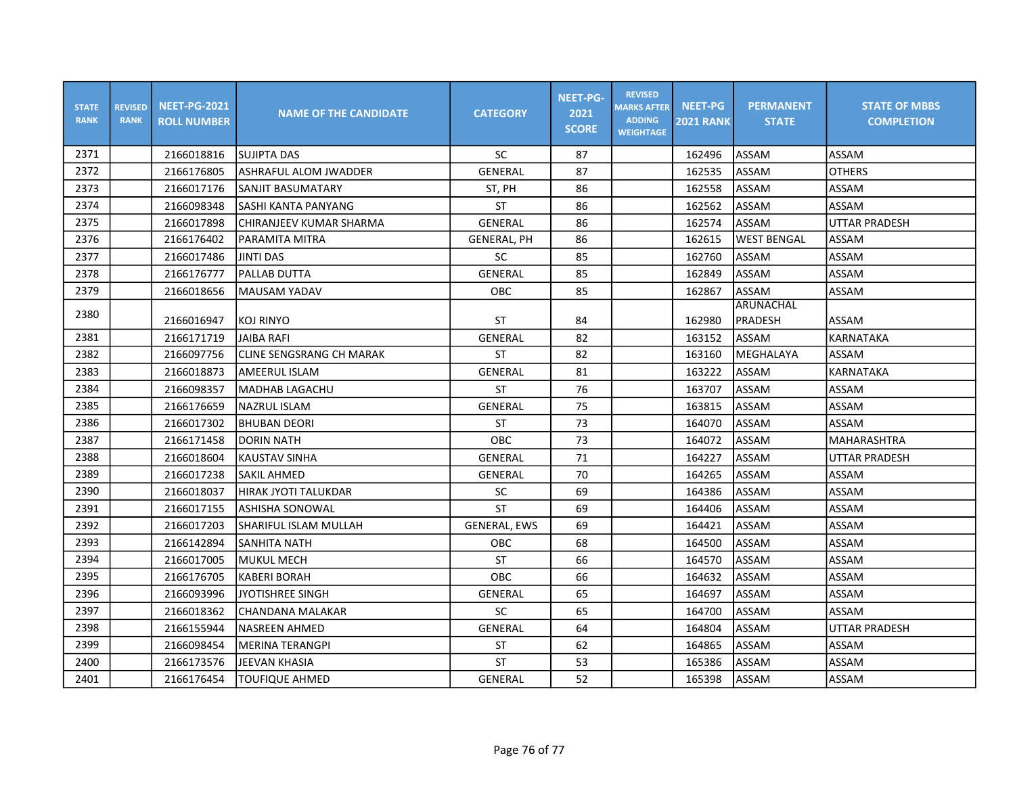| <b>STATE</b><br><b>RANK</b> | <b>REVISED</b><br><b>RANK</b> | <b>NEET-PG-2021</b><br><b>ROLL NUMBER</b> | <b>NAME OF THE CANDIDATE</b> | <b>CATEGORY</b>     | <b>NEET-PG-</b><br>2021<br><b>SCORE</b> | <b>REVISED</b><br><b>MARKS AFTER</b><br><b>ADDING</b><br><b>WEIGHTAGE</b> | <b>NEET-PG</b><br><b>2021 RANK</b> | <b>PERMANENT</b><br><b>STATE</b> | <b>STATE OF MBBS</b><br><b>COMPLETION</b> |
|-----------------------------|-------------------------------|-------------------------------------------|------------------------------|---------------------|-----------------------------------------|---------------------------------------------------------------------------|------------------------------------|----------------------------------|-------------------------------------------|
| 2371                        |                               | 2166018816                                | <b>SUJIPTA DAS</b>           | <b>SC</b>           | 87                                      |                                                                           | 162496                             | <b>ASSAM</b>                     | ASSAM                                     |
| 2372                        |                               | 2166176805                                | ASHRAFUL ALOM JWADDER        | GENERAL             | 87                                      |                                                                           | 162535                             | ASSAM                            | <b>OTHERS</b>                             |
| 2373                        |                               | 2166017176                                | SANJIT BASUMATARY            | ST, PH              | 86                                      |                                                                           | 162558                             | ASSAM                            | ASSAM                                     |
| 2374                        |                               | 2166098348                                | SASHI KANTA PANYANG          | <b>ST</b>           | 86                                      |                                                                           | 162562                             | ASSAM                            | ASSAM                                     |
| 2375                        |                               | 2166017898                                | CHIRANJEEV KUMAR SHARMA      | <b>GENERAL</b>      | 86                                      |                                                                           | 162574                             | ASSAM                            | <b>UTTAR PRADESH</b>                      |
| 2376                        |                               | 2166176402                                | PARAMITA MITRA               | GENERAL, PH         | 86                                      |                                                                           | 162615                             | <b>WEST BENGAL</b>               | ASSAM                                     |
| 2377                        |                               | 2166017486                                | <b>JINTI DAS</b>             | SC                  | 85                                      |                                                                           | 162760                             | <b>ASSAM</b>                     | ASSAM                                     |
| 2378                        |                               | 2166176777                                | <b>PALLAB DUTTA</b>          | <b>GENERAL</b>      | 85                                      |                                                                           | 162849                             | ASSAM                            | ASSAM                                     |
| 2379                        |                               | 2166018656                                | MAUSAM YADAV                 | OBC                 | 85                                      |                                                                           | 162867                             | <b>ASSAM</b>                     | ASSAM                                     |
| 2380                        |                               |                                           |                              |                     |                                         |                                                                           |                                    | ARUNACHAL                        |                                           |
|                             |                               | 2166016947                                | <b>KOJ RINYO</b>             | <b>ST</b>           | 84                                      |                                                                           | 162980                             | PRADESH                          | ASSAM                                     |
| 2381                        |                               | 2166171719                                | <b>JAIBA RAFI</b>            | <b>GENERAL</b>      | 82                                      |                                                                           | 163152                             | <b>ASSAM</b>                     | <b>KARNATAKA</b>                          |
| 2382                        |                               | 2166097756                                | lCLINE SENGSRANG CH MARAK    | <b>ST</b>           | 82                                      |                                                                           | 163160                             | MEGHALAYA                        | ASSAM                                     |
| 2383                        |                               | 2166018873                                | <b>AMEERUL ISLAM</b>         | <b>GENERAL</b>      | 81                                      |                                                                           | 163222                             | <b>ASSAM</b>                     | <b>KARNATAKA</b>                          |
| 2384                        |                               | 2166098357                                | <b>MADHAB LAGACHU</b>        | <b>ST</b>           | 76                                      |                                                                           | 163707                             | <b>ASSAM</b>                     | ASSAM                                     |
| 2385                        |                               | 2166176659                                | <b>NAZRUL ISLAM</b>          | GENERAL             | 75                                      |                                                                           | 163815                             | <b>ASSAM</b>                     | ASSAM                                     |
| 2386                        |                               | 2166017302                                | <b>BHUBAN DEORI</b>          | ST                  | 73                                      |                                                                           | 164070                             | ASSAM                            | ASSAM                                     |
| 2387                        |                               | 2166171458                                | <b>DORIN NATH</b>            | <b>OBC</b>          | 73                                      |                                                                           | 164072                             | ASSAM                            | <b>MAHARASHTRA</b>                        |
| 2388                        |                               | 2166018604                                | <b>KAUSTAV SINHA</b>         | GENERAL             | 71                                      |                                                                           | 164227                             | ASSAM                            | <b>UTTAR PRADESH</b>                      |
| 2389                        |                               | 2166017238                                | <b>SAKIL AHMED</b>           | <b>GENERAL</b>      | 70                                      |                                                                           | 164265                             | <b>ASSAM</b>                     | ASSAM                                     |
| 2390                        |                               | 2166018037                                | <b>HIRAK JYOTI TALUKDAR</b>  | SC                  | 69                                      |                                                                           | 164386                             | ASSAM                            | ASSAM                                     |
| 2391                        |                               | 2166017155                                | <b>ASHISHA SONOWAL</b>       | <b>ST</b>           | 69                                      |                                                                           | 164406                             | ASSAM                            | ASSAM                                     |
| 2392                        |                               | 2166017203                                | <b>SHARIFUL ISLAM MULLAH</b> | <b>GENERAL, EWS</b> | 69                                      |                                                                           | 164421                             | ASSAM                            | ASSAM                                     |
| 2393                        |                               | 2166142894                                | <b>SANHITA NATH</b>          | <b>OBC</b>          | 68                                      |                                                                           | 164500                             | ASSAM                            | ASSAM                                     |
| 2394                        |                               | 2166017005                                | <b>MUKUL MECH</b>            | <b>ST</b>           | 66                                      |                                                                           | 164570                             | ASSAM                            | ASSAM                                     |
| 2395                        |                               | 2166176705                                | <b>KABERI BORAH</b>          | OBC                 | 66                                      |                                                                           | 164632                             | <b>ASSAM</b>                     | ASSAM                                     |
| 2396                        |                               | 2166093996                                | <b>JYOTISHREE SINGH</b>      | GENERAL             | 65                                      |                                                                           | 164697                             | ASSAM                            | ASSAM                                     |
| 2397                        |                               | 2166018362                                | CHANDANA MALAKAR             | SC                  | 65                                      |                                                                           | 164700                             | ASSAM                            | ASSAM                                     |
| 2398                        |                               | 2166155944                                | <b>NASREEN AHMED</b>         | <b>GENERAL</b>      | 64                                      |                                                                           | 164804                             | <b>ASSAM</b>                     | <b>UTTAR PRADESH</b>                      |
| 2399                        |                               | 2166098454                                | <b>MERINA TERANGPI</b>       | ST                  | 62                                      |                                                                           | 164865                             | <b>ASSAM</b>                     | ASSAM                                     |
| 2400                        |                               | 2166173576                                | JEEVAN KHASIA                | <b>ST</b>           | 53                                      |                                                                           | 165386                             | ASSAM                            | ASSAM                                     |
| 2401                        |                               | 2166176454                                | TOUFIQUE AHMED               | GENERAL             | 52                                      |                                                                           | 165398                             | ASSAM                            | ASSAM                                     |